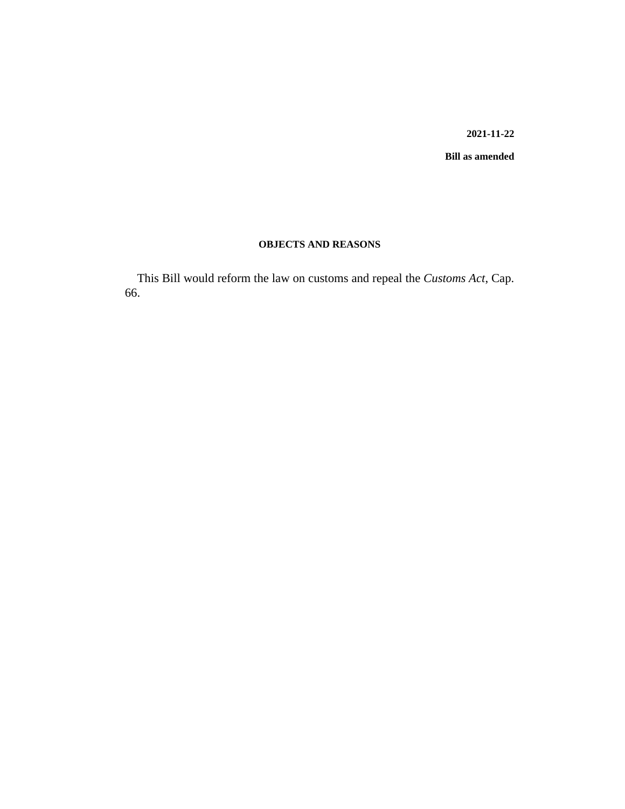#### **2021-11-22**

**Bill as amended**

# **OBJECTS AND REASONS**

This Bill would reform the law on customs and repeal the *Customs Act*, Cap. 66.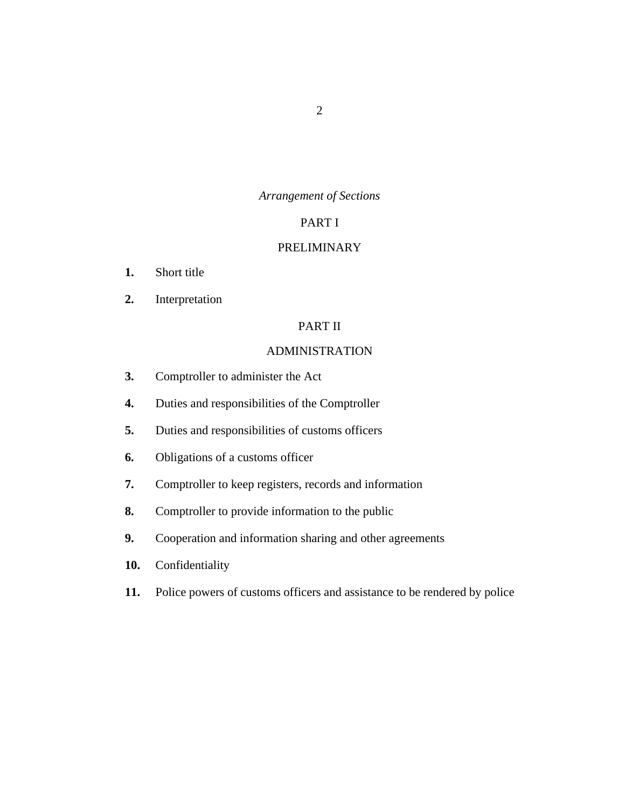# *Arrangement of Sections*

# PART I

# [PRELIMINARY](#page-23-0)

- [Short title](#page-23-0) **1.**
- [Interpretation](#page-23-0) **2.**

# PART II

# [ADMINISTRATION](#page-28-0)

- [Comptroller to administer the Act](#page-28-0) **3.**
- [Duties and responsibilities of the Comptroller](#page-28-0) **4.**
- [Duties and responsibilities of customs officers](#page-29-0) **5.**
- [Obligations of a customs officer](#page-31-0) **6.**
- [Comptroller to keep registers, records and information](#page-32-0) **7.**
- [Comptroller to provide information to the public](#page-32-0) **8.**
- [Cooperation and information sharing and other agreements](#page-32-0) **9.**
- [Confidentiality](#page-33-0) **10.**
- [Police powers of customs officers and assistance to be rendered by police](#page-36-0) **11.**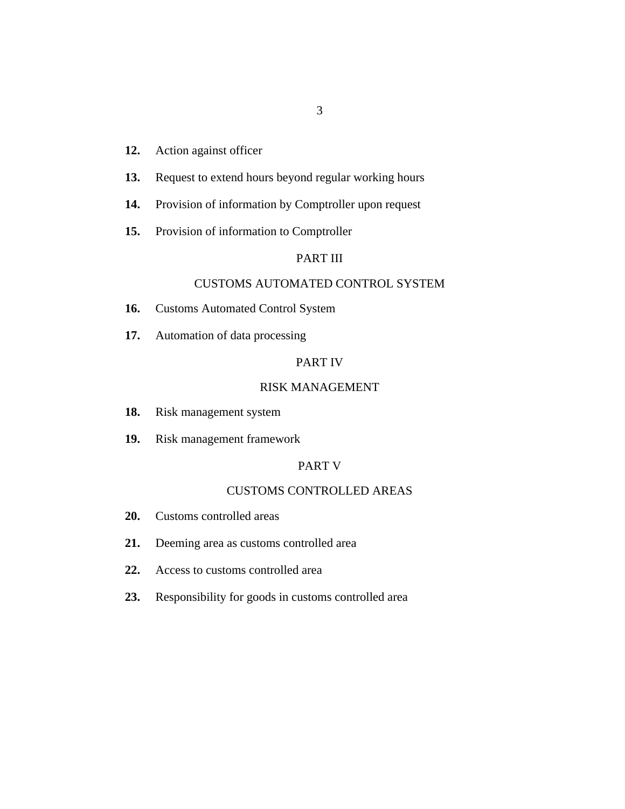#### [Action against officer](#page-36-0) **12.**

- [Request to extend hours beyond regular working hours](#page-36-0) **13.**
- [Provision of information by Comptroller upon request](#page-36-0) **14.**
- [Provision of information to Comptroller](#page-37-0) **15.**

# PART III

# [CUSTOMS AUTOMATED CONTROL SYSTEM](#page-38-0)

- [Customs Automated Control System](#page-38-0) **16.**
- [Automation of data processing](#page-38-0) **17.**

# PART IV

### [RISK MANAGEMENT](#page-39-0)

- [Risk management system](#page-39-0) **18.**
- [Risk management framework](#page-39-0) **19.**

#### PART V

#### [CUSTOMS CONTROLLED AREAS](#page-40-0)

- [Customs controlled areas](#page-40-0) **20.**
- [Deeming area as customs controlled area](#page-40-0) **21.**
- [Access to customs controlled area](#page-40-0) **22.**
- [Responsibility for goods in customs controlled area](#page-41-0) **23.**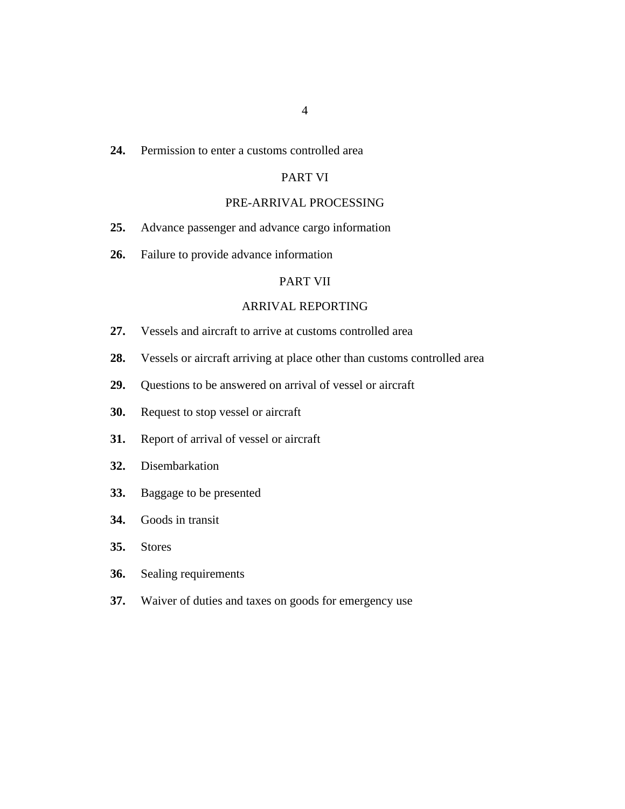#### [Permission to enter a customs controlled area](#page-41-0) **24.**

# PART VI

# [PRE-ARRIVAL PROCESSING](#page-42-0)

- [Advance passenger and advance cargo information](#page-42-0) **25.**
- [Failure to provide advance information](#page-42-0) **26.**

#### PART VII

## [ARRIVAL REPORTING](#page-43-0)

- [Vessels and aircraft to arrive at customs controlled area](#page-43-0) **27.**
- [Vessels or aircraft arriving at place other than customs controlled area](#page-43-0) **28.**
- [Questions to be answered on arrival of vessel or aircraft](#page-44-0) **29.**
- [Request to stop vessel or aircraft](#page-45-0) **30.**
- [Report of arrival of vessel or aircraft](#page-46-0) **31.**
- [Disembarkation](#page-46-0) **32.**
- [Baggage to be presented](#page-47-0) **33.**
- [Goods in transit](#page-48-0) **34.**
- [Stores](#page-48-0) **35.**
- [Sealing requirements](#page-49-0) **36.**
- [Waiver of duties and taxes on goods for emergency use](#page-49-0) **37.**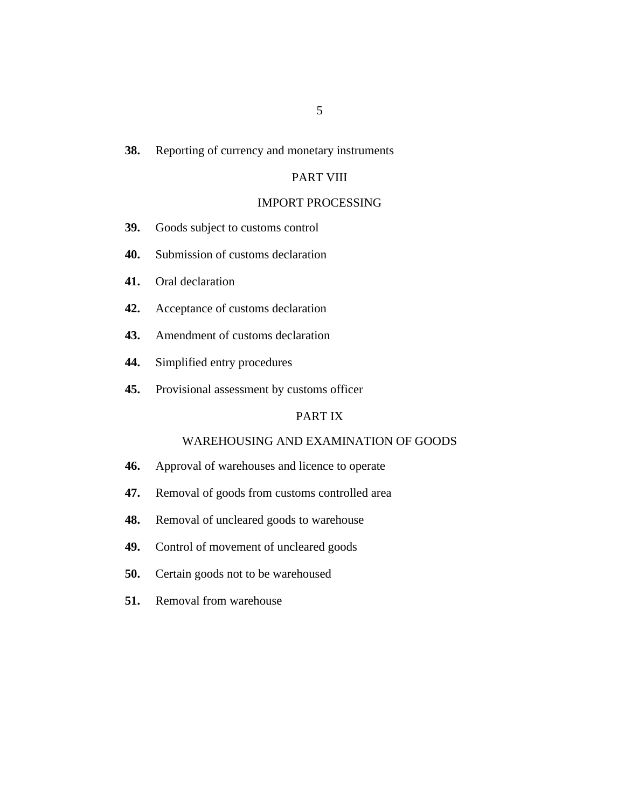#### [Reporting of currency and monetary instruments](#page-50-0) **38.**

# PART VIII

## [IMPORT PROCESSING](#page-51-0)

- [Goods subject to customs control](#page-51-0) **39.**
- [Submission of customs declaration](#page-51-0) **40.**
- [Oral declaration](#page-52-0) **41.**
- [Acceptance of customs declaration](#page-52-0) **42.**
- [Amendment of customs declaration](#page-53-0) **43.**
- [Simplified entry procedures](#page-53-0) **44.**
- [Provisional assessment by customs officer](#page-54-0) **45.**

# PART IX

# [WAREHOUSING AND EXAMINATION OF GOODS](#page-56-0)

- [Approval of warehouses and licence to operate](#page-56-0) **46.**
- [Removal of goods from customs controlled area](#page-56-0) **47.**
- [Removal of uncleared goods to warehouse](#page-57-0) **48.**
- [Control of movement of uncleared goods](#page-58-0) **49.**
- [Certain goods not to be warehoused](#page-59-0) **50.**
- [Removal from warehouse](#page-59-0) **51.**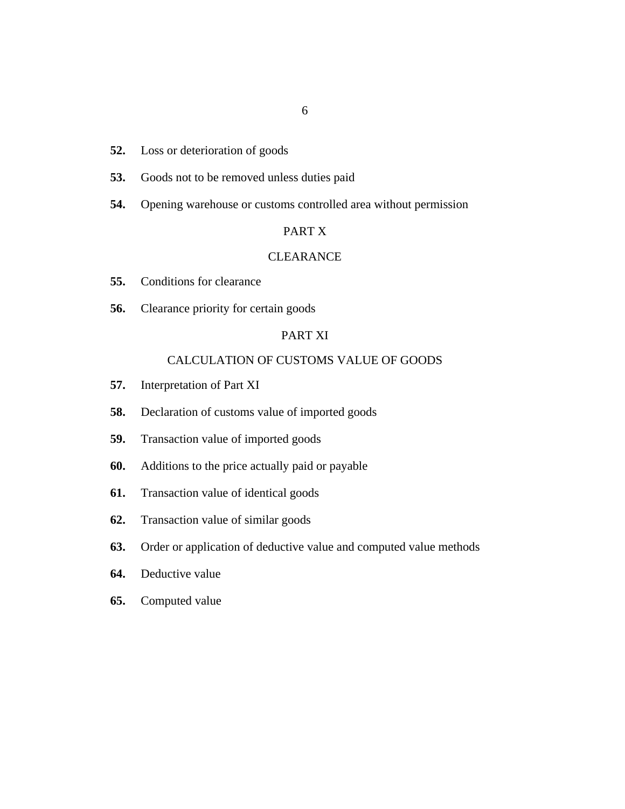- [Loss or deterioration of goods](#page-59-0) **52.**
- [Goods not to be removed unless duties paid](#page-61-0) **53.**
- [Opening warehouse or customs controlled area without permission](#page-61-0) **54.**

#### PART X

#### **[CLEARANCE](#page-61-0)**

- [Conditions for clearance](#page-61-0) **55.**
- [Clearance priority for certain goods](#page-62-0) **56.**

# PART XI

# [CALCULATION OF CUSTOMS VALUE OF GOODS](#page-62-0)

- [Interpretation of Part XI](#page-62-0) **57.**
- [Declaration of customs value of imported goods](#page-64-0) **58.**
- [Transaction value of imported goods](#page-64-0) **59.**
- [Additions to the price actually paid or payable](#page-66-0) **60.**
- [Transaction value of identical goods](#page-67-0) **61.**
- [Transaction value of similar goods](#page-68-0) **62.**
- [Order or application of deductive value and computed value methods](#page-69-0) **63.**
- [Deductive value](#page-69-0) **64.**
- [Computed value](#page-70-0) **65.**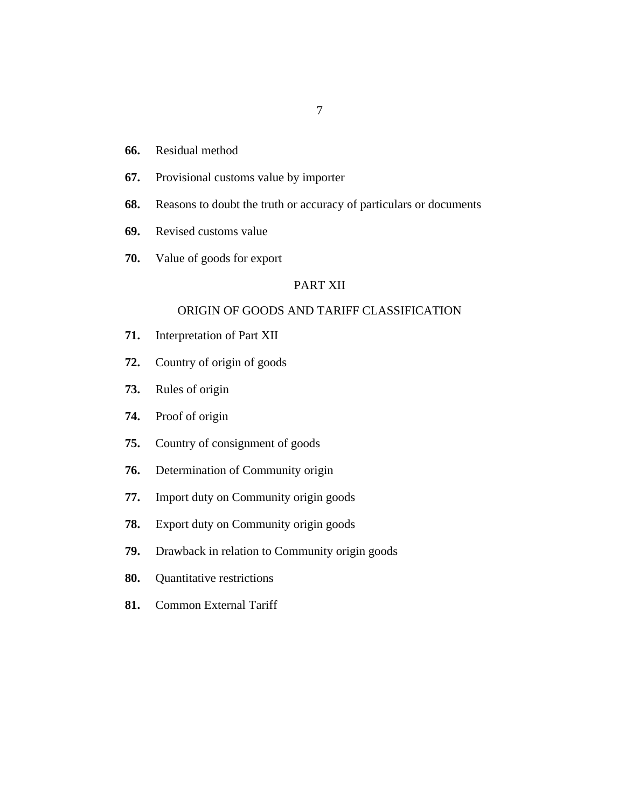- [Residual method](#page-71-0) **66.**
- [Provisional customs value by importer](#page-71-0) **67.**
- [Reasons to doubt the truth or accuracy of particulars or documents](#page-72-0) **68.**
- [Revised customs value](#page-73-0) **69.**
- [Value of goods for export](#page-73-0) **70.**

# PART XII

# [ORIGIN OF GOODS AND TARIFF CLASSIFICATION](#page-73-0)

- [Interpretation of Part XII](#page-73-0) **71.**
- [Country of origin of goods](#page-74-0) **72.**
- [Rules of origin](#page-74-0) **73.**
- [Proof of origin](#page-75-0) **74.**
- [Country of consignment of goods](#page-75-0) **75.**
- [Determination of Community origin](#page-75-0) **76.**
- [Import duty on Community origin goods](#page-77-0) **77.**
- [Export duty on Community origin goods](#page-77-0) **78.**
- [Drawback in relation to Community origin goods](#page-77-0) **79.**
- [Quantitative restrictions](#page-78-0) **80.**
- [Common External Tariff](#page-78-0) **81.**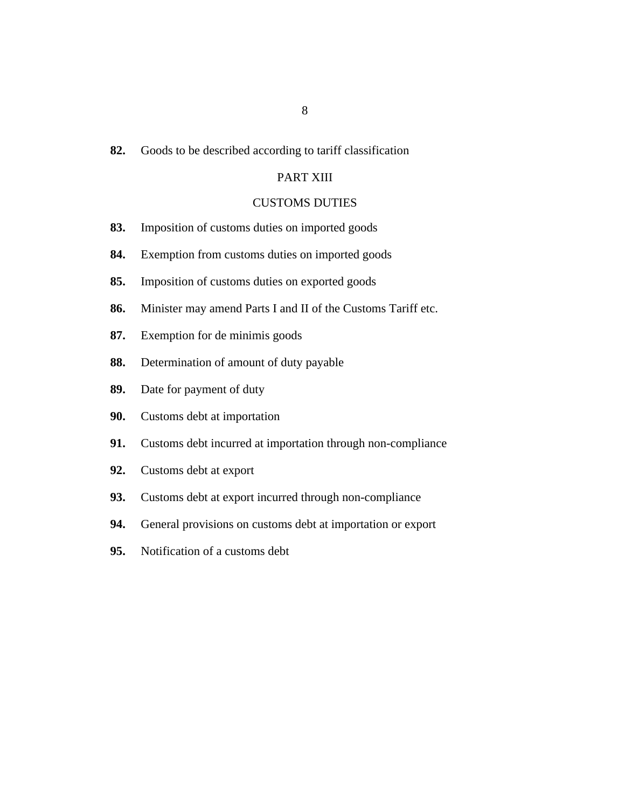#### [Goods to be described according to tariff classification](#page-78-0) **82.**

# PART XIII

## [CUSTOMS DUTIES](#page-79-0)

- [Imposition of customs duties on imported goods](#page-79-0) **83.**
- [Exemption from customs duties on imported goods](#page-79-0) **84.**
- [Imposition of customs duties on exported goods](#page-79-0) **85.**
- [Minister may amend Parts I and II of the Customs Tariff etc.](#page-79-0) **86.**
- [Exemption for de minimis goods](#page-81-0) **87.**
- [Determination of amount of duty payable](#page-81-0) **88.**
- [Date for payment of duty](#page-82-0) **89.**
- [Customs debt at importation](#page-82-0) **90.**
- [Customs debt incurred at importation through non-compliance](#page-82-0) **91.**
- [Customs debt at export](#page-83-0) **92.**
- [Customs debt at export incurred through non-compliance](#page-83-0) **93.**
- [General provisions on customs debt at importation or export](#page-84-0) **94.**
- [Notification of a customs debt](#page-85-0) **95.**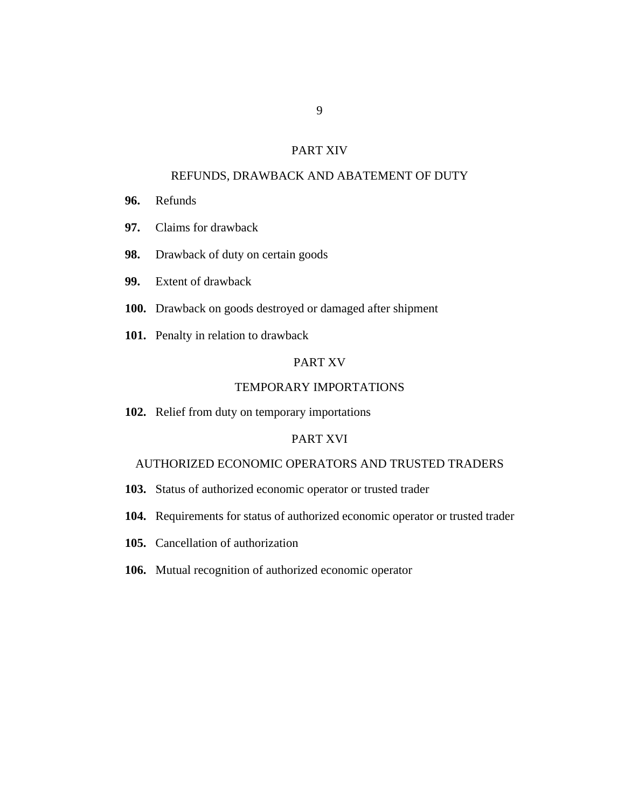# PART XIV

## [REFUNDS, DRAWBACK AND ABATEMENT OF DUTY](#page-86-0)

- [Refunds](#page-86-0) **96.**
- [Claims for drawback](#page-86-0) **97.**
- [Drawback of duty on certain goods](#page-87-0) **98.**
- [Extent of drawback](#page-88-0) **99.**
- 100. [Drawback on goods destroyed or damaged after shipment](#page-89-0)
- 101. [Penalty in relation to drawback](#page-89-0)

# PART XV

# [TEMPORARY IMPORTATIONS](#page-90-0)

102. [Relief from duty on temporary importations](#page-90-0)

# PART XVI

# [AUTHORIZED ECONOMIC OPERATORS AND TRUSTED TRADERS](#page-92-0)

- 103. [Status of authorized economic operator or trusted trader](#page-92-0)
- 104. [Requirements for status of authorized economic operator or trusted trader](#page-93-0)
- 105. [Cancellation of authorization](#page-93-0)
- 106. [Mutual recognition of authorized economic operator](#page-94-0)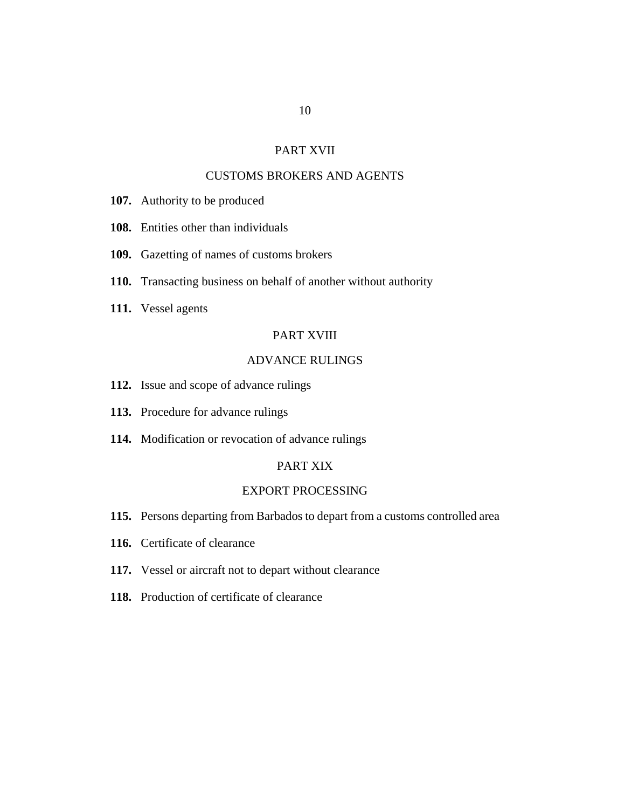### PART XVII

## [CUSTOMS BROKERS AND AGENTS](#page-94-0)

- 107. [Authority to be produced](#page-94-0)
- [Entities other than individuals](#page-95-0) **108.**
- 109. [Gazetting of names of customs brokers](#page-95-0)
- 110. [Transacting business on behalf of another without authority](#page-95-0)
- [Vessel agents](#page-96-0) **111.**

#### PART XVIII

# [ADVANCE RULINGS](#page-96-0)

- 112. [Issue and scope of advance rulings](#page-96-0)
- 113. [Procedure for advance rulings](#page-97-0)
- 114. [Modification or revocation of advance rulings](#page-98-0)

## PART XIX

# [EXPORT PROCESSING](#page-99-0)

- 115. [Persons departing from Barbados to depart from a customs controlled area](#page-99-0)
- 116. [Certificate of clearance](#page-99-0)
- 117. [Vessel or aircraft not to depart without clearance](#page-100-0)
- 118. [Production of certificate of clearance](#page-100-0)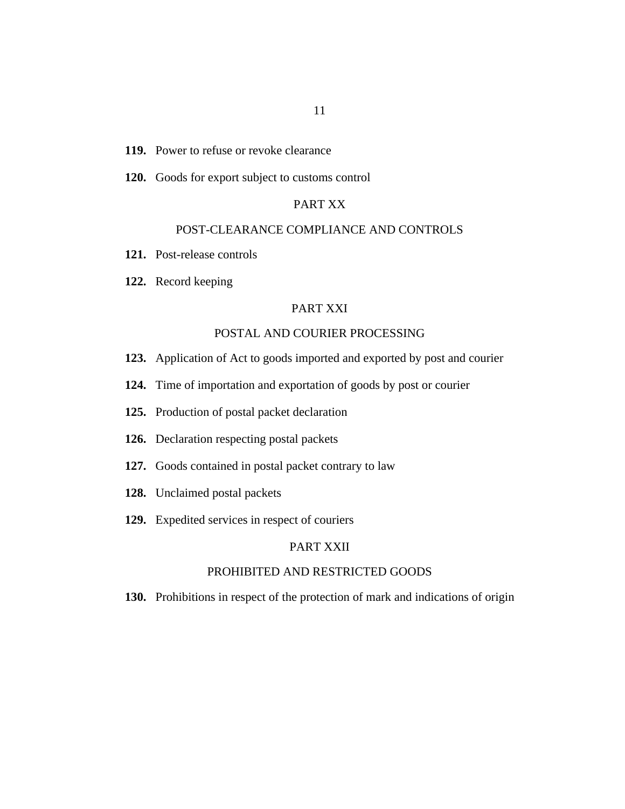#### 119. [Power to refuse or revoke clearance](#page-101-0)

120. [Goods for export subject to customs control](#page-101-0)

# PART XX

#### [POST-CLEARANCE COMPLIANCE AND CONTROLS](#page-102-0)

- 121. [Post-release controls](#page-102-0)
- 122. [Record keeping](#page-102-0)

#### PART XXI

## [POSTAL AND COURIER PROCESSING](#page-103-0)

- 123. [Application of Act to goods imported and exported by post and courier](#page-103-0)
- 124. [Time of importation and exportation of goods by post or courier](#page-103-0)
- 125. [Production of postal packet declaration](#page-103-0)
- 126. [Declaration respecting postal packets](#page-104-0)
- 127. [Goods contained in postal packet contrary to law](#page-104-0)
- 128. [Unclaimed postal packets](#page-105-0)
- 129. [Expedited services in respect of couriers](#page-106-0)

# PART XXII

# [PROHIBITED AND RESTRICTED GOODS](#page-107-0)

130. [Prohibitions in respect of the protection of mark and indications of origin](#page-107-0)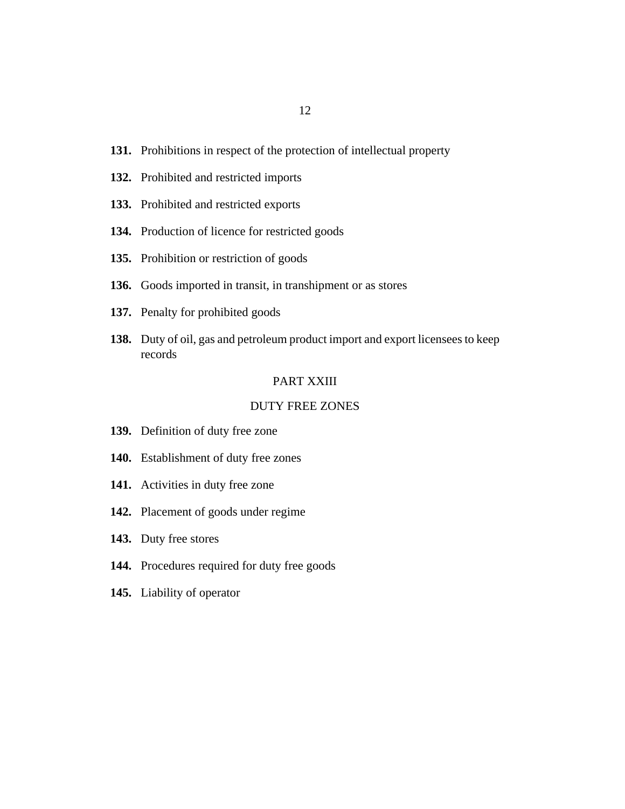- 131. [Prohibitions in respect of the protection of intellectual property](#page-107-0)
- 132. [Prohibited and restricted imports](#page-107-0)
- 133. [Prohibited and restricted exports](#page-108-0)
- 134. [Production of licence for restricted goods](#page-108-0)
- 135. [Prohibition or restriction of goods](#page-109-0)
- 136. [Goods imported in transit, in transhipment or as stores](#page-109-0)
- 137. [Penalty for prohibited goods](#page-109-0)
- 138. [Duty of oil, gas and petroleum product import and export licensees to keep](#page-110-0) records

#### PART XXIII

## [DUTY FREE ZONES](#page-111-0)

- 139. [Definition of duty free zone](#page-111-0)
- 140. [Establishment of duty free zones](#page-111-0)
- 141. [Activities in duty free zone](#page-111-0)
- 142. [Placement of goods under regime](#page-112-0)
- 143. [Duty free stores](#page-112-0)
- 144. [Procedures required for duty free goods](#page-112-0)
- 145. [Liability of operator](#page-114-0)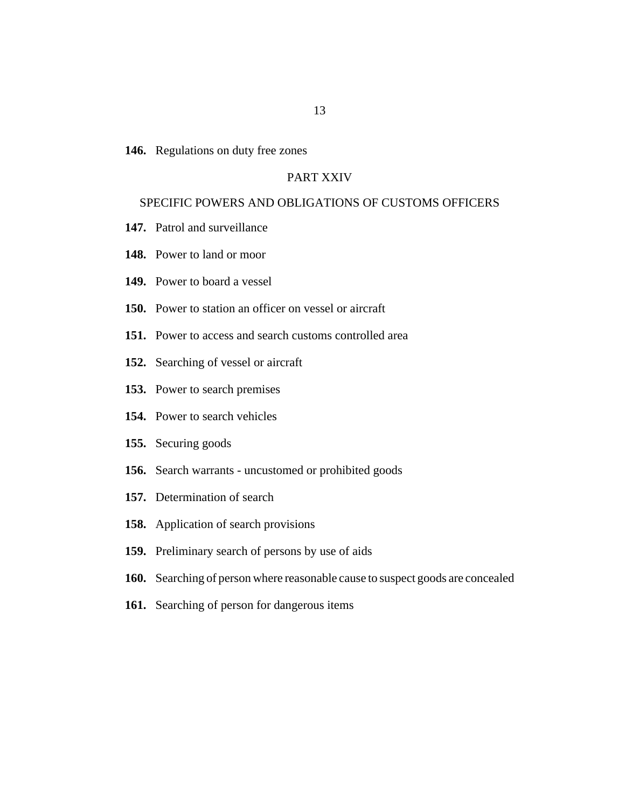146. [Regulations on duty free zones](#page-114-0)

## PART XXIV

### [SPECIFIC POWERS AND OBLIGATIONS OF CUSTOMS OFFICERS](#page-114-0)

- 147. [Patrol and surveillance](#page-114-0)
- 148. [Power to land or moor](#page-115-0)
- 149. [Power to board a vessel](#page-115-0)
- 150. [Power to station an officer on vessel or aircraft](#page-116-0)
- 151. [Power to access and search customs controlled area](#page-117-0)
- 152. [Searching of vessel or aircraft](#page-117-0)
- 153. [Power to search premises](#page-118-0)
- 154. [Power to search vehicles](#page-119-0)
- 155. [Securing goods](#page-120-0)
- 156. [Search warrants uncustomed or prohibited goods](#page-120-0)
- 157. [Determination of search](#page-121-0)
- 158. [Application of search provisions](#page-121-0)
- 159. [Preliminary search of persons by use of aids](#page-122-0)
- 160. [Searching of person where reasonable cause to suspect goods are concealed](#page-122-0)
- 161. [Searching of person for dangerous items](#page-123-0)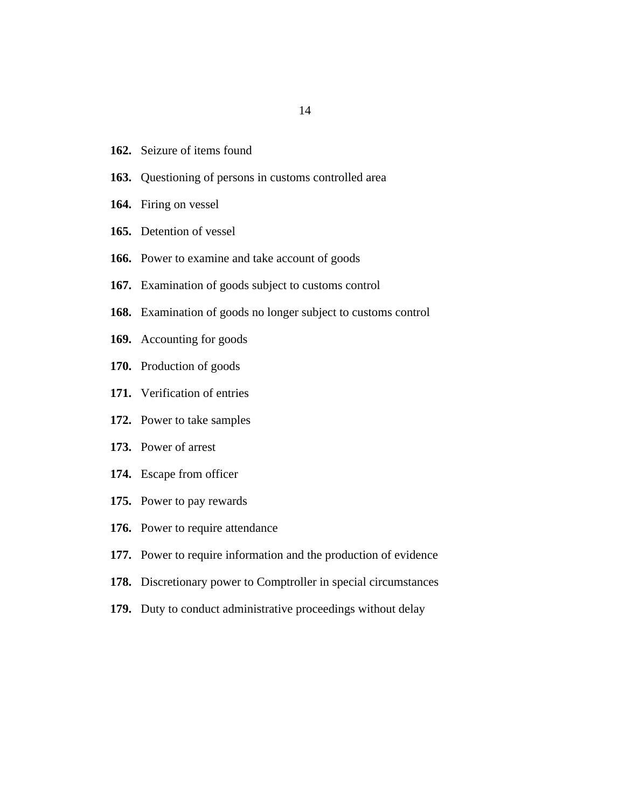- 162. [Seizure of items found](#page-124-0)
- 163. [Questioning of persons in customs controlled area](#page-124-0)
- 164. [Firing on vessel](#page-124-0)
- 165. [Detention of vessel](#page-125-0)
- 166. [Power to examine and take account of goods](#page-125-0)
- 167. [Examination of goods subject to customs control](#page-128-0)
- [Examination of goods no longer subject to customs control](#page-128-0) **168.**
- 169. [Accounting for goods](#page-129-0)
- 170. [Production of goods](#page-130-0)
- 171. [Verification of entries](#page-130-0)
- 172. [Power to take samples](#page-131-0)
- 173. [Power of arrest](#page-131-0)
- 174. [Escape from officer](#page-131-0)
- 175. [Power to pay rewards](#page-132-0)
- 176. [Power to require attendance](#page-132-0)
- 177. [Power to require information and the production of evidence](#page-132-0)
- 178. [Discretionary power to Comptroller in special circumstances](#page-133-0)
- 179. [Duty to conduct administrative proceedings without delay](#page-133-0)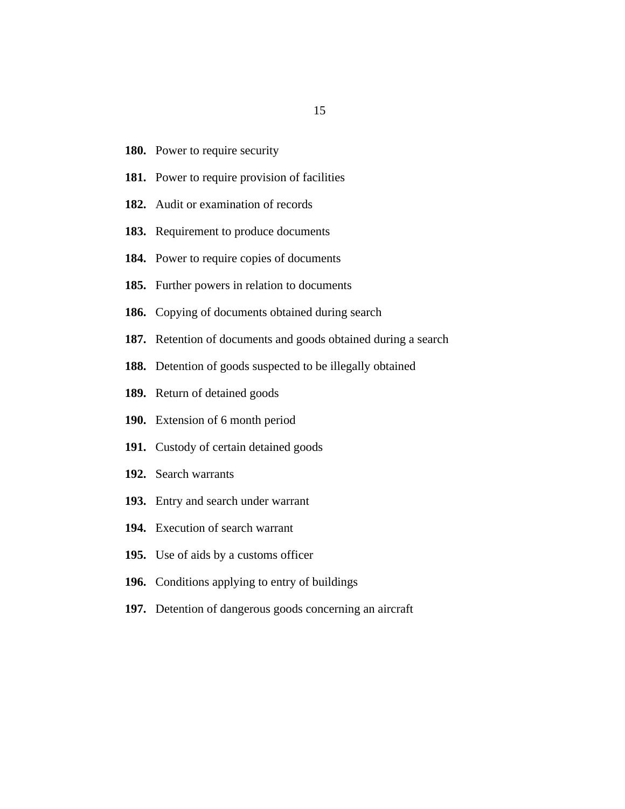- 180. [Power to require security](#page-133-0)
- 181. [Power to require provision of facilities](#page-135-0)
- 182. [Audit or examination of records](#page-136-0)
- 183. [Requirement to produce documents](#page-137-0)
- 184. [Power to require copies of documents](#page-138-0)
- 185. [Further powers in relation to documents](#page-138-0)
- 186. [Copying of documents obtained during search](#page-138-0)
- 187. [Retention of documents and goods obtained during a search](#page-139-0)
- 188. [Detention of goods suspected to be illegally obtained](#page-141-0)
- 189. [Return of detained goods](#page-141-0)
- 190. [Extension of 6 month period](#page-142-0)
- 191. [Custody of certain detained goods](#page-143-0)
- 192. [Search warrants](#page-144-0)
- 193. [Entry and search under warrant](#page-144-0)
- 194. [Execution of search warrant](#page-145-0)
- 195. [Use of aids by a customs officer](#page-146-0)
- 196. [Conditions applying to entry of buildings](#page-146-0)
- 197. [Detention of dangerous goods concerning an aircraft](#page-147-0)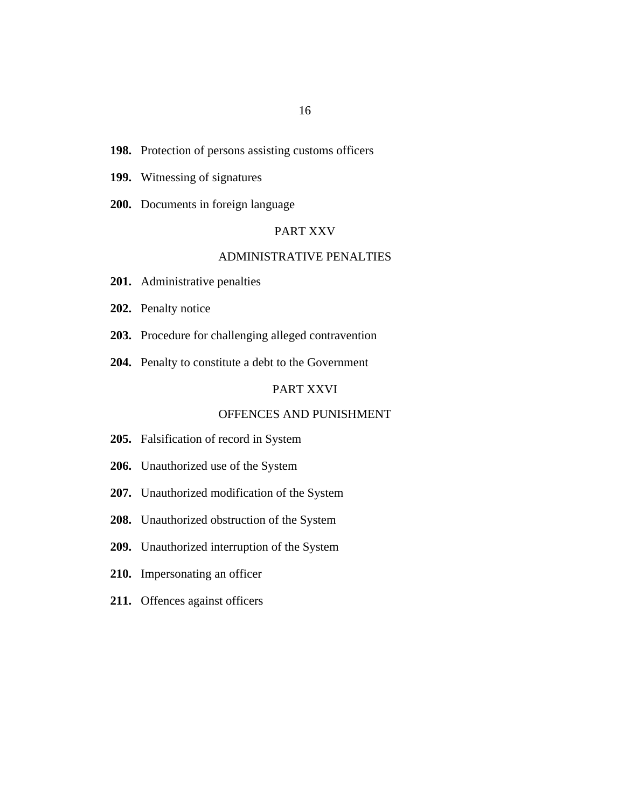- 198. [Protection of persons assisting customs officers](#page-147-0)
- 199. [Witnessing of signatures](#page-147-0)
- 200. [Documents in foreign language](#page-148-0)

## PART XXV

#### [ADMINISTRATIVE PENALTIES](#page-148-0)

- [Administrative penalties](#page-148-0) **201.**
- 202. [Penalty notice](#page-148-0)
- 203. [Procedure for challenging alleged contravention](#page-149-0)
- 204. [Penalty to constitute a debt to the Government](#page-149-0)

# PART XXVI

## [OFFENCES AND PUNISHMENT](#page-149-0)

- 205. [Falsification of record in System](#page-149-0)
- 206. [Unauthorized use of the System](#page-149-0)
- 207. [Unauthorized modification of the System](#page-150-0)
- 208. [Unauthorized obstruction of the System](#page-151-0)
- 209. [Unauthorized interruption of the System](#page-151-0)
- 210. [Impersonating an officer](#page-151-0)
- 211. [Offences against officers](#page-152-0)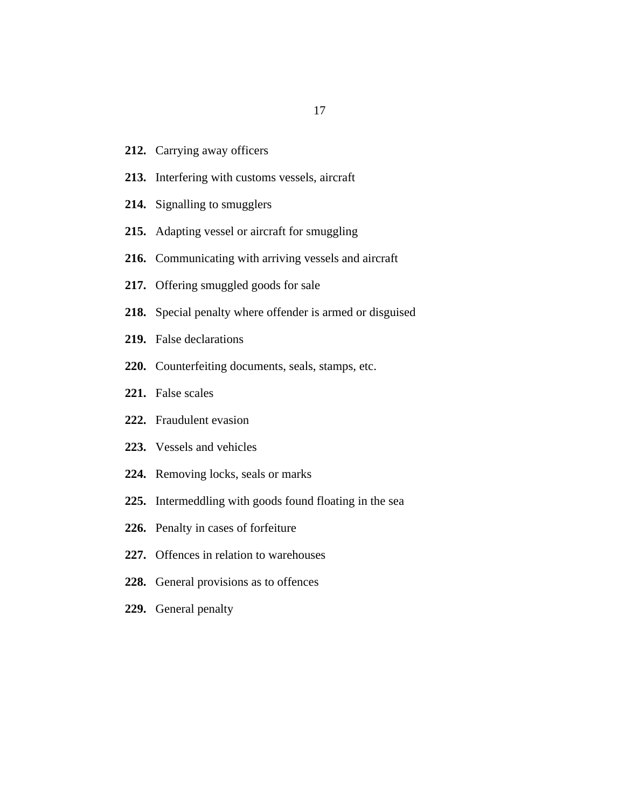- 212. [Carrying away officers](#page-154-0)
- 213. [Interfering with customs vessels, aircraft](#page-154-0)
- 214. [Signalling to smugglers](#page-154-0)
- [Adapting vessel or aircraft for smuggling](#page-155-0) **215.**
- 216. [Communicating with arriving vessels and aircraft](#page-156-0)
- 217. [Offering smuggled goods for sale](#page-156-0)
- 218. [Special penalty where offender is armed or disguised](#page-156-0)
- [False declarations](#page-157-0) **219.**
- 220. [Counterfeiting documents, seals, stamps, etc.](#page-158-0)
- [False scales](#page-159-0) **221.**
- 222. [Fraudulent evasion](#page-159-0)
- [Vessels and vehicles](#page-160-0) **223.**
- 224. [Removing locks, seals or marks](#page-161-0)
- 225. [Intermeddling with goods found floating in the sea](#page-161-0)
- 226. [Penalty in cases of forfeiture](#page-161-0)
- 227. [Offences in relation to warehouses](#page-162-0)
- 228. [General provisions as to offences](#page-163-0)
- 229. [General penalty](#page-164-0)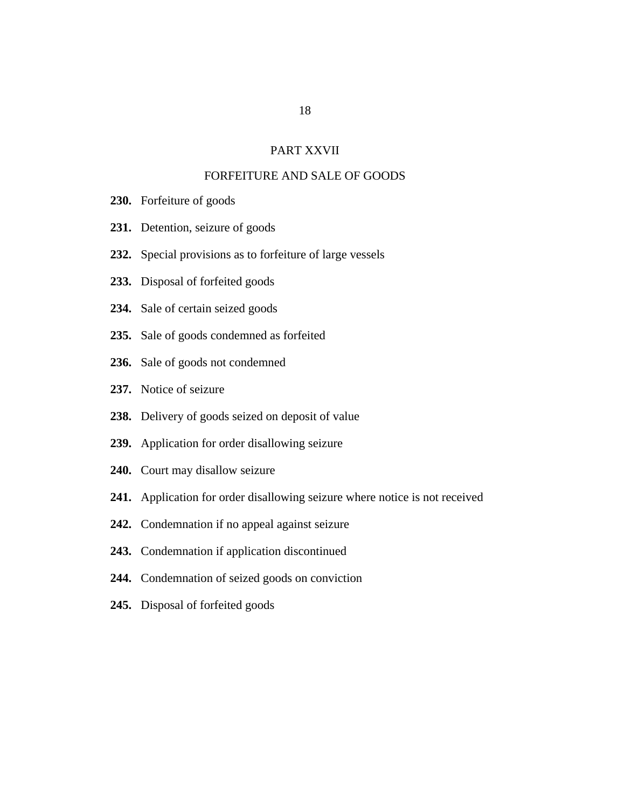## PART XXVII

# [FORFEITURE AND SALE OF GOODS](#page-164-0)

- 230. [Forfeiture of goods](#page-164-0)
- 231. [Detention, seizure of goods](#page-166-0)
- 232. [Special provisions as to forfeiture of large vessels](#page-166-0)
- 233. [Disposal of forfeited goods](#page-167-0)
- 234. [Sale of certain seized goods](#page-167-0)
- 235. [Sale of goods condemned as forfeited](#page-167-0)
- 236. [Sale of goods not condemned](#page-168-0)
- 237. [Notice of seizure](#page-168-0)
- 238. [Delivery of goods seized on deposit of value](#page-168-0)
- 239. [Application for order disallowing seizure](#page-169-0)
- 240. [Court may disallow seizure](#page-169-0)
- 241. [Application for order disallowing seizure where notice is not received](#page-170-0)
- 242. [Condemnation if no appeal against seizure](#page-171-0)
- 243. [Condemnation if application discontinued](#page-172-0)
- 244. [Condemnation of seized goods on conviction](#page-172-0)
- 245. [Disposal of forfeited goods](#page-172-0)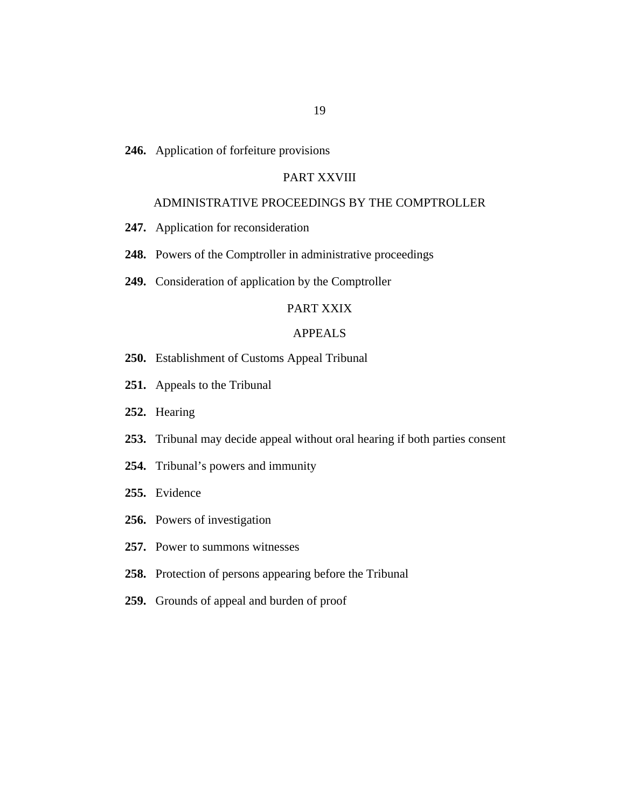246. [Application of forfeiture provisions](#page-173-0)

# PART XXVIII

## [ADMINISTRATIVE PROCEEDINGS BY THE COMPTROLLER](#page-173-0)

- 247. [Application for reconsideration](#page-173-0)
- 248. [Powers of the Comptroller in administrative proceedings](#page-174-0)
- 249. [Consideration of application by the Comptroller](#page-174-0)

#### [PART XXIX](#page-175-0)

# APPEALS

- [Establishment of Customs Appeal Tribunal](#page-175-0) **250.**
- 251. [Appeals to the Tribunal](#page-175-0)
- 252. [Hearing](#page-175-0)
- 253. [Tribunal may decide appeal without oral hearing if both parties consent](#page-176-0)
- 254. [Tribunal's powers and immunity](#page-177-0)
- 255. [Evidence](#page-177-0)
- 256. [Powers of investigation](#page-177-0)
- 257. [Power to summons witnesses](#page-178-0)
- 258. [Protection of persons appearing before the Tribunal](#page-179-0)
- 259. [Grounds of appeal and burden of proof](#page-179-0)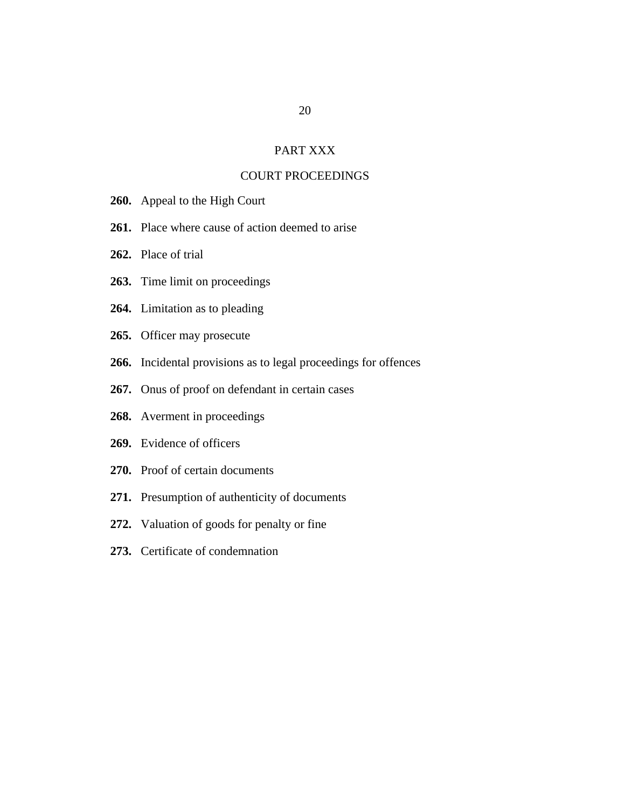# PART XXX

# [COURT PROCEEDINGS](#page-180-0)

- 260. [Appeal to the High Court](#page-180-0)
- 261. [Place where cause of action deemed to arise](#page-180-0)
- 262. [Place of trial](#page-180-0)
- 263. [Time limit on proceedings](#page-181-0)
- 264. [Limitation as to pleading](#page-181-0)
- 265. [Officer may prosecute](#page-181-0)
- 266. [Incidental provisions as to legal proceedings for offences](#page-182-0)
- 267. [Onus of proof on defendant in certain cases](#page-182-0)
- 268. [Averment in proceedings](#page-182-0)
- [Evidence of officers](#page-183-0) **269.**
- 270. [Proof of certain documents](#page-183-0)
- 271. [Presumption of authenticity of documents](#page-184-0)
- 272. [Valuation of goods for penalty or fine](#page-184-0)
- 273. [Certificate of condemnation](#page-184-0)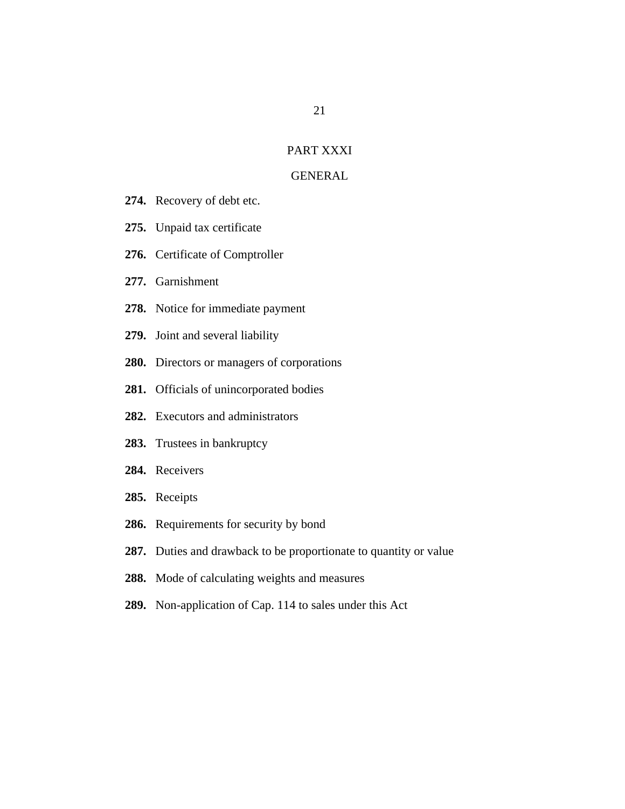#### [PART XXXI](#page-185-0)

#### **GENERAL**

- 274. [Recovery of debt etc.](#page-185-0)
- 275. [Unpaid tax certificate](#page-185-0)
- 276. [Certificate of Comptroller](#page-185-0)
- 277. [Garnishment](#page-186-0)
- 278. [Notice for immediate payment](#page-187-0)
- 279. [Joint and several liability](#page-187-0)
- 280. [Directors or managers of corporations](#page-188-0)
- 281. [Officials of unincorporated bodies](#page-189-0)
- [Executors and administrators](#page-190-0) **282.**
- 283. [Trustees in bankruptcy](#page-190-0)
- 284. [Receivers](#page-191-0)
- 285. [Receipts](#page-193-0)
- 286. [Requirements for security by bond](#page-193-0)
- 287. [Duties and drawback to be proportionate to quantity or value](#page-193-0)
- 288. [Mode of calculating weights and measures](#page-193-0)
- 289. [Non-application of Cap. 114 to sales under this Act](#page-194-0)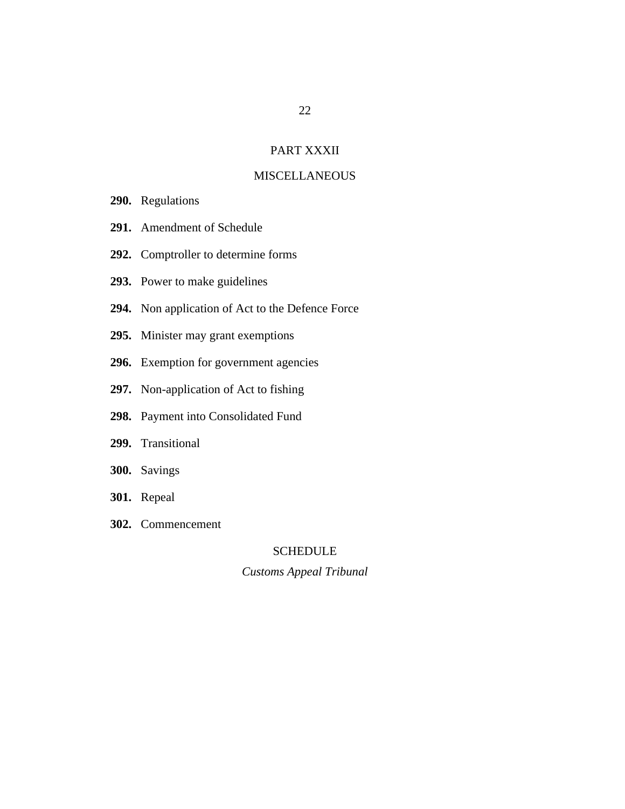# PART XXXII

# **[MISCELLANEOUS](#page-194-0)**

- 290. [Regulations](#page-194-0)
- [Amendment of Schedule](#page-195-0) **291.**
- 292. [Comptroller to determine forms](#page-195-0)
- 293. [Power to make guidelines](#page-195-0)
- 294. [Non application of Act to the Defence Force](#page-196-0)
- 295. [Minister may grant exemptions](#page-196-0)
- 296. [Exemption for government agencies](#page-196-0)
- 297. [Non-application of Act to fishing](#page-196-0)
- 298. [Payment into Consolidated Fund](#page-196-0)
- 299. [Transitional](#page-197-0)
- 300. [Savings](#page-197-0)
- **301.** [Repeal](#page-197-0)
- [Commencement](#page-197-0) **302.**

### SCHEDULE

#### *[Customs Appeal Tribunal](#page-198-0)*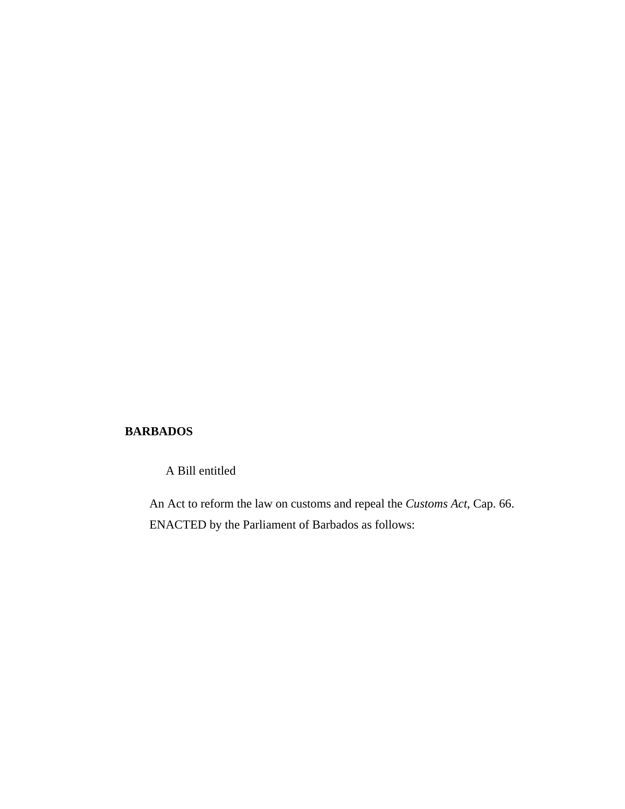# **BARBADOS**

A Bill entitled

An Act to reform the law on customs and repeal the *Customs Act*, Cap. 66. ENACTED by the Parliament of Barbados as follows: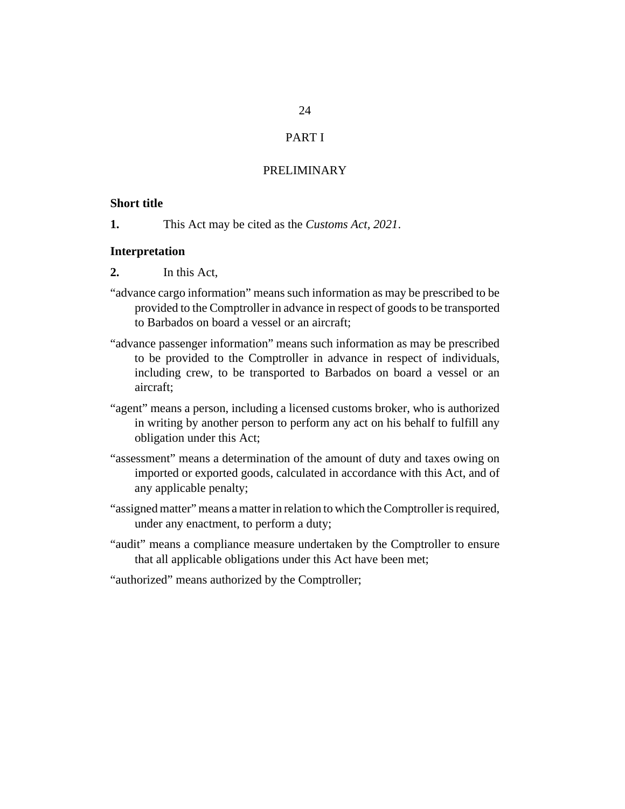# PART I

# PRELIMINARY

#### <span id="page-23-0"></span>**Short title**

This Act may be cited as the *Customs Act, 2021*. **1.**

#### **Interpretation**

- In this Act, **2.**
- "advance cargo information" means such information as may be prescribed to be provided to the Comptroller in advance in respect of goods to be transported to Barbados on board a vessel or an aircraft;
- "advance passenger information" means such information as may be prescribed to be provided to the Comptroller in advance in respect of individuals, including crew, to be transported to Barbados on board a vessel or an aircraft;
- "agent" means a person, including a licensed customs broker, who is authorized in writing by another person to perform any act on his behalf to fulfill any obligation under this Act;
- "assessment" means a determination of the amount of duty and taxes owing on imported or exported goods, calculated in accordance with this Act, and of any applicable penalty;
- "assigned matter" means a matter in relation to which the Comptroller is required, under any enactment, to perform a duty;
- "audit" means a compliance measure undertaken by the Comptroller to ensure that all applicable obligations under this Act have been met;
- "authorized" means authorized by the Comptroller;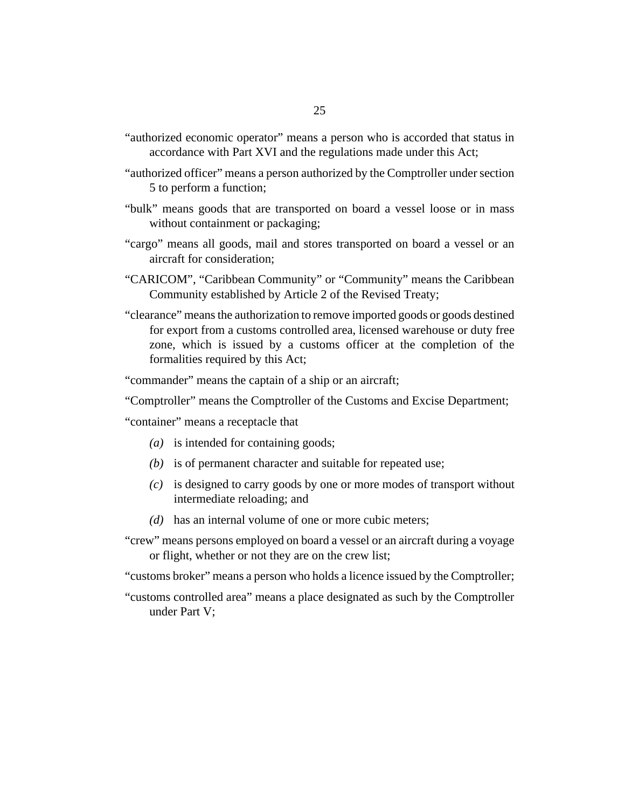- "authorized economic operator" means a person who is accorded that status in accordance with Part XVI and the regulations made under this Act;
- "authorized officer" means a person authorized by the Comptroller under [section](#page-29-0) [5](#page-29-0) to perform a function;
- "bulk" means goods that are transported on board a vessel loose or in mass without containment or packaging;
- "cargo" means all goods, mail and stores transported on board a vessel or an aircraft for consideration;
- "CARICOM", "Caribbean Community" or "Community" means the Caribbean Community established by Article 2 of the Revised Treaty;
- "clearance" means the authorization to remove imported goods or goods destined for export from a customs controlled area, licensed warehouse or duty free zone, which is issued by a customs officer at the completion of the formalities required by this Act;

"commander" means the captain of a ship or an aircraft;

"Comptroller" means the Comptroller of the Customs and Excise Department;

"container" means a receptacle that

- (a) is intended for containing goods;
- (b) is of permanent character and suitable for repeated use;
- is designed to carry goods by one or more modes of transport without *(c)* intermediate reloading; and
- (d) has an internal volume of one or more cubic meters;
- "crew" means persons employed on board a vessel or an aircraft during a voyage or flight, whether or not they are on the crew list;

"customs broker" means a person who holds a licence issued by the Comptroller;

"customs controlled area" means a place designated as such by the Comptroller under Part V;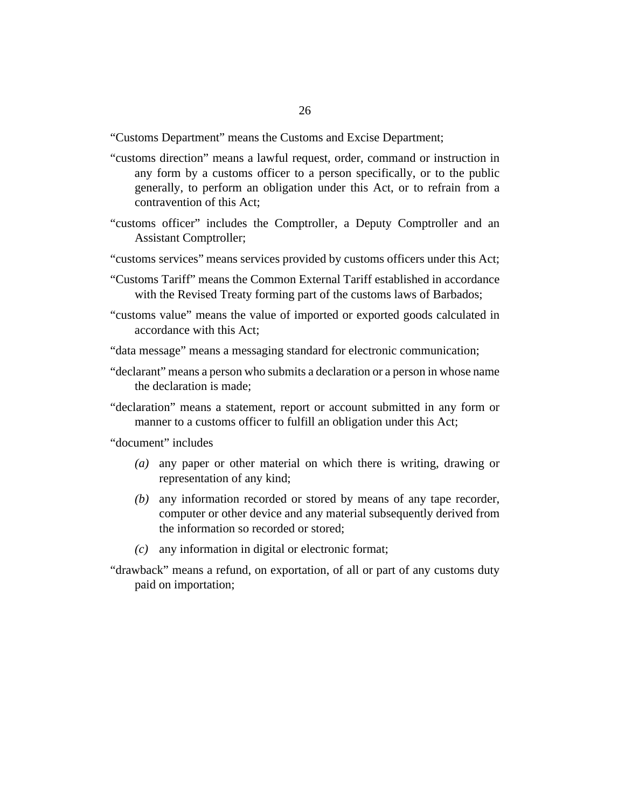"Customs Department" means the Customs and Excise Department;

- "customs direction" means a lawful request, order, command or instruction in any form by a customs officer to a person specifically, or to the public generally, to perform an obligation under this Act, or to refrain from a contravention of this Act;
- "customs officer" includes the Comptroller, a Deputy Comptroller and an Assistant Comptroller;
- "customs services" means services provided by customs officers under this Act;
- "Customs Tariff" means the Common External Tariff established in accordance with the Revised Treaty forming part of the customs laws of Barbados;
- "customs value" means the value of imported or exported goods calculated in accordance with this Act;
- "data message" means a messaging standard for electronic communication;
- "declarant" means a person who submits a declaration or a person in whose name the declaration is made;
- "declaration" means a statement, report or account submitted in any form or manner to a customs officer to fulfill an obligation under this Act;
- "document" includes
	- any paper or other material on which there is writing, drawing or *(a)* representation of any kind;
	- any information recorded or stored by means of any tape recorder, *(b)* computer or other device and any material subsequently derived from the information so recorded or stored;
	- any information in digital or electronic format; *(c)*
- "drawback" means a refund, on exportation, of all or part of any customs duty paid on importation;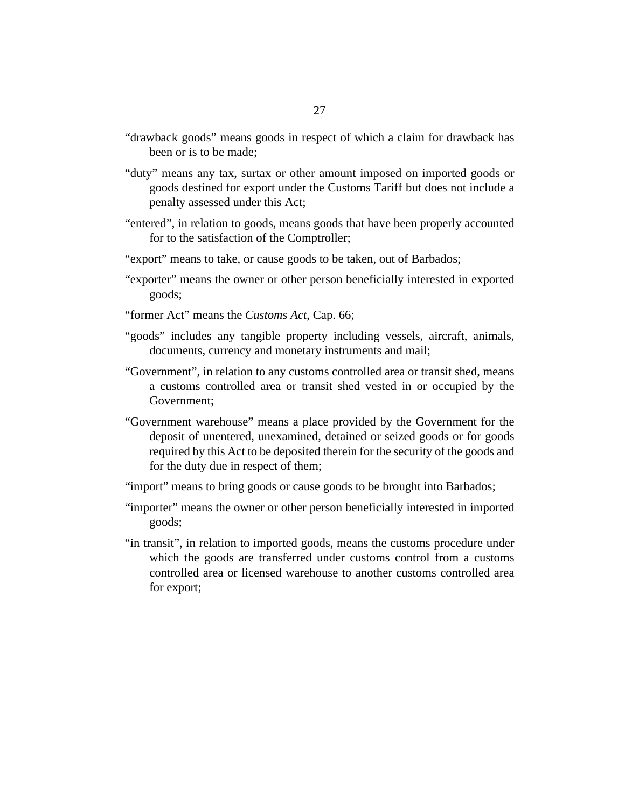- "drawback goods" means goods in respect of which a claim for drawback has been or is to be made;
- "duty" means any tax, surtax or other amount imposed on imported goods or goods destined for export under the Customs Tariff but does not include a penalty assessed under this Act;
- "entered", in relation to goods, means goods that have been properly accounted for to the satisfaction of the Comptroller;
- "export" means to take, or cause goods to be taken, out of Barbados;
- "exporter" means the owner or other person beneficially interested in exported goods;
- "former Act" means the *[Customs Act](http://barbadosparliament-laws.com/en/showdoc/cs/66)*, Cap. 66;
- "goods" includes any tangible property including vessels, aircraft, animals, documents, currency and monetary instruments and mail;
- "Government", in relation to any customs controlled area or transit shed, means a customs controlled area or transit shed vested in or occupied by the Government;
- "Government warehouse" means a place provided by the Government for the deposit of unentered, unexamined, detained or seized goods or for goods required by this Act to be deposited therein for the security of the goods and for the duty due in respect of them;
- "import" means to bring goods or cause goods to be brought into Barbados;
- "importer" means the owner or other person beneficially interested in imported goods;
- "in transit", in relation to imported goods, means the customs procedure under which the goods are transferred under customs control from a customs controlled area or licensed warehouse to another customs controlled area for export;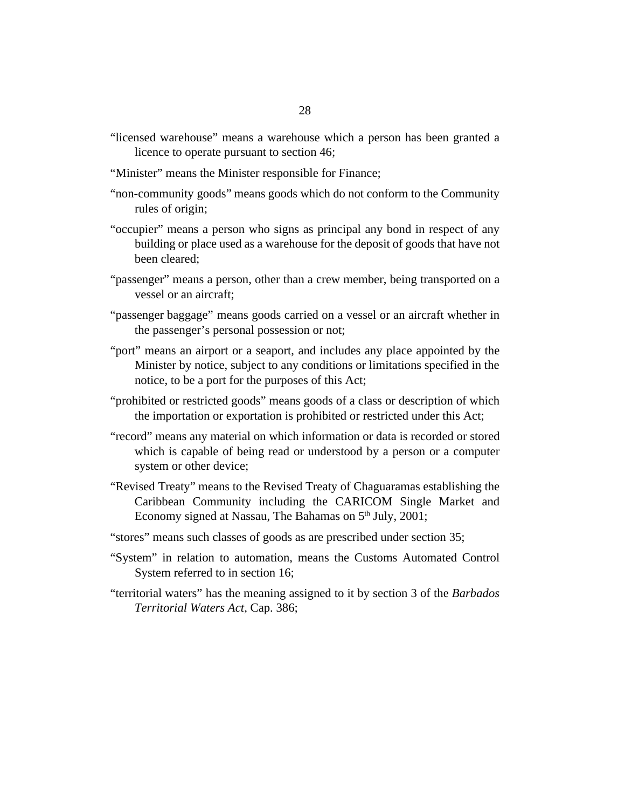- "licensed warehouse" means a warehouse which a person has been granted a licence to operate pursuant to [section 46](#page-56-0);
- "Minister" means the Minister responsible for Finance;
- "non-community goods" means goods which do not conform to the Community rules of origin;
- "occupier" means a person who signs as principal any bond in respect of any building or place used as a warehouse for the deposit of goods that have not been cleared;
- "passenger" means a person, other than a crew member, being transported on a vessel or an aircraft;
- "passenger baggage" means goods carried on a vessel or an aircraft whether in the passenger's personal possession or not;
- "port" means an airport or a seaport, and includes any place appointed by the Minister by notice, subject to any conditions or limitations specified in the notice, to be a port for the purposes of this Act;
- "prohibited or restricted goods" means goods of a class or description of which the importation or exportation is prohibited or restricted under this Act;
- "record" means any material on which information or data is recorded or stored which is capable of being read or understood by a person or a computer system or other device;
- "Revised Treaty" means to the Revised Treaty of Chaguaramas establishing the Caribbean Community including the CARICOM Single Market and Economy signed at Nassau, The Bahamas on  $5<sup>th</sup>$  July, 2001;
- "stores" means such classes of goods as are prescribed under [section 35](#page-48-0);
- "System" in relation to automation, means the Customs Automated Control System referred to in [section 16;](#page-38-0)
- "territorial waters" has the meaning assigned to it by section 3 of the *[Barbados](http://barbadosparliament-laws.com/en/showdoc/cs/386) [Territorial Waters Act](http://barbadosparliament-laws.com/en/showdoc/cs/386)*, Cap. 386;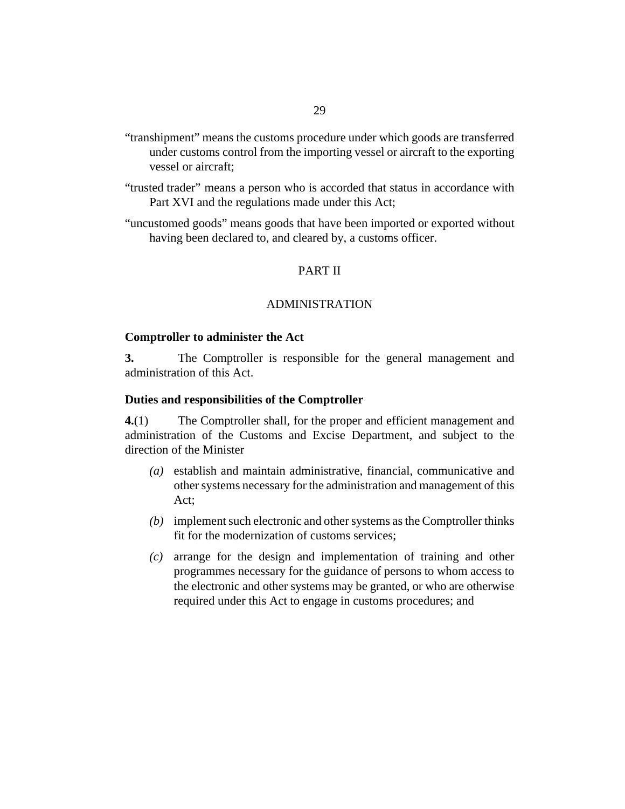- <span id="page-28-0"></span>"transhipment" means the customs procedure under which goods are transferred under customs control from the importing vessel or aircraft to the exporting vessel or aircraft;
- "trusted trader" means a person who is accorded that status in accordance with Part XVI and the regulations made under this Act;
- "uncustomed goods" means goods that have been imported or exported without having been declared to, and cleared by, a customs officer.

# PART II

#### ADMINISTRATION

#### **Comptroller to administer the Act**

The Comptroller is responsible for the general management and administration of this Act. **3.**

#### **Duties and responsibilities of the Comptroller**

The Comptroller shall, for the proper and efficient management and administration of the Customs and Excise Department, and subject to the direction of the Minister **4.**(1)

- establish and maintain administrative, financial, communicative and *(a)* other systems necessary for the administration and management of this Act;
- (b) implement such electronic and other systems as the Comptroller thinks fit for the modernization of customs services;
- arrange for the design and implementation of training and other *(c)* programmes necessary for the guidance of persons to whom access to the electronic and other systems may be granted, or who are otherwise required under this Act to engage in customs procedures; and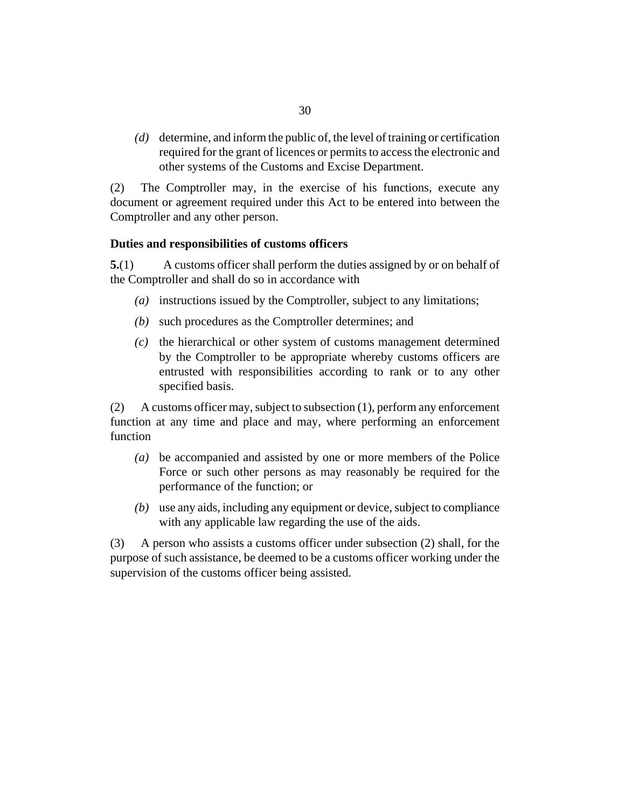<span id="page-29-0"></span>determine, and inform the public of, the level of training or certification *(d)* required for the grant of licences or permits to access the electronic and other systems of the Customs and Excise Department.

The Comptroller may, in the exercise of his functions, execute any document or agreement required under this Act to be entered into between the Comptroller and any other person. (2)

# **Duties and responsibilities of customs officers**

A customs officer shall perform the duties assigned by or on behalf of the Comptroller and shall do so in accordance with **5.**(1)

- instructions issued by the Comptroller, subject to any limitations; *(a)*
- (b) such procedures as the Comptroller determines; and
- (c) the hierarchical or other system of customs management determined by the Comptroller to be appropriate whereby customs officers are entrusted with responsibilities according to rank or to any other specified basis.

A customs officer may, subject to subsection (1), perform any enforcement function at any time and place and may, where performing an enforcement function (2)

- be accompanied and assisted by one or more members of the Police *(a)* Force or such other persons as may reasonably be required for the performance of the function; or
- use any aids, including any equipment or device, subject to compliance *(b)* with any applicable law regarding the use of the aids.

A person who assists a customs officer under subsection (2) shall, for the purpose of such assistance, be deemed to be a customs officer working under the supervision of the customs officer being assisted. (3)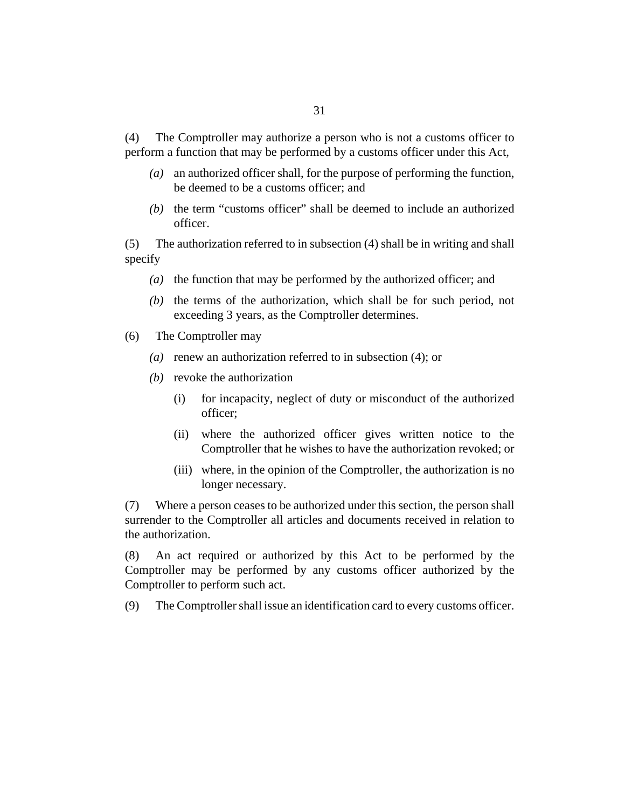The Comptroller may authorize a person who is not a customs officer to perform a function that may be performed by a customs officer under this Act, (4)

- an authorized officer shall, for the purpose of performing the function, *(a)* be deemed to be a customs officer; and
- $(b)$  the term "customs officer" shall be deemed to include an authorized officer.

The authorization referred to in subsection (4) shall be in writing and shall specify (5)

- (a) the function that may be performed by the authorized officer; and
- $(b)$  the terms of the authorization, which shall be for such period, not exceeding 3 years, as the Comptroller determines.
- The Comptroller may (6)
	- (a) renew an authorization referred to in subsection  $(4)$ ; or
	- (b) revoke the authorization
		- for incapacity, neglect of duty or misconduct of the authorized officer; (i)
		- (ii) where the authorized officer gives written notice to the Comptroller that he wishes to have the authorization revoked; or
		- (iii) where, in the opinion of the Comptroller, the authorization is no longer necessary.

Where a person ceases to be authorized under this section, the person shall surrender to the Comptroller all articles and documents received in relation to the authorization. (7)

An act required or authorized by this Act to be performed by the Comptroller may be performed by any customs officer authorized by the Comptroller to perform such act. (8)

The Comptroller shall issue an identification card to every customs officer. (9)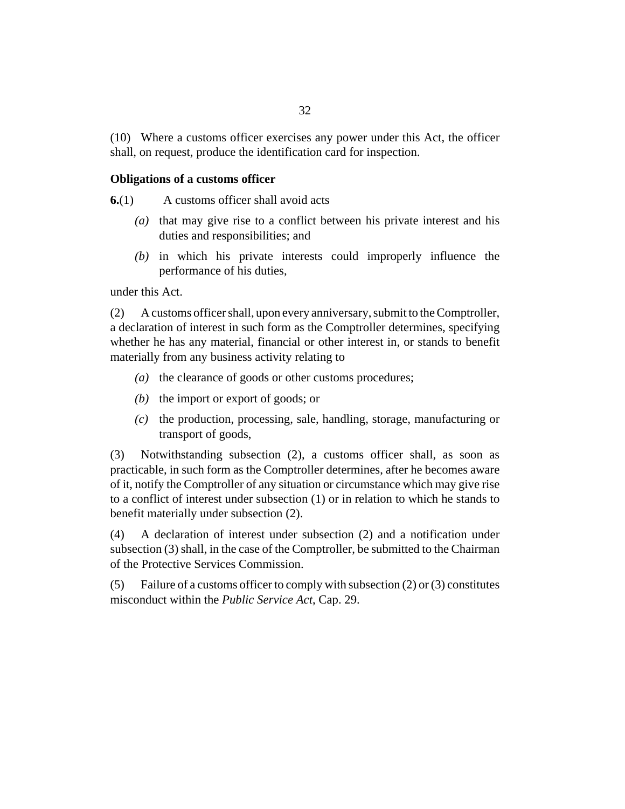<span id="page-31-0"></span>Where a customs officer exercises any power under this Act, the officer (10) shall, on request, produce the identification card for inspection.

#### **Obligations of a customs officer**

A customs officer shall avoid acts **6.**(1)

- (a) that may give rise to a conflict between his private interest and his duties and responsibilities; and
- $(b)$  in which his private interests could improperly influence the performance of his duties,

under this Act.

A customs officer shall, upon every anniversary, submit to the Comptroller, a declaration of interest in such form as the Comptroller determines, specifying whether he has any material, financial or other interest in, or stands to benefit materially from any business activity relating to (2)

- (a) the clearance of goods or other customs procedures;
- $(b)$  the import or export of goods; or
- $(c)$  the production, processing, sale, handling, storage, manufacturing or transport of goods,

Notwithstanding subsection (2), a customs officer shall, as soon as practicable, in such form as the Comptroller determines, after he becomes aware of it, notify the Comptroller of any situation or circumstance which may give rise to a conflict of interest under subsection (1) or in relation to which he stands to benefit materially under subsection (2). (3)

A declaration of interest under subsection (2) and a notification under subsection (3) shall, in the case of the Comptroller, be submitted to the Chairman of the Protective Services Commission. (4)

Failure of a customs officer to comply with subsection (2) or (3) constitutes misconduct within the *[Public Service Act](http://barbadosparliament-laws.com/en/showdoc/cs/29)*, Cap. 29. (5)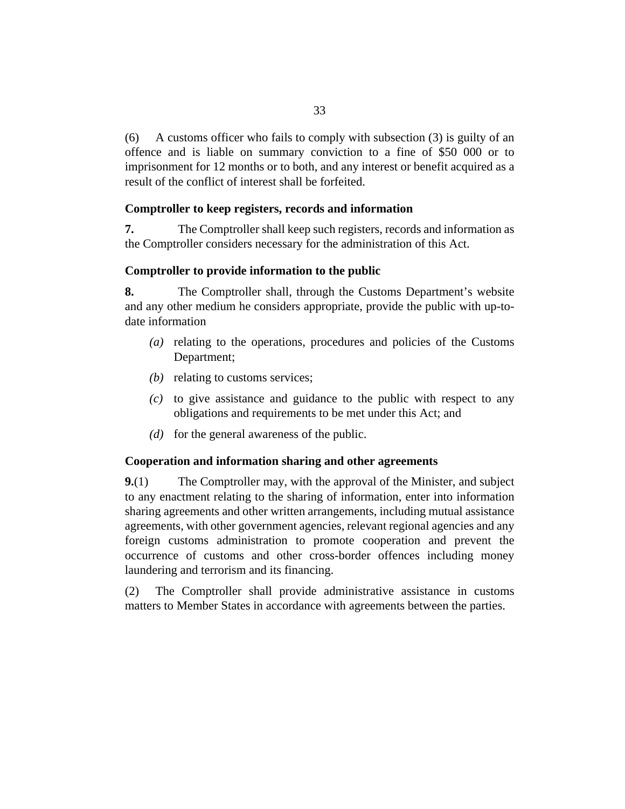<span id="page-32-0"></span>A customs officer who fails to comply with subsection (3) is guilty of an offence and is liable on summary conviction to a fine of \$50 000 or to imprisonment for 12 months or to both, and any interest or benefit acquired as a result of the conflict of interest shall be forfeited. (6)

# **Comptroller to keep registers, records and information**

The Comptroller shall keep such registers, records and information as the Comptroller considers necessary for the administration of this Act. **7.**

# **Comptroller to provide information to the public**

The Comptroller shall, through the Customs Department's website and any other medium he considers appropriate, provide the public with up-todate information **8.**

- relating to the operations, procedures and policies of the Customs *(a)* Department;
- (b) relating to customs services;
- $\alpha$  to give assistance and guidance to the public with respect to any obligations and requirements to be met under this Act; and
- $(d)$  for the general awareness of the public.

### **Cooperation and information sharing and other agreements**

The Comptroller may, with the approval of the Minister, and subject to any enactment relating to the sharing of information, enter into information sharing agreements and other written arrangements, including mutual assistance agreements, with other government agencies, relevant regional agencies and any foreign customs administration to promote cooperation and prevent the occurrence of customs and other cross-border offences including money laundering and terrorism and its financing. **9.**(1)

The Comptroller shall provide administrative assistance in customs matters to Member States in accordance with agreements between the parties. (2)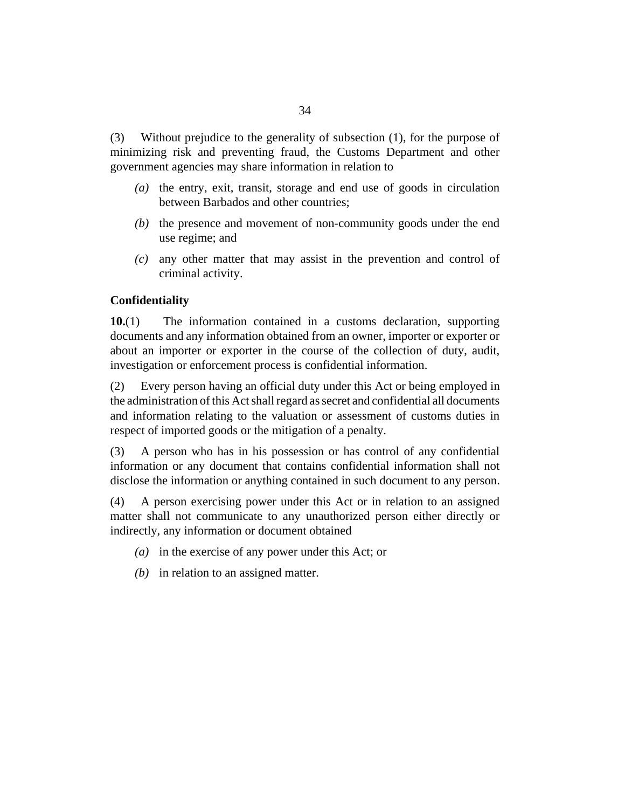<span id="page-33-0"></span>Without prejudice to the generality of subsection  $(1)$ , for the purpose of minimizing risk and preventing fraud, the Customs Department and other government agencies may share information in relation to (3)

- (a) the entry, exit, transit, storage and end use of goods in circulation between Barbados and other countries;
- $(b)$  the presence and movement of non-community goods under the end use regime; and
- any other matter that may assist in the prevention and control of *(c)* criminal activity.

# **Confidentiality**

The information contained in a customs declaration, supporting documents and any information obtained from an owner, importer or exporter or about an importer or exporter in the course of the collection of duty, audit, investigation or enforcement process is confidential information. **10.**(1)

Every person having an official duty under this Act or being employed in the administration of this Act shall regard as secret and confidential all documents and information relating to the valuation or assessment of customs duties in respect of imported goods or the mitigation of a penalty. (2)

A person who has in his possession or has control of any confidential information or any document that contains confidential information shall not disclose the information or anything contained in such document to any person. (3)

A person exercising power under this Act or in relation to an assigned matter shall not communicate to any unauthorized person either directly or indirectly, any information or document obtained (4)

- in the exercise of any power under this Act; or *(a)*
- (b) in relation to an assigned matter.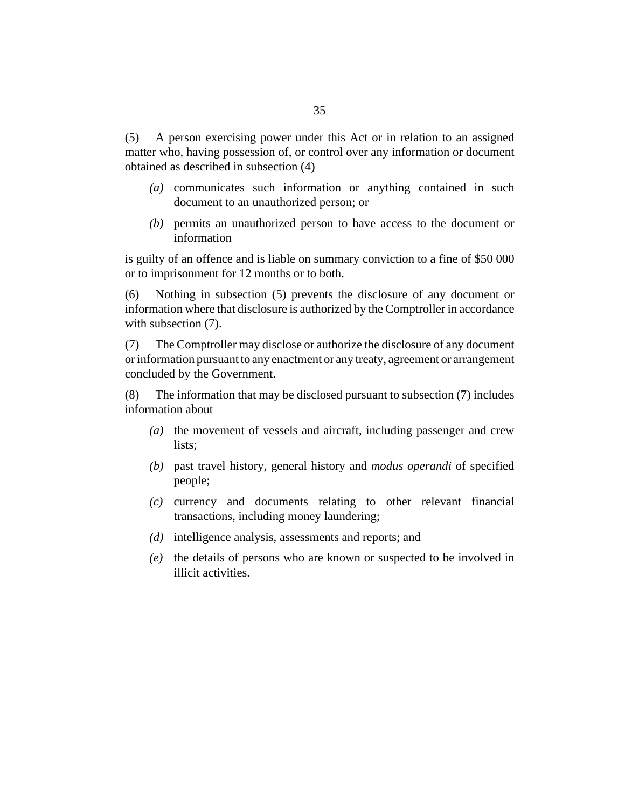A person exercising power under this Act or in relation to an assigned matter who, having possession of, or control over any information or document obtained as described in subsection (4) (5)

- communicates such information or anything contained in such *(a)* document to an unauthorized person; or
- permits an unauthorized person to have access to the document or *(b)* information

is guilty of an offence and is liable on summary conviction to a fine of \$50 000 or to imprisonment for 12 months or to both.

Nothing in subsection (5) prevents the disclosure of any document or information where that disclosure is authorized by the Comptroller in accordance with subsection  $(7)$ .  $(6)$ 

The Comptroller may disclose or authorize the disclosure of any document or information pursuant to any enactment or any treaty, agreement or arrangement concluded by the Government. (7)

The information that may be disclosed pursuant to subsection (7) includes information about (8)

- (a) the movement of vessels and aircraft, including passenger and crew lists;
- (b) past travel history, general history and *modus operandi* of specified people;
- currency and documents relating to other relevant financial *(c)* transactions, including money laundering;
- (d) intelligence analysis, assessments and reports; and
- (e) the details of persons who are known or suspected to be involved in illicit activities.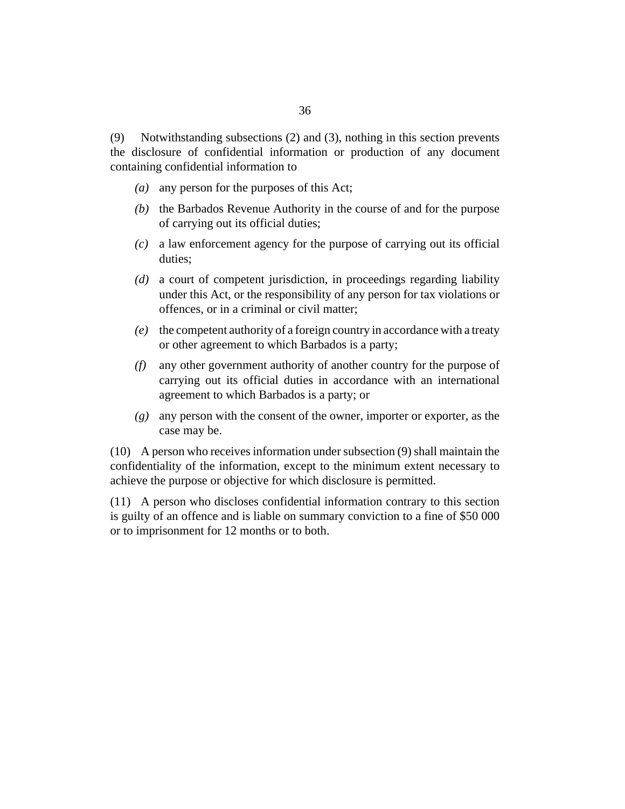Notwithstanding subsections (2) and (3), nothing in this section prevents the disclosure of confidential information or production of any document containing confidential information to (9)

- (a) any person for the purposes of this Act;
- (b) the Barbados Revenue Authority in the course of and for the purpose of carrying out its official duties;
- a law enforcement agency for the purpose of carrying out its official *(c)* duties;
- a court of competent jurisdiction, in proceedings regarding liability *(d)* under this Act, or the responsibility of any person for tax violations or offences, or in a criminal or civil matter;
- the competent authority of a foreign country in accordance with a treaty *(e)* or other agreement to which Barbados is a party;
- any other government authority of another country for the purpose of *(f)* carrying out its official duties in accordance with an international agreement to which Barbados is a party; or
- any person with the consent of the owner, importer or exporter, as the *(g)* case may be.

A person who receives information under subsection (9) shall maintain the (10) confidentiality of the information, except to the minimum extent necessary to achieve the purpose or objective for which disclosure is permitted.

A person who discloses confidential information contrary to this section (11) is guilty of an offence and is liable on summary conviction to a fine of \$50 000 or to imprisonment for 12 months or to both.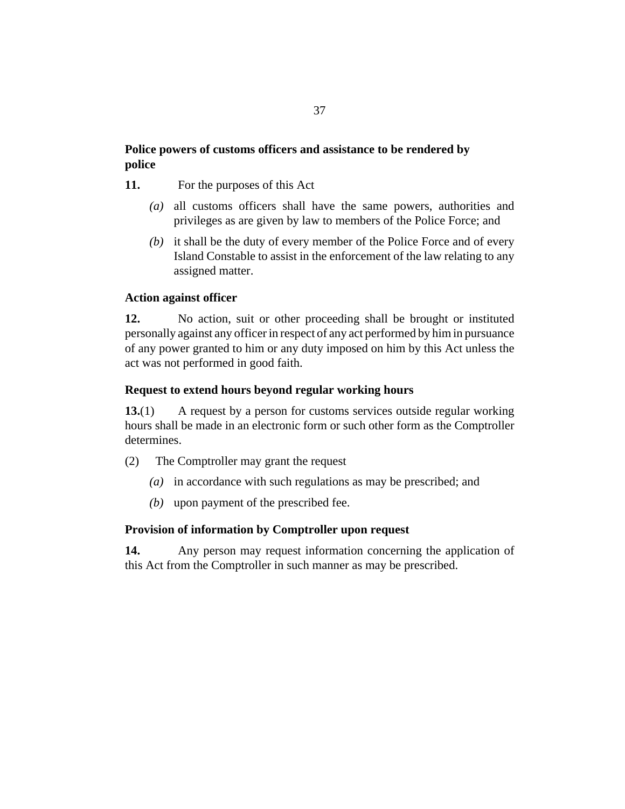# **Police powers of customs officers and assistance to be rendered by police**

- For the purposes of this Act **11.**
	- all customs officers shall have the same powers, authorities and *(a)* privileges as are given by law to members of the Police Force; and
	- (b) it shall be the duty of every member of the Police Force and of every Island Constable to assist in the enforcement of the law relating to any assigned matter.

# **Action against officer**

No action, suit or other proceeding shall be brought or instituted personally against any officer in respect of any act performed by him in pursuance of any power granted to him or any duty imposed on him by this Act unless the act was not performed in good faith. **12.**

## **Request to extend hours beyond regular working hours**

A request by a person for customs services outside regular working hours shall be made in an electronic form or such other form as the Comptroller determines. **13.**(1)

- The Comptroller may grant the request (2)
	- (a) in accordance with such regulations as may be prescribed; and
	- (b) upon payment of the prescribed fee.

## **Provision of information by Comptroller upon request**

Any person may request information concerning the application of this Act from the Comptroller in such manner as may be prescribed. **14.**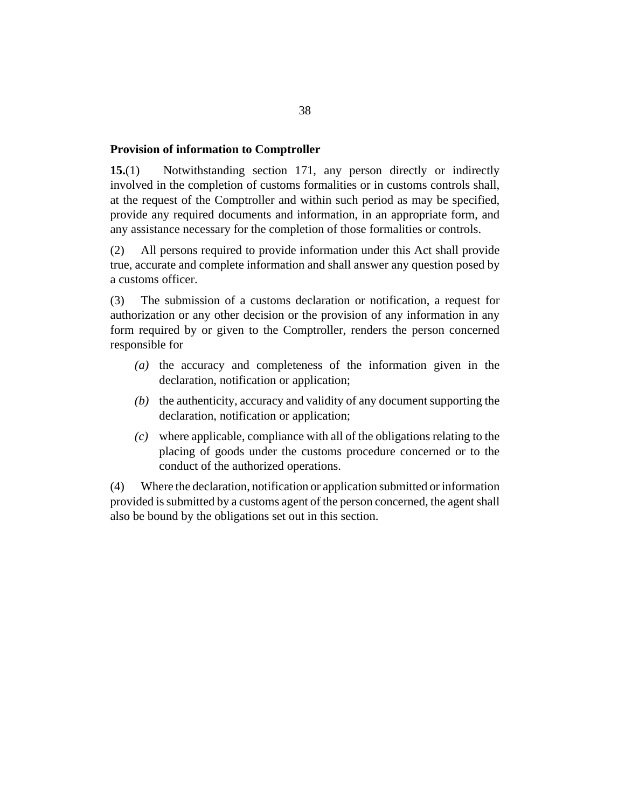#### **Provision of information to Comptroller**

Notwithstanding section 171, any person directly or indirectly involved in the completion of customs formalities or in customs controls shall, at the request of the Comptroller and within such period as may be specified, provide any required documents and information, in an appropriate form, and any assistance necessary for the completion of those formalities or controls. **15.**(1)

All persons required to provide information under this Act shall provide true, accurate and complete information and shall answer any question posed by a customs officer. (2)

The submission of a customs declaration or notification, a request for authorization or any other decision or the provision of any information in any form required by or given to the Comptroller, renders the person concerned responsible for (3)

- $(a)$  the accuracy and completeness of the information given in the declaration, notification or application;
- $(b)$  the authenticity, accuracy and validity of any document supporting the declaration, notification or application;
- where applicable, compliance with all of the obligations relating to the *(c)* placing of goods under the customs procedure concerned or to the conduct of the authorized operations.

Where the declaration, notification or application submitted or information provided is submitted by a customs agent of the person concerned, the agent shall also be bound by the obligations set out in this section. (4)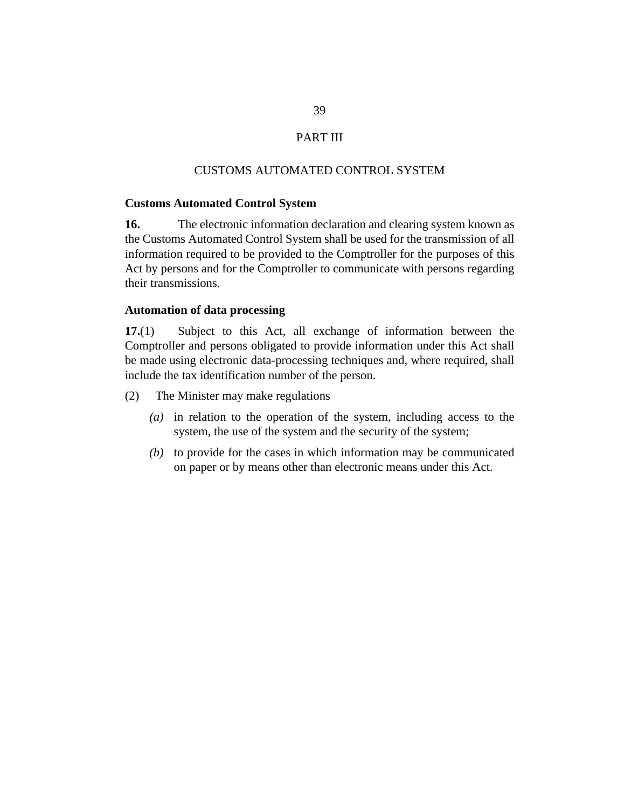# PART III

## CUSTOMS AUTOMATED CONTROL SYSTEM

#### **Customs Automated Control System**

The electronic information declaration and clearing system known as the Customs Automated Control System shall be used for the transmission of all information required to be provided to the Comptroller for the purposes of this Act by persons and for the Comptroller to communicate with persons regarding their transmissions. **16.**

#### **Automation of data processing**

Subject to this Act, all exchange of information between the Comptroller and persons obligated to provide information under this Act shall be made using electronic data-processing techniques and, where required, shall include the tax identification number of the person. **17.**(1)

The Minister may make regulations (2)

- (a) in relation to the operation of the system, including access to the system, the use of the system and the security of the system;
- $(b)$  to provide for the cases in which information may be communicated on paper or by means other than electronic means under this Act.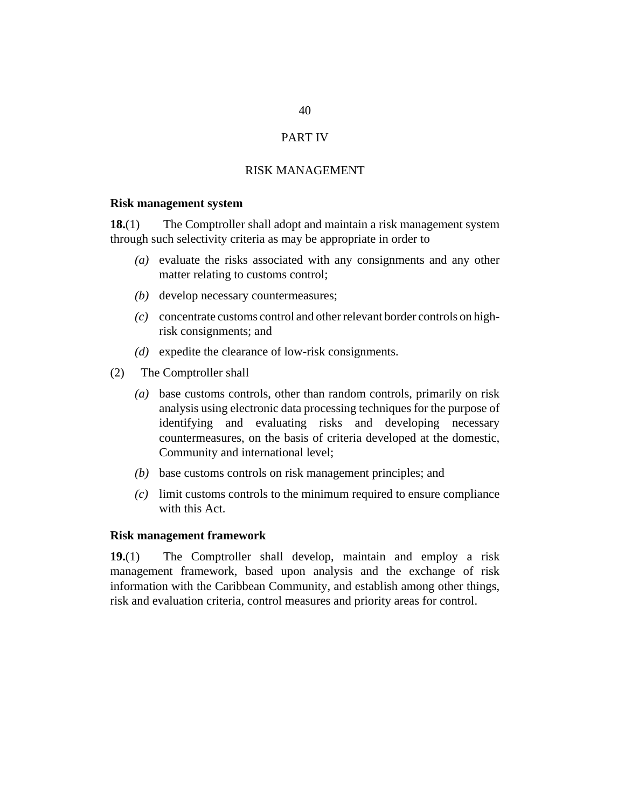# PART IV

### RISK MANAGEMENT

#### **Risk management system**

The Comptroller shall adopt and maintain a risk management system through such selectivity criteria as may be appropriate in order to **18.**(1)

- evaluate the risks associated with any consignments and any other *(a)* matter relating to customs control;
- (b) develop necessary countermeasures;
- concentrate customs control and other relevant border controls on high-*(c)* risk consignments; and
- (*d*) expedite the clearance of low-risk consignments.
- The Comptroller shall (2)
	- base customs controls, other than random controls, primarily on risk *(a)* analysis using electronic data processing techniques for the purpose of identifying and evaluating risks and developing necessary countermeasures, on the basis of criteria developed at the domestic, Community and international level;
	- (b) base customs controls on risk management principles; and
	- limit customs controls to the minimum required to ensure compliance *(c)* with this Act.

## **Risk management framework**

The Comptroller shall develop, maintain and employ a risk management framework, based upon analysis and the exchange of risk information with the Caribbean Community, and establish among other things, risk and evaluation criteria, control measures and priority areas for control. **19.**(1)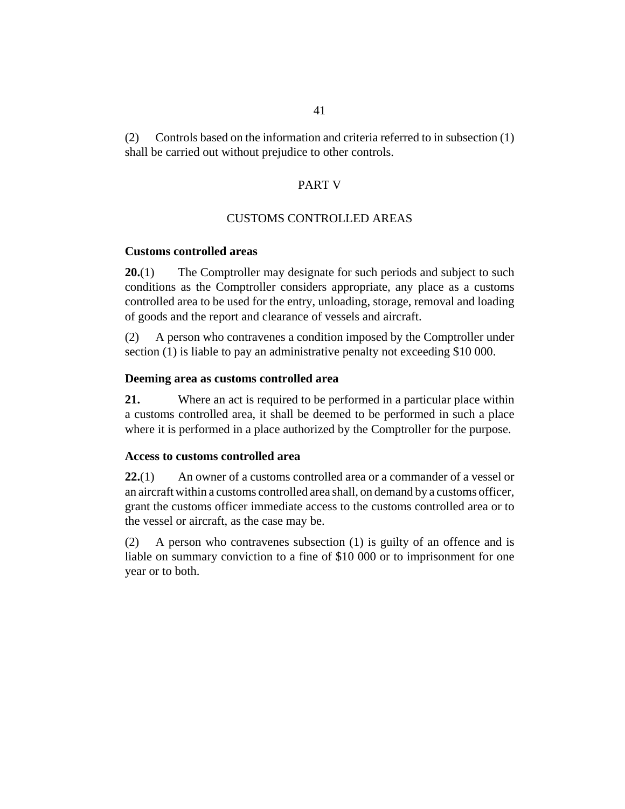# PART V

# CUSTOMS CONTROLLED AREAS

# **Customs controlled areas**

The Comptroller may designate for such periods and subject to such conditions as the Comptroller considers appropriate, any place as a customs controlled area to be used for the entry, unloading, storage, removal and loading of goods and the report and clearance of vessels and aircraft. **20.**(1)

A person who contravenes a condition imposed by the Comptroller under section (1) is liable to pay an administrative penalty not exceeding \$10 000. (2)

# **Deeming area as customs controlled area**

Where an act is required to be performed in a particular place within a customs controlled area, it shall be deemed to be performed in such a place where it is performed in a place authorized by the Comptroller for the purpose. **21.**

## **Access to customs controlled area**

An owner of a customs controlled area or a commander of a vessel or an aircraft within a customs controlled area shall, on demand by a customs officer, grant the customs officer immediate access to the customs controlled area or to the vessel or aircraft, as the case may be. **22.**(1)

A person who contravenes subsection (1) is guilty of an offence and is liable on summary conviction to a fine of \$10 000 or to imprisonment for one year or to both. (2)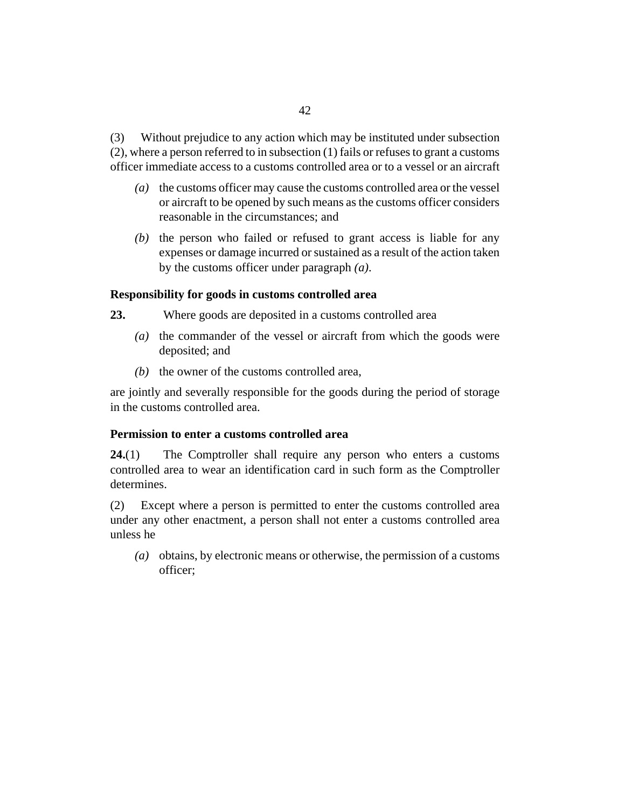Without prejudice to any action which may be instituted under subsection (2), where a person referred to in subsection (1) fails or refuses to grant a customs officer immediate access to a customs controlled area or to a vessel or an aircraft (3)

- the customs officer may cause the customs controlled area or the vessel *(a)* or aircraft to be opened by such means as the customs officer considers reasonable in the circumstances; and
- $(b)$  the person who failed or refused to grant access is liable for any expenses or damage incurred or sustained as a result of the action taken by the customs officer under paragraph *(a)*.

# **Responsibility for goods in customs controlled area**

- Where goods are deposited in a customs controlled area **23.**
	- (a) the commander of the vessel or aircraft from which the goods were deposited; and
	- $(b)$  the owner of the customs controlled area,

are jointly and severally responsible for the goods during the period of storage in the customs controlled area.

## **Permission to enter a customs controlled area**

The Comptroller shall require any person who enters a customs controlled area to wear an identification card in such form as the Comptroller determines. **24.**(1)

Except where a person is permitted to enter the customs controlled area under any other enactment, a person shall not enter a customs controlled area unless he (2)

obtains, by electronic means or otherwise, the permission of a customs *(a)* officer;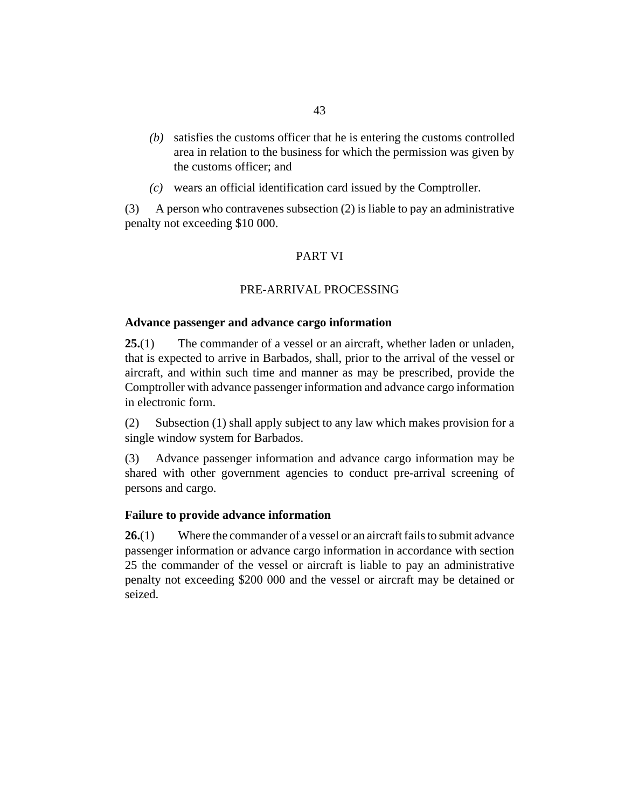- satisfies the customs officer that he is entering the customs controlled *(b)* area in relation to the business for which the permission was given by the customs officer; and
- wears an official identification card issued by the Comptroller. *(c)*

A person who contravenes subsection (2) is liable to pay an administrative penalty not exceeding \$10 000. (3)

# PART VI

# PRE-ARRIVAL PROCESSING

# **Advance passenger and advance cargo information**

The commander of a vessel or an aircraft, whether laden or unladen, that is expected to arrive in Barbados, shall, prior to the arrival of the vessel or aircraft, and within such time and manner as may be prescribed, provide the Comptroller with advance passenger information and advance cargo information in electronic form. **25.**(1)

Subsection (1) shall apply subject to any law which makes provision for a single window system for Barbados. (2)

Advance passenger information and advance cargo information may be shared with other government agencies to conduct pre-arrival screening of persons and cargo. (3)

# **Failure to provide advance information**

Where the commander of a vessel or an aircraft fails to submit advance passenger information or advance cargo information in accordance with section 25 the commander of the vessel or aircraft is liable to pay an administrative penalty not exceeding \$200 000 and the vessel or aircraft may be detained or seized. **26.**(1)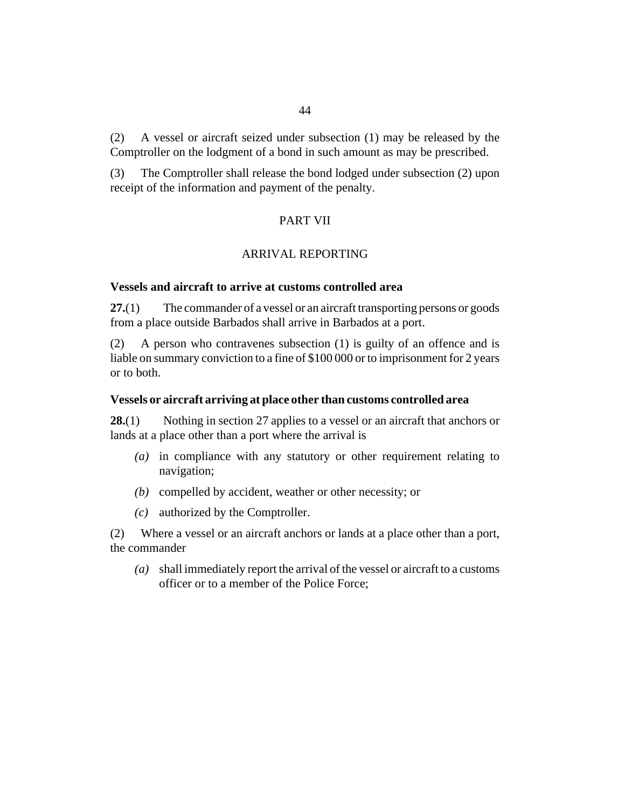A vessel or aircraft seized under subsection (1) may be released by the Comptroller on the lodgment of a bond in such amount as may be prescribed. (2)

The Comptroller shall release the bond lodged under subsection (2) upon receipt of the information and payment of the penalty. (3)

# PART VII

# ARRIVAL REPORTING

## **Vessels and aircraft to arrive at customs controlled area**

The commander of a vessel or an aircraft transporting persons or goods from a place outside Barbados shall arrive in Barbados at a port. **27.**(1)

A person who contravenes subsection (1) is guilty of an offence and is liable on summary conviction to a fine of \$100 000 or to imprisonment for 2 years or to both. (2)

#### **Vessels or aircraft arriving at place other than customs controlled area**

Nothing in section 27 applies to a vessel or an aircraft that anchors or lands at a place other than a port where the arrival is **28.**(1)

- (a) in compliance with any statutory or other requirement relating to navigation;
- (b) compelled by accident, weather or other necessity; or
- authorized by the Comptroller. *(c)*

Where a vessel or an aircraft anchors or lands at a place other than a port, (2) the commander

shall immediately report the arrival of the vessel or aircraft to a customs *(a)* officer or to a member of the Police Force;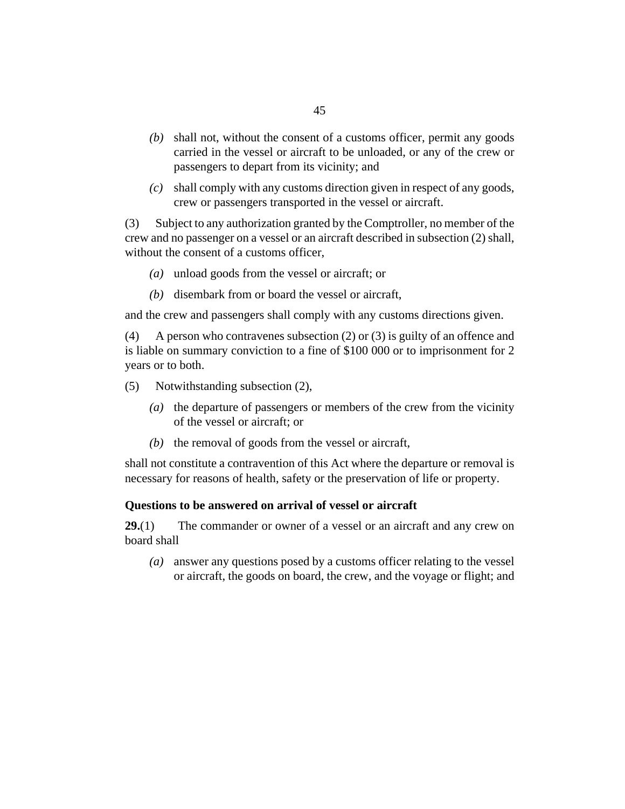- shall not, without the consent of a customs officer, permit any goods *(b)* carried in the vessel or aircraft to be unloaded, or any of the crew or passengers to depart from its vicinity; and
- shall comply with any customs direction given in respect of any goods, *(c)* crew or passengers transported in the vessel or aircraft.

Subject to any authorization granted by the Comptroller, no member of the crew and no passenger on a vessel or an aircraft described in subsection (2) shall, without the consent of a customs officer, (3)

- unload goods from the vessel or aircraft; or *(a)*
- (b) disembark from or board the vessel or aircraft,

and the crew and passengers shall comply with any customs directions given.

A person who contravenes subsection (2) or (3) is guilty of an offence and is liable on summary conviction to a fine of \$100 000 or to imprisonment for 2 years or to both. (4)

Notwithstanding subsection (2), (5)

- (a) the departure of passengers or members of the crew from the vicinity of the vessel or aircraft; or
- $(b)$  the removal of goods from the vessel or aircraft,

shall not constitute a contravention of this Act where the departure or removal is necessary for reasons of health, safety or the preservation of life or property.

#### **Questions to be answered on arrival of vessel or aircraft**

The commander or owner of a vessel or an aircraft and any crew on board shall **29.**(1)

answer any questions posed by a customs officer relating to the vessel *(a)* or aircraft, the goods on board, the crew, and the voyage or flight; and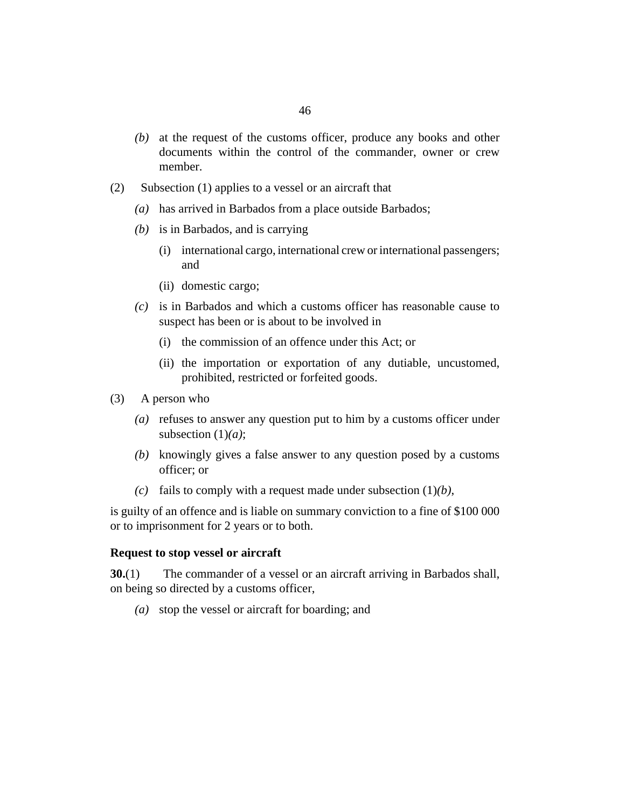- at the request of the customs officer, produce any books and other *(b)* documents within the control of the commander, owner or crew member.
- Subsection (1) applies to a vessel or an aircraft that (2)
	- has arrived in Barbados from a place outside Barbados; *(a)*
	- (b) is in Barbados, and is carrying
		- international cargo, international crew or international passengers; (i) and
		- (ii) domestic cargo;
	- $(c)$  is in Barbados and which a customs officer has reasonable cause to suspect has been or is about to be involved in
		- (i) the commission of an offence under this Act; or
		- (ii) the importation or exportation of any dutiable, uncustomed, prohibited, restricted or forfeited goods.
- A person who (3)
	- (a) refuses to answer any question put to him by a customs officer under subsection (1)*(a)*;
	- knowingly gives a false answer to any question posed by a customs *(b)* officer; or
	- (c) fails to comply with a request made under subsection  $(1)(b)$ ,

is guilty of an offence and is liable on summary conviction to a fine of \$100 000 or to imprisonment for 2 years or to both.

## **Request to stop vessel or aircraft**

The commander of a vessel or an aircraft arriving in Barbados shall, on being so directed by a customs officer, **30.**(1)

stop the vessel or aircraft for boarding; and *(a)*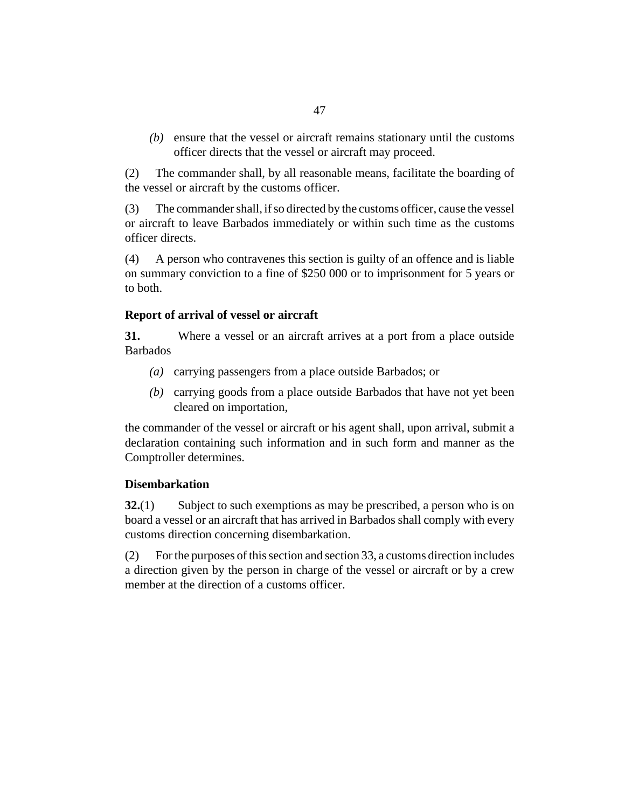(b) ensure that the vessel or aircraft remains stationary until the customs officer directs that the vessel or aircraft may proceed.

The commander shall, by all reasonable means, facilitate the boarding of the vessel or aircraft by the customs officer. (2)

The commander shall, if so directed by the customs officer, cause the vessel or aircraft to leave Barbados immediately or within such time as the customs officer directs. (3)

A person who contravenes this section is guilty of an offence and is liable on summary conviction to a fine of \$250 000 or to imprisonment for 5 years or to both. (4)

## **Report of arrival of vessel or aircraft**

Where a vessel or an aircraft arrives at a port from a place outside Barbados **31.**

- (a) carrying passengers from a place outside Barbados; or
- carrying goods from a place outside Barbados that have not yet been *(b)* cleared on importation,

the commander of the vessel or aircraft or his agent shall, upon arrival, submit a declaration containing such information and in such form and manner as the Comptroller determines.

# **Disembarkation**

Subject to such exemptions as may be prescribed, a person who is on board a vessel or an aircraft that has arrived in Barbados shall comply with every customs direction concerning disembarkation. **32.**(1)

For the purposes of this section and [section 33](#page-47-0), a customs direction includes a direction given by the person in charge of the vessel or aircraft or by a crew member at the direction of a customs officer. (2)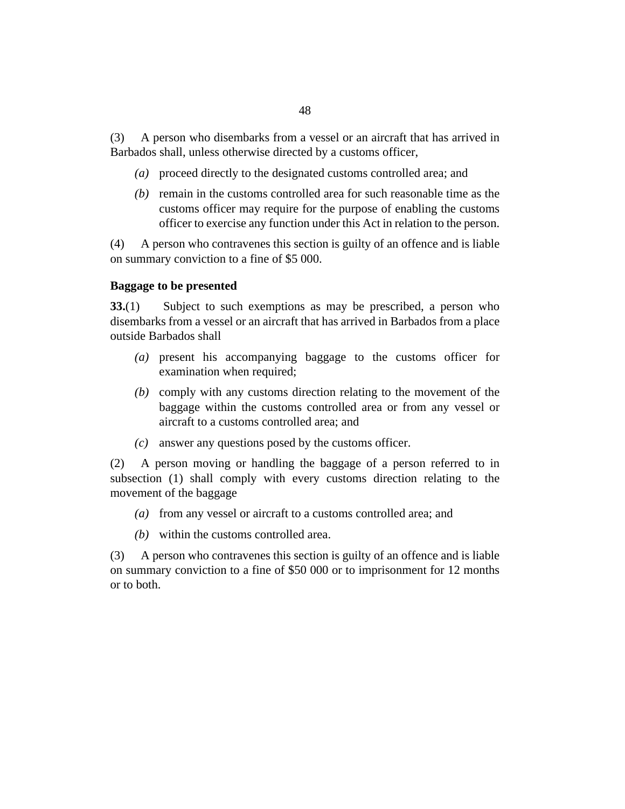<span id="page-47-0"></span>A person who disembarks from a vessel or an aircraft that has arrived in Barbados shall, unless otherwise directed by a customs officer, (3)

- proceed directly to the designated customs controlled area; and *(a)*
- $(b)$  remain in the customs controlled area for such reasonable time as the customs officer may require for the purpose of enabling the customs officer to exercise any function under this Act in relation to the person.

A person who contravenes this section is guilty of an offence and is liable on summary conviction to a fine of \$5 000. (4)

# **Baggage to be presented**

Subject to such exemptions as may be prescribed, a person who disembarks from a vessel or an aircraft that has arrived in Barbados from a place outside Barbados shall **33.**(1)

- present his accompanying baggage to the customs officer for *(a)* examination when required;
- (b) comply with any customs direction relating to the movement of the baggage within the customs controlled area or from any vessel or aircraft to a customs controlled area; and
- answer any questions posed by the customs officer. *(c)*

A person moving or handling the baggage of a person referred to in subsection (1) shall comply with every customs direction relating to the movement of the baggage (2)

- from any vessel or aircraft to a customs controlled area; and *(a)*
- within the customs controlled area. *(b)*

A person who contravenes this section is guilty of an offence and is liable on summary conviction to a fine of \$50 000 or to imprisonment for 12 months or to both. (3)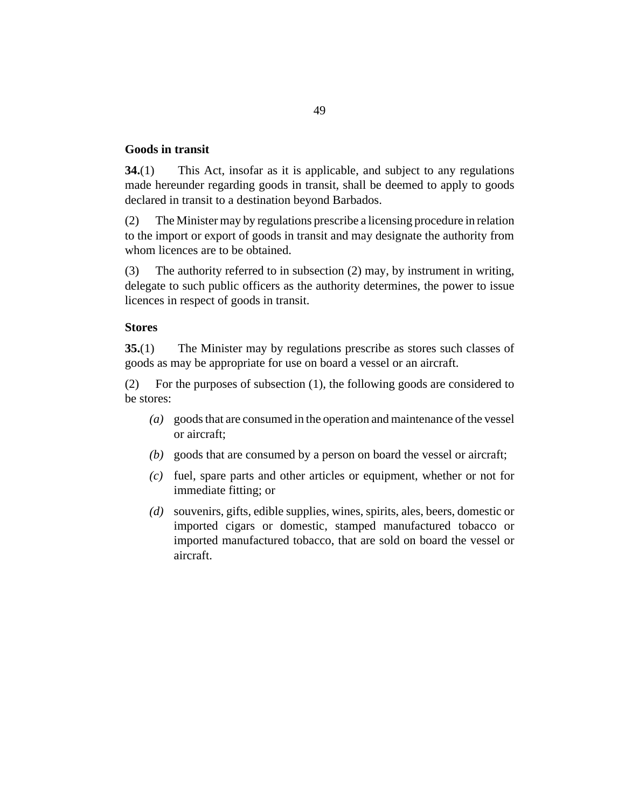## **Goods in transit**

This Act, insofar as it is applicable, and subject to any regulations made hereunder regarding goods in transit, shall be deemed to apply to goods declared in transit to a destination beyond Barbados. **34.**(1)

The Minister may by regulations prescribe a licensing procedure in relation to the import or export of goods in transit and may designate the authority from whom licences are to be obtained. (2)

The authority referred to in subsection (2) may, by instrument in writing, delegate to such public officers as the authority determines, the power to issue licences in respect of goods in transit. (3)

## **Stores**

The Minister may by regulations prescribe as stores such classes of goods as may be appropriate for use on board a vessel or an aircraft. **35.**(1)

For the purposes of subsection (1), the following goods are considered to be stores: (2)

- goods that are consumed in the operation and maintenance of the vessel *(a)* or aircraft;
- goods that are consumed by a person on board the vessel or aircraft; *(b)*
- fuel, spare parts and other articles or equipment, whether or not for *(c)* immediate fitting; or
- souvenirs, gifts, edible supplies, wines, spirits, ales, beers, domestic or *(d)* imported cigars or domestic, stamped manufactured tobacco or imported manufactured tobacco, that are sold on board the vessel or aircraft.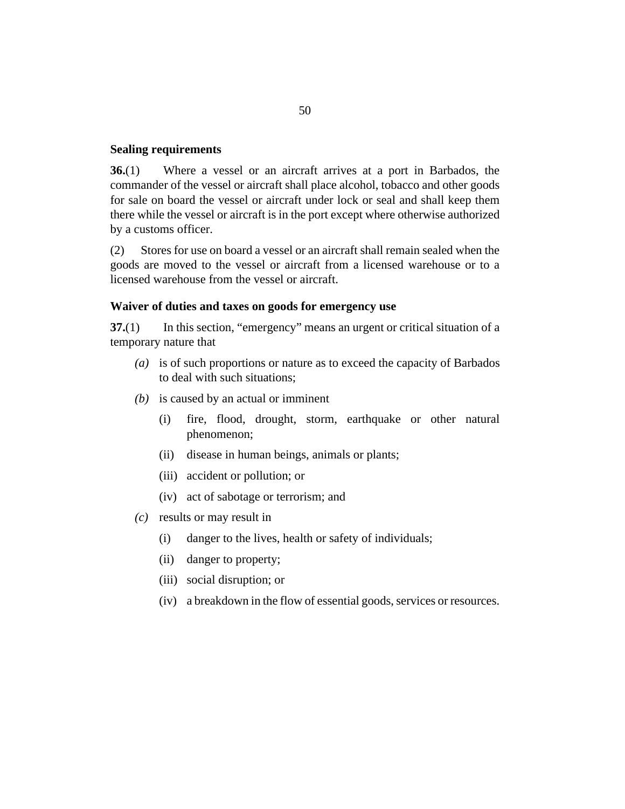#### **Sealing requirements**

Where a vessel or an aircraft arrives at a port in Barbados, the commander of the vessel or aircraft shall place alcohol, tobacco and other goods for sale on board the vessel or aircraft under lock or seal and shall keep them there while the vessel or aircraft is in the port except where otherwise authorized by a customs officer. **36.**(1)

Stores for use on board a vessel or an aircraft shall remain sealed when the goods are moved to the vessel or aircraft from a licensed warehouse or to a licensed warehouse from the vessel or aircraft. (2)

#### **Waiver of duties and taxes on goods for emergency use**

In this section, "emergency" means an urgent or critical situation of a temporary nature that **37.**(1)

- is of such proportions or nature as to exceed the capacity of Barbados *(a)* to deal with such situations;
- is caused by an actual or imminent *(b)*
	- fire, flood, drought, storm, earthquake or other natural phenomenon; (i)
	- (ii) disease in human beings, animals or plants;
	- (iii) accident or pollution; or
	- (iv) act of sabotage or terrorism; and
- results or may result in *(c)*
	- danger to the lives, health or safety of individuals; (i)
	- (ii) danger to property;
	- social disruption; or (iii)
	- a breakdown in the flow of essential goods, services or resources. (iv)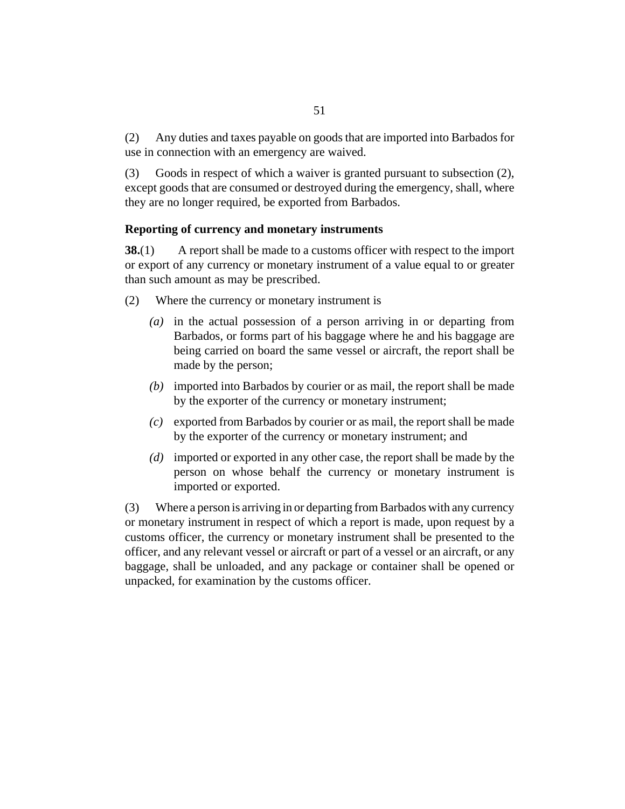Any duties and taxes payable on goods that are imported into Barbados for use in connection with an emergency are waived. (2)

Goods in respect of which a waiver is granted pursuant to subsection (2), except goods that are consumed or destroyed during the emergency, shall, where they are no longer required, be exported from Barbados. (3)

# **Reporting of currency and monetary instruments**

A report shall be made to a customs officer with respect to the import or export of any currency or monetary instrument of a value equal to or greater than such amount as may be prescribed. **38.**(1)

- Where the currency or monetary instrument is (2)
	- (a) in the actual possession of a person arriving in or departing from Barbados, or forms part of his baggage where he and his baggage are being carried on board the same vessel or aircraft, the report shall be made by the person;
	- imported into Barbados by courier or as mail, the report shall be made *(b)* by the exporter of the currency or monetary instrument;
	- exported from Barbados by courier or as mail, the report shall be made *(c)* by the exporter of the currency or monetary instrument; and
	- imported or exported in any other case, the report shall be made by the *(d)* person on whose behalf the currency or monetary instrument is imported or exported.

Where a person is arriving in or departing from Barbados with any currency or monetary instrument in respect of which a report is made, upon request by a customs officer, the currency or monetary instrument shall be presented to the officer, and any relevant vessel or aircraft or part of a vessel or an aircraft, or any baggage, shall be unloaded, and any package or container shall be opened or unpacked, for examination by the customs officer. (3)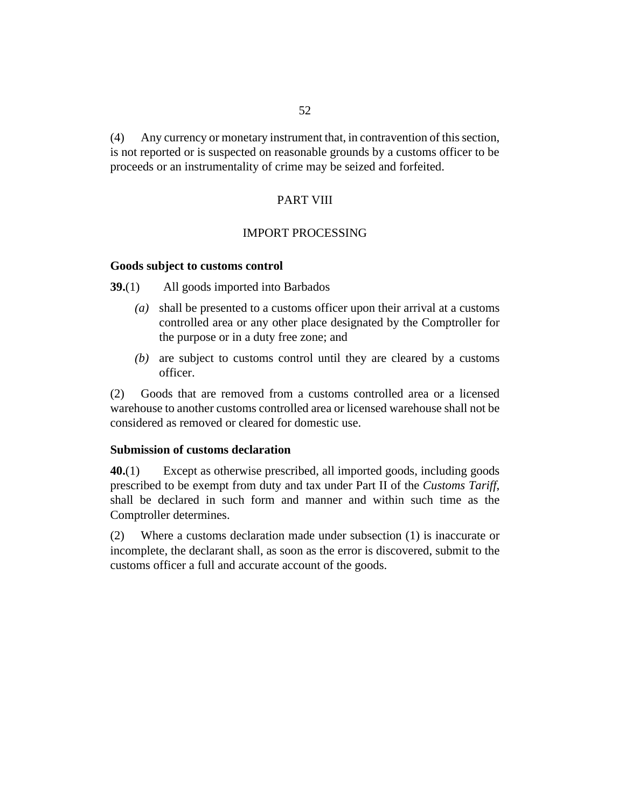Any currency or monetary instrument that, in contravention of this section, is not reported or is suspected on reasonable grounds by a customs officer to be proceeds or an instrumentality of crime may be seized and forfeited. (4)

### PART VIII

#### IMPORT PROCESSING

# **Goods subject to customs control**

All goods imported into Barbados **39.**(1)

- shall be presented to a customs officer upon their arrival at a customs *(a)* controlled area or any other place designated by the Comptroller for the purpose or in a duty free zone; and
- are subject to customs control until they are cleared by a customs *(b)* officer.

Goods that are removed from a customs controlled area or a licensed warehouse to another customs controlled area or licensed warehouse shall not be considered as removed or cleared for domestic use. (2)

## **Submission of customs declaration**

Except as otherwise prescribed, all imported goods, including goods prescribed to be exempt from duty and tax under Part II of the *Customs Tariff*, shall be declared in such form and manner and within such time as the Comptroller determines. **40.**(1)

Where a customs declaration made under subsection (1) is inaccurate or incomplete, the declarant shall, as soon as the error is discovered, submit to the customs officer a full and accurate account of the goods. (2)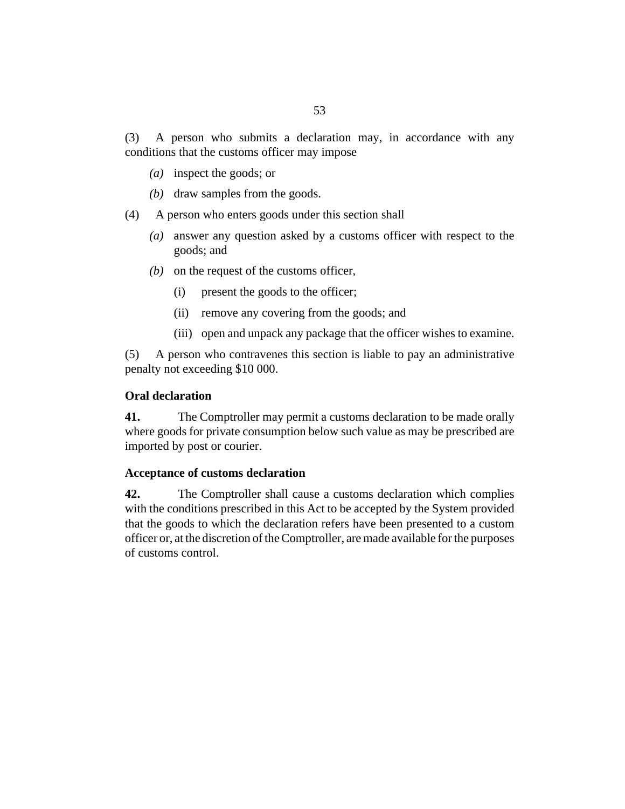A person who submits a declaration may, in accordance with any conditions that the customs officer may impose (3)

- inspect the goods; or *(a)*
- (b) draw samples from the goods.
- A person who enters goods under this section shall (4)
	- answer any question asked by a customs officer with respect to the *(a)* goods; and
	- $(b)$  on the request of the customs officer,
		- present the goods to the officer; (i)
		- (ii) remove any covering from the goods; and
		- (iii) open and unpack any package that the officer wishes to examine.

A person who contravenes this section is liable to pay an administrative penalty not exceeding \$10 000. (5)

# **Oral declaration**

The Comptroller may permit a customs declaration to be made orally where goods for private consumption below such value as may be prescribed are imported by post or courier. **41.**

## **Acceptance of customs declaration**

The Comptroller shall cause a customs declaration which complies with the conditions prescribed in this Act to be accepted by the System provided that the goods to which the declaration refers have been presented to a custom officer or, at the discretion of the Comptroller, are made available for the purposes of customs control. **42.**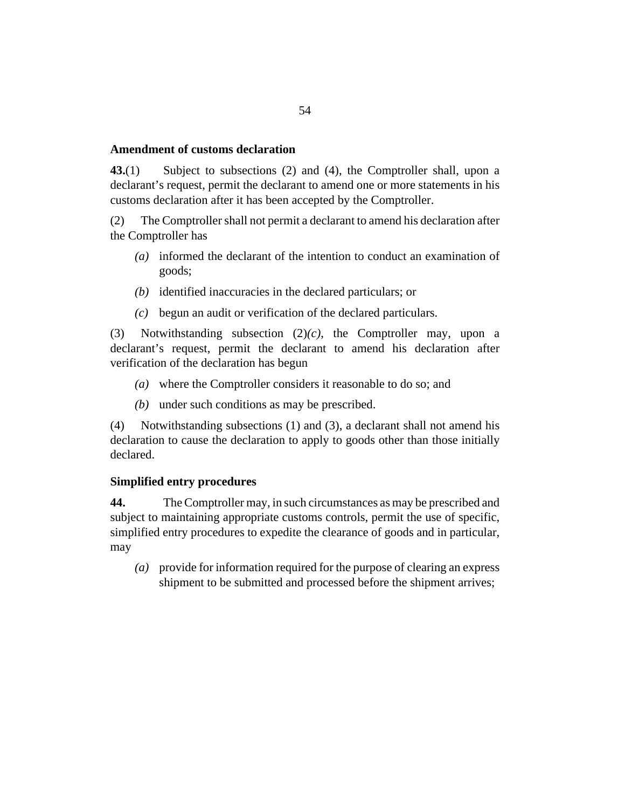#### **Amendment of customs declaration**

Subject to subsections (2) and (4), the Comptroller shall, upon a declarant's request, permit the declarant to amend one or more statements in his customs declaration after it has been accepted by the Comptroller. **43.**(1)

The Comptroller shall not permit a declarant to amend his declaration after the Comptroller has (2)

- informed the declarant of the intention to conduct an examination of *(a)* goods;
- (b) identified inaccuracies in the declared particulars; or
- begun an audit or verification of the declared particulars. *(c)*

Notwithstanding subsection (2)*(c)*, the Comptroller may, upon a declarant's request, permit the declarant to amend his declaration after verification of the declaration has begun (3)

- where the Comptroller considers it reasonable to do so; and *(a)*
- (b) under such conditions as may be prescribed.

Notwithstanding subsections (1) and (3), a declarant shall not amend his declaration to cause the declaration to apply to goods other than those initially declared. (4)

## **Simplified entry procedures**

The Comptroller may, in such circumstances as may be prescribed and subject to maintaining appropriate customs controls, permit the use of specific, simplified entry procedures to expedite the clearance of goods and in particular, may **44.**

provide for information required for the purpose of clearing an express *(a)* shipment to be submitted and processed before the shipment arrives;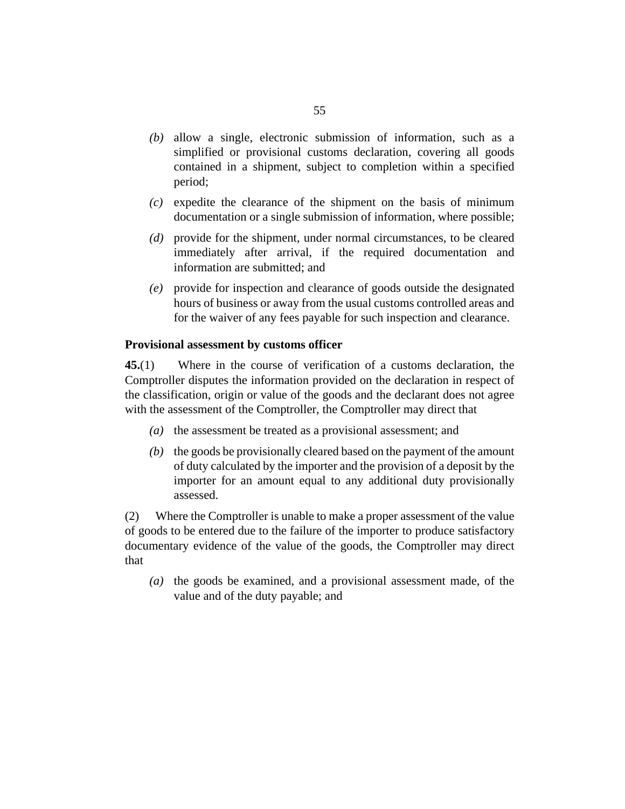- (b) allow a single, electronic submission of information, such as a simplified or provisional customs declaration, covering all goods contained in a shipment, subject to completion within a specified period;
- $(c)$  expedite the clearance of the shipment on the basis of minimum documentation or a single submission of information, where possible;
- (d) provide for the shipment, under normal circumstances, to be cleared immediately after arrival, if the required documentation and information are submitted; and
- provide for inspection and clearance of goods outside the designated *(e)* hours of business or away from the usual customs controlled areas and for the waiver of any fees payable for such inspection and clearance.

# **Provisional assessment by customs officer**

Where in the course of verification of a customs declaration, the Comptroller disputes the information provided on the declaration in respect of the classification, origin or value of the goods and the declarant does not agree with the assessment of the Comptroller, the Comptroller may direct that **45.**(1)

- (a) the assessment be treated as a provisional assessment; and
- (b) the goods be provisionally cleared based on the payment of the amount of duty calculated by the importer and the provision of a deposit by the importer for an amount equal to any additional duty provisionally assessed.

Where the Comptroller is unable to make a proper assessment of the value of goods to be entered due to the failure of the importer to produce satisfactory documentary evidence of the value of the goods, the Comptroller may direct that (2)

(a) the goods be examined, and a provisional assessment made, of the value and of the duty payable; and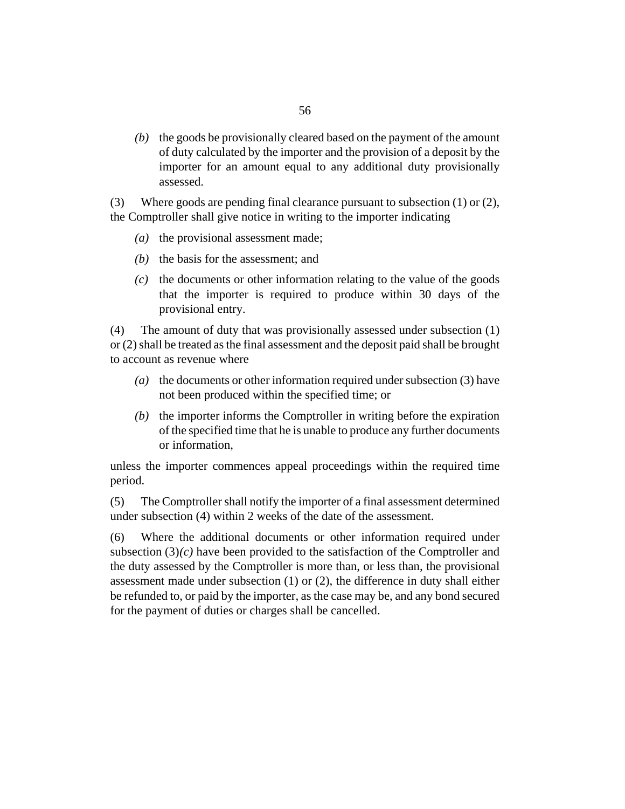(b) the goods be provisionally cleared based on the payment of the amount of duty calculated by the importer and the provision of a deposit by the importer for an amount equal to any additional duty provisionally assessed.

Where goods are pending final clearance pursuant to subsection (1) or (2), the Comptroller shall give notice in writing to the importer indicating (3)

- $(a)$  the provisional assessment made;
- $(b)$  the basis for the assessment; and
- $\alpha$  the documents or other information relating to the value of the goods that the importer is required to produce within 30 days of the provisional entry.

The amount of duty that was provisionally assessed under subsection (1) or (2) shall be treated as the final assessment and the deposit paid shall be brought to account as revenue where (4)

- (a) the documents or other information required under subsection (3) have not been produced within the specified time; or
- $(b)$  the importer informs the Comptroller in writing before the expiration of the specified time that he is unable to produce any further documents or information,

unless the importer commences appeal proceedings within the required time period.

The Comptroller shall notify the importer of a final assessment determined under subsection (4) within 2 weeks of the date of the assessment. (5)

Where the additional documents or other information required under subsection  $(3)(c)$  have been provided to the satisfaction of the Comptroller and the duty assessed by the Comptroller is more than, or less than, the provisional assessment made under subsection (1) or (2), the difference in duty shall either be refunded to, or paid by the importer, as the case may be, and any bond secured for the payment of duties or charges shall be cancelled. (6)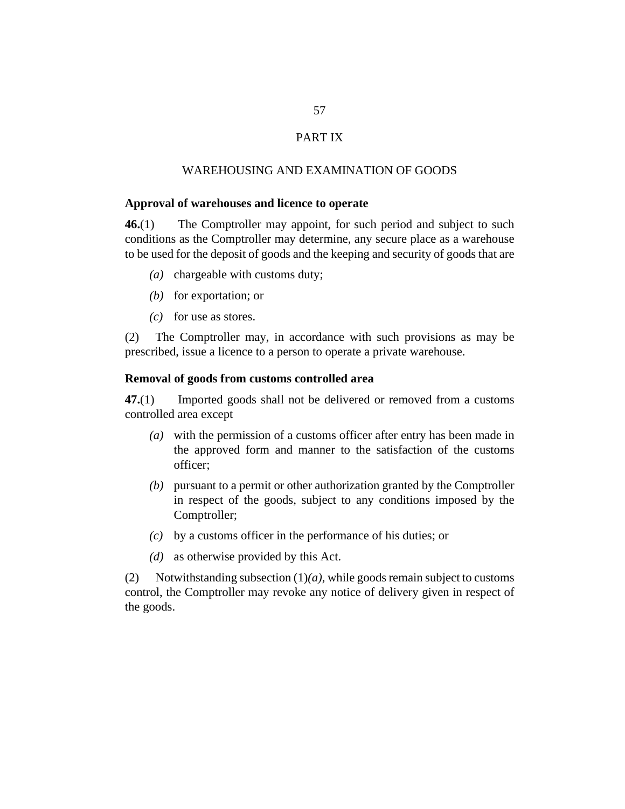# PART IX

#### WAREHOUSING AND EXAMINATION OF GOODS

#### **Approval of warehouses and licence to operate**

The Comptroller may appoint, for such period and subject to such conditions as the Comptroller may determine, any secure place as a warehouse to be used for the deposit of goods and the keeping and security of goods that are **46.**(1)

- (a) chargeable with customs duty;
- (b) for exportation; or
- $(c)$  for use as stores.

The Comptroller may, in accordance with such provisions as may be prescribed, issue a licence to a person to operate a private warehouse. (2)

## **Removal of goods from customs controlled area**

Imported goods shall not be delivered or removed from a customs controlled area except **47.**(1)

- with the permission of a customs officer after entry has been made in *(a)* the approved form and manner to the satisfaction of the customs officer;
- pursuant to a permit or other authorization granted by the Comptroller *(b)* in respect of the goods, subject to any conditions imposed by the Comptroller;
- by a customs officer in the performance of his duties; or *(c)*
- (*d*) as otherwise provided by this Act.

Notwithstanding subsection (1)*(a)*, while goods remain subject to customs control, the Comptroller may revoke any notice of delivery given in respect of the goods. (2)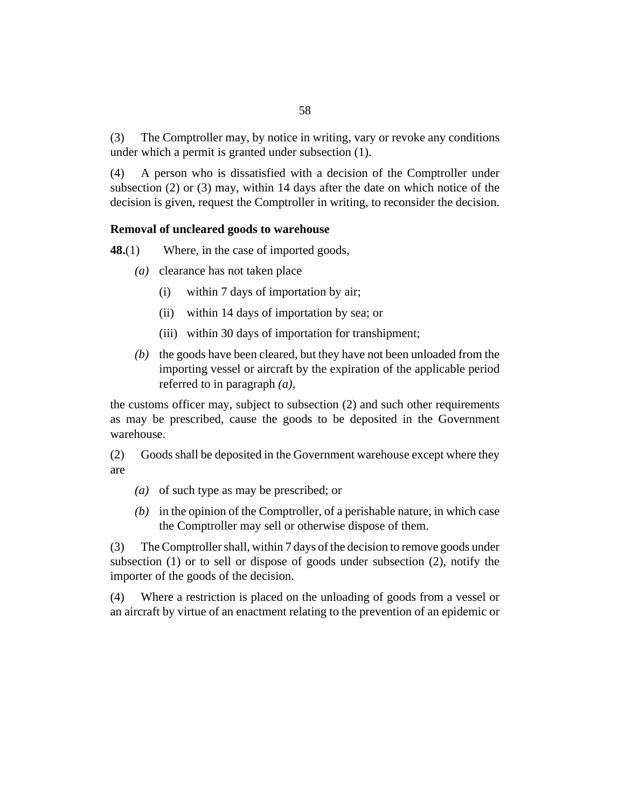The Comptroller may, by notice in writing, vary or revoke any conditions under which a permit is granted under subsection (1). (3)

A person who is dissatisfied with a decision of the Comptroller under subsection (2) or (3) may, within 14 days after the date on which notice of the decision is given, request the Comptroller in writing, to reconsider the decision. (4)

## **Removal of uncleared goods to warehouse**

Where, in the case of imported goods, **48.**(1)

- (a) clearance has not taken place
	- within 7 days of importation by air; (i)
	- within 14 days of importation by sea; or (ii)
	- (iii) within 30 days of importation for transhipment;
- (b) the goods have been cleared, but they have not been unloaded from the importing vessel or aircraft by the expiration of the applicable period referred to in paragraph *(a)*,

the customs officer may, subject to subsection (2) and such other requirements as may be prescribed, cause the goods to be deposited in the Government warehouse.

Goods shall be deposited in the Government warehouse except where they are (2)

- (a) of such type as may be prescribed; or
- $(b)$  in the opinion of the Comptroller, of a perishable nature, in which case the Comptroller may sell or otherwise dispose of them.

The Comptroller shall, within 7 days of the decision to remove goods under subsection (1) or to sell or dispose of goods under subsection (2), notify the importer of the goods of the decision. (3)

Where a restriction is placed on the unloading of goods from a vessel or an aircraft by virtue of an enactment relating to the prevention of an epidemic or (4)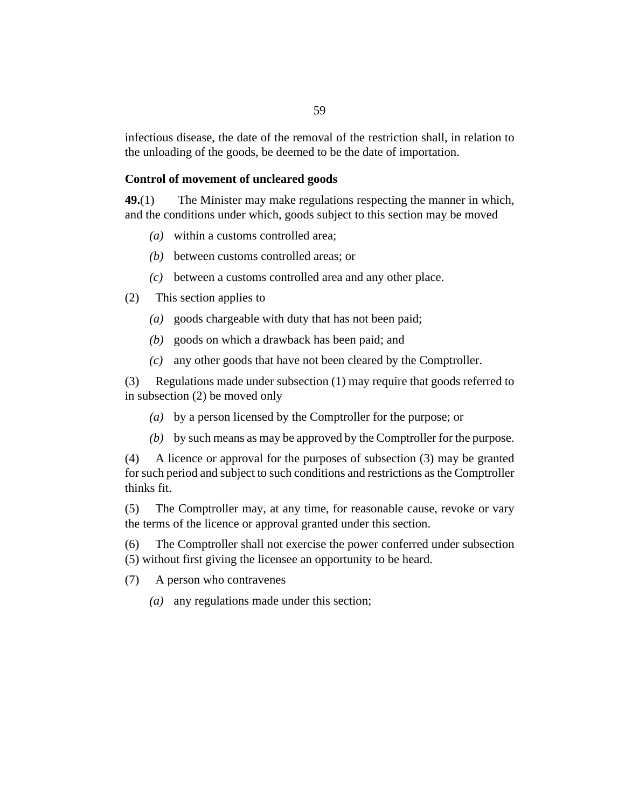infectious disease, the date of the removal of the restriction shall, in relation to the unloading of the goods, be deemed to be the date of importation.

### **Control of movement of uncleared goods**

The Minister may make regulations respecting the manner in which, and the conditions under which, goods subject to this section may be moved **49.**(1)

- within a customs controlled area; *(a)*
- between customs controlled areas; or *(b)*
- between a customs controlled area and any other place. *(c)*
- This section applies to (2)
	- goods chargeable with duty that has not been paid; *(a)*
	- goods on which a drawback has been paid; and *(b)*
	- any other goods that have not been cleared by the Comptroller. *(c)*

Regulations made under subsection (1) may require that goods referred to (3) in subsection (2) be moved only

- by a person licensed by the Comptroller for the purpose; or *(a)*
- by such means as may be approved by the Comptroller for the purpose. *(b)*

A licence or approval for the purposes of subsection (3) may be granted for such period and subject to such conditions and restrictions as the Comptroller thinks fit. (4)

The Comptroller may, at any time, for reasonable cause, revoke or vary the terms of the licence or approval granted under this section. (5)

The Comptroller shall not exercise the power conferred under subsection (5) without first giving the licensee an opportunity to be heard. (6)

A person who contravenes (7)

(a) any regulations made under this section;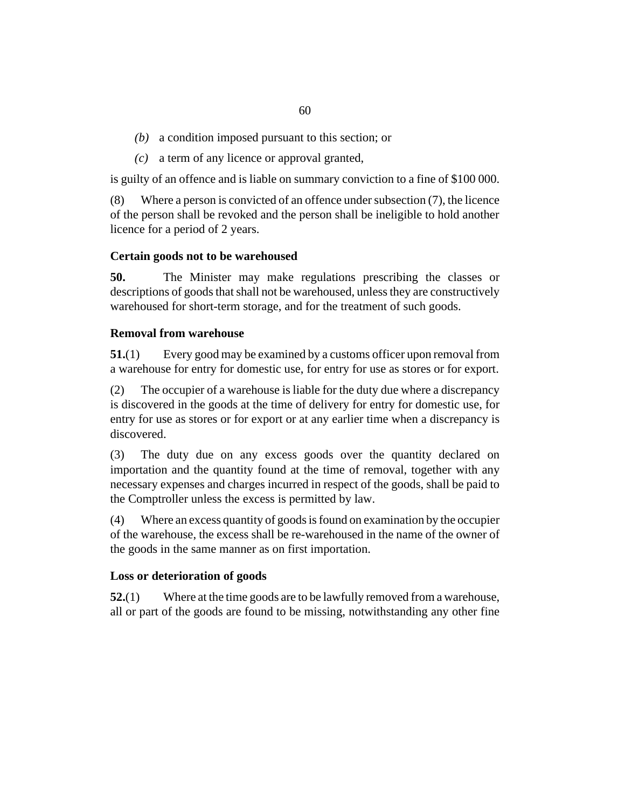- a condition imposed pursuant to this section; or *(b)*
- a term of any licence or approval granted, *(c)*

is guilty of an offence and is liable on summary conviction to a fine of \$100 000.

Where a person is convicted of an offence under subsection (7), the licence of the person shall be revoked and the person shall be ineligible to hold another licence for a period of 2 years. (8)

## **Certain goods not to be warehoused**

The Minister may make regulations prescribing the classes or descriptions of goods that shall not be warehoused, unless they are constructively warehoused for short-term storage, and for the treatment of such goods. **50.**

# **Removal from warehouse**

Every good may be examined by a customs officer upon removal from a warehouse for entry for domestic use, for entry for use as stores or for export. **51.**(1)

The occupier of a warehouse is liable for the duty due where a discrepancy is discovered in the goods at the time of delivery for entry for domestic use, for entry for use as stores or for export or at any earlier time when a discrepancy is discovered. (2)

The duty due on any excess goods over the quantity declared on importation and the quantity found at the time of removal, together with any necessary expenses and charges incurred in respect of the goods, shall be paid to the Comptroller unless the excess is permitted by law. (3)

Where an excess quantity of goods is found on examination by the occupier of the warehouse, the excess shall be re-warehoused in the name of the owner of the goods in the same manner as on first importation. (4)

## **Loss or deterioration of goods**

Where at the time goods are to be lawfully removed from a warehouse, all or part of the goods are found to be missing, notwithstanding any other fine **52.**(1)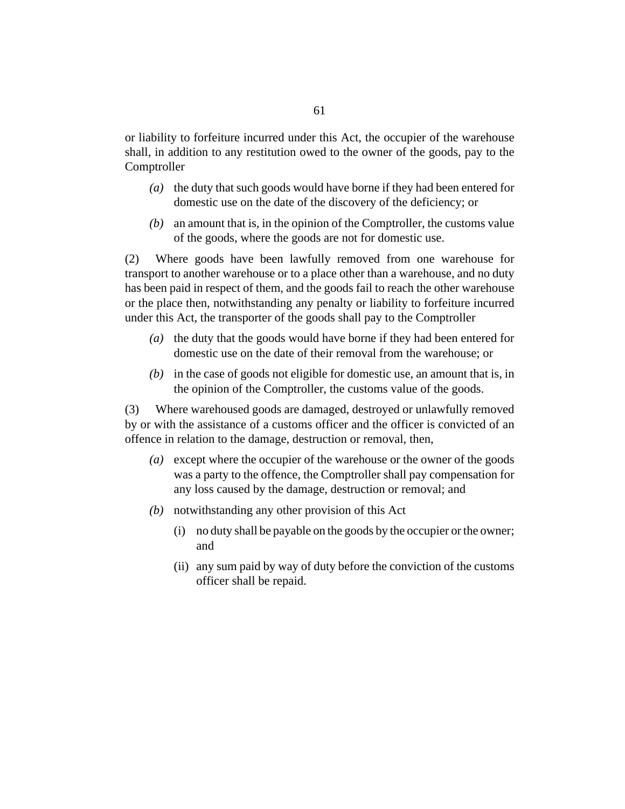or liability to forfeiture incurred under this Act, the occupier of the warehouse shall, in addition to any restitution owed to the owner of the goods, pay to the Comptroller

- (a) the duty that such goods would have borne if they had been entered for domestic use on the date of the discovery of the deficiency; or
- an amount that is, in the opinion of the Comptroller, the customs value *(b)* of the goods, where the goods are not for domestic use.

Where goods have been lawfully removed from one warehouse for transport to another warehouse or to a place other than a warehouse, and no duty has been paid in respect of them, and the goods fail to reach the other warehouse or the place then, notwithstanding any penalty or liability to forfeiture incurred under this Act, the transporter of the goods shall pay to the Comptroller (2)

- (a) the duty that the goods would have borne if they had been entered for domestic use on the date of their removal from the warehouse; or
- $(b)$  in the case of goods not eligible for domestic use, an amount that is, in the opinion of the Comptroller, the customs value of the goods.

Where warehoused goods are damaged, destroyed or unlawfully removed by or with the assistance of a customs officer and the officer is convicted of an offence in relation to the damage, destruction or removal, then, (3)

- except where the occupier of the warehouse or the owner of the goods *(a)* was a party to the offence, the Comptroller shall pay compensation for any loss caused by the damage, destruction or removal; and
- (b) notwithstanding any other provision of this Act
	- no duty shall be payable on the goods by the occupier or the owner; (i) and
	- (ii) any sum paid by way of duty before the conviction of the customs officer shall be repaid.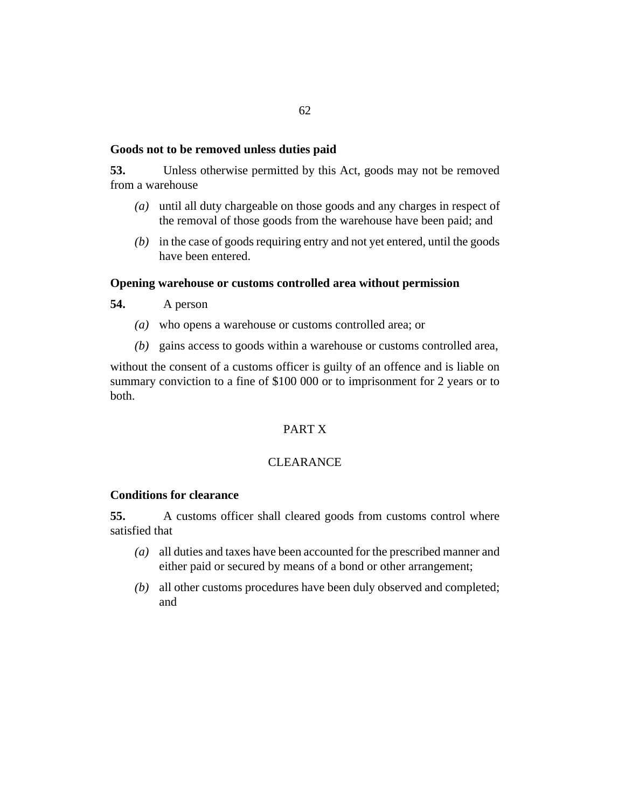#### **Goods not to be removed unless duties paid**

Unless otherwise permitted by this Act, goods may not be removed from a warehouse **53.**

- until all duty chargeable on those goods and any charges in respect of *(a)* the removal of those goods from the warehouse have been paid; and
- in the case of goods requiring entry and not yet entered, until the goods *(b)* have been entered.

#### **Opening warehouse or customs controlled area without permission**

- A person **54.**
	- who opens a warehouse or customs controlled area; or *(a)*
	- gains access to goods within a warehouse or customs controlled area, *(b)*

without the consent of a customs officer is guilty of an offence and is liable on summary conviction to a fine of \$100 000 or to imprisonment for 2 years or to both.

# PART X

# **CLEARANCE**

# **Conditions for clearance**

A customs officer shall cleared goods from customs control where satisfied that **55.**

- all duties and taxes have been accounted for the prescribed manner and *(a)* either paid or secured by means of a bond or other arrangement;
- all other customs procedures have been duly observed and completed; *(b)* and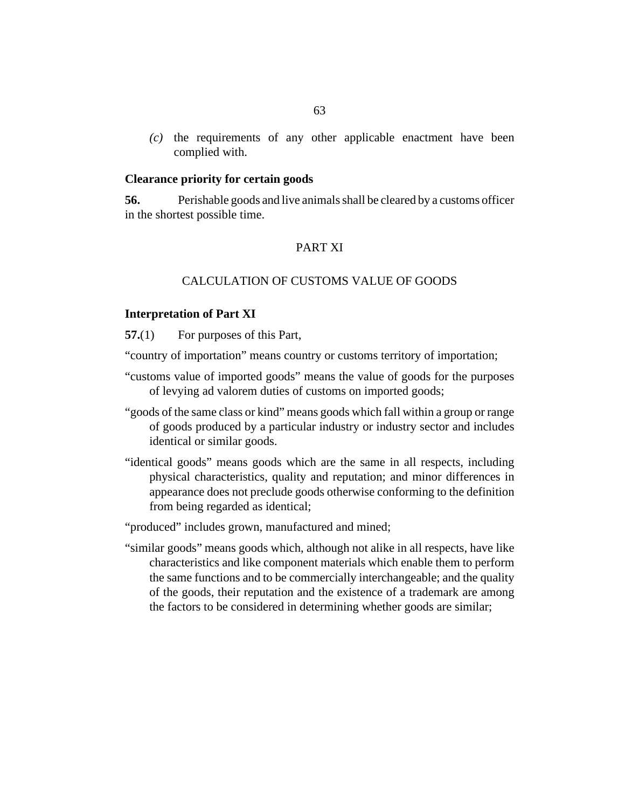<span id="page-62-0"></span> $(c)$  the requirements of any other applicable enactment have been complied with.

### **Clearance priority for certain goods**

Perishable goods and live animals shall be cleared by a customs officer in the shortest possible time. **56.**

## PART XI

## CALCULATION OF CUSTOMS VALUE OF GOODS

#### **Interpretation of Part XI**

For purposes of this Part, **57.**(1)

"country of importation" means country or customs territory of importation;

- "customs value of imported goods" means the value of goods for the purposes of levying ad valorem duties of customs on imported goods;
- "goods of the same class or kind" means goods which fall within a group or range of goods produced by a particular industry or industry sector and includes identical or similar goods.
- "identical goods" means goods which are the same in all respects, including physical characteristics, quality and reputation; and minor differences in appearance does not preclude goods otherwise conforming to the definition from being regarded as identical;

"produced" includes grown, manufactured and mined;

"similar goods" means goods which, although not alike in all respects, have like characteristics and like component materials which enable them to perform the same functions and to be commercially interchangeable; and the quality of the goods, their reputation and the existence of a trademark are among the factors to be considered in determining whether goods are similar;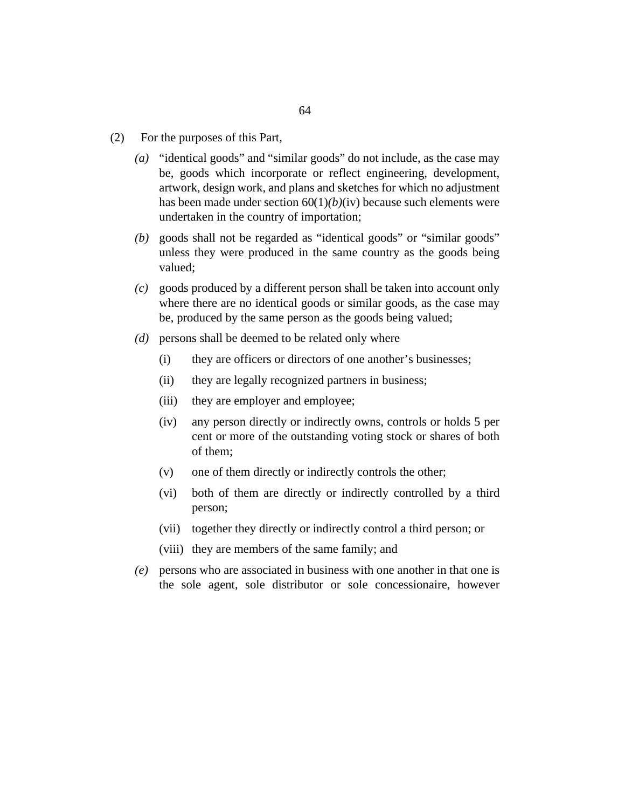- For the purposes of this Part, (2)
	- "identical goods" and "similar goods" do not include, as the case may be, goods which incorporate or reflect engineering, development, artwork, design work, and plans and sketches for which no adjustment has been made under [section 60\(](#page-66-0)1)*(b)*(iv) because such elements were undertaken in the country of importation; *(a)*
	- goods shall not be regarded as "identical goods" or "similar goods" *(b)* unless they were produced in the same country as the goods being valued;
	- goods produced by a different person shall be taken into account only *(c)* where there are no identical goods or similar goods, as the case may be, produced by the same person as the goods being valued;
	- persons shall be deemed to be related only where *(d)*
		- they are officers or directors of one another's businesses; (i)
		- they are legally recognized partners in business;  $(ii)$
		- they are employer and employee;  $(iii)$
		- any person directly or indirectly owns, controls or holds 5 per cent or more of the outstanding voting stock or shares of both of them;  $(iv)$
		- one of them directly or indirectly controls the other; (v)
		- both of them are directly or indirectly controlled by a third person; (vi)
		- (vii) together they directly or indirectly control a third person; or
		- (viii) they are members of the same family; and
	- persons who are associated in business with one another in that one is *(e)* the sole agent, sole distributor or sole concessionaire, however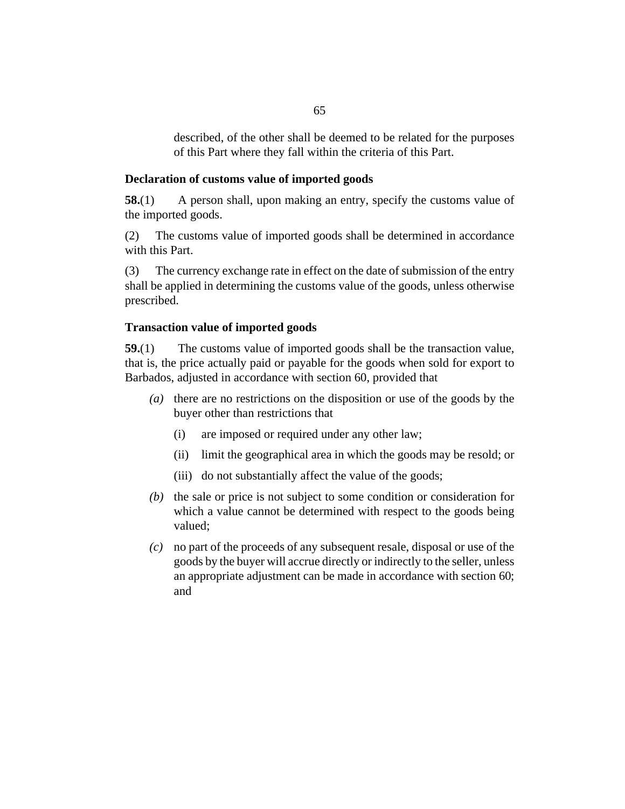described, of the other shall be deemed to be related for the purposes of this Part where they fall within the criteria of this Part.

#### <span id="page-64-0"></span>**Declaration of customs value of imported goods**

A person shall, upon making an entry, specify the customs value of the imported goods. **58.**(1)

The customs value of imported goods shall be determined in accordance with this Part. (2)

The currency exchange rate in effect on the date of submission of the entry shall be applied in determining the customs value of the goods, unless otherwise prescribed. (3)

#### **Transaction value of imported goods**

The customs value of imported goods shall be the transaction value, that is, the price actually paid or payable for the goods when sold for export to Barbados, adjusted in accordance with [section 60](#page-66-0), provided that **59.**(1)

- (a) there are no restrictions on the disposition or use of the goods by the buyer other than restrictions that
	- are imposed or required under any other law; (i)
	- (ii) limit the geographical area in which the goods may be resold; or
	- (iii) do not substantially affect the value of the goods;
- $(t)$  the sale or price is not subject to some condition or consideration for which a value cannot be determined with respect to the goods being valued;
- no part of the proceeds of any subsequent resale, disposal or use of the *(c)* goods by the buyer will accrue directly or indirectly to the seller, unless an appropriate adjustment can be made in accordance with [section 60;](#page-66-0) and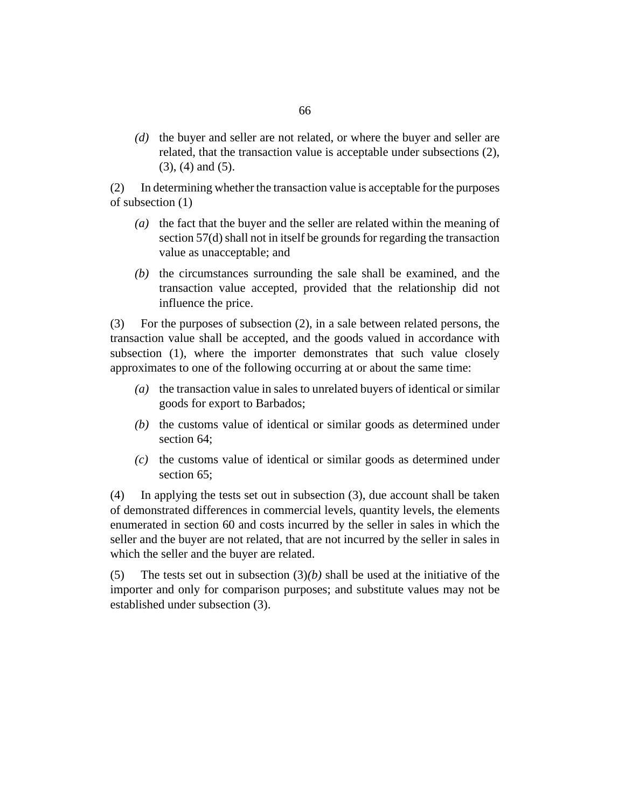(d) the buyer and seller are not related, or where the buyer and seller are related, that the transaction value is acceptable under subsections (2), (3), (4) and (5).

In determining whether the transaction value is acceptable for the purposes of subsection (1) (2)

- $(a)$  the fact that the buyer and the seller are related within the meaning of [section 57\(d\)](#page-62-0) shall not in itself be grounds for regarding the transaction value as unacceptable; and
- $(b)$  the circumstances surrounding the sale shall be examined, and the transaction value accepted, provided that the relationship did not influence the price.

For the purposes of subsection (2), in a sale between related persons, the transaction value shall be accepted, and the goods valued in accordance with subsection (1), where the importer demonstrates that such value closely approximates to one of the following occurring at or about the same time: (3)

- (a) the transaction value in sales to unrelated buyers of identical or similar goods for export to Barbados;
- $(t)$  the customs value of identical or similar goods as determined under [section 64;](#page-69-0)
- $(c)$  the customs value of identical or similar goods as determined under [section 65;](#page-70-0)

In applying the tests set out in subsection (3), due account shall be taken of demonstrated differences in commercial levels, quantity levels, the elements enumerated in [section 60](#page-66-0) and costs incurred by the seller in sales in which the seller and the buyer are not related, that are not incurred by the seller in sales in which the seller and the buyer are related. (4)

The tests set out in subsection  $(3)(b)$  shall be used at the initiative of the importer and only for comparison purposes; and substitute values may not be established under subsection (3). (5)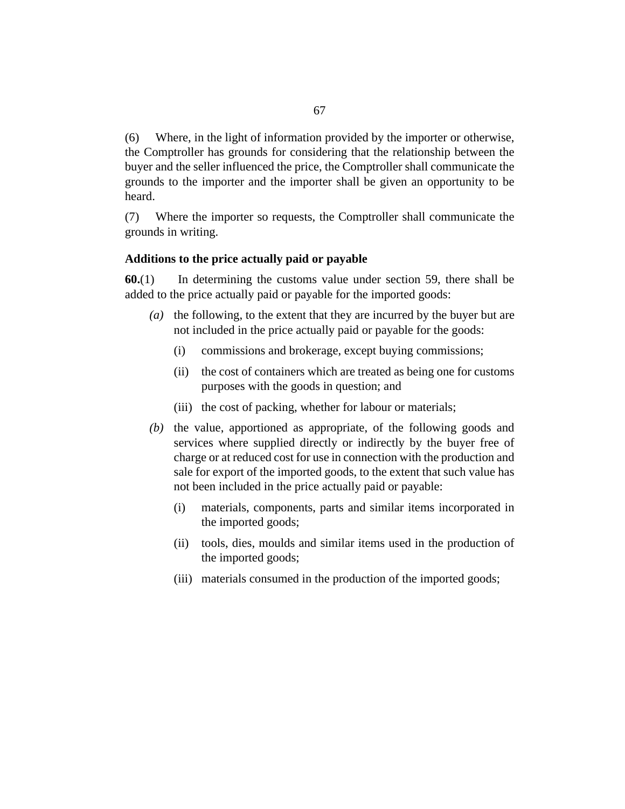<span id="page-66-0"></span>Where, in the light of information provided by the importer or otherwise, the Comptroller has grounds for considering that the relationship between the buyer and the seller influenced the price, the Comptroller shall communicate the grounds to the importer and the importer shall be given an opportunity to be heard. (6)

Where the importer so requests, the Comptroller shall communicate the grounds in writing. (7)

## **Additions to the price actually paid or payable**

In determining the customs value under [section 59,](#page-64-0) there shall be added to the price actually paid or payable for the imported goods: **60.**(1)

- ( $a)$ ) the following, to the extent that they are incurred by the buyer but are not included in the price actually paid or payable for the goods:
	- commissions and brokerage, except buying commissions; (i)
	- (ii) the cost of containers which are treated as being one for customs purposes with the goods in question; and
	- (iii) the cost of packing, whether for labour or materials;
- $(b)$  the value, apportioned as appropriate, of the following goods and services where supplied directly or indirectly by the buyer free of charge or at reduced cost for use in connection with the production and sale for export of the imported goods, to the extent that such value has not been included in the price actually paid or payable:
	- materials, components, parts and similar items incorporated in the imported goods; (i)
	- (ii) tools, dies, moulds and similar items used in the production of the imported goods;
	- (iii) materials consumed in the production of the imported goods;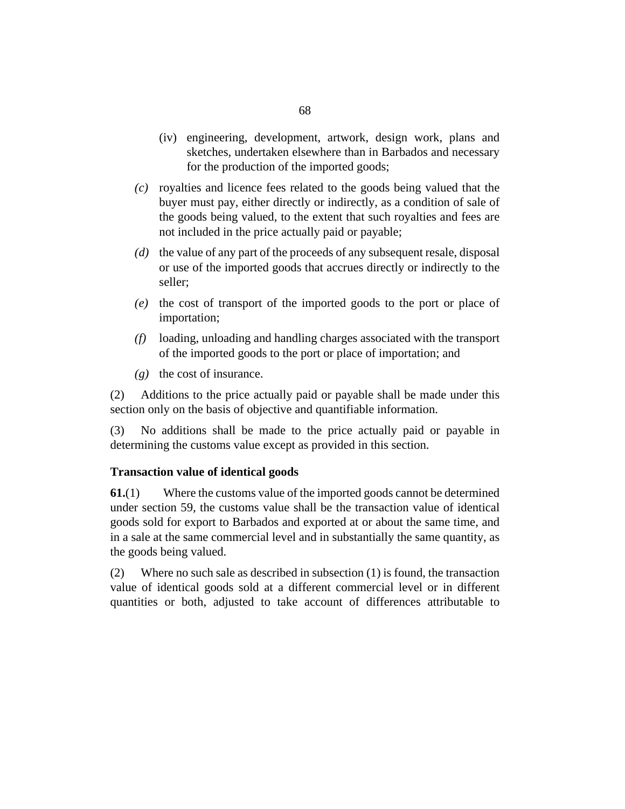- <span id="page-67-0"></span>(iv) engineering, development, artwork, design work, plans and sketches, undertaken elsewhere than in Barbados and necessary for the production of the imported goods;
- royalties and licence fees related to the goods being valued that the *(c)* buyer must pay, either directly or indirectly, as a condition of sale of the goods being valued, to the extent that such royalties and fees are not included in the price actually paid or payable;
- (d) the value of any part of the proceeds of any subsequent resale, disposal or use of the imported goods that accrues directly or indirectly to the seller;
- (e) the cost of transport of the imported goods to the port or place of importation;
- loading, unloading and handling charges associated with the transport *(f)* of the imported goods to the port or place of importation; and
- $(g)$  the cost of insurance.

Additions to the price actually paid or payable shall be made under this section only on the basis of objective and quantifiable information. (2)

No additions shall be made to the price actually paid or payable in determining the customs value except as provided in this section. (3)

# **Transaction value of identical goods**

Where the customs value of the imported goods cannot be determined under [section 59](#page-64-0), the customs value shall be the transaction value of identical goods sold for export to Barbados and exported at or about the same time, and in a sale at the same commercial level and in substantially the same quantity, as the goods being valued. **61.**(1)

Where no such sale as described in subsection (1) is found, the transaction value of identical goods sold at a different commercial level or in different quantities or both, adjusted to take account of differences attributable to (2)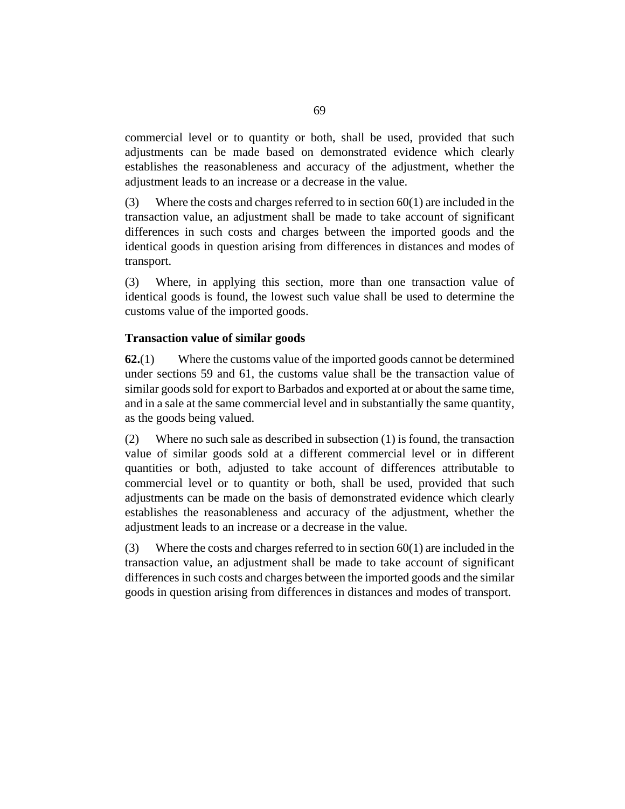<span id="page-68-0"></span>commercial level or to quantity or both, shall be used, provided that such adjustments can be made based on demonstrated evidence which clearly establishes the reasonableness and accuracy of the adjustment, whether the adjustment leads to an increase or a decrease in the value.

Where the costs and charges referred to in [section 60\(](#page-66-0)1) are included in the transaction value, an adjustment shall be made to take account of significant differences in such costs and charges between the imported goods and the identical goods in question arising from differences in distances and modes of transport. (3)

Where, in applying this section, more than one transaction value of identical goods is found, the lowest such value shall be used to determine the customs value of the imported goods. (3)

## **Transaction value of similar goods**

Where the customs value of the imported goods cannot be determined under [sections 59](#page-64-0) and [61](#page-67-0), the customs value shall be the transaction value of similar goods sold for export to Barbados and exported at or about the same time, and in a sale at the same commercial level and in substantially the same quantity, as the goods being valued. **62.**(1)

Where no such sale as described in subsection (1) is found, the transaction value of similar goods sold at a different commercial level or in different quantities or both, adjusted to take account of differences attributable to commercial level or to quantity or both, shall be used, provided that such adjustments can be made on the basis of demonstrated evidence which clearly establishes the reasonableness and accuracy of the adjustment, whether the adjustment leads to an increase or a decrease in the value. (2)

Where the costs and charges referred to in [section 60\(](#page-66-0)1) are included in the transaction value, an adjustment shall be made to take account of significant differences in such costs and charges between the imported goods and the similar goods in question arising from differences in distances and modes of transport. (3)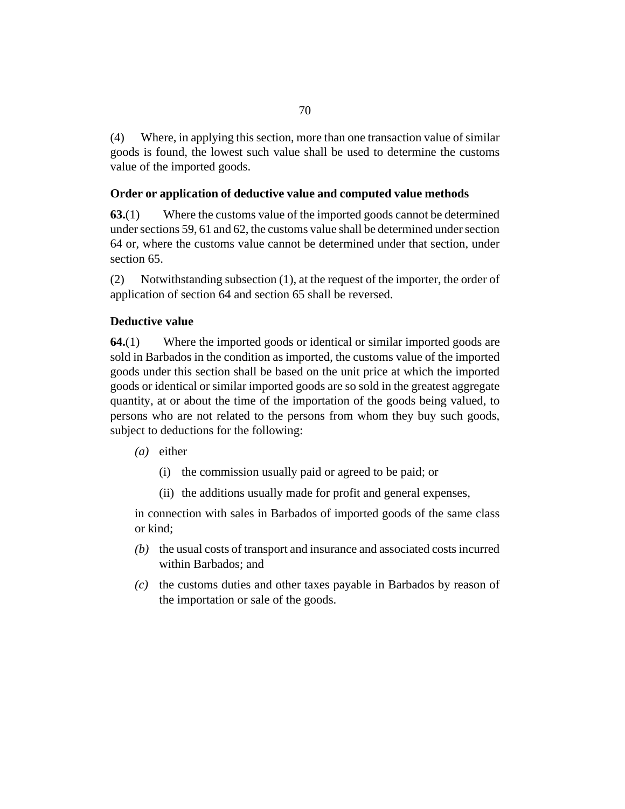<span id="page-69-0"></span>Where, in applying this section, more than one transaction value of similar goods is found, the lowest such value shall be used to determine the customs value of the imported goods. (4)

# **Order or application of deductive value and computed value methods**

Where the customs value of the imported goods cannot be determined under [sections 59](#page-64-0), [61](#page-67-0) and [62,](#page-68-0) the customs value shall be determined under section 64 or, where the customs value cannot be determined under that section, under [section 65.](#page-70-0) **63.**(1)

Notwithstanding subsection (1), at the request of the importer, the order of application of section 64 and [section 65](#page-70-0) shall be reversed. (2)

# **Deductive value**

Where the imported goods or identical or similar imported goods are sold in Barbados in the condition as imported, the customs value of the imported goods under this section shall be based on the unit price at which the imported goods or identical or similar imported goods are so sold in the greatest aggregate quantity, at or about the time of the importation of the goods being valued, to persons who are not related to the persons from whom they buy such goods, subject to deductions for the following: **64.**(1)

- (a) either
	- (i) the commission usually paid or agreed to be paid; or
	- (ii) the additions usually made for profit and general expenses,

in connection with sales in Barbados of imported goods of the same class or kind;

- (b) the usual costs of transport and insurance and associated costs incurred within Barbados; and
- (c) the customs duties and other taxes payable in Barbados by reason of the importation or sale of the goods.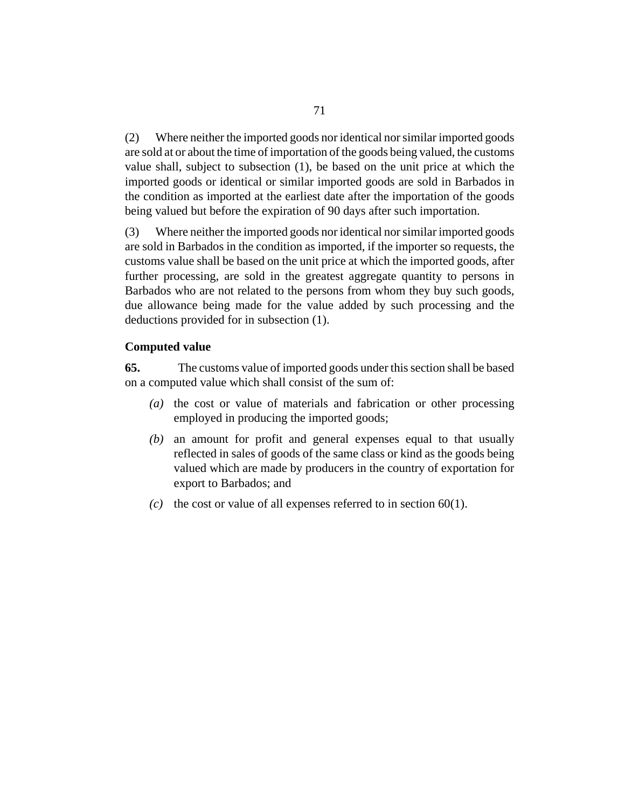<span id="page-70-0"></span>Where neither the imported goods nor identical nor similar imported goods are sold at or about the time of importation of the goods being valued, the customs value shall, subject to subsection (1), be based on the unit price at which the imported goods or identical or similar imported goods are sold in Barbados in the condition as imported at the earliest date after the importation of the goods being valued but before the expiration of 90 days after such importation. (2)

Where neither the imported goods nor identical nor similar imported goods are sold in Barbados in the condition as imported, if the importer so requests, the customs value shall be based on the unit price at which the imported goods, after further processing, are sold in the greatest aggregate quantity to persons in Barbados who are not related to the persons from whom they buy such goods, due allowance being made for the value added by such processing and the deductions provided for in subsection (1). (3)

## **Computed value**

The customs value of imported goods under this section shall be based on a computed value which shall consist of the sum of: **65.**

- (a) the cost or value of materials and fabrication or other processing employed in producing the imported goods;
- an amount for profit and general expenses equal to that usually *(b)* reflected in sales of goods of the same class or kind as the goods being valued which are made by producers in the country of exportation for export to Barbados; and
- (c) the cost or value of all expenses referred to in section  $60(1)$ .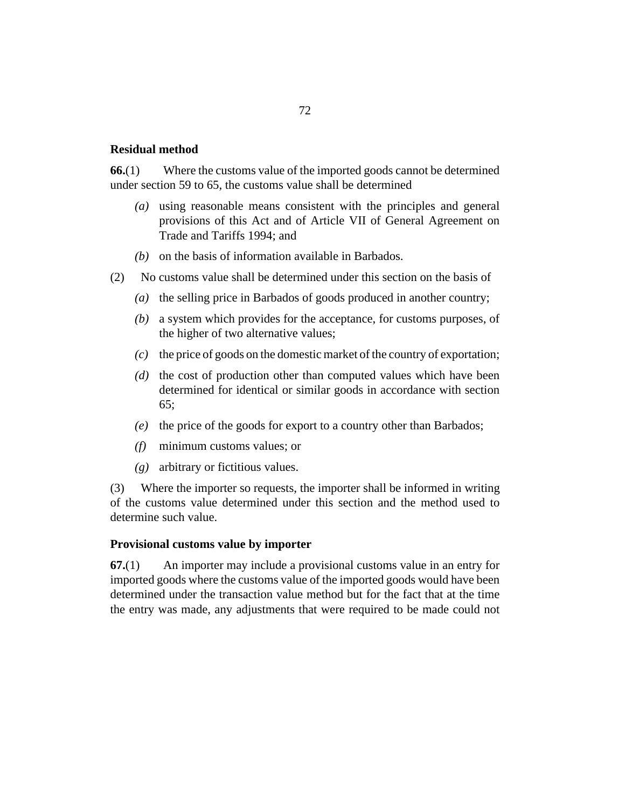#### **Residual method**

Where the customs value of the imported goods cannot be determined under [section 59](#page-64-0) to [65,](#page-70-0) the customs value shall be determined **66.**(1)

- using reasonable means consistent with the principles and general *(a)* provisions of this Act and of Article VII of General Agreement on Trade and Tariffs 1994; and
- ( $b$ ) on the basis of information available in Barbados.
- No customs value shall be determined under this section on the basis of (2)
	- (a) the selling price in Barbados of goods produced in another country;
	- a system which provides for the acceptance, for customs purposes, of *(b)* the higher of two alternative values;
	- the price of goods on the domestic market of the country of exportation; *(c)*
	- (d) the cost of production other than computed values which have been determined for identical or similar goods in accordance with [section](#page-70-0) [65](#page-70-0);
	- (e) the price of the goods for export to a country other than Barbados;
	- minimum customs values; or *(f)*
	- arbitrary or fictitious values. *(g)*

Where the importer so requests, the importer shall be informed in writing of the customs value determined under this section and the method used to determine such value. (3)

#### **Provisional customs value by importer**

An importer may include a provisional customs value in an entry for imported goods where the customs value of the imported goods would have been determined under the transaction value method but for the fact that at the time the entry was made, any adjustments that were required to be made could not **67.**(1)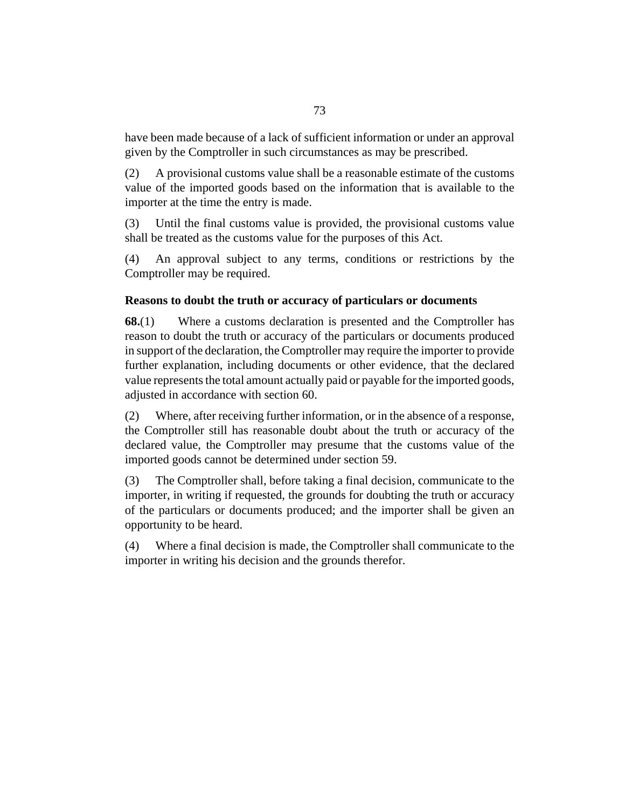have been made because of a lack of sufficient information or under an approval given by the Comptroller in such circumstances as may be prescribed.

A provisional customs value shall be a reasonable estimate of the customs value of the imported goods based on the information that is available to the importer at the time the entry is made. (2)

Until the final customs value is provided, the provisional customs value shall be treated as the customs value for the purposes of this Act. (3)

An approval subject to any terms, conditions or restrictions by the Comptroller may be required. (4)

#### **Reasons to doubt the truth or accuracy of particulars or documents**

Where a customs declaration is presented and the Comptroller has reason to doubt the truth or accuracy of the particulars or documents produced in support of the declaration, the Comptroller may require the importer to provide further explanation, including documents or other evidence, that the declared value represents the total amount actually paid or payable for the imported goods, adjusted in accordance with [section 60](#page-66-0). **68.**(1)

Where, after receiving further information, or in the absence of a response, the Comptroller still has reasonable doubt about the truth or accuracy of the declared value, the Comptroller may presume that the customs value of the imported goods cannot be determined under [section 59.](#page-64-0) (2)

The Comptroller shall, before taking a final decision, communicate to the importer, in writing if requested, the grounds for doubting the truth or accuracy of the particulars or documents produced; and the importer shall be given an opportunity to be heard. (3)

Where a final decision is made, the Comptroller shall communicate to the importer in writing his decision and the grounds therefor. (4)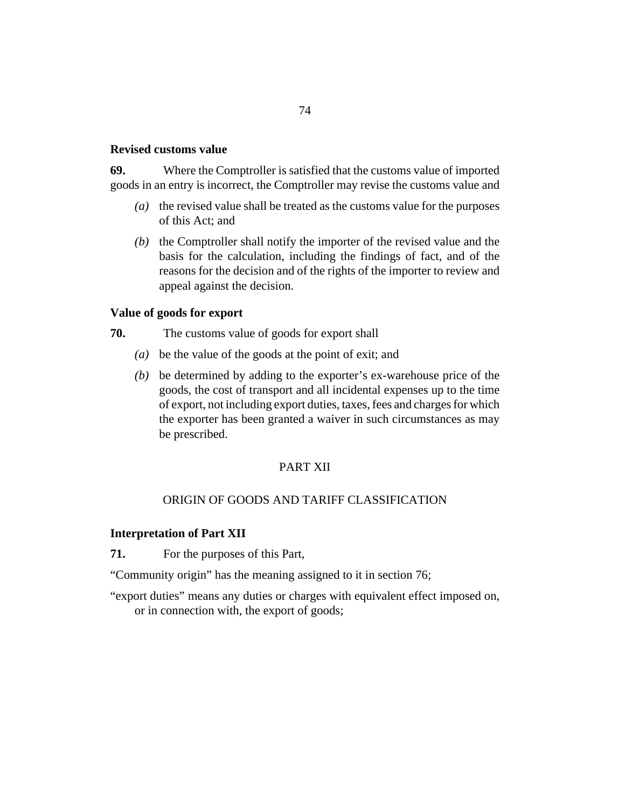#### **Revised customs value**

Where the Comptroller is satisfied that the customs value of imported goods in an entry is incorrect, the Comptroller may revise the customs value and **69.**

- (a) the revised value shall be treated as the customs value for the purposes of this Act; and
- $(b)$  the Comptroller shall notify the importer of the revised value and the basis for the calculation, including the findings of fact, and of the reasons for the decision and of the rights of the importer to review and appeal against the decision.

#### **Value of goods for export**

- The customs value of goods for export shall **70.**
	- be the value of the goods at the point of exit; and *(a)*
	- be determined by adding to the exporter's ex-warehouse price of the *(b)* goods, the cost of transport and all incidental expenses up to the time of export, not including export duties, taxes, fees and charges for which the exporter has been granted a waiver in such circumstances as may be prescribed.

#### PART XII

#### ORIGIN OF GOODS AND TARIFF CLASSIFICATION

#### **Interpretation of Part XII**

For the purposes of this Part, **71.**

"Community origin" has the meaning assigned to it in [section 76](#page-75-0);

"export duties" means any duties or charges with equivalent effect imposed on, or in connection with, the export of goods;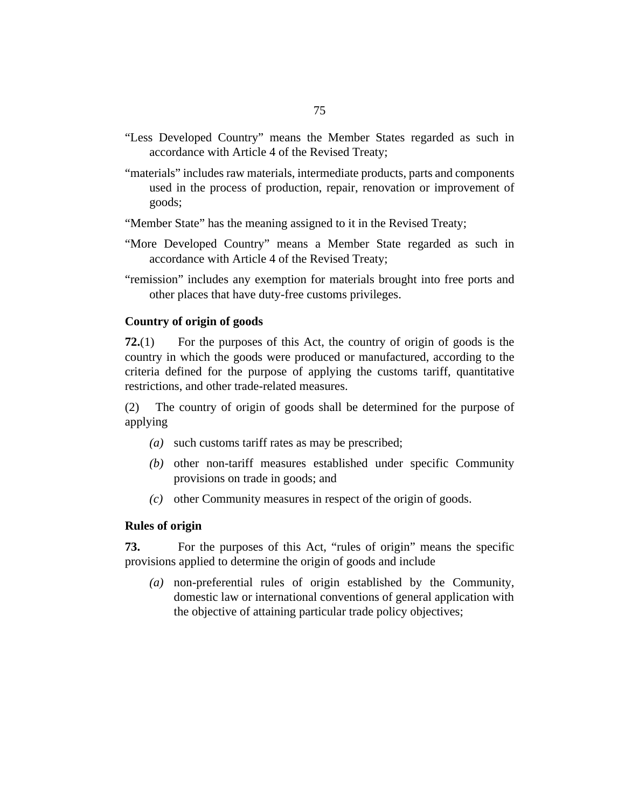- "Less Developed Country" means the Member States regarded as such in accordance with Article 4 of the Revised Treaty;
- "materials" includes raw materials, intermediate products, parts and components used in the process of production, repair, renovation or improvement of goods;
- "Member State" has the meaning assigned to it in the Revised Treaty;
- "More Developed Country" means a Member State regarded as such in accordance with Article 4 of the Revised Treaty;
- "remission" includes any exemption for materials brought into free ports and other places that have duty-free customs privileges.

#### **Country of origin of goods**

For the purposes of this Act, the country of origin of goods is the country in which the goods were produced or manufactured, according to the criteria defined for the purpose of applying the customs tariff, quantitative restrictions, and other trade-related measures. **72.**(1)

The country of origin of goods shall be determined for the purpose of applying (2)

- such customs tariff rates as may be prescribed; *(a)*
- (b) other non-tariff measures established under specific Community provisions on trade in goods; and
- other Community measures in respect of the origin of goods. *(c)*

#### **Rules of origin**

For the purposes of this Act, "rules of origin" means the specific provisions applied to determine the origin of goods and include **73.**

non-preferential rules of origin established by the Community, *(a)* domestic law or international conventions of general application with the objective of attaining particular trade policy objectives;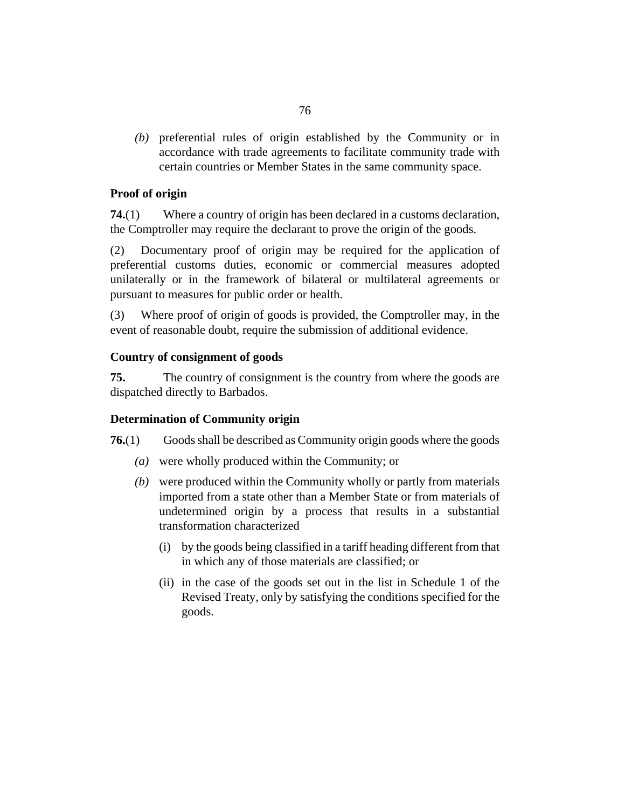<span id="page-75-0"></span>(b) preferential rules of origin established by the Community or in accordance with trade agreements to facilitate community trade with certain countries or Member States in the same community space.

#### **Proof of origin**

Where a country of origin has been declared in a customs declaration, the Comptroller may require the declarant to prove the origin of the goods. **74.**(1)

Documentary proof of origin may be required for the application of preferential customs duties, economic or commercial measures adopted unilaterally or in the framework of bilateral or multilateral agreements or pursuant to measures for public order or health. (2)

Where proof of origin of goods is provided, the Comptroller may, in the event of reasonable doubt, require the submission of additional evidence. (3)

#### **Country of consignment of goods**

The country of consignment is the country from where the goods are dispatched directly to Barbados. **75.**

#### **Determination of Community origin**

Goods shall be described as Community origin goods where the goods **76.**(1)

- were wholly produced within the Community; or *(a)*
- were produced within the Community wholly or partly from materials *(b)* imported from a state other than a Member State or from materials of undetermined origin by a process that results in a substantial transformation characterized
	- by the goods being classified in a tariff heading different from that (i) in which any of those materials are classified; or
	- (ii) in the case of the goods set out in the list in Schedule 1 of the Revised Treaty, only by satisfying the conditions specified for the goods.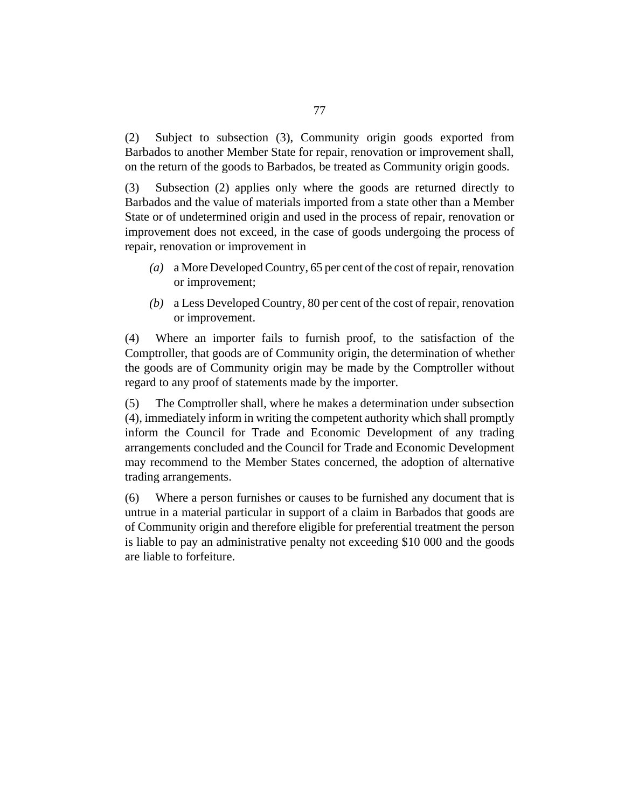Subject to subsection (3), Community origin goods exported from Barbados to another Member State for repair, renovation or improvement shall, on the return of the goods to Barbados, be treated as Community origin goods. (2)

Subsection (2) applies only where the goods are returned directly to Barbados and the value of materials imported from a state other than a Member State or of undetermined origin and used in the process of repair, renovation or improvement does not exceed, in the case of goods undergoing the process of repair, renovation or improvement in (3)

- a More Developed Country, 65 per cent of the cost of repair, renovation *(a)* or improvement;
- a Less Developed Country, 80 per cent of the cost of repair, renovation *(b)* or improvement.

Where an importer fails to furnish proof, to the satisfaction of the Comptroller, that goods are of Community origin, the determination of whether the goods are of Community origin may be made by the Comptroller without regard to any proof of statements made by the importer. (4)

The Comptroller shall, where he makes a determination under subsection (4), immediately inform in writing the competent authority which shall promptly inform the Council for Trade and Economic Development of any trading arrangements concluded and the Council for Trade and Economic Development may recommend to the Member States concerned, the adoption of alternative trading arrangements. (5)

Where a person furnishes or causes to be furnished any document that is untrue in a material particular in support of a claim in Barbados that goods are of Community origin and therefore eligible for preferential treatment the person is liable to pay an administrative penalty not exceeding \$10 000 and the goods are liable to forfeiture. (6)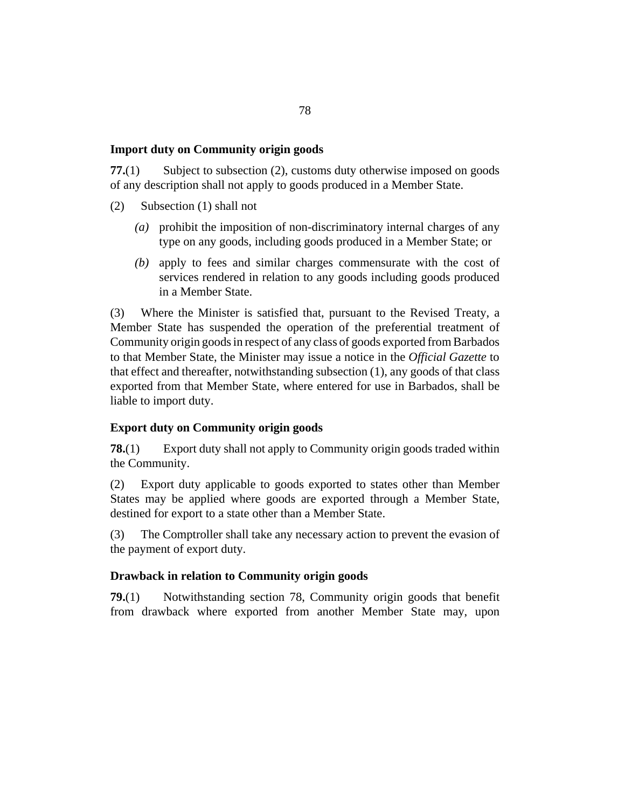#### **Import duty on Community origin goods**

Subject to subsection (2), customs duty otherwise imposed on goods of any description shall not apply to goods produced in a Member State. **77.**(1)

- Subsection (1) shall not (2)
	- prohibit the imposition of non-discriminatory internal charges of any *(a)* type on any goods, including goods produced in a Member State; or
	- apply to fees and similar charges commensurate with the cost of *(b)* services rendered in relation to any goods including goods produced in a Member State.

Where the Minister is satisfied that, pursuant to the Revised Treaty, a Member State has suspended the operation of the preferential treatment of Community origin goods in respect of any class of goods exported from Barbados to that Member State, the Minister may issue a notice in the *Official Gazette* to that effect and thereafter, notwithstanding subsection (1), any goods of that class exported from that Member State, where entered for use in Barbados, shall be liable to import duty. (3)

#### **Export duty on Community origin goods**

Export duty shall not apply to Community origin goods traded within the Community. **78.**(1)

Export duty applicable to goods exported to states other than Member States may be applied where goods are exported through a Member State, destined for export to a state other than a Member State. (2)

The Comptroller shall take any necessary action to prevent the evasion of the payment of export duty. (3)

#### **Drawback in relation to Community origin goods**

Notwithstanding section 78, Community origin goods that benefit from drawback where exported from another Member State may, upon **79.**(1)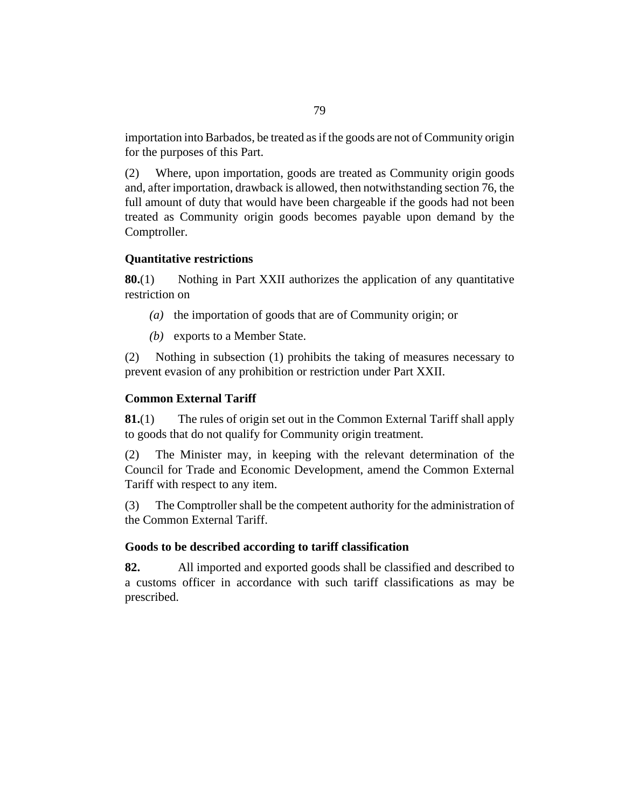importation into Barbados, be treated as if the goods are not of Community origin for the purposes of this Part.

Where, upon importation, goods are treated as Community origin goods and, after importation, drawback is allowed, then notwithstanding [section 76](#page-75-0), the full amount of duty that would have been chargeable if the goods had not been treated as Community origin goods becomes payable upon demand by the Comptroller. (2)

#### **Quantitative restrictions**

Nothing in Part XXII authorizes the application of any quantitative restriction on **80.**(1)

- (a) the importation of goods that are of Community origin; or
- (b) exports to a Member State.

Nothing in subsection (1) prohibits the taking of measures necessary to prevent evasion of any prohibition or restriction under Part XXII. (2)

#### **Common External Tariff**

The rules of origin set out in the Common External Tariff shall apply to goods that do not qualify for Community origin treatment. **81.**(1)

The Minister may, in keeping with the relevant determination of the Council for Trade and Economic Development, amend the Common External Tariff with respect to any item. (2)

The Comptroller shall be the competent authority for the administration of the Common External Tariff. (3)

#### **Goods to be described according to tariff classification**

All imported and exported goods shall be classified and described to a customs officer in accordance with such tariff classifications as may be prescribed. **82.**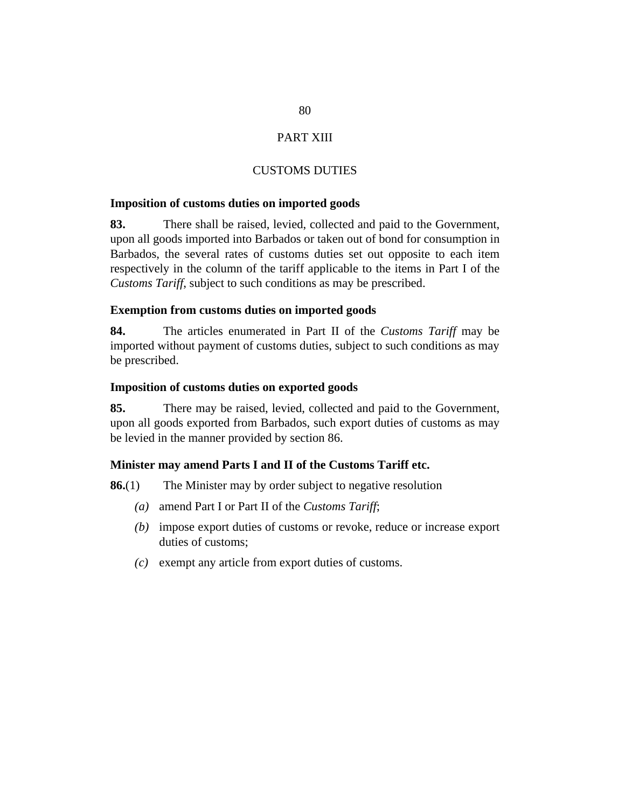#### PART XIII

#### CUSTOMS DUTIES

#### **Imposition of customs duties on imported goods**

There shall be raised, levied, collected and paid to the Government, upon all goods imported into Barbados or taken out of bond for consumption in Barbados, the several rates of customs duties set out opposite to each item respectively in the column of the tariff applicable to the items in Part I of the *Customs Tariff*, subject to such conditions as may be prescribed. **83.**

#### **Exemption from customs duties on imported goods**

The articles enumerated in Part II of the *Customs Tariff* may be imported without payment of customs duties, subject to such conditions as may be prescribed. **84.**

#### **Imposition of customs duties on exported goods**

There may be raised, levied, collected and paid to the Government, upon all goods exported from Barbados, such export duties of customs as may be levied in the manner provided by section 86. **85.**

#### **Minister may amend Parts I and II of the Customs Tariff etc.**

The Minister may by order subject to negative resolution **86.**(1)

- amend Part I or Part II of the *Customs Tariff*; *(a)*
- (b) impose export duties of customs or revoke, reduce or increase export duties of customs;
- exempt any article from export duties of customs. *(c)*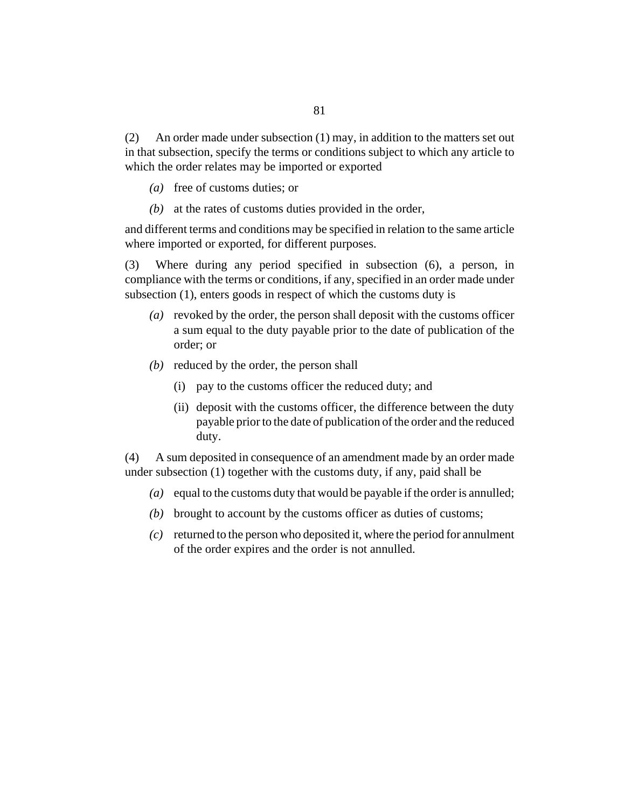An order made under subsection (1) may, in addition to the matters set out in that subsection, specify the terms or conditions subject to which any article to which the order relates may be imported or exported (2)

- (a) free of customs duties; or
- (b) at the rates of customs duties provided in the order,

and different terms and conditions may be specified in relation to the same article where imported or exported, for different purposes.

Where during any period specified in subsection (6), a person, in compliance with the terms or conditions, if any, specified in an order made under subsection (1), enters goods in respect of which the customs duty is (3)

- (a) revoked by the order, the person shall deposit with the customs officer a sum equal to the duty payable prior to the date of publication of the order; or
- (b) reduced by the order, the person shall
	- (i) pay to the customs officer the reduced duty; and
	- (ii) deposit with the customs officer, the difference between the duty payable prior to the date of publication of the order and the reduced duty.

A sum deposited in consequence of an amendment made by an order made under subsection (1) together with the customs duty, if any, paid shall be (4)

- (a) equal to the customs duty that would be payable if the order is annulled;
- (b) brought to account by the customs officer as duties of customs;
- returned to the person who deposited it, where the period for annulment *(c)* of the order expires and the order is not annulled.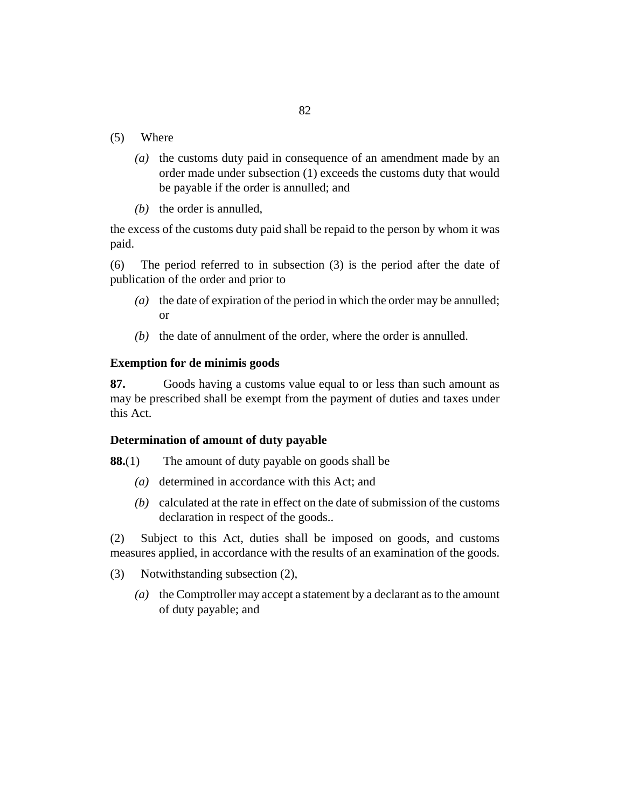- Where (5)
	- $(a)$  the customs duty paid in consequence of an amendment made by an order made under subsection (1) exceeds the customs duty that would be payable if the order is annulled; and
	- $(b)$  the order is annulled,

the excess of the customs duty paid shall be repaid to the person by whom it was paid.

The period referred to in subsection (3) is the period after the date of publication of the order and prior to (6)

- (a) the date of expiration of the period in which the order may be annulled; or
- $(b)$  the date of annulment of the order, where the order is annulled.

#### **Exemption for de minimis goods**

Goods having a customs value equal to or less than such amount as may be prescribed shall be exempt from the payment of duties and taxes under this Act. **87.**

#### **Determination of amount of duty payable**

The amount of duty payable on goods shall be **88.**(1)

- (a) determined in accordance with this Act; and
- calculated at the rate in effect on the date of submission of the customs *(b)* declaration in respect of the goods..

Subject to this Act, duties shall be imposed on goods, and customs measures applied, in accordance with the results of an examination of the goods. (2)

- Notwithstanding subsection (2), (3)
	- (a) the Comptroller may accept a statement by a declarant as to the amount of duty payable; and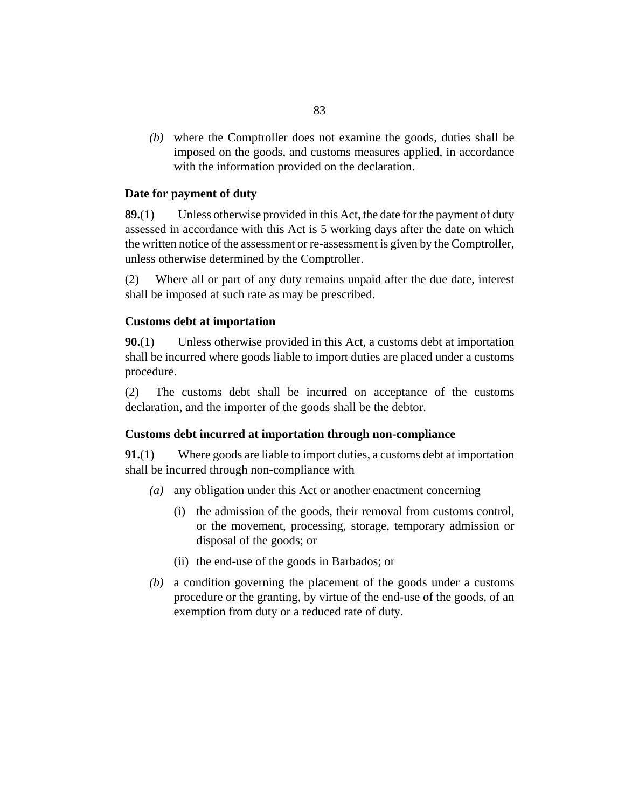where the Comptroller does not examine the goods, duties shall be *(b)* imposed on the goods, and customs measures applied, in accordance with the information provided on the declaration.

#### **Date for payment of duty**

Unless otherwise provided in this Act, the date for the payment of duty assessed in accordance with this Act is 5 working days after the date on which the written notice of the assessment or re-assessment is given by the Comptroller, unless otherwise determined by the Comptroller. **89.**(1)

Where all or part of any duty remains unpaid after the due date, interest shall be imposed at such rate as may be prescribed. (2)

#### **Customs debt at importation**

Unless otherwise provided in this Act, a customs debt at importation shall be incurred where goods liable to import duties are placed under a customs procedure. **90.**(1)

The customs debt shall be incurred on acceptance of the customs declaration, and the importer of the goods shall be the debtor. (2)

#### **Customs debt incurred at importation through non-compliance**

Where goods are liable to import duties, a customs debt at importation shall be incurred through non-compliance with **91.**(1)

- any obligation under this Act or another enactment concerning *(a)*
	- (i) the admission of the goods, their removal from customs control, or the movement, processing, storage, temporary admission or disposal of the goods; or
	- (ii) the end-use of the goods in Barbados; or
- a condition governing the placement of the goods under a customs *(b)* procedure or the granting, by virtue of the end-use of the goods, of an exemption from duty or a reduced rate of duty.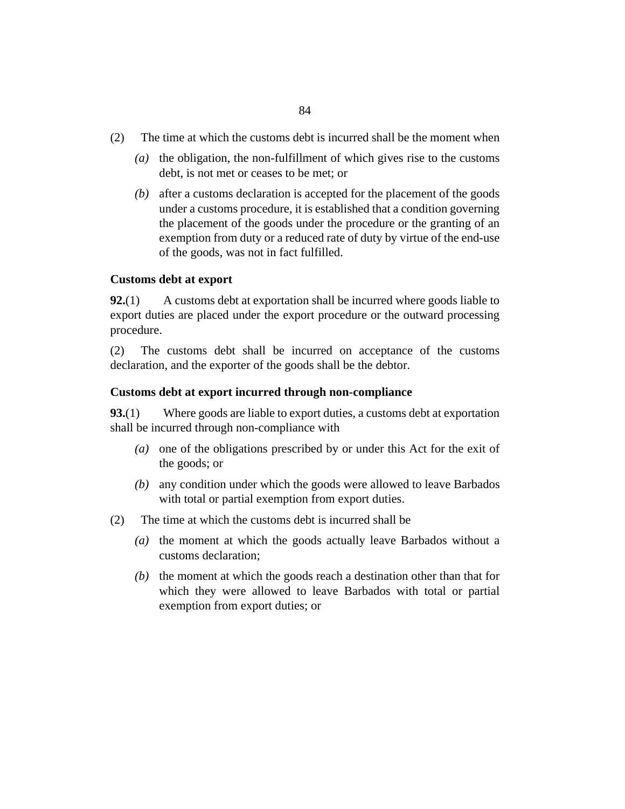- The time at which the customs debt is incurred shall be the moment when (2)
	- (a) the obligation, the non-fulfillment of which gives rise to the customs debt, is not met or ceases to be met; or
	- after a customs declaration is accepted for the placement of the goods *(b)* under a customs procedure, it is established that a condition governing the placement of the goods under the procedure or the granting of an exemption from duty or a reduced rate of duty by virtue of the end-use of the goods, was not in fact fulfilled.

#### **Customs debt at export**

A customs debt at exportation shall be incurred where goods liable to export duties are placed under the export procedure or the outward processing procedure. **92.**(1)

The customs debt shall be incurred on acceptance of the customs declaration, and the exporter of the goods shall be the debtor. (2)

#### **Customs debt at export incurred through non-compliance**

Where goods are liable to export duties, a customs debt at exportation shall be incurred through non-compliance with **93.**(1)

- (a) one of the obligations prescribed by or under this Act for the exit of the goods; or
- any condition under which the goods were allowed to leave Barbados *(b)* with total or partial exemption from export duties.
- The time at which the customs debt is incurred shall be (2)
	- (a) the moment at which the goods actually leave Barbados without a customs declaration;
	- $(b)$  the moment at which the goods reach a destination other than that for which they were allowed to leave Barbados with total or partial exemption from export duties; or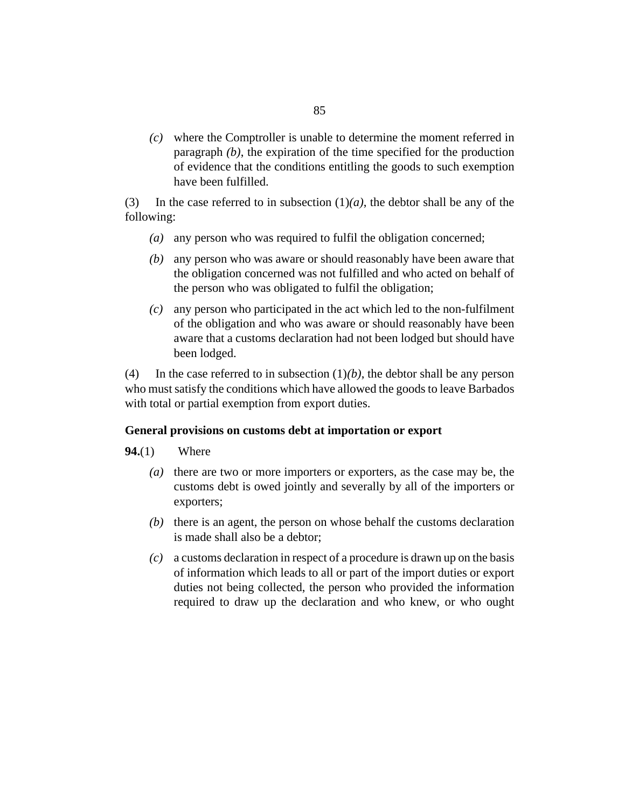where the Comptroller is unable to determine the moment referred in *(c)* paragraph *(b)*, the expiration of the time specified for the production of evidence that the conditions entitling the goods to such exemption have been fulfilled.

In the case referred to in subsection  $(1)(a)$ , the debtor shall be any of the following: (3)

- any person who was required to fulfil the obligation concerned; *(a)*
- any person who was aware or should reasonably have been aware that *(b)* the obligation concerned was not fulfilled and who acted on behalf of the person who was obligated to fulfil the obligation;
- any person who participated in the act which led to the non-fulfilment *(c)* of the obligation and who was aware or should reasonably have been aware that a customs declaration had not been lodged but should have been lodged.

In the case referred to in subsection  $(1)(b)$ , the debtor shall be any person who must satisfy the conditions which have allowed the goods to leave Barbados with total or partial exemption from export duties. (4)

#### **General provisions on customs debt at importation or export**

- Where **94.**(1)
	- (a) there are two or more importers or exporters, as the case may be, the customs debt is owed jointly and severally by all of the importers or exporters;
	- $(b)$  there is an agent, the person on whose behalf the customs declaration is made shall also be a debtor;
	- a customs declaration in respect of a procedure is drawn up on the basis *(c)* of information which leads to all or part of the import duties or export duties not being collected, the person who provided the information required to draw up the declaration and who knew, or who ought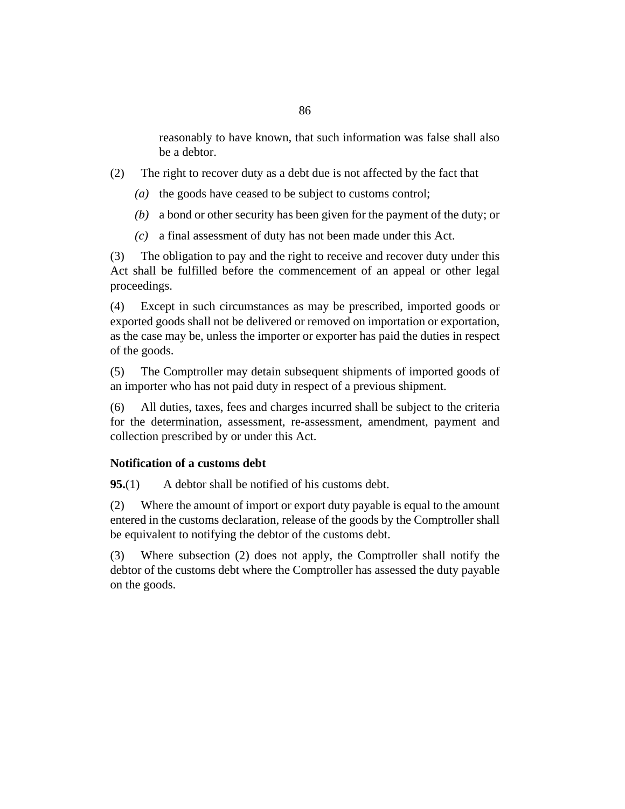reasonably to have known, that such information was false shall also be a debtor.

- The right to recover duty as a debt due is not affected by the fact that (2)
	- (a) the goods have ceased to be subject to customs control;
	- a bond or other security has been given for the payment of the duty; or *(b)*
	- a final assessment of duty has not been made under this Act. *(c)*

The obligation to pay and the right to receive and recover duty under this Act shall be fulfilled before the commencement of an appeal or other legal proceedings. (3)

Except in such circumstances as may be prescribed, imported goods or exported goods shall not be delivered or removed on importation or exportation, as the case may be, unless the importer or exporter has paid the duties in respect of the goods. (4)

The Comptroller may detain subsequent shipments of imported goods of an importer who has not paid duty in respect of a previous shipment. (5)

All duties, taxes, fees and charges incurred shall be subject to the criteria for the determination, assessment, re-assessment, amendment, payment and collection prescribed by or under this Act. (6)

#### **Notification of a customs debt**

A debtor shall be notified of his customs debt. **95.**(1)

Where the amount of import or export duty payable is equal to the amount entered in the customs declaration, release of the goods by the Comptroller shall be equivalent to notifying the debtor of the customs debt. (2)

Where subsection (2) does not apply, the Comptroller shall notify the debtor of the customs debt where the Comptroller has assessed the duty payable on the goods. (3)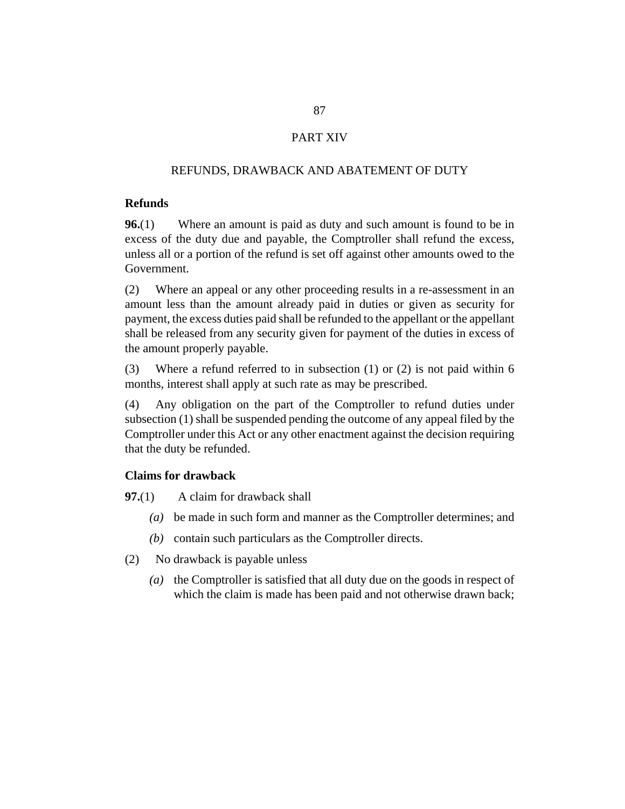#### PART XIV

#### REFUNDS, DRAWBACK AND ABATEMENT OF DUTY

#### **Refunds**

Where an amount is paid as duty and such amount is found to be in excess of the duty due and payable, the Comptroller shall refund the excess, unless all or a portion of the refund is set off against other amounts owed to the Government. **96.**(1)

Where an appeal or any other proceeding results in a re-assessment in an amount less than the amount already paid in duties or given as security for payment, the excess duties paid shall be refunded to the appellant or the appellant shall be released from any security given for payment of the duties in excess of the amount properly payable. (2)

Where a refund referred to in subsection (1) or (2) is not paid within 6 months, interest shall apply at such rate as may be prescribed. (3)

Any obligation on the part of the Comptroller to refund duties under subsection (1) shall be suspended pending the outcome of any appeal filed by the Comptroller under this Act or any other enactment against the decision requiring that the duty be refunded. (4)

#### **Claims for drawback**

A claim for drawback shall **97.**(1)

- be made in such form and manner as the Comptroller determines; and *(a)*
- (b) contain such particulars as the Comptroller directs.
- No drawback is payable unless (2)
	- (a) the Comptroller is satisfied that all duty due on the goods in respect of which the claim is made has been paid and not otherwise drawn back;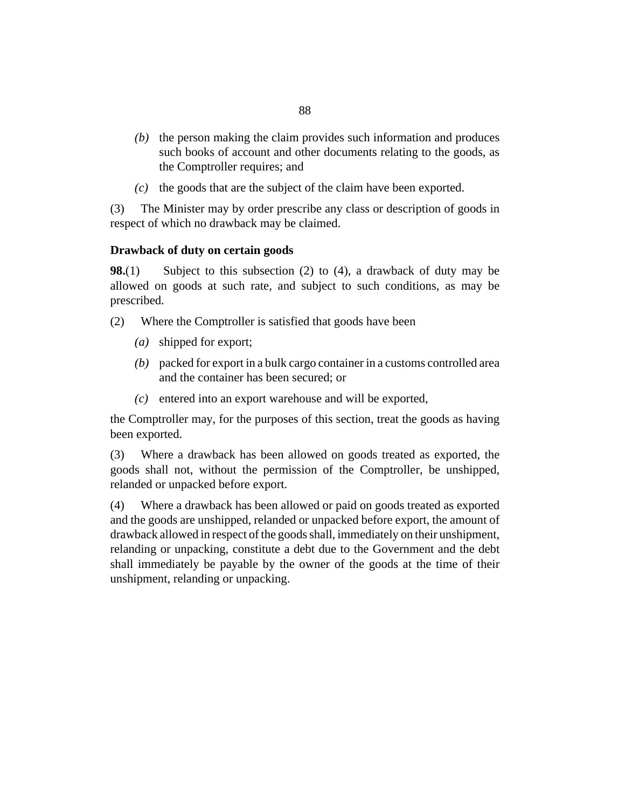- $(b)$  the person making the claim provides such information and produces such books of account and other documents relating to the goods, as the Comptroller requires; and
- $(c)$  the goods that are the subject of the claim have been exported.

The Minister may by order prescribe any class or description of goods in respect of which no drawback may be claimed. (3)

#### **Drawback of duty on certain goods**

Subject to this subsection (2) to (4), a drawback of duty may be allowed on goods at such rate, and subject to such conditions, as may be prescribed. **98.**(1)

- Where the Comptroller is satisfied that goods have been (2)
	- shipped for export; *(a)*
	- packed for export in a bulk cargo container in a customs controlled area *(b)* and the container has been secured; or
	- $(c)$  entered into an export warehouse and will be exported,

the Comptroller may, for the purposes of this section, treat the goods as having been exported.

Where a drawback has been allowed on goods treated as exported, the goods shall not, without the permission of the Comptroller, be unshipped, relanded or unpacked before export. (3)

Where a drawback has been allowed or paid on goods treated as exported and the goods are unshipped, relanded or unpacked before export, the amount of drawback allowed in respect of the goods shall, immediately on their unshipment, relanding or unpacking, constitute a debt due to the Government and the debt shall immediately be payable by the owner of the goods at the time of their unshipment, relanding or unpacking. (4)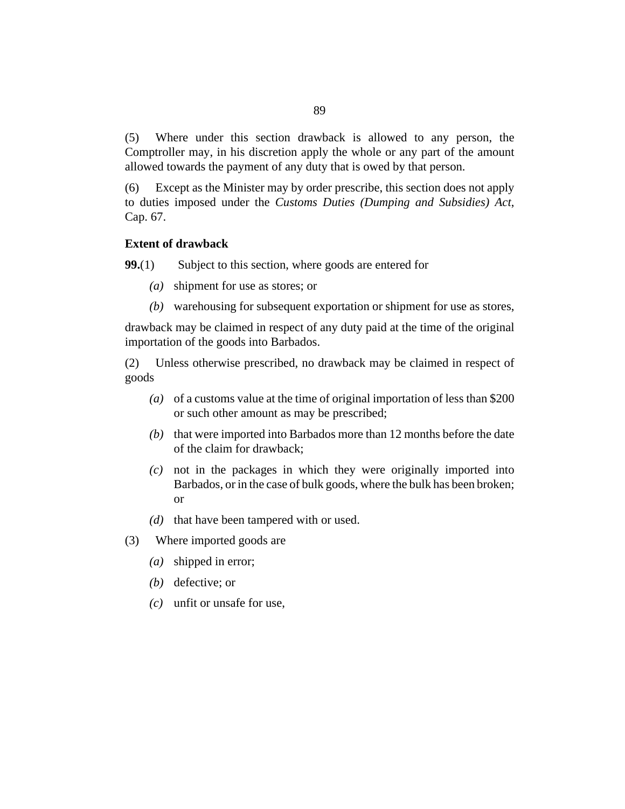Where under this section drawback is allowed to any person, the Comptroller may, in his discretion apply the whole or any part of the amount allowed towards the payment of any duty that is owed by that person. (5)

Except as the Minister may by order prescribe, this section does not apply to duties imposed under the *[Customs Duties \(Dumping and Subsidies\) Act](http://barbadosparliament-laws.com/en/showdoc/cs/67)*, [Cap. 67.](http://barbadosparliament-laws.com/en/showdoc/cs/67) (6)

### **Extent of drawback**

Subject to this section, where goods are entered for **99.**(1)

- shipment for use as stores; or *(a)*
- warehousing for subsequent exportation or shipment for use as stores, *(b)*

drawback may be claimed in respect of any duty paid at the time of the original importation of the goods into Barbados.

Unless otherwise prescribed, no drawback may be claimed in respect of goods (2)

- of a customs value at the time of original importation of less than \$200 *(a)* or such other amount as may be prescribed;
- $(b)$  that were imported into Barbados more than 12 months before the date of the claim for drawback;
- not in the packages in which they were originally imported into *(c)* Barbados, or in the case of bulk goods, where the bulk has been broken; or
- $(d)$  that have been tampered with or used.
- Where imported goods are (3)
	- shipped in error; *(a)*
	- (b) defective; or
	- unfit or unsafe for use, *(c)*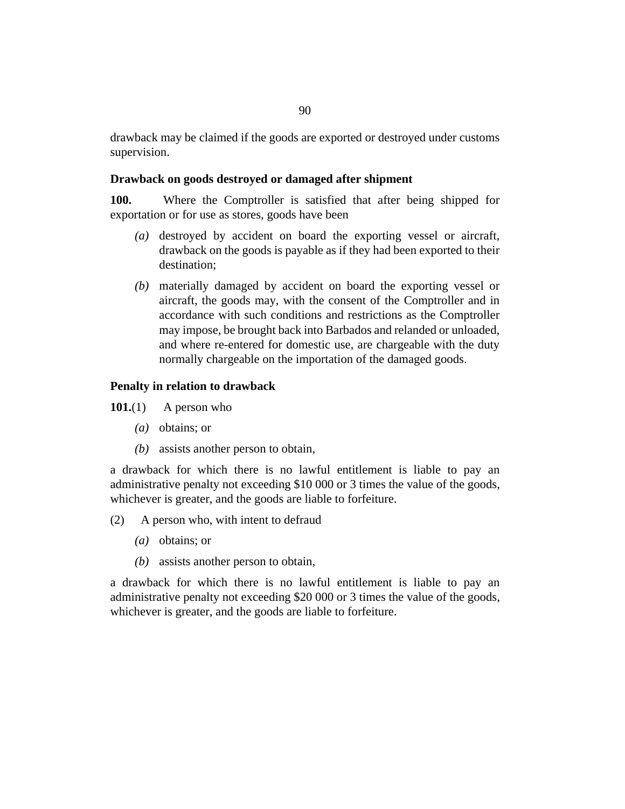drawback may be claimed if the goods are exported or destroyed under customs supervision.

#### **Drawback on goods destroyed or damaged after shipment**

Where the Comptroller is satisfied that after being shipped for exportation or for use as stores, goods have been **100.**

- (a) destroyed by accident on board the exporting vessel or aircraft, drawback on the goods is payable as if they had been exported to their destination;
- materially damaged by accident on board the exporting vessel or *(b)* aircraft, the goods may, with the consent of the Comptroller and in accordance with such conditions and restrictions as the Comptroller may impose, be brought back into Barbados and relanded or unloaded, and where re-entered for domestic use, are chargeable with the duty normally chargeable on the importation of the damaged goods.

#### **Penalty in relation to drawback**

A person who **101.**(1)

- (*a*) obtains; or
- (b) assists another person to obtain,

a drawback for which there is no lawful entitlement is liable to pay an administrative penalty not exceeding \$10 000 or 3 times the value of the goods, whichever is greater, and the goods are liable to forfeiture.

- A person who, with intent to defraud (2)
	- obtains; or *(a)*
	- (b) assists another person to obtain,

a drawback for which there is no lawful entitlement is liable to pay an administrative penalty not exceeding \$20 000 or 3 times the value of the goods, whichever is greater, and the goods are liable to forfeiture.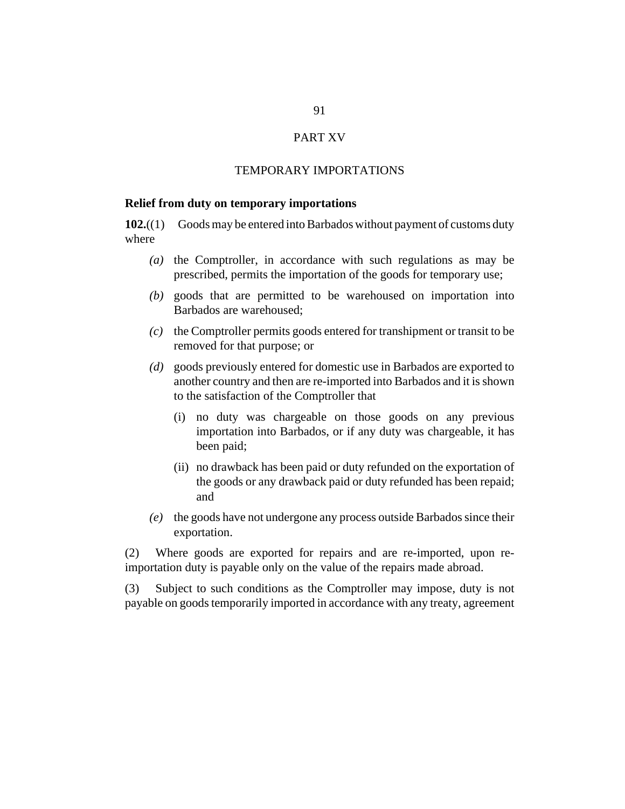#### PART XV

#### TEMPORARY IMPORTATIONS

#### **Relief from duty on temporary importations**

Goods may be entered into Barbados without payment of customs duty where **102.**((1)

- ( $a$ ) the Comptroller, in accordance with such regulations as may be prescribed, permits the importation of the goods for temporary use;
- goods that are permitted to be warehoused on importation into *(b)* Barbados are warehoused;
- the Comptroller permits goods entered for transhipment or transit to be *(c)* removed for that purpose; or
- goods previously entered for domestic use in Barbados are exported to *(d)* another country and then are re-imported into Barbados and it is shown to the satisfaction of the Comptroller that
	- no duty was chargeable on those goods on any previous (i) importation into Barbados, or if any duty was chargeable, it has been paid;
	- (ii) no drawback has been paid or duty refunded on the exportation of the goods or any drawback paid or duty refunded has been repaid; and
- the goods have not undergone any process outside Barbados since their *(e)* exportation.

Where goods are exported for repairs and are re-imported, upon reimportation duty is payable only on the value of the repairs made abroad. (2)

Subject to such conditions as the Comptroller may impose, duty is not payable on goods temporarily imported in accordance with any treaty, agreement (3)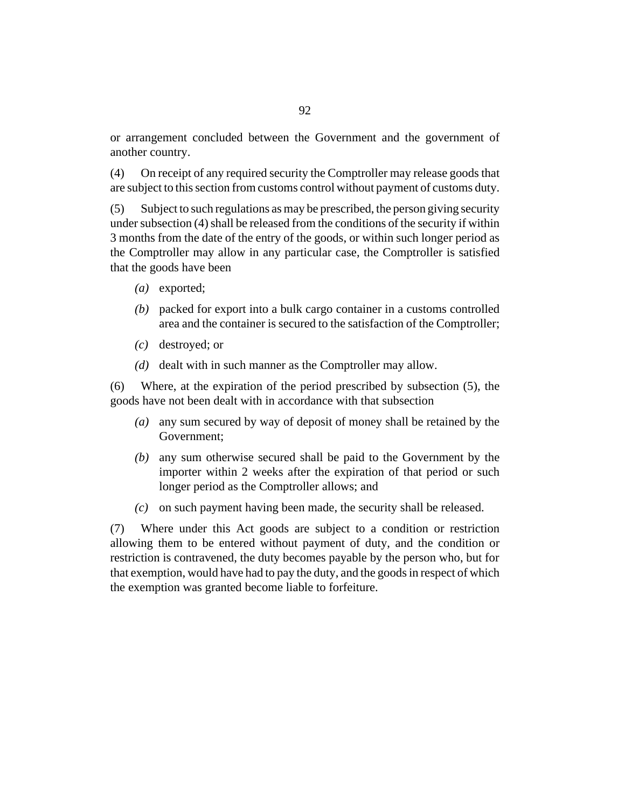or arrangement concluded between the Government and the government of another country.

On receipt of any required security the Comptroller may release goods that are subject to this section from customs control without payment of customs duty. (4)

Subject to such regulations as may be prescribed, the person giving security under subsection (4) shall be released from the conditions of the security if within 3 months from the date of the entry of the goods, or within such longer period as the Comptroller may allow in any particular case, the Comptroller is satisfied that the goods have been (5)

- (a) exported;
- (b) packed for export into a bulk cargo container in a customs controlled area and the container is secured to the satisfaction of the Comptroller;
- destroyed; or *(c)*
- (d) dealt with in such manner as the Comptroller may allow.

Where, at the expiration of the period prescribed by subsection (5), the goods have not been dealt with in accordance with that subsection (6)

- any sum secured by way of deposit of money shall be retained by the *(a)* Government;
- any sum otherwise secured shall be paid to the Government by the *(b)* importer within 2 weeks after the expiration of that period or such longer period as the Comptroller allows; and
- on such payment having been made, the security shall be released. *(c)*

Where under this Act goods are subject to a condition or restriction allowing them to be entered without payment of duty, and the condition or restriction is contravened, the duty becomes payable by the person who, but for that exemption, would have had to pay the duty, and the goods in respect of which the exemption was granted become liable to forfeiture. (7)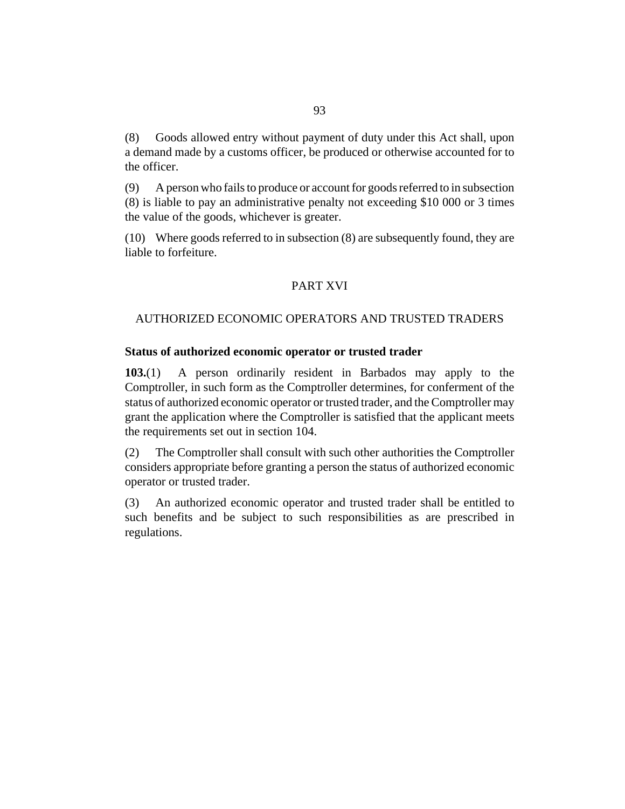Goods allowed entry without payment of duty under this Act shall, upon a demand made by a customs officer, be produced or otherwise accounted for to the officer. (8)

A person who fails to produce or account for goods referred to in subsection (8) is liable to pay an administrative penalty not exceeding \$10 000 or 3 times the value of the goods, whichever is greater. (9)

Where goods referred to in subsection (8) are subsequently found, they are (10) liable to forfeiture.

#### PART XVI

#### AUTHORIZED ECONOMIC OPERATORS AND TRUSTED TRADERS

#### **Status of authorized economic operator or trusted trader**

A person ordinarily resident in Barbados may apply to the Comptroller, in such form as the Comptroller determines, for conferment of the status of authorized economic operator or trusted trader, and the Comptroller may grant the application where the Comptroller is satisfied that the applicant meets the requirements set out in [section 104.](#page-93-0) **103.**(1)

The Comptroller shall consult with such other authorities the Comptroller considers appropriate before granting a person the status of authorized economic operator or trusted trader. (2)

An authorized economic operator and trusted trader shall be entitled to such benefits and be subject to such responsibilities as are prescribed in regulations. (3)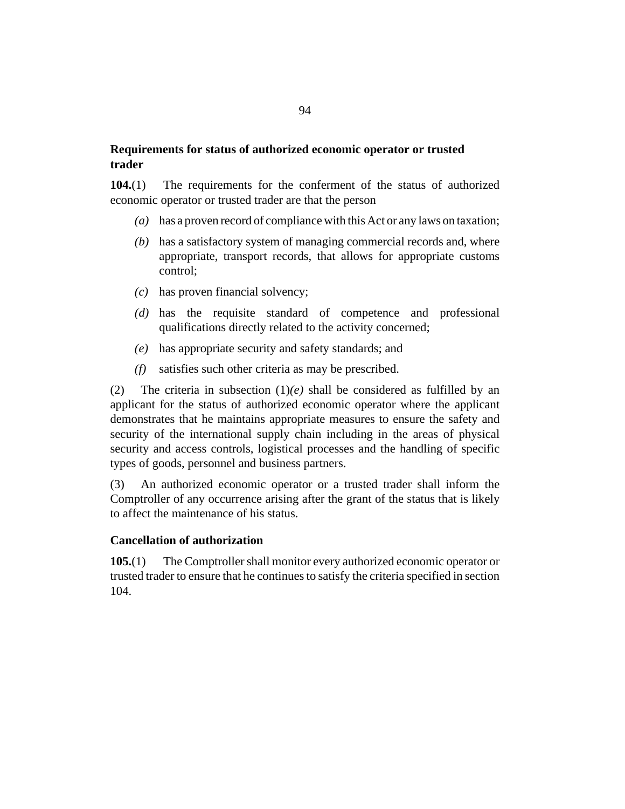#### <span id="page-93-0"></span>**Requirements for status of authorized economic operator or trusted trader**

The requirements for the conferment of the status of authorized economic operator or trusted trader are that the person **104.**(1)

- has a proven record of compliance with this Act or any laws on taxation; *(a)*
- (b) has a satisfactory system of managing commercial records and, where appropriate, transport records, that allows for appropriate customs control;
- has proven financial solvency; *(c)*
- has the requisite standard of competence and professional *(d)* qualifications directly related to the activity concerned;
- has appropriate security and safety standards; and *(e)*
- satisfies such other criteria as may be prescribed. *(f)*

The criteria in subsection  $(1)(e)$  shall be considered as fulfilled by an applicant for the status of authorized economic operator where the applicant demonstrates that he maintains appropriate measures to ensure the safety and security of the international supply chain including in the areas of physical security and access controls, logistical processes and the handling of specific types of goods, personnel and business partners. (2)

An authorized economic operator or a trusted trader shall inform the Comptroller of any occurrence arising after the grant of the status that is likely to affect the maintenance of his status. (3)

#### **Cancellation of authorization**

The Comptroller shall monitor every authorized economic operator or trusted trader to ensure that he continues to satisfy the criteria specified in section 104. **105.**(1)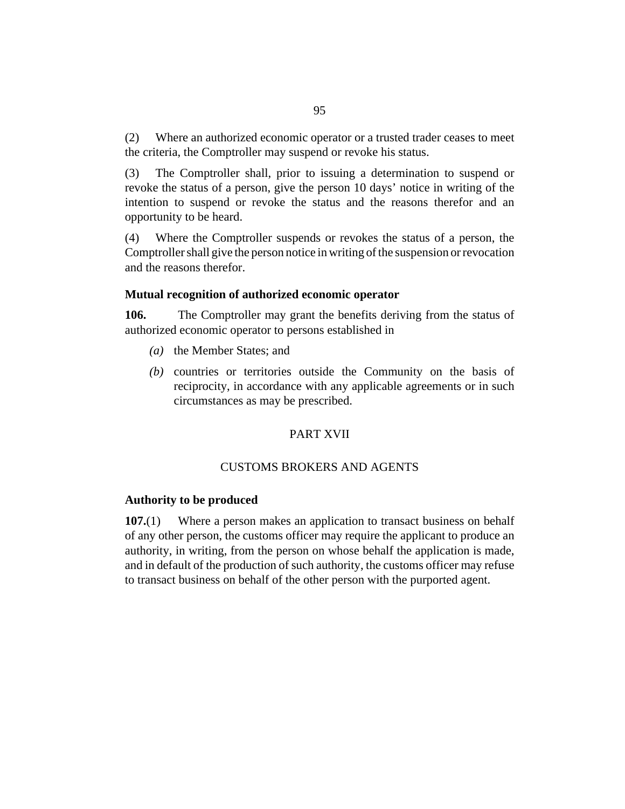Where an authorized economic operator or a trusted trader ceases to meet the criteria, the Comptroller may suspend or revoke his status. (2)

The Comptroller shall, prior to issuing a determination to suspend or revoke the status of a person, give the person 10 days' notice in writing of the intention to suspend or revoke the status and the reasons therefor and an opportunity to be heard. (3)

Where the Comptroller suspends or revokes the status of a person, the Comptroller shall give the person notice in writing of the suspension or revocation and the reasons therefor. (4)

#### **Mutual recognition of authorized economic operator**

The Comptroller may grant the benefits deriving from the status of authorized economic operator to persons established in **106.**

- (a) the Member States; and
- (b) countries or territories outside the Community on the basis of reciprocity, in accordance with any applicable agreements or in such circumstances as may be prescribed.

#### PART XVII

#### CUSTOMS BROKERS AND AGENTS

#### **Authority to be produced**

Where a person makes an application to transact business on behalf of any other person, the customs officer may require the applicant to produce an authority, in writing, from the person on whose behalf the application is made, and in default of the production of such authority, the customs officer may refuse to transact business on behalf of the other person with the purported agent. **107.**(1)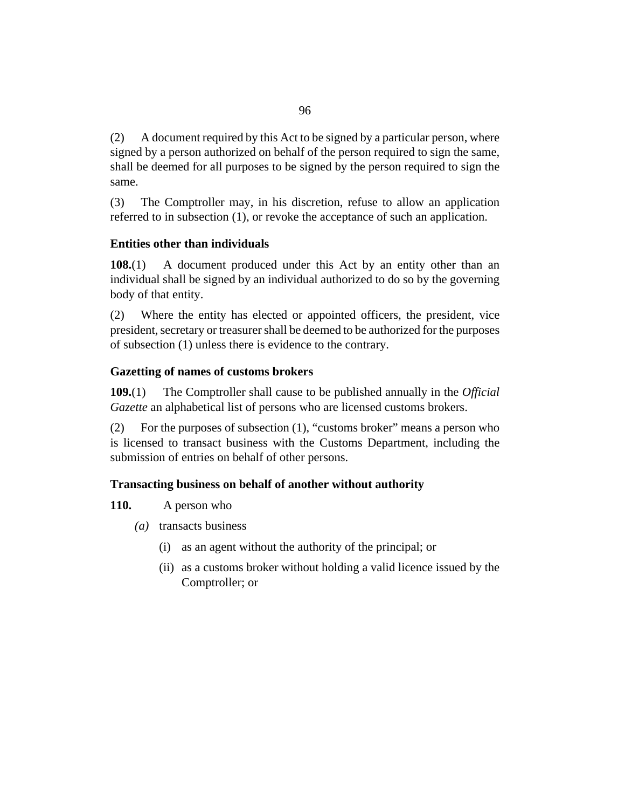A document required by this Act to be signed by a particular person, where signed by a person authorized on behalf of the person required to sign the same, shall be deemed for all purposes to be signed by the person required to sign the same. (2)

The Comptroller may, in his discretion, refuse to allow an application referred to in subsection (1), or revoke the acceptance of such an application. (3)

#### **Entities other than individuals**

A document produced under this Act by an entity other than an individual shall be signed by an individual authorized to do so by the governing body of that entity. **108.**(1)

Where the entity has elected or appointed officers, the president, vice president, secretary or treasurer shall be deemed to be authorized for the purposes of subsection (1) unless there is evidence to the contrary. (2)

#### **Gazetting of names of customs brokers**

The Comptroller shall cause to be published annually in the *Official Gazette* an alphabetical list of persons who are licensed customs brokers. **109.**(1)

For the purposes of subsection (1), "customs broker" means a person who is licensed to transact business with the Customs Department, including the submission of entries on behalf of other persons. (2)

#### **Transacting business on behalf of another without authority**

A person who **110.**

- (a) transacts business
	- (i) as an agent without the authority of the principal; or
	- (ii) as a customs broker without holding a valid licence issued by the Comptroller; or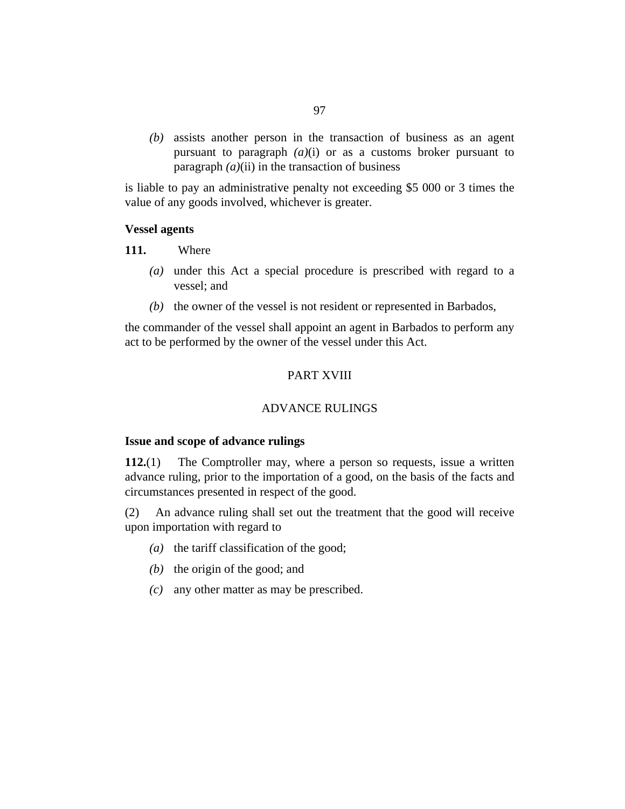(b) assists another person in the transaction of business as an agent pursuant to paragraph  $(a)(i)$  or as a customs broker pursuant to paragraph  $(a)$ (ii) in the transaction of business

is liable to pay an administrative penalty not exceeding \$5 000 or 3 times the value of any goods involved, whichever is greater.

#### **Vessel agents**

Where **111.**

- (a) under this Act a special procedure is prescribed with regard to a vessel; and
- $(b)$  the owner of the vessel is not resident or represented in Barbados,

the commander of the vessel shall appoint an agent in Barbados to perform any act to be performed by the owner of the vessel under this Act.

#### PART XVIII

#### ADVANCE RULINGS

#### **Issue and scope of advance rulings**

The Comptroller may, where a person so requests, issue a written advance ruling, prior to the importation of a good, on the basis of the facts and circumstances presented in respect of the good. **112.**(1)

An advance ruling shall set out the treatment that the good will receive upon importation with regard to (2)

- ( $a)$  the tariff classification of the good;
- $(b)$  the origin of the good; and
- any other matter as may be prescribed. *(c)*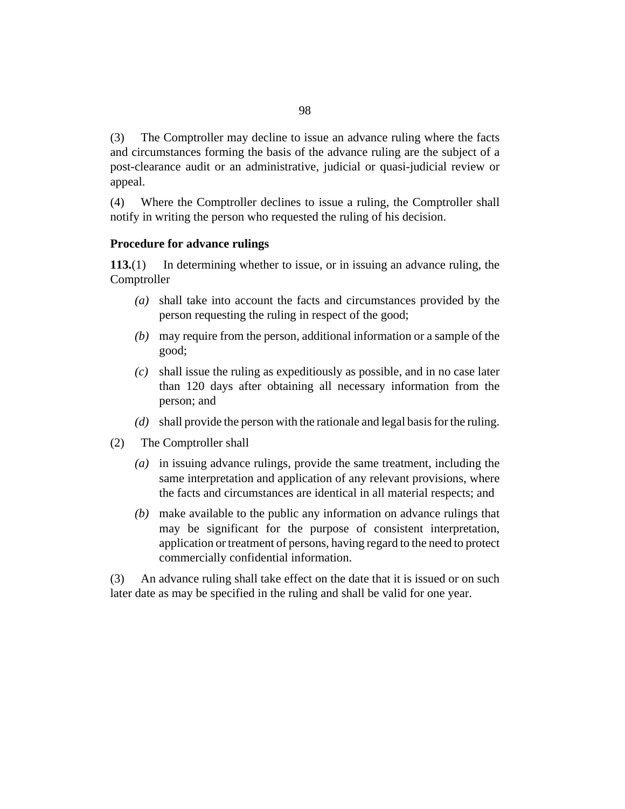The Comptroller may decline to issue an advance ruling where the facts and circumstances forming the basis of the advance ruling are the subject of a post-clearance audit or an administrative, judicial or quasi-judicial review or appeal. (3)

Where the Comptroller declines to issue a ruling, the Comptroller shall notify in writing the person who requested the ruling of his decision. (4)

#### **Procedure for advance rulings**

In determining whether to issue, or in issuing an advance ruling, the Comptroller **113.**(1)

- shall take into account the facts and circumstances provided by the *(a)* person requesting the ruling in respect of the good;
- may require from the person, additional information or a sample of the *(b)* good;
- shall issue the ruling as expeditiously as possible, and in no case later *(c)* than 120 days after obtaining all necessary information from the person; and
- shall provide the person with the rationale and legal basis for the ruling. *(d)*
- The Comptroller shall (2)
	- (a) in issuing advance rulings, provide the same treatment, including the same interpretation and application of any relevant provisions, where the facts and circumstances are identical in all material respects; and
	- make available to the public any information on advance rulings that *(b)* may be significant for the purpose of consistent interpretation, application or treatment of persons, having regard to the need to protect commercially confidential information.

An advance ruling shall take effect on the date that it is issued or on such later date as may be specified in the ruling and shall be valid for one year. (3)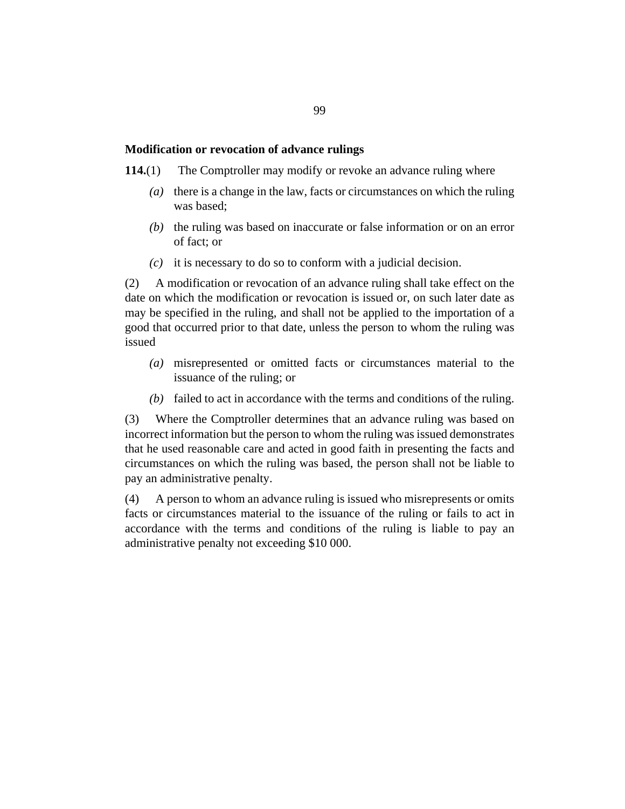#### **Modification or revocation of advance rulings**

- The Comptroller may modify or revoke an advance ruling where **114.**(1)
	- there is a change in the law, facts or circumstances on which the ruling *(a)* was based;
	- $(t)$  the ruling was based on inaccurate or false information or on an error of fact; or
	- $(c)$  it is necessary to do so to conform with a judicial decision.

A modification or revocation of an advance ruling shall take effect on the date on which the modification or revocation is issued or, on such later date as may be specified in the ruling, and shall not be applied to the importation of a good that occurred prior to that date, unless the person to whom the ruling was issued (2)

- misrepresented or omitted facts or circumstances material to the *(a)* issuance of the ruling; or
- $(b)$  failed to act in accordance with the terms and conditions of the ruling.

Where the Comptroller determines that an advance ruling was based on incorrect information but the person to whom the ruling was issued demonstrates that he used reasonable care and acted in good faith in presenting the facts and circumstances on which the ruling was based, the person shall not be liable to pay an administrative penalty. (3)

A person to whom an advance ruling is issued who misrepresents or omits facts or circumstances material to the issuance of the ruling or fails to act in accordance with the terms and conditions of the ruling is liable to pay an administrative penalty not exceeding \$10 000. (4)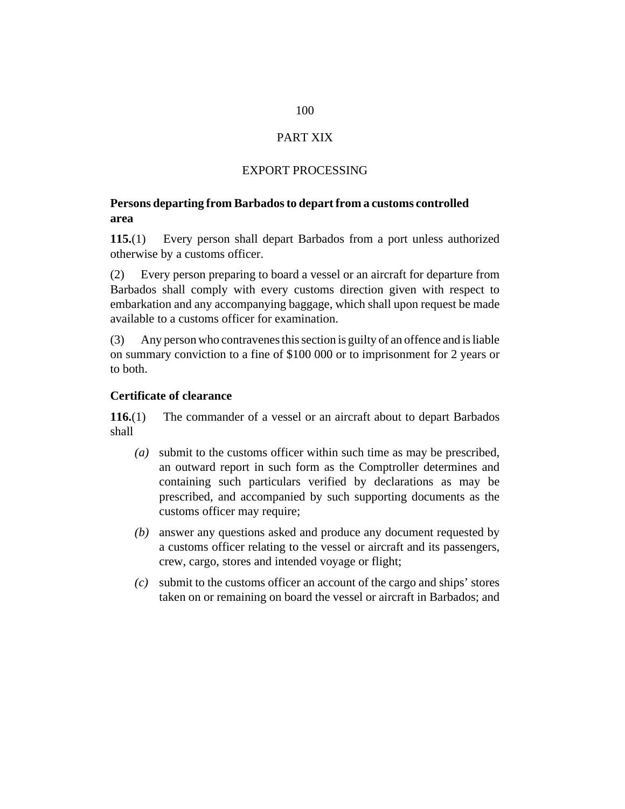# PART XIX

### EXPORT PROCESSING

#### **Persons departing from Barbados to depart from a customs controlled area**

Every person shall depart Barbados from a port unless authorized otherwise by a customs officer. **115.**(1)

Every person preparing to board a vessel or an aircraft for departure from Barbados shall comply with every customs direction given with respect to embarkation and any accompanying baggage, which shall upon request be made available to a customs officer for examination. (2)

Any person who contravenes this section is guilty of an offence and is liable on summary conviction to a fine of \$100 000 or to imprisonment for 2 years or to both. (3)

#### **Certificate of clearance**

The commander of a vessel or an aircraft about to depart Barbados shall **116.**(1)

- submit to the customs officer within such time as may be prescribed, *(a)* an outward report in such form as the Comptroller determines and containing such particulars verified by declarations as may be prescribed, and accompanied by such supporting documents as the customs officer may require;
- answer any questions asked and produce any document requested by *(b)* a customs officer relating to the vessel or aircraft and its passengers, crew, cargo, stores and intended voyage or flight;
- submit to the customs officer an account of the cargo and ships' stores *(c)* taken on or remaining on board the vessel or aircraft in Barbados; and

#### 100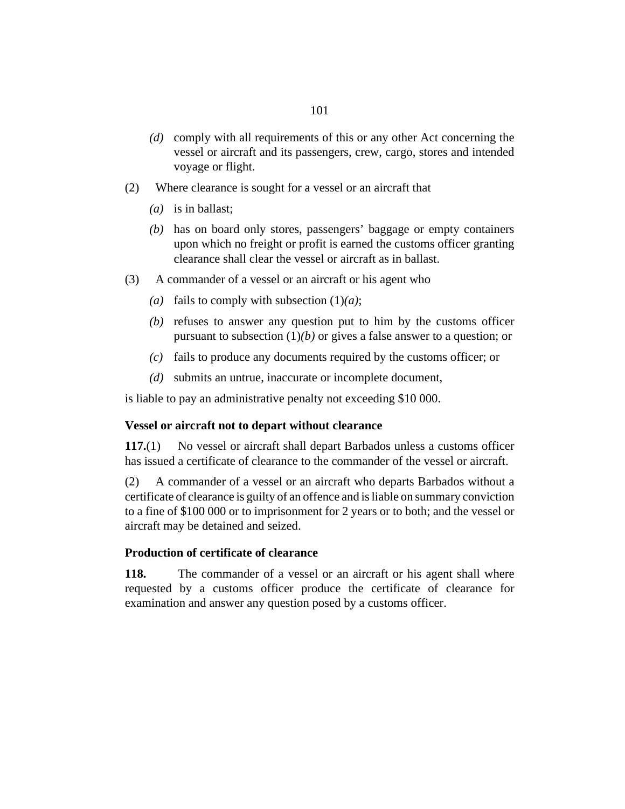- (d) comply with all requirements of this or any other Act concerning the vessel or aircraft and its passengers, crew, cargo, stores and intended voyage or flight.
- Where clearance is sought for a vessel or an aircraft that (2)
	- is in ballast; *(a)*
	- (b) has on board only stores, passengers' baggage or empty containers upon which no freight or profit is earned the customs officer granting clearance shall clear the vessel or aircraft as in ballast.
- A commander of a vessel or an aircraft or his agent who (3)
	- (a) fails to comply with subsection  $(1)(a)$ ;
	- $r(b)$  refuses to answer any question put to him by the customs officer pursuant to subsection (1)*(b)* or gives a false answer to a question; or
	- $f(c)$  fails to produce any documents required by the customs officer; or
	- submits an untrue, inaccurate or incomplete document, *(d)*

is liable to pay an administrative penalty not exceeding \$10 000.

#### **Vessel or aircraft not to depart without clearance**

No vessel or aircraft shall depart Barbados unless a customs officer has issued a certificate of clearance to the commander of the vessel or aircraft. **117.**(1)

A commander of a vessel or an aircraft who departs Barbados without a certificate of clearance is guilty of an offence and is liable on summary conviction to a fine of \$100 000 or to imprisonment for 2 years or to both; and the vessel or aircraft may be detained and seized. (2)

#### **Production of certificate of clearance**

The commander of a vessel or an aircraft or his agent shall where requested by a customs officer produce the certificate of clearance for examination and answer any question posed by a customs officer. **118.**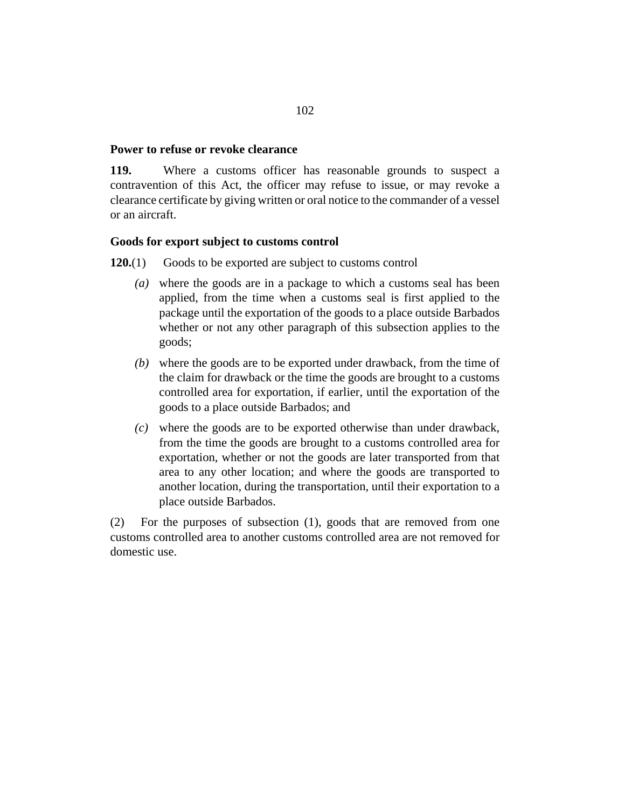#### **Power to refuse or revoke clearance**

Where a customs officer has reasonable grounds to suspect a contravention of this Act, the officer may refuse to issue, or may revoke a clearance certificate by giving written or oral notice to the commander of a vessel or an aircraft. **119.**

#### **Goods for export subject to customs control**

Goods to be exported are subject to customs control **120.**(1)

- where the goods are in a package to which a customs seal has been *(a)* applied, from the time when a customs seal is first applied to the package until the exportation of the goods to a place outside Barbados whether or not any other paragraph of this subsection applies to the goods;
- where the goods are to be exported under drawback, from the time of *(b)* the claim for drawback or the time the goods are brought to a customs controlled area for exportation, if earlier, until the exportation of the goods to a place outside Barbados; and
- where the goods are to be exported otherwise than under drawback, *(c)* from the time the goods are brought to a customs controlled area for exportation, whether or not the goods are later transported from that area to any other location; and where the goods are transported to another location, during the transportation, until their exportation to a place outside Barbados.

For the purposes of subsection (1), goods that are removed from one customs controlled area to another customs controlled area are not removed for domestic use. (2)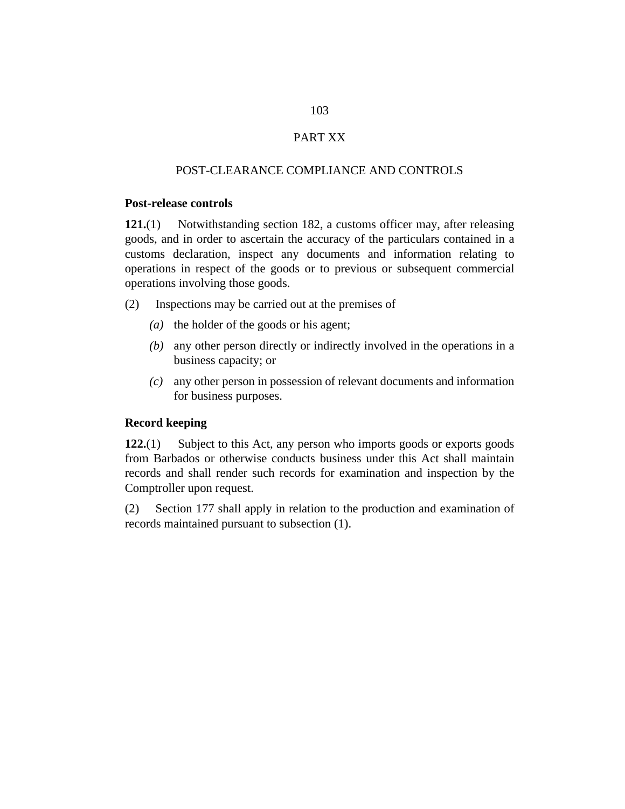## PART XX

#### POST-CLEARANCE COMPLIANCE AND CONTROLS

#### **Post-release controls**

Notwithstanding section 182, a customs officer may, after releasing goods, and in order to ascertain the accuracy of the particulars contained in a customs declaration, inspect any documents and information relating to operations in respect of the goods or to previous or subsequent commercial operations involving those goods. **121.**(1)

Inspections may be carried out at the premises of (2)

- (a) the holder of the goods or his agent;
- any other person directly or indirectly involved in the operations in a *(b)* business capacity; or
- any other person in possession of relevant documents and information *(c)* for business purposes.

#### **Record keeping**

Subject to this Act, any person who imports goods or exports goods from Barbados or otherwise conducts business under this Act shall maintain records and shall render such records for examination and inspection by the Comptroller upon request. **122.**(1)

Section 177 shall apply in relation to the production and examination of records maintained pursuant to subsection (1). (2)

103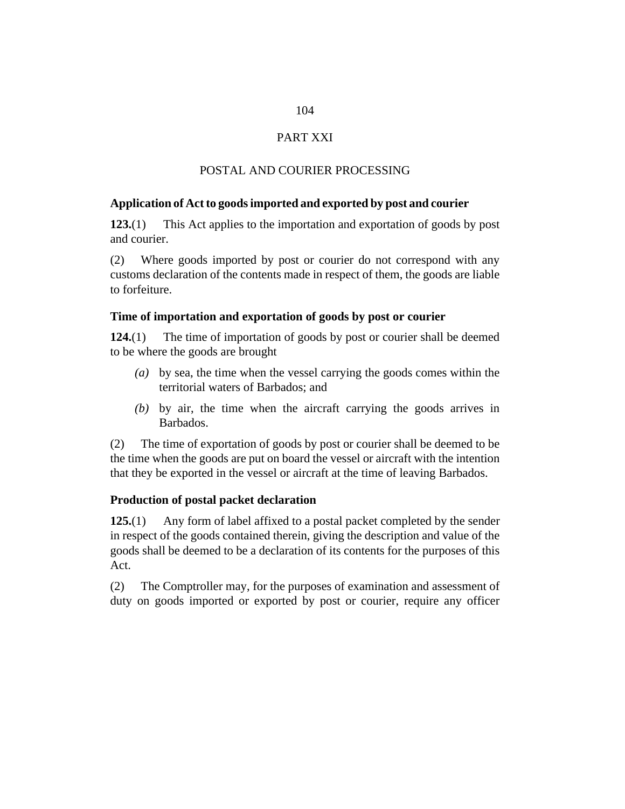# 104

#### PART XXI

#### POSTAL AND COURIER PROCESSING

#### **Application of Act to goods imported and exported by post and courier**

This Act applies to the importation and exportation of goods by post and courier. **123.**(1)

Where goods imported by post or courier do not correspond with any customs declaration of the contents made in respect of them, the goods are liable to forfeiture. (2)

#### **Time of importation and exportation of goods by post or courier**

The time of importation of goods by post or courier shall be deemed to be where the goods are brought **124.**(1)

- by sea, the time when the vessel carrying the goods comes within the *(a)* territorial waters of Barbados; and
- by air, the time when the aircraft carrying the goods arrives in *(b)* Barbados.

The time of exportation of goods by post or courier shall be deemed to be the time when the goods are put on board the vessel or aircraft with the intention that they be exported in the vessel or aircraft at the time of leaving Barbados. (2)

#### **Production of postal packet declaration**

Any form of label affixed to a postal packet completed by the sender in respect of the goods contained therein, giving the description and value of the goods shall be deemed to be a declaration of its contents for the purposes of this Act. **125.**(1)

The Comptroller may, for the purposes of examination and assessment of duty on goods imported or exported by post or courier, require any officer (2)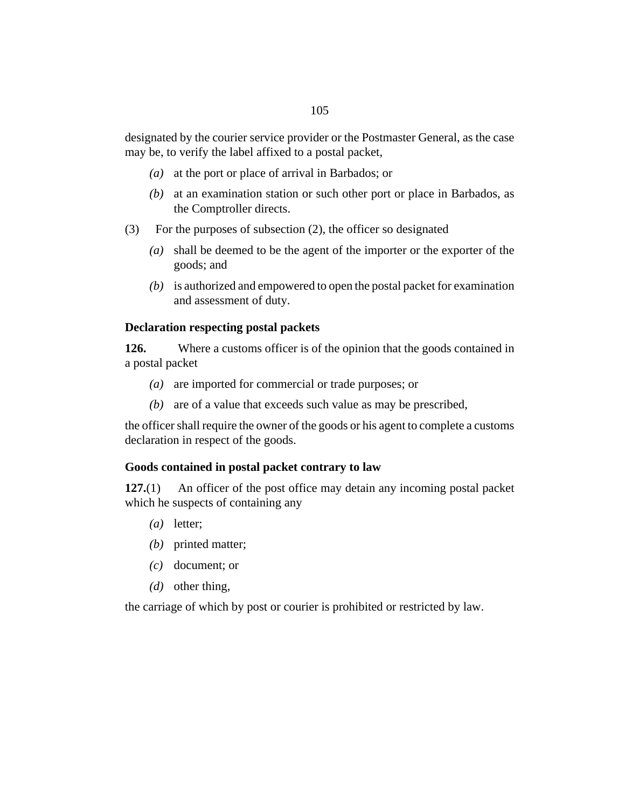designated by the courier service provider or the Postmaster General, as the case may be, to verify the label affixed to a postal packet,

- at the port or place of arrival in Barbados; or *(a)*
- (b) at an examination station or such other port or place in Barbados, as the Comptroller directs.
- For the purposes of subsection (2), the officer so designated (3)
	- shall be deemed to be the agent of the importer or the exporter of the *(a)* goods; and
	- (b) is authorized and empowered to open the postal packet for examination and assessment of duty.

#### **Declaration respecting postal packets**

Where a customs officer is of the opinion that the goods contained in a postal packet **126.**

- (a) are imported for commercial or trade purposes; or
- are of a value that exceeds such value as may be prescribed, *(b)*

the officer shall require the owner of the goods or his agent to complete a customs declaration in respect of the goods.

#### **Goods contained in postal packet contrary to law**

An officer of the post office may detain any incoming postal packet which he suspects of containing any **127.**(1)

- letter; *(a)*
- (b) printed matter;
- document; or *(c)*
- (*d*) other thing,

the carriage of which by post or courier is prohibited or restricted by law.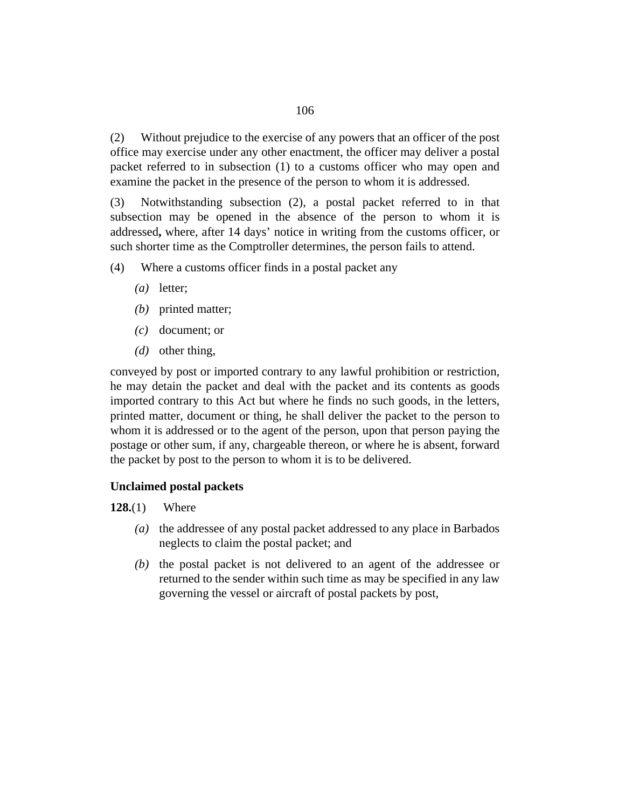Without prejudice to the exercise of any powers that an officer of the post office may exercise under any other enactment, the officer may deliver a postal packet referred to in subsection (1) to a customs officer who may open and examine the packet in the presence of the person to whom it is addressed. (2)

Notwithstanding subsection (2), a postal packet referred to in that subsection may be opened in the absence of the person to whom it is addressed**,** where, after 14 days' notice in writing from the customs officer, or such shorter time as the Comptroller determines, the person fails to attend. (3)

- Where a customs officer finds in a postal packet any (4)
	- letter; *(a)*
	- (b) printed matter;
	- document; or *(c)*
	- (*d*) other thing,

conveyed by post or imported contrary to any lawful prohibition or restriction, he may detain the packet and deal with the packet and its contents as goods imported contrary to this Act but where he finds no such goods, in the letters, printed matter, document or thing, he shall deliver the packet to the person to whom it is addressed or to the agent of the person, upon that person paying the postage or other sum, if any, chargeable thereon, or where he is absent, forward the packet by post to the person to whom it is to be delivered.

#### **Unclaimed postal packets**

Where **128.**(1)

- (a) the addressee of any postal packet addressed to any place in Barbados neglects to claim the postal packet; and
- $(b)$  the postal packet is not delivered to an agent of the addressee or returned to the sender within such time as may be specified in any law governing the vessel or aircraft of postal packets by post,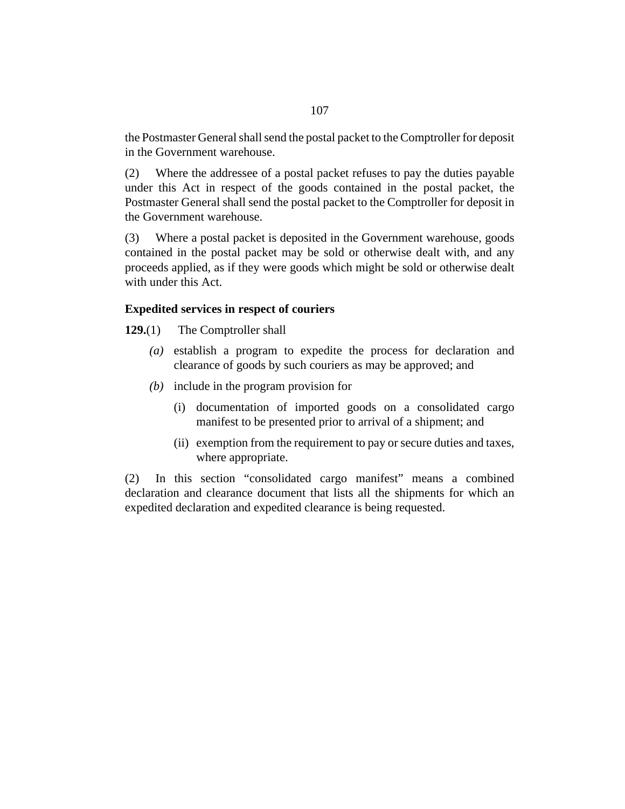the Postmaster General shall send the postal packet to the Comptroller for deposit in the Government warehouse.

Where the addressee of a postal packet refuses to pay the duties payable under this Act in respect of the goods contained in the postal packet, the Postmaster General shall send the postal packet to the Comptroller for deposit in the Government warehouse. (2)

Where a postal packet is deposited in the Government warehouse, goods contained in the postal packet may be sold or otherwise dealt with, and any proceeds applied, as if they were goods which might be sold or otherwise dealt with under this Act. (3)

#### **Expedited services in respect of couriers**

The Comptroller shall **129.**(1)

- establish a program to expedite the process for declaration and *(a)* clearance of goods by such couriers as may be approved; and
- (b) include in the program provision for
	- (i) documentation of imported goods on a consolidated cargo manifest to be presented prior to arrival of a shipment; and
	- (ii) exemption from the requirement to pay or secure duties and taxes, where appropriate.

In this section "consolidated cargo manifest" means a combined declaration and clearance document that lists all the shipments for which an expedited declaration and expedited clearance is being requested. (2)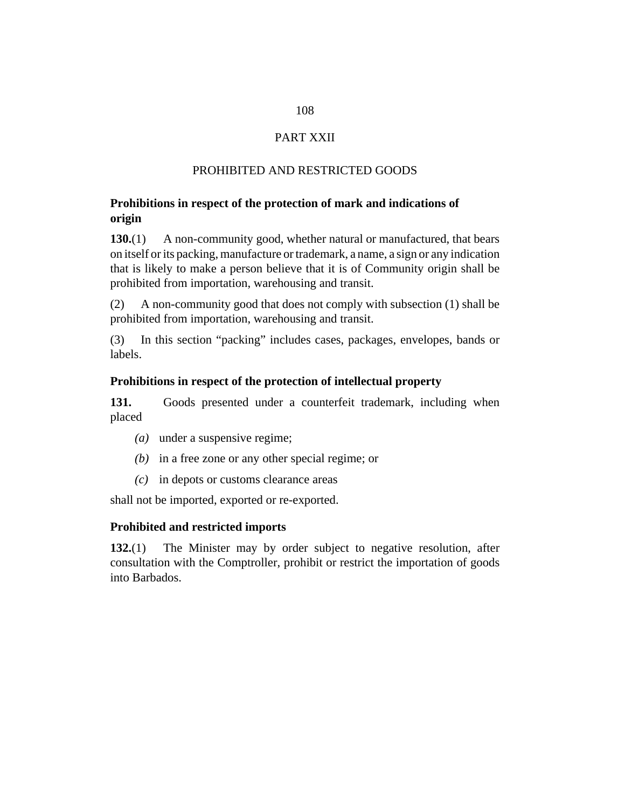# 108

### PART XXII

#### PROHIBITED AND RESTRICTED GOODS

#### **Prohibitions in respect of the protection of mark and indications of origin**

A non-community good, whether natural or manufactured, that bears on itself or its packing, manufacture or trademark, a name, a sign or any indication that is likely to make a person believe that it is of Community origin shall be prohibited from importation, warehousing and transit. **130.**(1)

A non-community good that does not comply with subsection (1) shall be prohibited from importation, warehousing and transit. (2)

In this section "packing" includes cases, packages, envelopes, bands or labels. (3)

#### **Prohibitions in respect of the protection of intellectual property**

Goods presented under a counterfeit trademark, including when placed **131.**

- (a) under a suspensive regime;
- $(b)$  in a free zone or any other special regime; or
- in depots or customs clearance areas *(c)*

shall not be imported, exported or re-exported.

#### **Prohibited and restricted imports**

The Minister may by order subject to negative resolution, after consultation with the Comptroller, prohibit or restrict the importation of goods into Barbados. **132.**(1)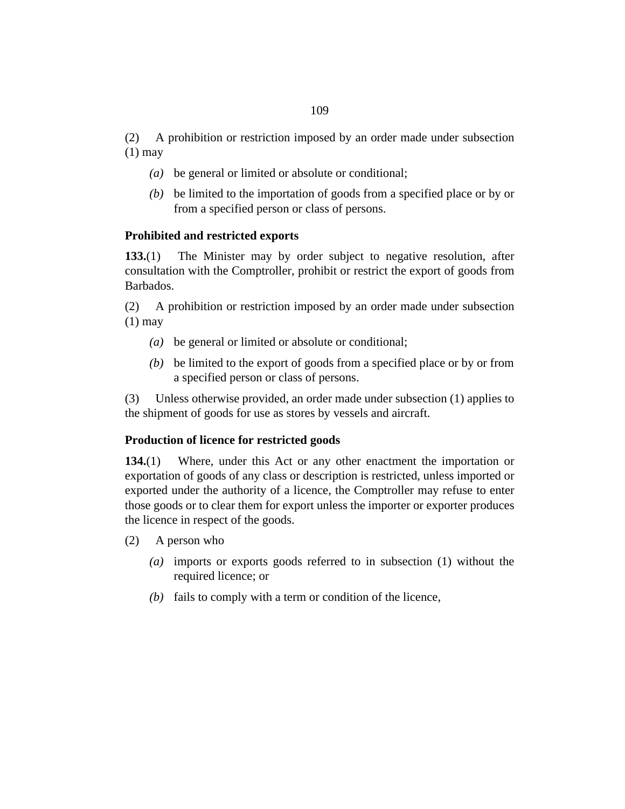A prohibition or restriction imposed by an order made under subsection  $(1)$  may (2)

- be general or limited or absolute or conditional; *(a)*
- be limited to the importation of goods from a specified place or by or *(b)* from a specified person or class of persons.

# **Prohibited and restricted exports**

The Minister may by order subject to negative resolution, after consultation with the Comptroller, prohibit or restrict the export of goods from Barbados. **133.**(1)

A prohibition or restriction imposed by an order made under subsection  $(1)$  may (2)

- be general or limited or absolute or conditional; *(a)*
- be limited to the export of goods from a specified place or by or from *(b)* a specified person or class of persons.

Unless otherwise provided, an order made under subsection (1) applies to the shipment of goods for use as stores by vessels and aircraft. (3)

# **Production of licence for restricted goods**

Where, under this Act or any other enactment the importation or exportation of goods of any class or description is restricted, unless imported or exported under the authority of a licence, the Comptroller may refuse to enter those goods or to clear them for export unless the importer or exporter produces the licence in respect of the goods. **134.**(1)

- A person who (2)
	- imports or exports goods referred to in subsection (1) without the *(a)* required licence; or
	- $f(b)$  fails to comply with a term or condition of the licence,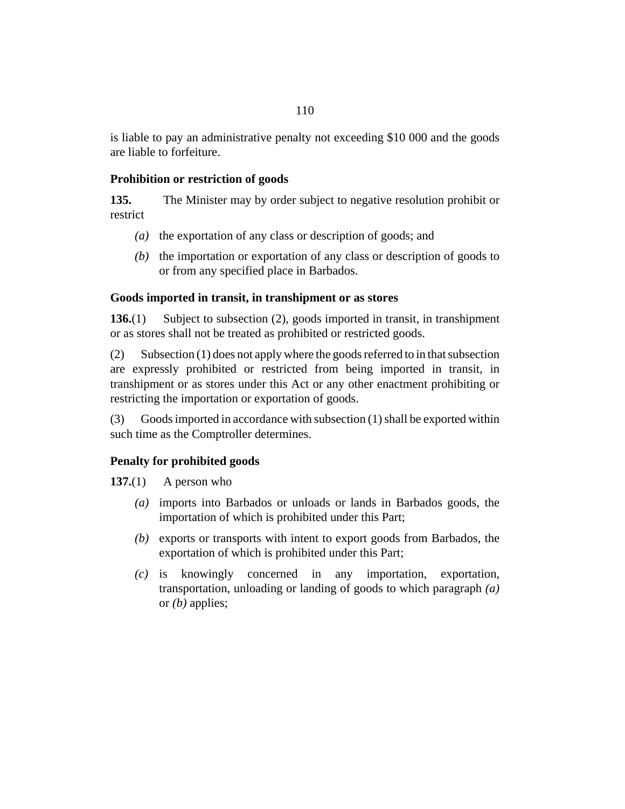# **Prohibition or restriction of goods**

The Minister may by order subject to negative resolution prohibit or restrict **135.**

- (a) the exportation of any class or description of goods; and
- $(b)$  the importation or exportation of any class or description of goods to or from any specified place in Barbados.

# **Goods imported in transit, in transhipment or as stores**

Subject to subsection (2), goods imported in transit, in transhipment or as stores shall not be treated as prohibited or restricted goods. **136.**(1)

Subsection (1) does not apply where the goods referred to in that subsection are expressly prohibited or restricted from being imported in transit, in transhipment or as stores under this Act or any other enactment prohibiting or restricting the importation or exportation of goods. (2)

Goods imported in accordance with subsection (1) shall be exported within such time as the Comptroller determines. (3)

# **Penalty for prohibited goods**

A person who **137.**(1)

- imports into Barbados or unloads or lands in Barbados goods, the *(a)* importation of which is prohibited under this Part;
- (b) exports or transports with intent to export goods from Barbados, the exportation of which is prohibited under this Part;
- knowingly concerned in any importation, exportation, transportation, unloading or landing of goods to which paragraph *(a)* or *(b)* applies; *(c)*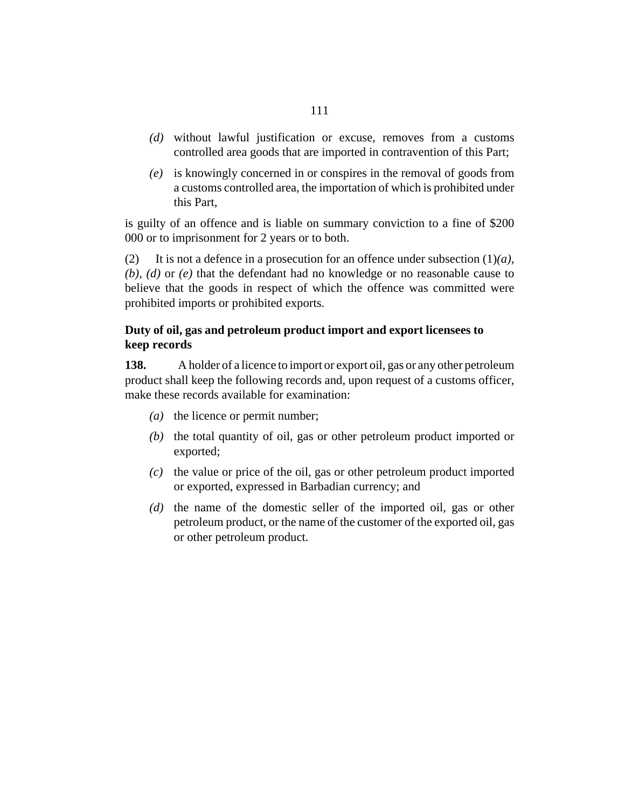- without lawful justification or excuse, removes from a customs *(d)* controlled area goods that are imported in contravention of this Part;
- is knowingly concerned in or conspires in the removal of goods from *(e)* a customs controlled area, the importation of which is prohibited under this Part,

is guilty of an offence and is liable on summary conviction to a fine of \$200 000 or to imprisonment for 2 years or to both.

It is not a defence in a prosecution for an offence under subsection (1)*(a)*, *(b)*, *(d)* or *(e)* that the defendant had no knowledge or no reasonable cause to believe that the goods in respect of which the offence was committed were prohibited imports or prohibited exports. (2)

# **Duty of oil, gas and petroleum product import and export licensees to keep records**

A holder of a licence to import or export oil, gas or any other petroleum product shall keep the following records and, upon request of a customs officer, make these records available for examination: **138.**

- (a) the licence or permit number;
- $(b)$  the total quantity of oil, gas or other petroleum product imported or exported;
- $\alpha$  the value or price of the oil, gas or other petroleum product imported or exported, expressed in Barbadian currency; and
- (d) the name of the domestic seller of the imported oil, gas or other petroleum product, or the name of the customer of the exported oil, gas or other petroleum product.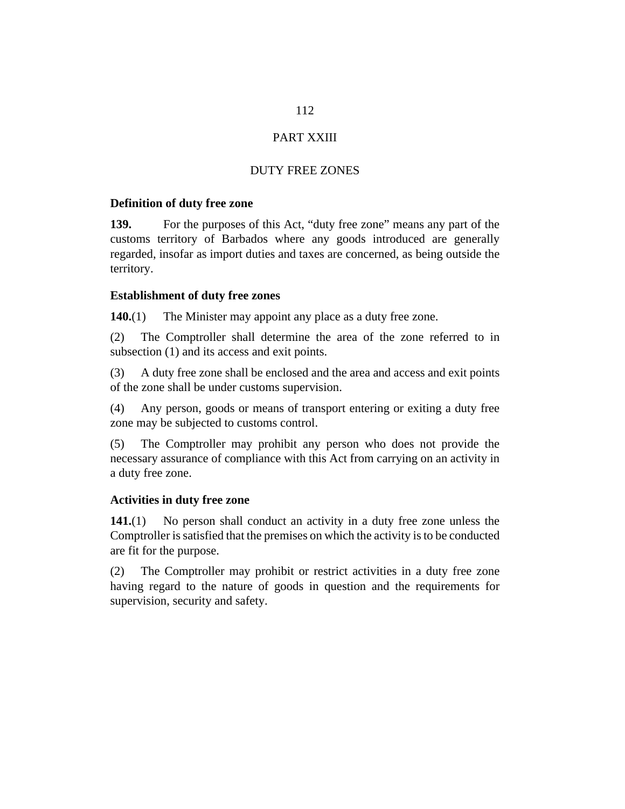# 112

# PART XXIII

# DUTY FREE ZONES

#### **Definition of duty free zone**

For the purposes of this Act, "duty free zone" means any part of the customs territory of Barbados where any goods introduced are generally regarded, insofar as import duties and taxes are concerned, as being outside the territory. **139.**

### **Establishment of duty free zones**

The Minister may appoint any place as a duty free zone. **140.**(1)

The Comptroller shall determine the area of the zone referred to in subsection (1) and its access and exit points. (2)

A duty free zone shall be enclosed and the area and access and exit points of the zone shall be under customs supervision. (3)

Any person, goods or means of transport entering or exiting a duty free zone may be subjected to customs control. (4)

The Comptroller may prohibit any person who does not provide the necessary assurance of compliance with this Act from carrying on an activity in a duty free zone. (5)

#### **Activities in duty free zone**

No person shall conduct an activity in a duty free zone unless the Comptroller is satisfied that the premises on which the activity is to be conducted are fit for the purpose. **141.**(1)

The Comptroller may prohibit or restrict activities in a duty free zone having regard to the nature of goods in question and the requirements for supervision, security and safety. (2)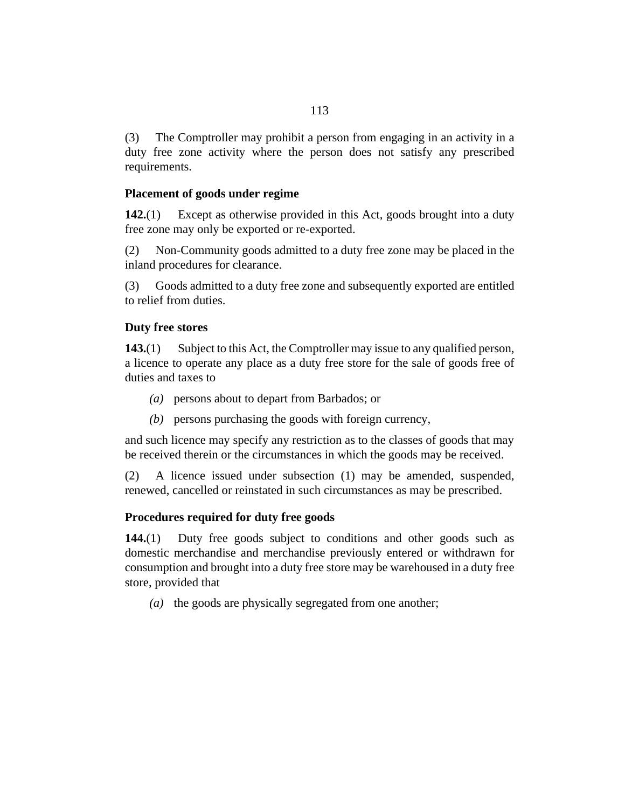The Comptroller may prohibit a person from engaging in an activity in a duty free zone activity where the person does not satisfy any prescribed requirements. (3)

#### **Placement of goods under regime**

Except as otherwise provided in this Act, goods brought into a duty free zone may only be exported or re-exported. **142.**(1)

Non-Community goods admitted to a duty free zone may be placed in the inland procedures for clearance. (2)

Goods admitted to a duty free zone and subsequently exported are entitled to relief from duties. (3)

# **Duty free stores**

Subject to this Act, the Comptroller may issue to any qualified person, a licence to operate any place as a duty free store for the sale of goods free of duties and taxes to **143.**(1)

- persons about to depart from Barbados; or *(a)*
- (b) persons purchasing the goods with foreign currency,

and such licence may specify any restriction as to the classes of goods that may be received therein or the circumstances in which the goods may be received.

A licence issued under subsection (1) may be amended, suspended, renewed, cancelled or reinstated in such circumstances as may be prescribed. (2)

#### **Procedures required for duty free goods**

Duty free goods subject to conditions and other goods such as domestic merchandise and merchandise previously entered or withdrawn for consumption and brought into a duty free store may be warehoused in a duty free store, provided that **144.**(1)

(a) the goods are physically segregated from one another;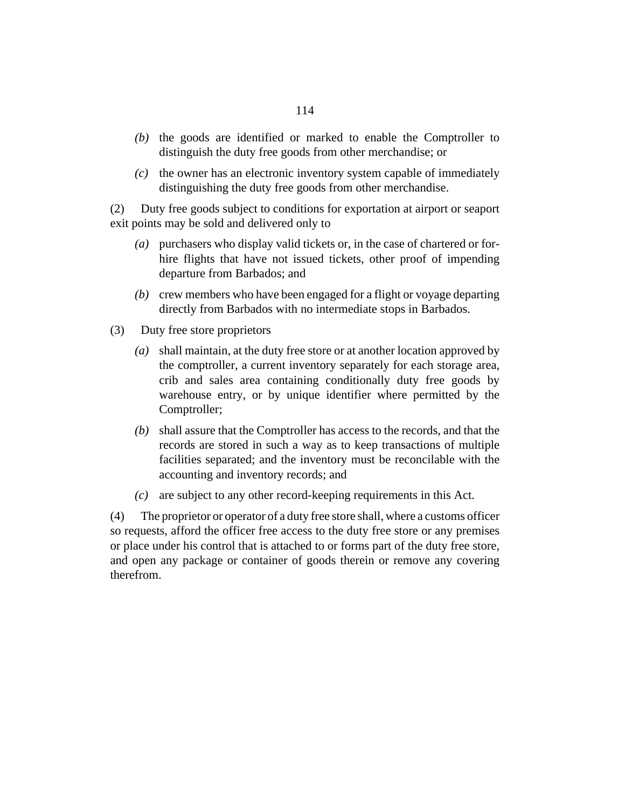- $(b)$  the goods are identified or marked to enable the Comptroller to distinguish the duty free goods from other merchandise; or
- the owner has an electronic inventory system capable of immediately *(c)* distinguishing the duty free goods from other merchandise.

Duty free goods subject to conditions for exportation at airport or seaport exit points may be sold and delivered only to (2)

- purchasers who display valid tickets or, in the case of chartered or for-*(a)* hire flights that have not issued tickets, other proof of impending departure from Barbados; and
- crew members who have been engaged for a flight or voyage departing *(b)* directly from Barbados with no intermediate stops in Barbados.
- Duty free store proprietors (3)
	- shall maintain, at the duty free store or at another location approved by *(a)* the comptroller, a current inventory separately for each storage area, crib and sales area containing conditionally duty free goods by warehouse entry, or by unique identifier where permitted by the Comptroller;
	- shall assure that the Comptroller has access to the records, and that the *(b)* records are stored in such a way as to keep transactions of multiple facilities separated; and the inventory must be reconcilable with the accounting and inventory records; and
	- are subject to any other record-keeping requirements in this Act. *(c)*

The proprietor or operator of a duty free store shall, where a customs officer so requests, afford the officer free access to the duty free store or any premises or place under his control that is attached to or forms part of the duty free store, and open any package or container of goods therein or remove any covering therefrom. (4)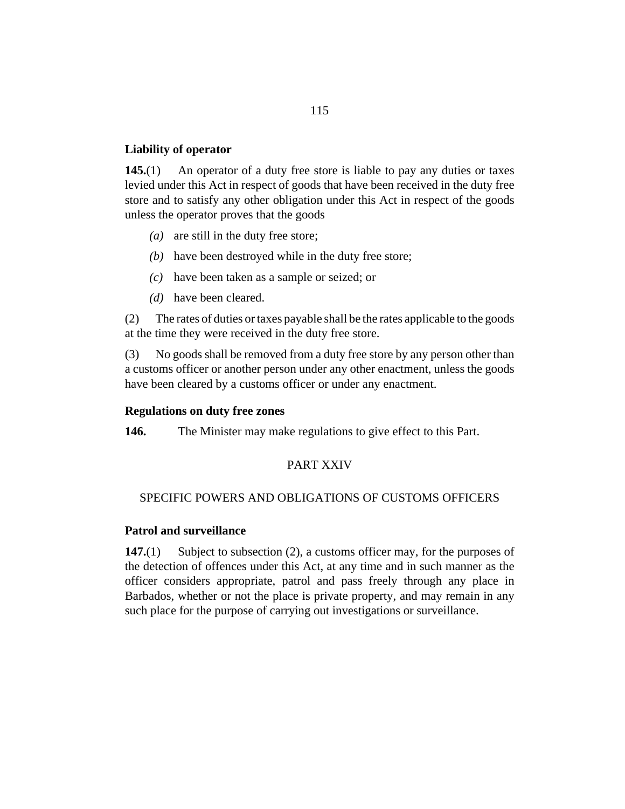### **Liability of operator**

An operator of a duty free store is liable to pay any duties or taxes levied under this Act in respect of goods that have been received in the duty free store and to satisfy any other obligation under this Act in respect of the goods unless the operator proves that the goods **145.**(1)

- $(a)$  are still in the duty free store;
- (b) have been destroyed while in the duty free store;
- have been taken as a sample or seized; or *(c)*
- have been cleared. *(d)*

The rates of duties or taxes payable shall be the rates applicable to the goods at the time they were received in the duty free store. (2)

No goods shall be removed from a duty free store by any person other than a customs officer or another person under any other enactment, unless the goods have been cleared by a customs officer or under any enactment. (3)

#### **Regulations on duty free zones**

The Minister may make regulations to give effect to this Part. **146.**

#### PART XXIV

#### SPECIFIC POWERS AND OBLIGATIONS OF CUSTOMS OFFICERS

#### **Patrol and surveillance**

Subject to subsection (2), a customs officer may, for the purposes of the detection of offences under this Act, at any time and in such manner as the officer considers appropriate, patrol and pass freely through any place in Barbados, whether or not the place is private property, and may remain in any such place for the purpose of carrying out investigations or surveillance. **147.**(1)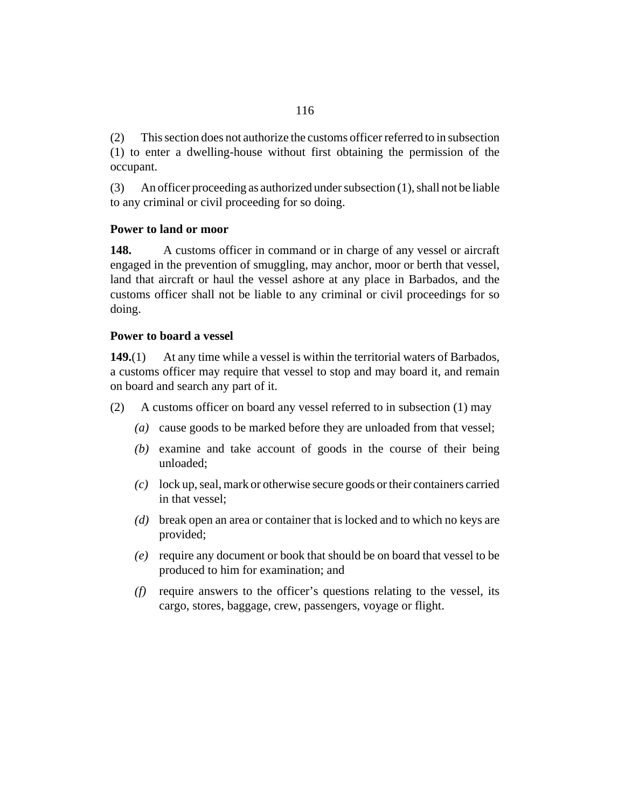This section does not authorize the customs officer referred to in subsection (1) to enter a dwelling-house without first obtaining the permission of the occupant. (2)

An officer proceeding as authorized under subsection (1), shall not be liable to any criminal or civil proceeding for so doing. (3)

# **Power to land or moor**

A customs officer in command or in charge of any vessel or aircraft engaged in the prevention of smuggling, may anchor, moor or berth that vessel, land that aircraft or haul the vessel ashore at any place in Barbados, and the customs officer shall not be liable to any criminal or civil proceedings for so doing. **148.**

### **Power to board a vessel**

At any time while a vessel is within the territorial waters of Barbados, a customs officer may require that vessel to stop and may board it, and remain on board and search any part of it. **149.**(1)

- A customs officer on board any vessel referred to in subsection (1) may (2)
	- cause goods to be marked before they are unloaded from that vessel; *(a)*
	- (b) examine and take account of goods in the course of their being unloaded;
	- (c) lock up, seal, mark or otherwise secure goods or their containers carried in that vessel;
	- break open an area or container that is locked and to which no keys are *(d)* provided;
	- require any document or book that should be on board that vessel to be *(e)* produced to him for examination; and
	- require answers to the officer's questions relating to the vessel, its *(f)* cargo, stores, baggage, crew, passengers, voyage or flight.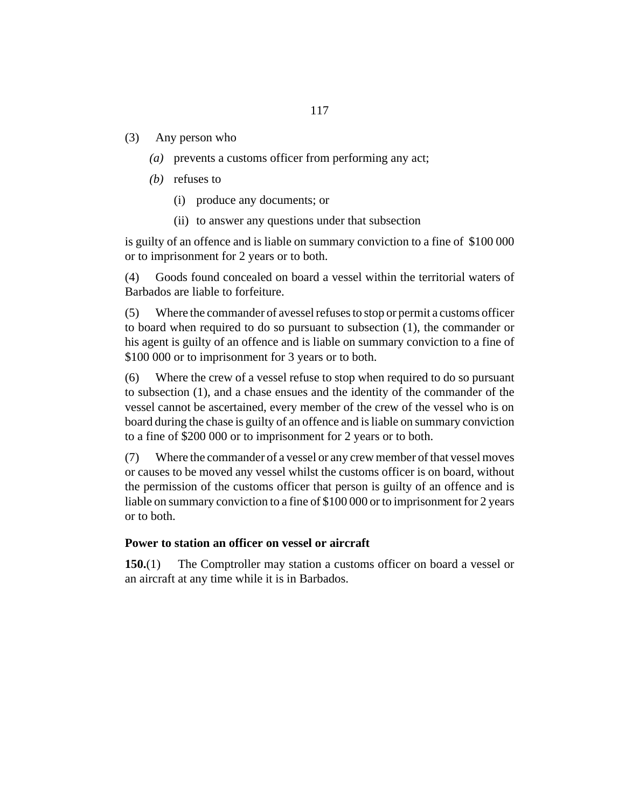- Any person who (3)
	- prevents a customs officer from performing any act; *(a)*
	- (*b*) refuses to
		- produce any documents; or (i)
		- (ii) to answer any questions under that subsection

is guilty of an offence and is liable on summary conviction to a fine of \$100 000 or to imprisonment for 2 years or to both.

Goods found concealed on board a vessel within the territorial waters of Barbados are liable to forfeiture. (4)

Where the commander of avessel refuses to stop or permit a customs officer to board when required to do so pursuant to subsection (1), the commander or his agent is guilty of an offence and is liable on summary conviction to a fine of \$100 000 or to imprisonment for 3 years or to both. (5)

Where the crew of a vessel refuse to stop when required to do so pursuant to subsection (1), and a chase ensues and the identity of the commander of the vessel cannot be ascertained, every member of the crew of the vessel who is on board during the chase is guilty of an offence and is liable on summary conviction to a fine of \$200 000 or to imprisonment for 2 years or to both. (6)

Where the commander of a vessel or any crew member of that vessel moves or causes to be moved any vessel whilst the customs officer is on board, without the permission of the customs officer that person is guilty of an offence and is liable on summary conviction to a fine of \$100 000 or to imprisonment for 2 years or to both. (7)

#### **Power to station an officer on vessel or aircraft**

The Comptroller may station a customs officer on board a vessel or an aircraft at any time while it is in Barbados. **150.**(1)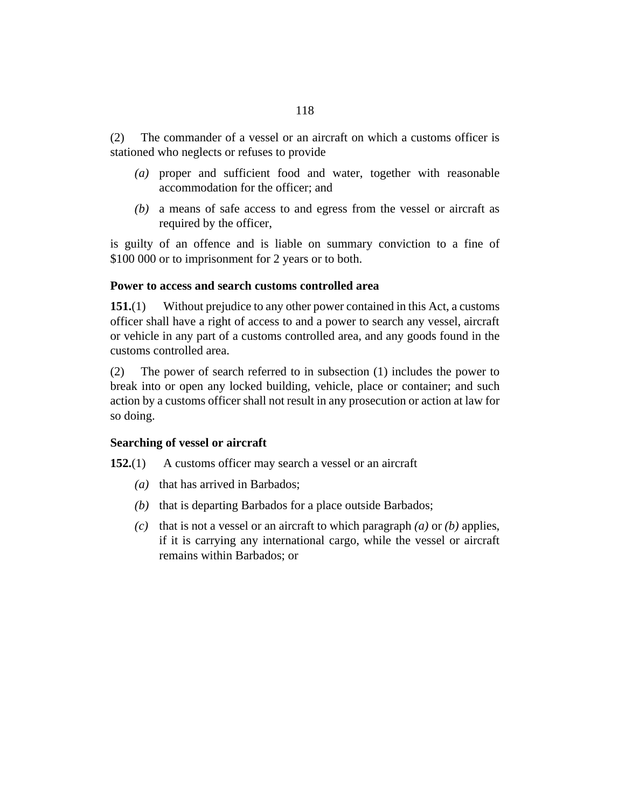The commander of a vessel or an aircraft on which a customs officer is stationed who neglects or refuses to provide (2)

- proper and sufficient food and water, together with reasonable *(a)* accommodation for the officer; and
- a means of safe access to and egress from the vessel or aircraft as *(b)* required by the officer,

is guilty of an offence and is liable on summary conviction to a fine of \$100 000 or to imprisonment for 2 years or to both.

# **Power to access and search customs controlled area**

Without prejudice to any other power contained in this Act, a customs officer shall have a right of access to and a power to search any vessel, aircraft or vehicle in any part of a customs controlled area, and any goods found in the customs controlled area. **151.**(1)

The power of search referred to in subsection (1) includes the power to break into or open any locked building, vehicle, place or container; and such action by a customs officer shall not result in any prosecution or action at law for so doing. (2)

# **Searching of vessel or aircraft**

A customs officer may search a vessel or an aircraft **152.**(1)

- (a) that has arrived in Barbados;
- (b) that is departing Barbados for a place outside Barbados;
- (c) that is not a vessel or an aircraft to which paragraph  $(a)$  or  $(b)$  applies, if it is carrying any international cargo, while the vessel or aircraft remains within Barbados; or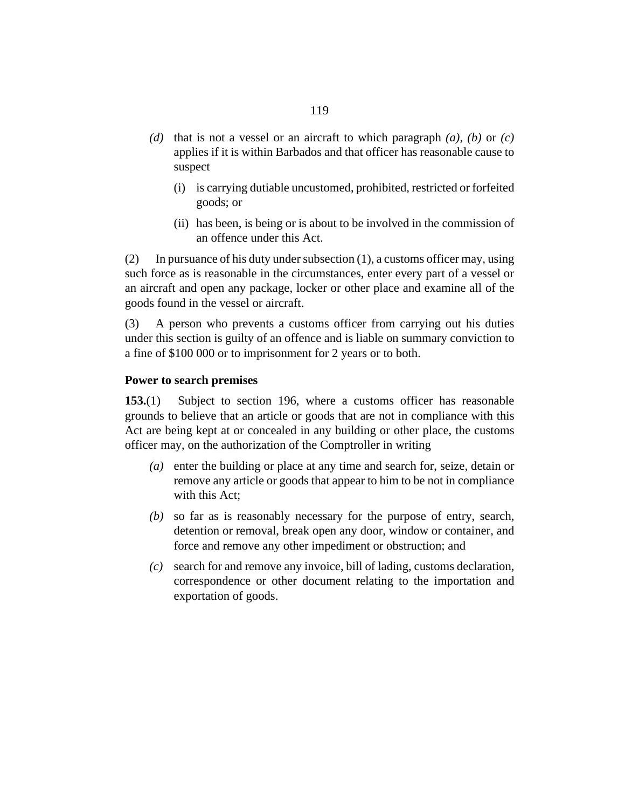- (d) that is not a vessel or an aircraft to which paragraph  $(a)$ ,  $(b)$  or  $(c)$ applies if it is within Barbados and that officer has reasonable cause to suspect
	- is carrying dutiable uncustomed, prohibited, restricted or forfeited (i) goods; or
	- (ii) has been, is being or is about to be involved in the commission of an offence under this Act.

In pursuance of his duty under subsection (1), a customs officer may, using such force as is reasonable in the circumstances, enter every part of a vessel or an aircraft and open any package, locker or other place and examine all of the goods found in the vessel or aircraft. (2)

A person who prevents a customs officer from carrying out his duties under this section is guilty of an offence and is liable on summary conviction to a fine of \$100 000 or to imprisonment for 2 years or to both. (3)

#### **Power to search premises**

Subject to [section 196](#page-146-0), where a customs officer has reasonable grounds to believe that an article or goods that are not in compliance with this Act are being kept at or concealed in any building or other place, the customs officer may, on the authorization of the Comptroller in writing **153.**(1)

- (a) enter the building or place at any time and search for, seize, detain or remove any article or goods that appear to him to be not in compliance with this Act:
- so far as is reasonably necessary for the purpose of entry, search, *(b)* detention or removal, break open any door, window or container, and force and remove any other impediment or obstruction; and
- search for and remove any invoice, bill of lading, customs declaration, *(c)* correspondence or other document relating to the importation and exportation of goods.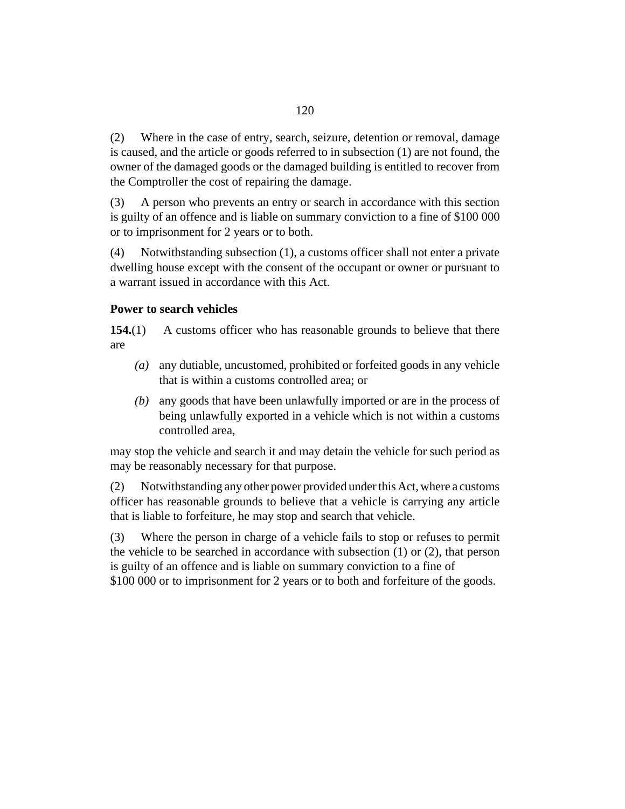Where in the case of entry, search, seizure, detention or removal, damage is caused, and the article or goods referred to in subsection (1) are not found, the owner of the damaged goods or the damaged building is entitled to recover from the Comptroller the cost of repairing the damage. (2)

A person who prevents an entry or search in accordance with this section is guilty of an offence and is liable on summary conviction to a fine of \$100 000 or to imprisonment for 2 years or to both. (3)

Notwithstanding subsection (1), a customs officer shall not enter a private dwelling house except with the consent of the occupant or owner or pursuant to a warrant issued in accordance with this Act. (4)

# **Power to search vehicles**

A customs officer who has reasonable grounds to believe that there are **154.**(1)

- any dutiable, uncustomed, prohibited or forfeited goods in any vehicle *(a)* that is within a customs controlled area; or
- any goods that have been unlawfully imported or are in the process of *(b)* being unlawfully exported in a vehicle which is not within a customs controlled area,

may stop the vehicle and search it and may detain the vehicle for such period as may be reasonably necessary for that purpose.

Notwithstanding any other power provided under this Act, where a customs officer has reasonable grounds to believe that a vehicle is carrying any article that is liable to forfeiture, he may stop and search that vehicle. (2)

Where the person in charge of a vehicle fails to stop or refuses to permit the vehicle to be searched in accordance with subsection (1) or (2), that person is guilty of an offence and is liable on summary conviction to a fine of \$100 000 or to imprisonment for 2 years or to both and forfeiture of the goods. (3)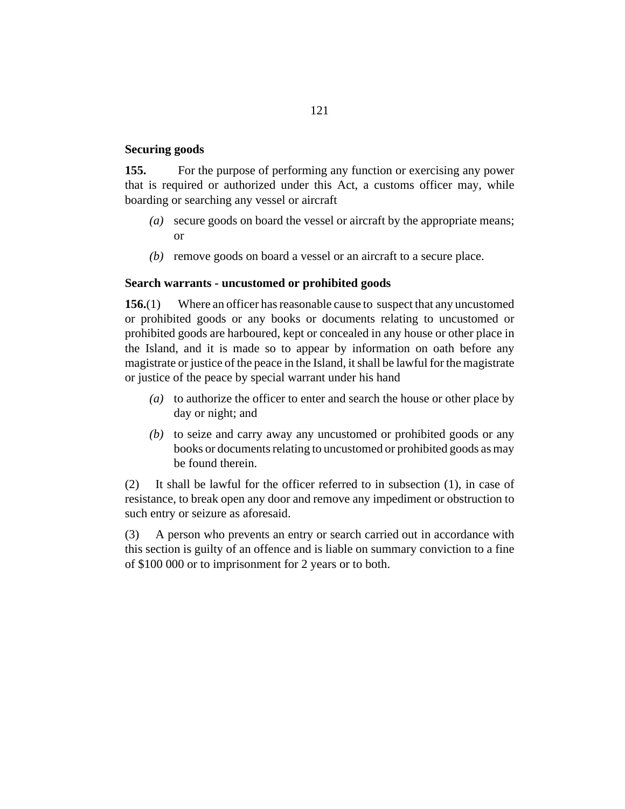#### **Securing goods**

For the purpose of performing any function or exercising any power that is required or authorized under this Act, a customs officer may, while boarding or searching any vessel or aircraft **155.**

- secure goods on board the vessel or aircraft by the appropriate means; *(a)* or
- (b) remove goods on board a vessel or an aircraft to a secure place.

#### **Search warrants - uncustomed or prohibited goods**

Where an officer has reasonable cause to suspect that any uncustomed or prohibited goods or any books or documents relating to uncustomed or prohibited goods are harboured, kept or concealed in any house or other place in the Island, and it is made so to appear by information on oath before any magistrate or justice of the peace in the Island, it shall be lawful for the magistrate or justice of the peace by special warrant under his hand **156.**(1)

- to authorize the officer to enter and search the house or other place by *(a)* day or night; and
- (b) to seize and carry away any uncustomed or prohibited goods or any books or documents relating to uncustomed or prohibited goods as may be found therein.

It shall be lawful for the officer referred to in subsection (1), in case of resistance, to break open any door and remove any impediment or obstruction to such entry or seizure as aforesaid. (2)

A person who prevents an entry or search carried out in accordance with this section is guilty of an offence and is liable on summary conviction to a fine of \$100 000 or to imprisonment for 2 years or to both. (3)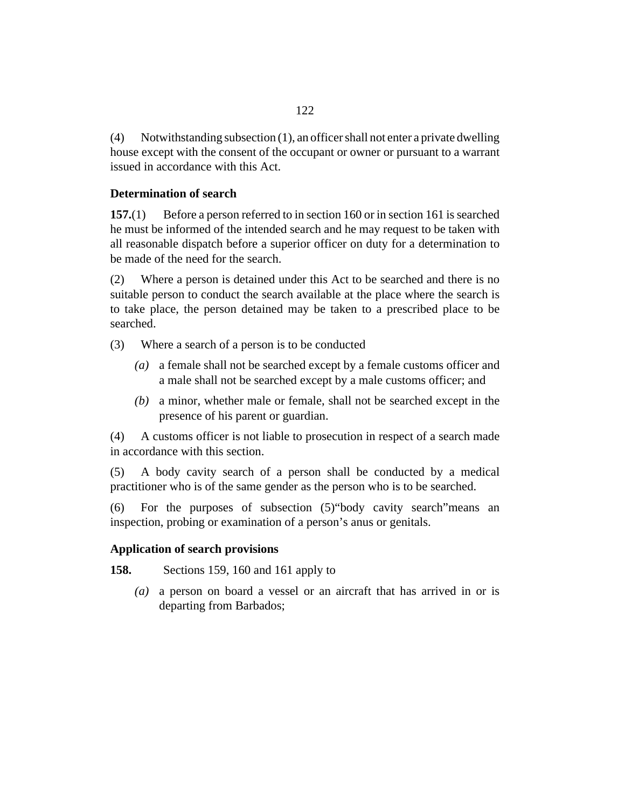<span id="page-121-0"></span>Notwithstanding subsection (1), an officer shall not enter a private dwelling house except with the consent of the occupant or owner or pursuant to a warrant issued in accordance with this Act. (4)

# **Determination of search**

Before a person referred to in [section 160](#page-122-0) or in [section 161](#page-123-0) is searched he must be informed of the intended search and he may request to be taken with all reasonable dispatch before a superior officer on duty for a determination to be made of the need for the search. **157.**(1)

Where a person is detained under this Act to be searched and there is no suitable person to conduct the search available at the place where the search is to take place, the person detained may be taken to a prescribed place to be searched. (2)

- Where a search of a person is to be conducted (3)
	- a female shall not be searched except by a female customs officer and *(a)* a male shall not be searched except by a male customs officer; and
	- a minor, whether male or female, shall not be searched except in the *(b)* presence of his parent or guardian.

A customs officer is not liable to prosecution in respect of a search made in accordance with this section. (4)

A body cavity search of a person shall be conducted by a medical practitioner who is of the same gender as the person who is to be searched. (5)

For the purposes of subsection (5)"body cavity search"means an inspection, probing or examination of a person's anus or genitals. (6)

#### **Application of search provisions**

Sections [159,](#page-122-0) [160](#page-122-0) and [161](#page-123-0) apply to **158.**

> a person on board a vessel or an aircraft that has arrived in or is *(a)* departing from Barbados;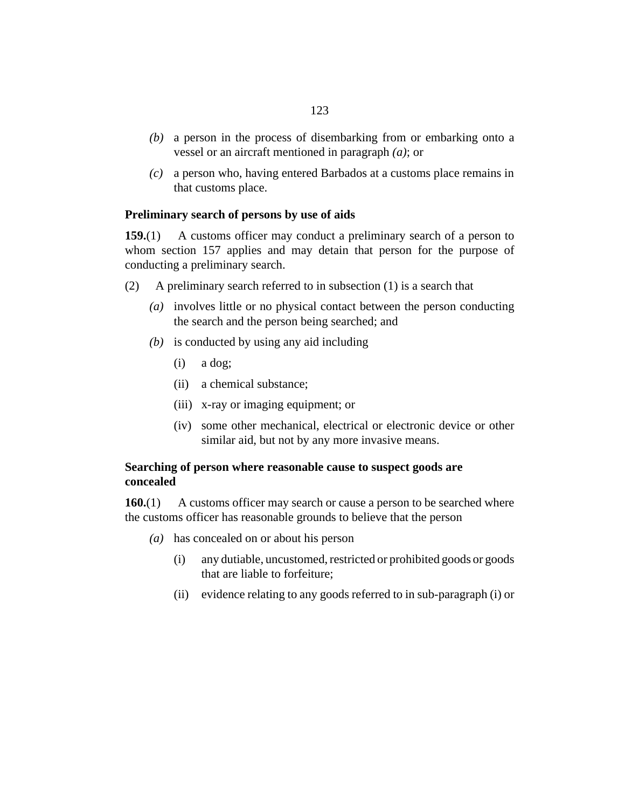- <span id="page-122-0"></span>a person in the process of disembarking from or embarking onto a *(b)* vessel or an aircraft mentioned in paragraph *(a)*; or
- a person who, having entered Barbados at a customs place remains in *(c)* that customs place.

#### **Preliminary search of persons by use of aids**

A customs officer may conduct a preliminary search of a person to whom [section 157](#page-121-0) applies and may detain that person for the purpose of conducting a preliminary search. **159.**(1)

- A preliminary search referred to in subsection (1) is a search that (2)
	- involves little or no physical contact between the person conducting *(a)* the search and the person being searched; and
	- is conducted by using any aid including *(b)*
		- a dog; (i)
		- a chemical substance; (ii)
		- x-ray or imaging equipment; or (iii)
		- (iv) some other mechanical, electrical or electronic device or other similar aid, but not by any more invasive means.

# **Searching of person where reasonable cause to suspect goods are concealed**

A customs officer may search or cause a person to be searched where the customs officer has reasonable grounds to believe that the person **160.**(1)

- has concealed on or about his person *(a)*
	- any dutiable, uncustomed, restricted or prohibited goods or goods that are liable to forfeiture; (i)
	- (ii) evidence relating to any goods referred to in sub-paragraph (i) or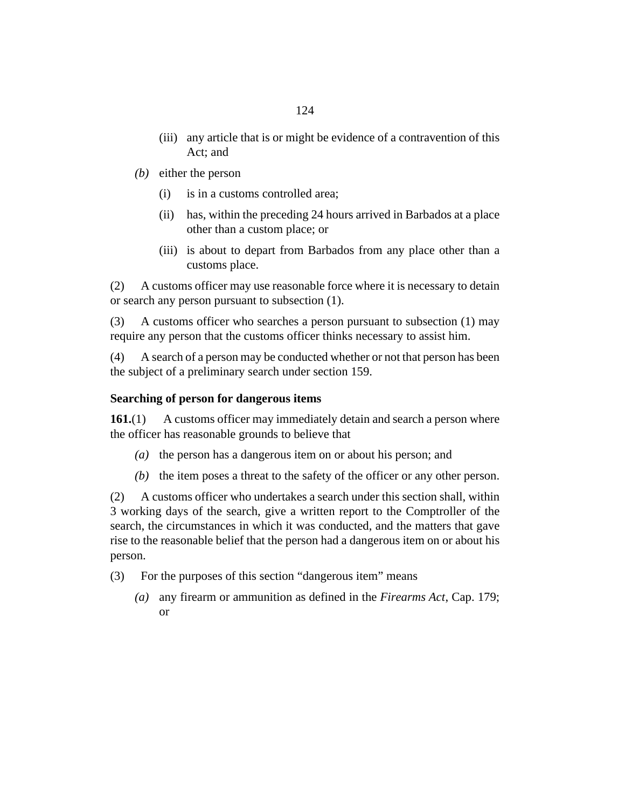- <span id="page-123-0"></span>(iii) any article that is or might be evidence of a contravention of this Act; and
- (b) either the person
	- is in a customs controlled area; (i)
	- (ii) has, within the preceding 24 hours arrived in Barbados at a place other than a custom place; or
	- (iii) is about to depart from Barbados from any place other than a customs place.

A customs officer may use reasonable force where it is necessary to detain or search any person pursuant to subsection (1). (2)

A customs officer who searches a person pursuant to subsection (1) may require any person that the customs officer thinks necessary to assist him. (3)

A search of a person may be conducted whether or not that person has been the subject of a preliminary search under [section 159.](#page-122-0) (4)

#### **Searching of person for dangerous items**

A customs officer may immediately detain and search a person where the officer has reasonable grounds to believe that **161.**(1)

- (a) the person has a dangerous item on or about his person; and
- $(b)$  the item poses a threat to the safety of the officer or any other person.

A customs officer who undertakes a search under this section shall, within 3 working days of the search, give a written report to the Comptroller of the search, the circumstances in which it was conducted, and the matters that gave rise to the reasonable belief that the person had a dangerous item on or about his person. (2)

- For the purposes of this section "dangerous item" means (3)
	- any firearm or ammunition as defined in the *[Firearms Act](http://barbadosparliament-laws.com/en/showdoc/cs/179)*, Cap. 179; *(a)* or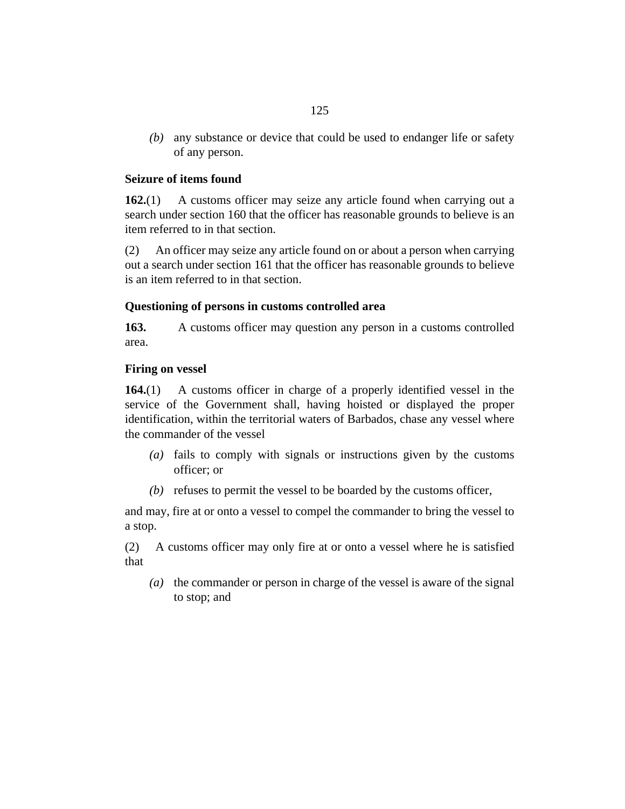any substance or device that could be used to endanger life or safety *(b)* of any person.

# **Seizure of items found**

A customs officer may seize any article found when carrying out a search under [section 160](#page-122-0) that the officer has reasonable grounds to believe is an item referred to in that section. **162.**(1)

An officer may seize any article found on or about a person when carrying out a search under [section 161](#page-123-0) that the officer has reasonable grounds to believe is an item referred to in that section. (2)

# **Questioning of persons in customs controlled area**

A customs officer may question any person in a customs controlled area. **163.**

# **Firing on vessel**

A customs officer in charge of a properly identified vessel in the service of the Government shall, having hoisted or displayed the proper identification, within the territorial waters of Barbados, chase any vessel where the commander of the vessel **164.**(1)

- fails to comply with signals or instructions given by the customs *(a)* officer; or
- (b) refuses to permit the vessel to be boarded by the customs officer,

and may, fire at or onto a vessel to compel the commander to bring the vessel to a stop.

A customs officer may only fire at or onto a vessel where he is satisfied that (2)

(a) the commander or person in charge of the vessel is aware of the signal to stop; and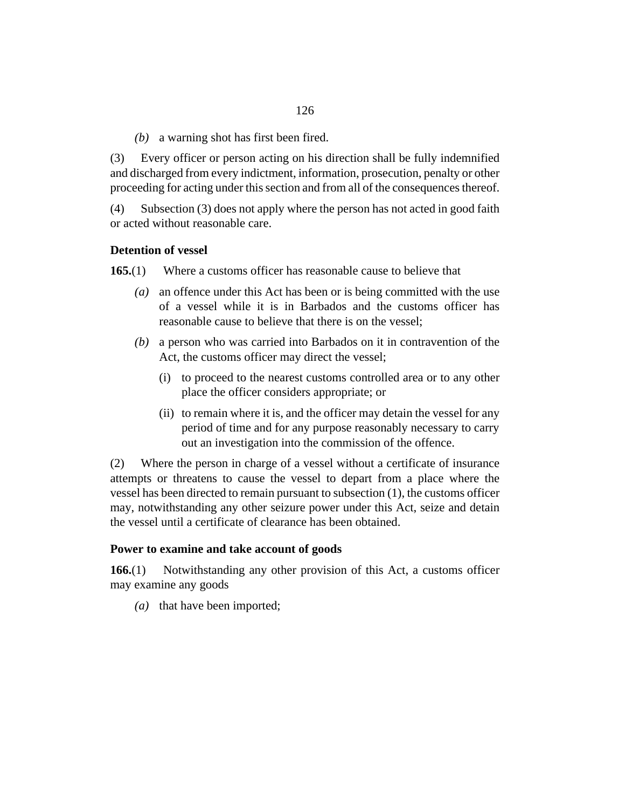a warning shot has first been fired. *(b)*

Every officer or person acting on his direction shall be fully indemnified and discharged from every indictment, information, prosecution, penalty or other proceeding for acting under this section and from all of the consequences thereof. (3)

Subsection (3) does not apply where the person has not acted in good faith or acted without reasonable care. (4)

### **Detention of vessel**

Where a customs officer has reasonable cause to believe that **165.**(1)

- an offence under this Act has been or is being committed with the use *(a)* of a vessel while it is in Barbados and the customs officer has reasonable cause to believe that there is on the vessel;
- a person who was carried into Barbados on it in contravention of the *(b)* Act, the customs officer may direct the vessel;
	- (i) to proceed to the nearest customs controlled area or to any other place the officer considers appropriate; or
	- (ii) to remain where it is, and the officer may detain the vessel for any period of time and for any purpose reasonably necessary to carry out an investigation into the commission of the offence.

Where the person in charge of a vessel without a certificate of insurance attempts or threatens to cause the vessel to depart from a place where the vessel has been directed to remain pursuant to subsection (1), the customs officer may, notwithstanding any other seizure power under this Act, seize and detain the vessel until a certificate of clearance has been obtained. (2)

#### **Power to examine and take account of goods**

Notwithstanding any other provision of this Act, a customs officer may examine any goods **166.**(1)

(a) that have been imported;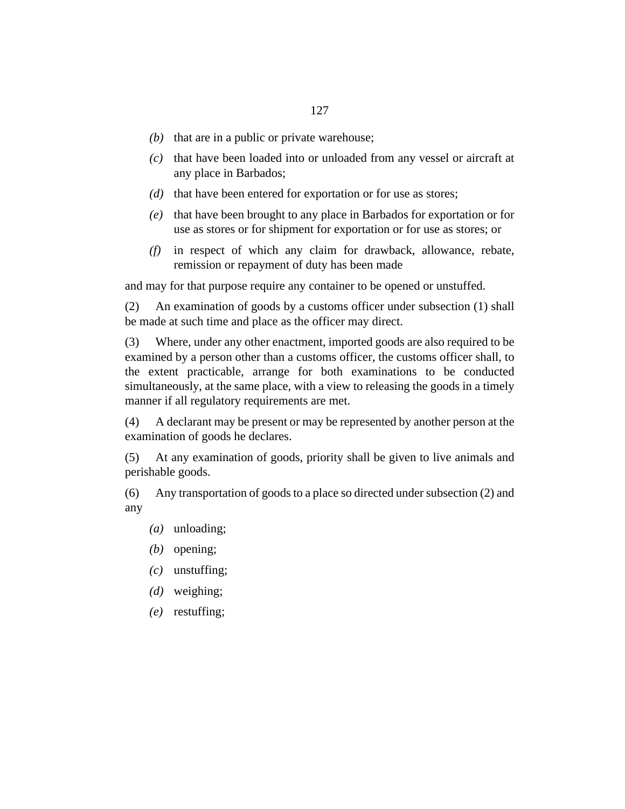- $(b)$  that are in a public or private warehouse;
- (c) that have been loaded into or unloaded from any vessel or aircraft at any place in Barbados;
- (d) that have been entered for exportation or for use as stores;
- (e) that have been brought to any place in Barbados for exportation or for use as stores or for shipment for exportation or for use as stores; or
- in respect of which any claim for drawback, allowance, rebate, *(f)* remission or repayment of duty has been made

and may for that purpose require any container to be opened or unstuffed.

An examination of goods by a customs officer under subsection (1) shall be made at such time and place as the officer may direct. (2)

Where, under any other enactment, imported goods are also required to be examined by a person other than a customs officer, the customs officer shall, to the extent practicable, arrange for both examinations to be conducted simultaneously, at the same place, with a view to releasing the goods in a timely manner if all regulatory requirements are met. (3)

A declarant may be present or may be represented by another person at the examination of goods he declares. (4)

At any examination of goods, priority shall be given to live animals and perishable goods. (5)

Any transportation of goods to a place so directed under subsection (2) and any (6)

- (*a*) unloading;
- (b) opening;
- unstuffing; *(c)*
- weighing; *(d)*
- restuffing; *(e)*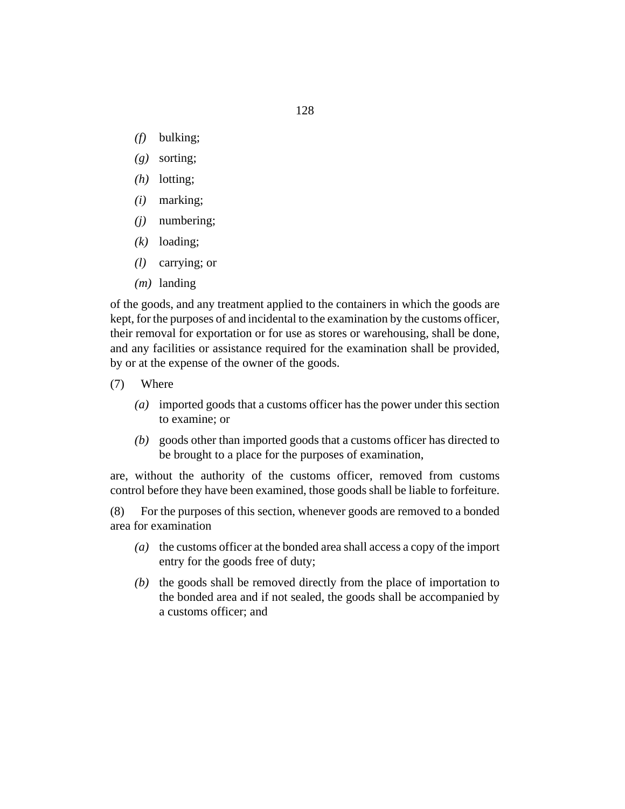- bulking; *(f)*
- sorting; *(g)*
- (h) lotting;
- marking; *(i)*
- numbering; *(j)*
- (k) loading;
- carrying; or *(l)*
- (*m*) landing

of the goods, and any treatment applied to the containers in which the goods are kept, for the purposes of and incidental to the examination by the customs officer, their removal for exportation or for use as stores or warehousing, shall be done, and any facilities or assistance required for the examination shall be provided, by or at the expense of the owner of the goods.

- Where (7)
	- imported goods that a customs officer has the power under this section *(a)* to examine; or
	- goods other than imported goods that a customs officer has directed to *(b)* be brought to a place for the purposes of examination,

are, without the authority of the customs officer, removed from customs control before they have been examined, those goods shall be liable to forfeiture.

For the purposes of this section, whenever goods are removed to a bonded area for examination (8)

- (a) the customs officer at the bonded area shall access a copy of the import entry for the goods free of duty;
- $(b)$  the goods shall be removed directly from the place of importation to the bonded area and if not sealed, the goods shall be accompanied by a customs officer; and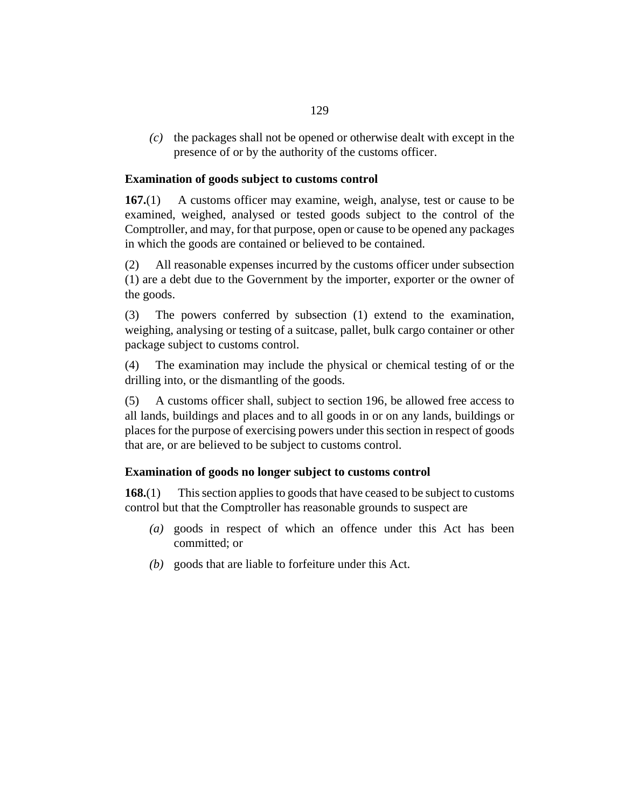<span id="page-128-0"></span> $\alpha$  the packages shall not be opened or otherwise dealt with except in the presence of or by the authority of the customs officer.

### **Examination of goods subject to customs control**

A customs officer may examine, weigh, analyse, test or cause to be examined, weighed, analysed or tested goods subject to the control of the Comptroller, and may, for that purpose, open or cause to be opened any packages in which the goods are contained or believed to be contained. **167.**(1)

All reasonable expenses incurred by the customs officer under subsection (1) are a debt due to the Government by the importer, exporter or the owner of the goods. (2)

The powers conferred by subsection (1) extend to the examination, weighing, analysing or testing of a suitcase, pallet, bulk cargo container or other package subject to customs control. (3)

The examination may include the physical or chemical testing of or the drilling into, or the dismantling of the goods. (4)

A customs officer shall, subject to [section 196,](#page-146-0) be allowed free access to all lands, buildings and places and to all goods in or on any lands, buildings or places for the purpose of exercising powers under this section in respect of goods that are, or are believed to be subject to customs control. (5)

#### **Examination of goods no longer subject to customs control**

This section applies to goods that have ceased to be subject to customs control but that the Comptroller has reasonable grounds to suspect are **168.**(1)

- goods in respect of which an offence under this Act has been *(a)* committed; or
- goods that are liable to forfeiture under this Act. *(b)*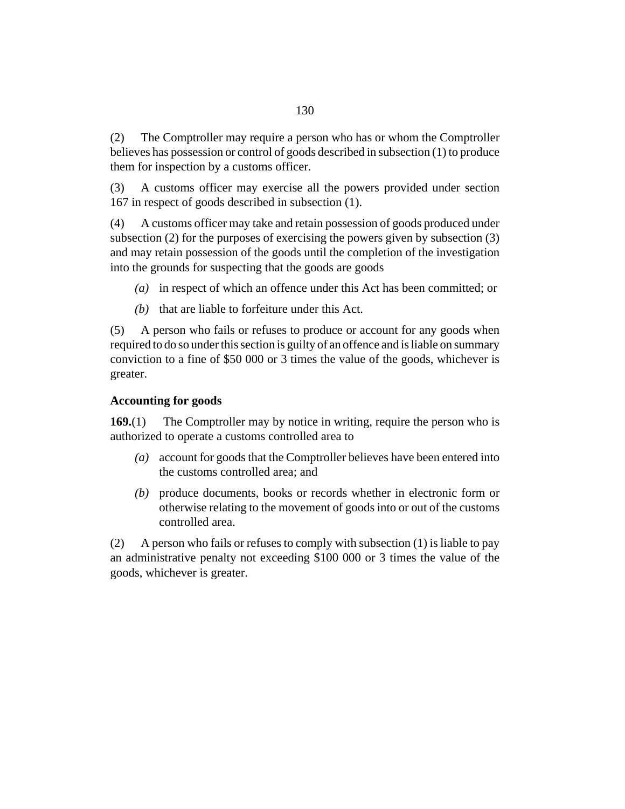The Comptroller may require a person who has or whom the Comptroller believes has possession or control of goods described in subsection (1) to produce them for inspection by a customs officer. (2)

A customs officer may exercise all the powers provided under [section](#page-128-0) [167](#page-128-0) in respect of goods described in subsection (1). (3)

A customs officer may take and retain possession of goods produced under subsection (2) for the purposes of exercising the powers given by subsection (3) and may retain possession of the goods until the completion of the investigation into the grounds for suspecting that the goods are goods (4)

- in respect of which an offence under this Act has been committed; or *(a)*
- $(b)$  that are liable to forfeiture under this Act.

A person who fails or refuses to produce or account for any goods when required to do so under this section is guilty of an offence and is liable on summary conviction to a fine of \$50 000 or 3 times the value of the goods, whichever is greater. (5)

# **Accounting for goods**

The Comptroller may by notice in writing, require the person who is authorized to operate a customs controlled area to **169.**(1)

- account for goods that the Comptroller believes have been entered into *(a)* the customs controlled area; and
- produce documents, books or records whether in electronic form or *(b)* otherwise relating to the movement of goods into or out of the customs controlled area.

A person who fails or refuses to comply with subsection (1) is liable to pay an administrative penalty not exceeding \$100 000 or 3 times the value of the goods, whichever is greater. (2)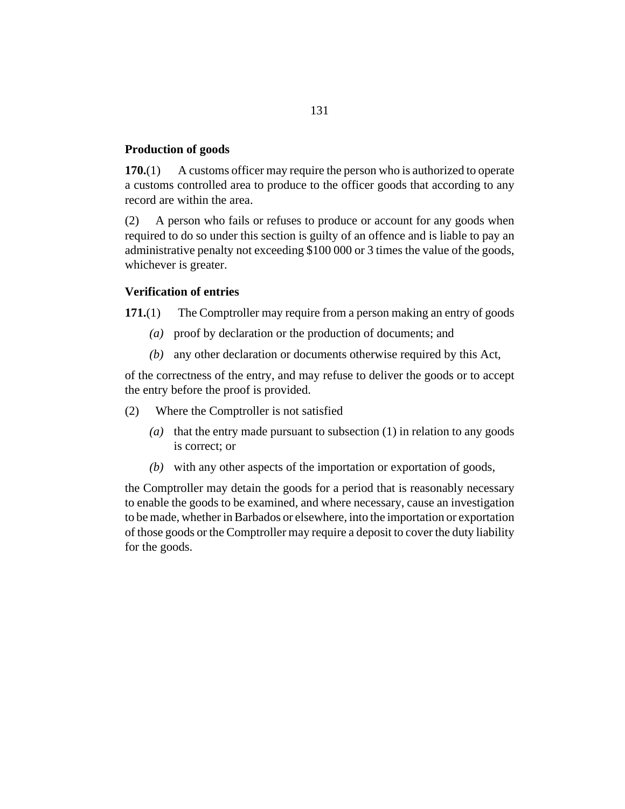#### **Production of goods**

A customs officer may require the person who is authorized to operate a customs controlled area to produce to the officer goods that according to any record are within the area. **170.**(1)

A person who fails or refuses to produce or account for any goods when required to do so under this section is guilty of an offence and is liable to pay an administrative penalty not exceeding \$100 000 or 3 times the value of the goods, whichever is greater. (2)

#### **Verification of entries**

The Comptroller may require from a person making an entry of goods **171.**(1)

- proof by declaration or the production of documents; and *(a)*
- any other declaration or documents otherwise required by this Act, *(b)*

of the correctness of the entry, and may refuse to deliver the goods or to accept the entry before the proof is provided.

- Where the Comptroller is not satisfied (2)
	- (a) that the entry made pursuant to subsection  $(1)$  in relation to any goods is correct; or
	- with any other aspects of the importation or exportation of goods, *(b)*

the Comptroller may detain the goods for a period that is reasonably necessary to enable the goods to be examined, and where necessary, cause an investigation to be made, whether in Barbados or elsewhere, into the importation or exportation of those goods or the Comptroller may require a deposit to cover the duty liability for the goods.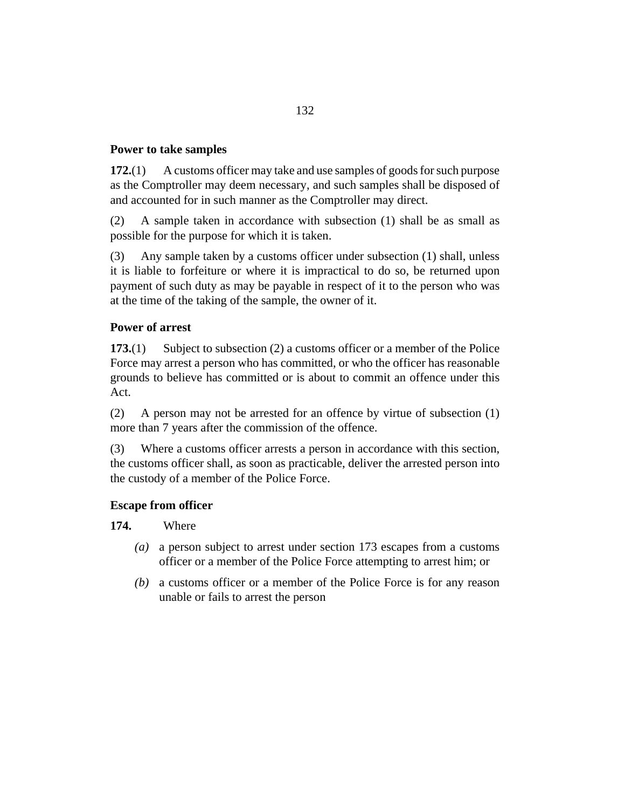### **Power to take samples**

A customs officer may take and use samples of goods for such purpose as the Comptroller may deem necessary, and such samples shall be disposed of and accounted for in such manner as the Comptroller may direct. **172.**(1)

A sample taken in accordance with subsection (1) shall be as small as possible for the purpose for which it is taken. (2)

Any sample taken by a customs officer under subsection (1) shall, unless it is liable to forfeiture or where it is impractical to do so, be returned upon payment of such duty as may be payable in respect of it to the person who was at the time of the taking of the sample, the owner of it. (3)

# **Power of arrest**

Subject to subsection (2) a customs officer or a member of the Police Force may arrest a person who has committed, or who the officer has reasonable grounds to believe has committed or is about to commit an offence under this Act. **173.**(1)

A person may not be arrested for an offence by virtue of subsection (1) more than 7 years after the commission of the offence. (2)

Where a customs officer arrests a person in accordance with this section, the customs officer shall, as soon as practicable, deliver the arrested person into the custody of a member of the Police Force. (3)

#### **Escape from officer**

Where **174.**

- a person subject to arrest under section 173 escapes from a customs *(a)* officer or a member of the Police Force attempting to arrest him; or
- a customs officer or a member of the Police Force is for any reason *(b)* unable or fails to arrest the person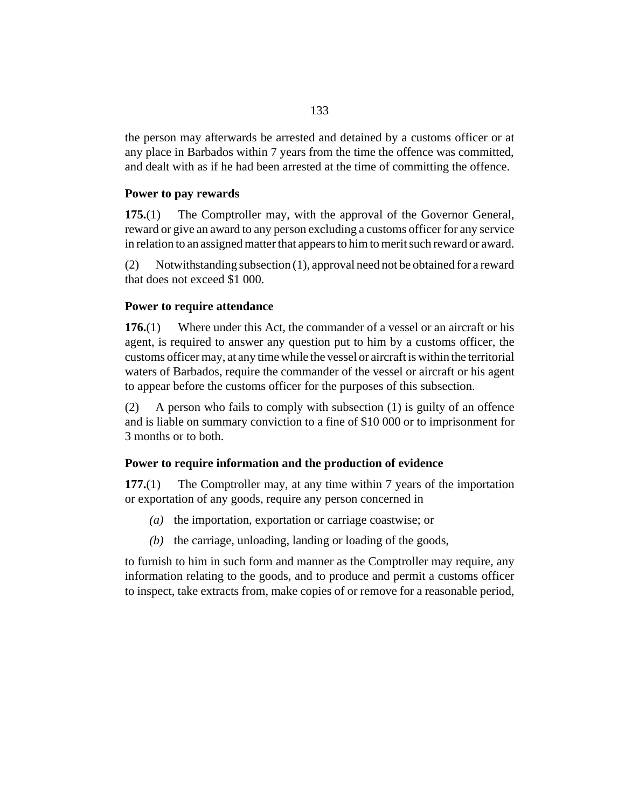the person may afterwards be arrested and detained by a customs officer or at any place in Barbados within 7 years from the time the offence was committed, and dealt with as if he had been arrested at the time of committing the offence.

### **Power to pay rewards**

The Comptroller may, with the approval of the Governor General, reward or give an award to any person excluding a customs officer for any service in relation to an assigned matter that appears to him to merit such reward or award. **175.**(1)

Notwithstanding subsection (1), approval need not be obtained for a reward that does not exceed \$1 000. (2)

#### **Power to require attendance**

Where under this Act, the commander of a vessel or an aircraft or his agent, is required to answer any question put to him by a customs officer, the customs officer may, at any time while the vessel or aircraft is within the territorial waters of Barbados, require the commander of the vessel or aircraft or his agent to appear before the customs officer for the purposes of this subsection. **176.**(1)

A person who fails to comply with subsection (1) is guilty of an offence and is liable on summary conviction to a fine of \$10 000 or to imprisonment for 3 months or to both. (2)

# **Power to require information and the production of evidence**

The Comptroller may, at any time within 7 years of the importation or exportation of any goods, require any person concerned in **177.**(1)

- (a) the importation, exportation or carriage coastwise; or
- $(t)$  the carriage, unloading, landing or loading of the goods,

to furnish to him in such form and manner as the Comptroller may require, any information relating to the goods, and to produce and permit a customs officer to inspect, take extracts from, make copies of or remove for a reasonable period,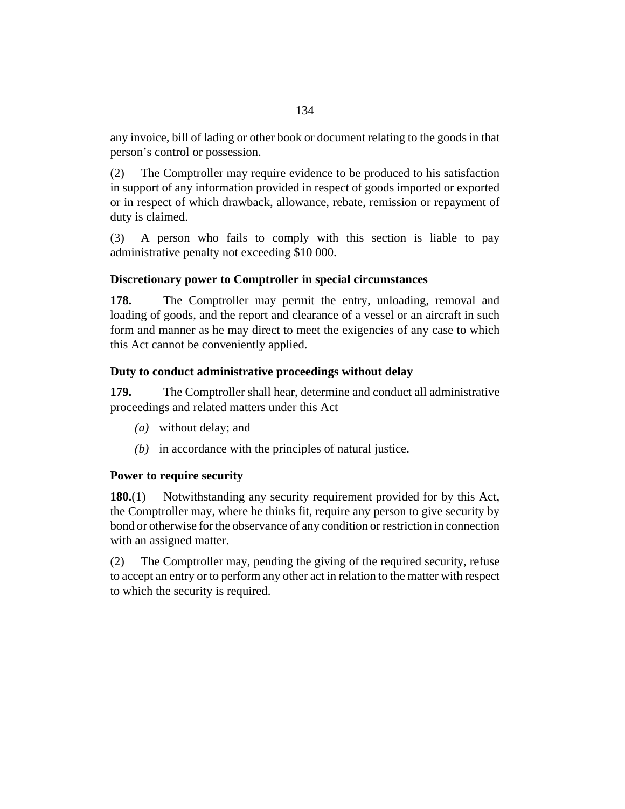any invoice, bill of lading or other book or document relating to the goods in that person's control or possession.

The Comptroller may require evidence to be produced to his satisfaction in support of any information provided in respect of goods imported or exported or in respect of which drawback, allowance, rebate, remission or repayment of duty is claimed. (2)

A person who fails to comply with this section is liable to pay administrative penalty not exceeding \$10 000. (3)

# **Discretionary power to Comptroller in special circumstances**

The Comptroller may permit the entry, unloading, removal and loading of goods, and the report and clearance of a vessel or an aircraft in such form and manner as he may direct to meet the exigencies of any case to which this Act cannot be conveniently applied. **178.**

# **Duty to conduct administrative proceedings without delay**

The Comptroller shall hear, determine and conduct all administrative proceedings and related matters under this Act **179.**

- without delay; and *(a)*
- $(b)$  in accordance with the principles of natural justice.

# **Power to require security**

Notwithstanding any security requirement provided for by this Act, the Comptroller may, where he thinks fit, require any person to give security by bond or otherwise for the observance of any condition or restriction in connection with an assigned matter. **180.**(1)

The Comptroller may, pending the giving of the required security, refuse to accept an entry or to perform any other act in relation to the matter with respect to which the security is required. (2)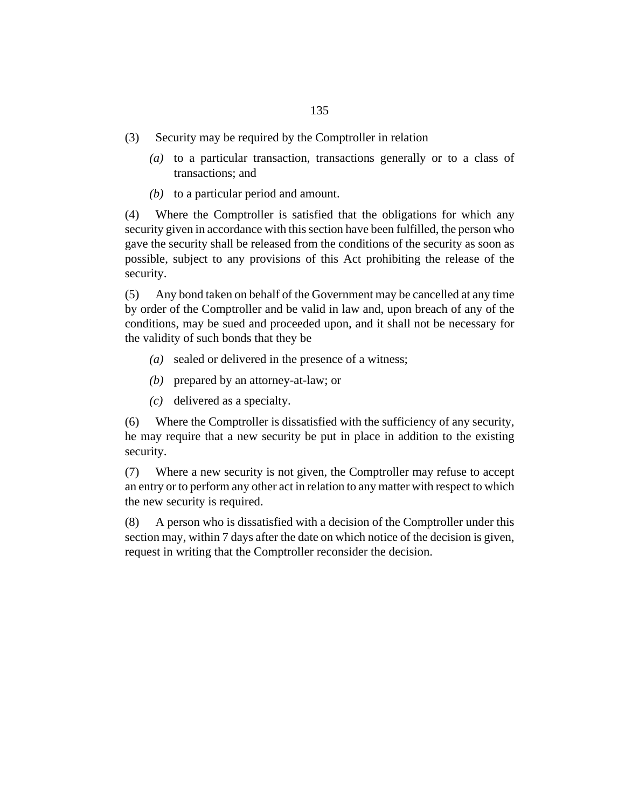- Security may be required by the Comptroller in relation (3)
	- (a) to a particular transaction, transactions generally or to a class of transactions; and
	- $(b)$  to a particular period and amount.

Where the Comptroller is satisfied that the obligations for which any security given in accordance with this section have been fulfilled, the person who gave the security shall be released from the conditions of the security as soon as possible, subject to any provisions of this Act prohibiting the release of the security. (4)

Any bond taken on behalf of the Government may be cancelled at any time by order of the Comptroller and be valid in law and, upon breach of any of the conditions, may be sued and proceeded upon, and it shall not be necessary for the validity of such bonds that they be (5)

- sealed or delivered in the presence of a witness; *(a)*
- (b) prepared by an attorney-at-law; or
- delivered as a specialty. *(c)*

Where the Comptroller is dissatisfied with the sufficiency of any security, he may require that a new security be put in place in addition to the existing security. (6)

Where a new security is not given, the Comptroller may refuse to accept an entry or to perform any other act in relation to any matter with respect to which the new security is required. (7)

A person who is dissatisfied with a decision of the Comptroller under this section may, within 7 days after the date on which notice of the decision is given, request in writing that the Comptroller reconsider the decision. (8)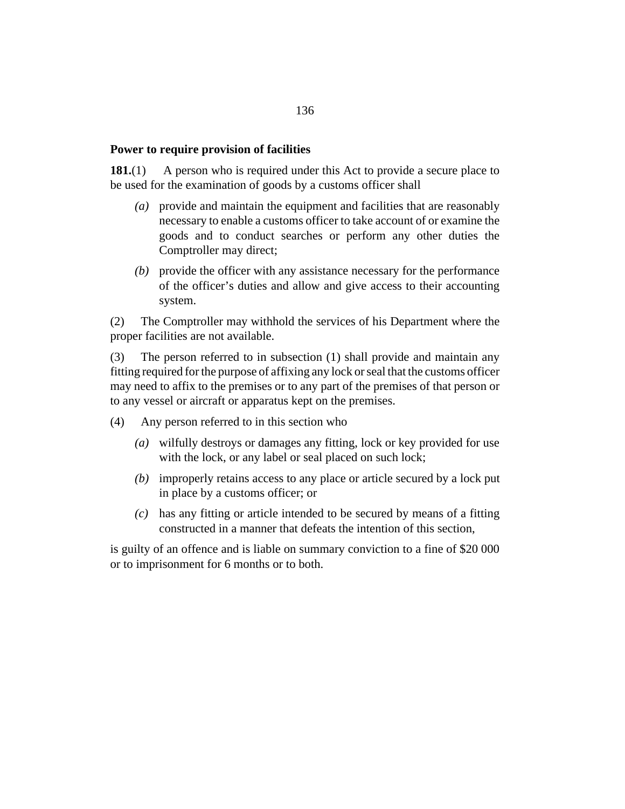#### **Power to require provision of facilities**

A person who is required under this Act to provide a secure place to be used for the examination of goods by a customs officer shall **181.**(1)

- provide and maintain the equipment and facilities that are reasonably *(a)* necessary to enable a customs officer to take account of or examine the goods and to conduct searches or perform any other duties the Comptroller may direct;
- (b) provide the officer with any assistance necessary for the performance of the officer's duties and allow and give access to their accounting system.

The Comptroller may withhold the services of his Department where the proper facilities are not available. (2)

The person referred to in subsection (1) shall provide and maintain any fitting required for the purpose of affixing any lock or seal that the customs officer may need to affix to the premises or to any part of the premises of that person or to any vessel or aircraft or apparatus kept on the premises. (3)

- Any person referred to in this section who (4)
	- wilfully destroys or damages any fitting, lock or key provided for use *(a)* with the lock, or any label or seal placed on such lock;
	- improperly retains access to any place or article secured by a lock put *(b)* in place by a customs officer; or
	- has any fitting or article intended to be secured by means of a fitting *(c)* constructed in a manner that defeats the intention of this section,

is guilty of an offence and is liable on summary conviction to a fine of \$20 000 or to imprisonment for 6 months or to both.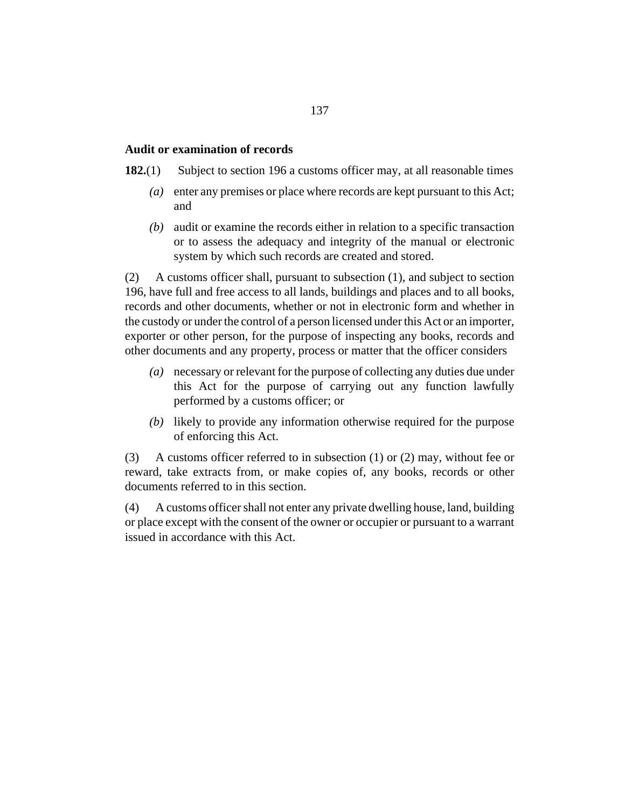#### **Audit or examination of records**

- Subject to [section 196](#page-146-0) a customs officer may, at all reasonable times **182.**(1)
	- enter any premises or place where records are kept pursuant to this Act; *(a)* and
	- audit or examine the records either in relation to a specific transaction *(b)* or to assess the adequacy and integrity of the manual or electronic system by which such records are created and stored.

A customs officer shall, pursuant to subsection (1), and subject to [section](#page-146-0) [196](#page-146-0), have full and free access to all lands, buildings and places and to all books, records and other documents, whether or not in electronic form and whether in the custody or under the control of a person licensed under this Act or an importer, exporter or other person, for the purpose of inspecting any books, records and other documents and any property, process or matter that the officer considers (2)

- necessary or relevant for the purpose of collecting any duties due under *(a)* this Act for the purpose of carrying out any function lawfully performed by a customs officer; or
- (b) likely to provide any information otherwise required for the purpose of enforcing this Act.

A customs officer referred to in subsection (1) or (2) may, without fee or reward, take extracts from, or make copies of, any books, records or other documents referred to in this section. (3)

A customs officer shall not enter any private dwelling house, land, building or place except with the consent of the owner or occupier or pursuant to a warrant issued in accordance with this Act. (4)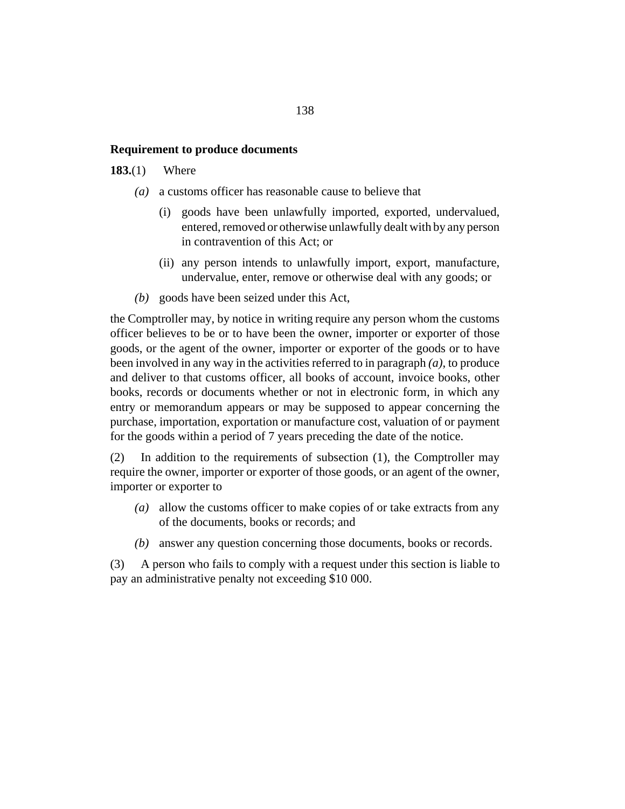#### **Requirement to produce documents**

#### Where **183.**(1)

- a customs officer has reasonable cause to believe that *(a)*
	- goods have been unlawfully imported, exported, undervalued, entered, removed or otherwise unlawfully dealt with by any person in contravention of this Act; or (i)
	- (ii) any person intends to unlawfully import, export, manufacture, undervalue, enter, remove or otherwise deal with any goods; or
- goods have been seized under this Act, *(b)*

the Comptroller may, by notice in writing require any person whom the customs officer believes to be or to have been the owner, importer or exporter of those goods, or the agent of the owner, importer or exporter of the goods or to have been involved in any way in the activities referred to in paragraph *(a)*, to produce and deliver to that customs officer, all books of account, invoice books, other books, records or documents whether or not in electronic form, in which any entry or memorandum appears or may be supposed to appear concerning the purchase, importation, exportation or manufacture cost, valuation of or payment for the goods within a period of 7 years preceding the date of the notice.

In addition to the requirements of subsection (1), the Comptroller may require the owner, importer or exporter of those goods, or an agent of the owner, importer or exporter to (2)

- allow the customs officer to make copies of or take extracts from any *(a)* of the documents, books or records; and
- answer any question concerning those documents, books or records. *(b)*

A person who fails to comply with a request under this section is liable to pay an administrative penalty not exceeding \$10 000. (3)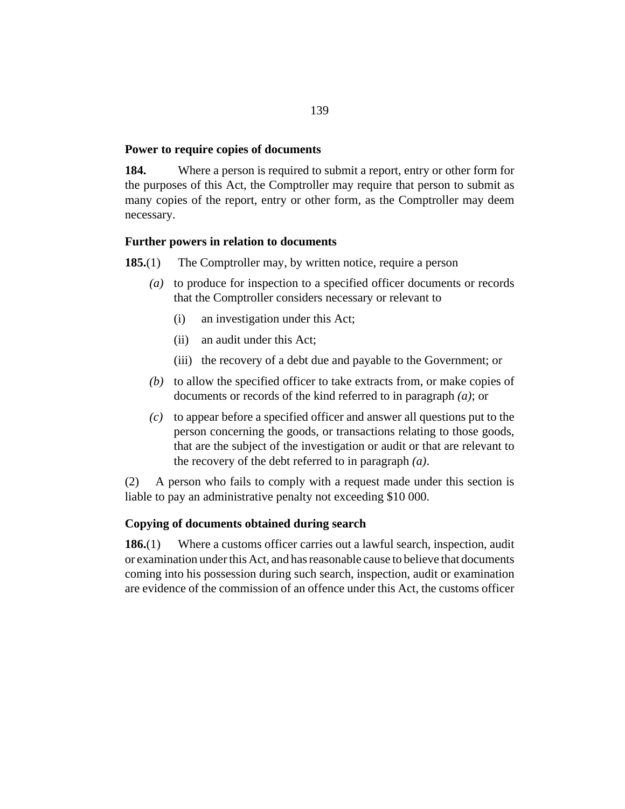#### **Power to require copies of documents**

Where a person is required to submit a report, entry or other form for the purposes of this Act, the Comptroller may require that person to submit as many copies of the report, entry or other form, as the Comptroller may deem necessary. **184.**

# **Further powers in relation to documents**

- The Comptroller may, by written notice, require a person **185.**(1)
	- (a) to produce for inspection to a specified officer documents or records that the Comptroller considers necessary or relevant to
		- an investigation under this Act; (i)
		- an audit under this Act; (ii)
		- (iii) the recovery of a debt due and payable to the Government; or
	- $(b)$  to allow the specified officer to take extracts from, or make copies of documents or records of the kind referred to in paragraph *(a)*; or
	- $(c)$  to appear before a specified officer and answer all questions put to the person concerning the goods, or transactions relating to those goods, that are the subject of the investigation or audit or that are relevant to the recovery of the debt referred to in paragraph *(a)*.

A person who fails to comply with a request made under this section is liable to pay an administrative penalty not exceeding \$10 000. (2)

# **Copying of documents obtained during search**

Where a customs officer carries out a lawful search, inspection, audit or examination under this Act, and has reasonable cause to believe that documents coming into his possession during such search, inspection, audit or examination are evidence of the commission of an offence under this Act, the customs officer **186.**(1)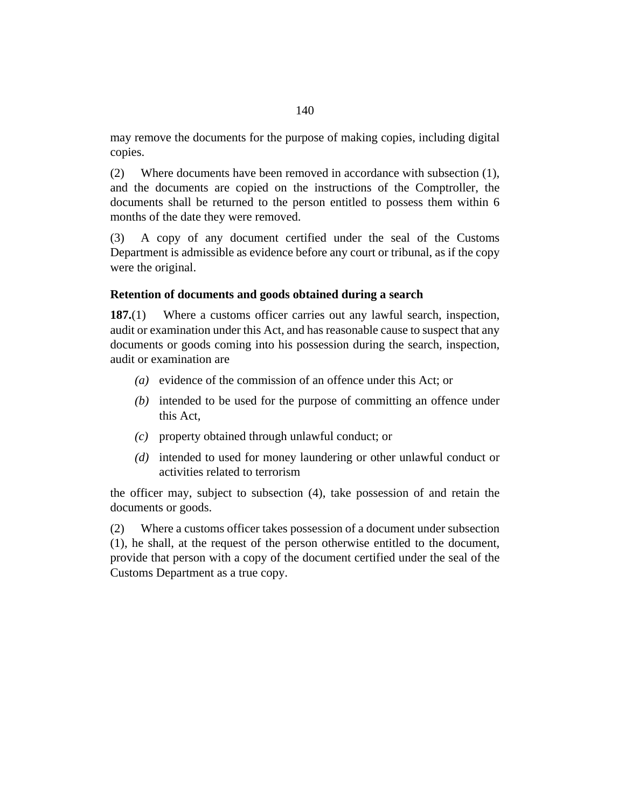may remove the documents for the purpose of making copies, including digital copies.

Where documents have been removed in accordance with subsection (1), and the documents are copied on the instructions of the Comptroller, the documents shall be returned to the person entitled to possess them within 6 months of the date they were removed. (2)

A copy of any document certified under the seal of the Customs Department is admissible as evidence before any court or tribunal, as if the copy were the original. (3)

### **Retention of documents and goods obtained during a search**

Where a customs officer carries out any lawful search, inspection, audit or examination under this Act, and has reasonable cause to suspect that any documents or goods coming into his possession during the search, inspection, audit or examination are **187.**(1)

- (a) evidence of the commission of an offence under this Act; or
- (b) intended to be used for the purpose of committing an offence under this Act,
- property obtained through unlawful conduct; or *(c)*
- (d) intended to used for money laundering or other unlawful conduct or activities related to terrorism

the officer may, subject to subsection (4), take possession of and retain the documents or goods.

Where a customs officer takes possession of a document under subsection (1), he shall, at the request of the person otherwise entitled to the document, provide that person with a copy of the document certified under the seal of the Customs Department as a true copy. (2)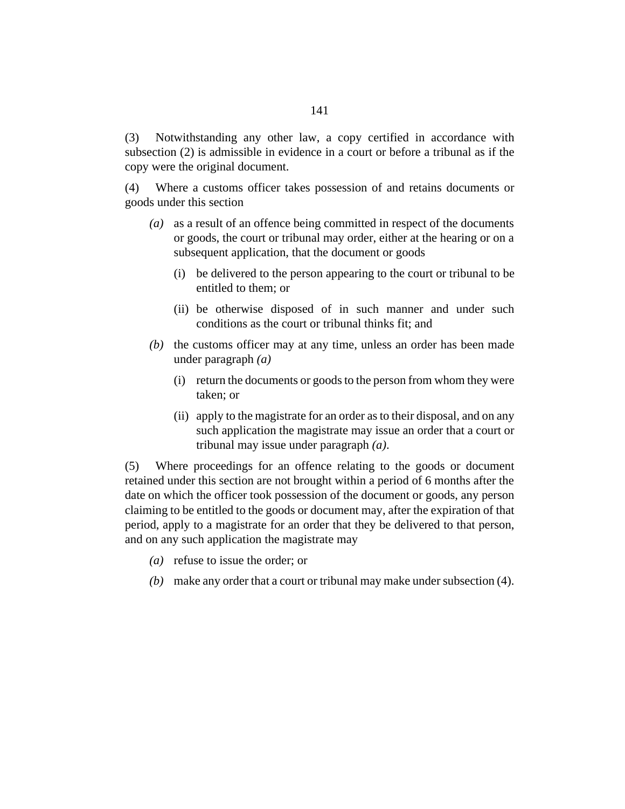Notwithstanding any other law, a copy certified in accordance with subsection (2) is admissible in evidence in a court or before a tribunal as if the copy were the original document. (3)

Where a customs officer takes possession of and retains documents or goods under this section (4)

- as a result of an offence being committed in respect of the documents *(a)* or goods, the court or tribunal may order, either at the hearing or on a subsequent application, that the document or goods
	- be delivered to the person appearing to the court or tribunal to be (i) entitled to them; or
	- (ii) be otherwise disposed of in such manner and under such conditions as the court or tribunal thinks fit; and
- $(b)$  the customs officer may at any time, unless an order has been made under paragraph *(a)*
	- (i) return the documents or goods to the person from whom they were taken; or
	- (ii) apply to the magistrate for an order as to their disposal, and on any such application the magistrate may issue an order that a court or tribunal may issue under paragraph *(a)*.

Where proceedings for an offence relating to the goods or document retained under this section are not brought within a period of 6 months after the date on which the officer took possession of the document or goods, any person claiming to be entitled to the goods or document may, after the expiration of that period, apply to a magistrate for an order that they be delivered to that person, and on any such application the magistrate may (5)

- (a) refuse to issue the order; or
- make any order that a court or tribunal may make under subsection (4). *(b)*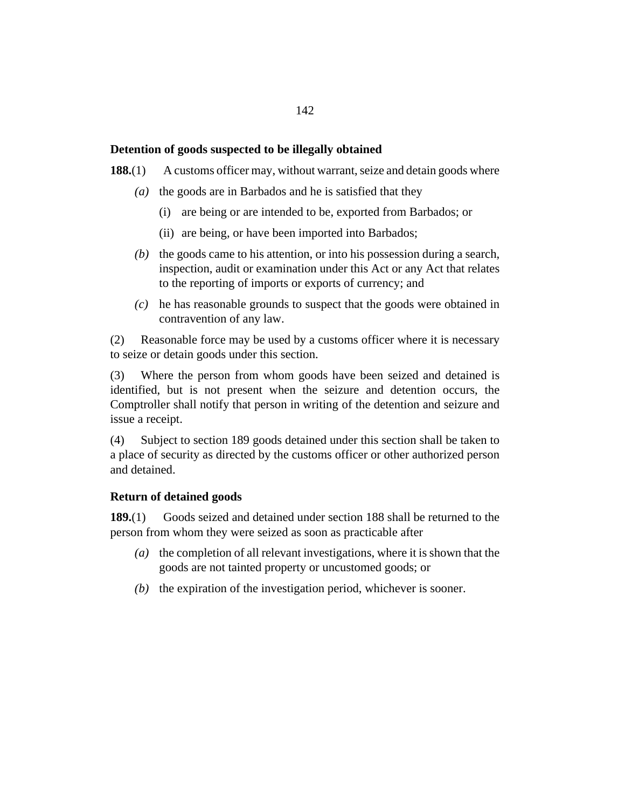## <span id="page-141-0"></span>**Detention of goods suspected to be illegally obtained**

A customs officer may, without warrant, seize and detain goods where **188.**(1)

- ( $a)$ ) the goods are in Barbados and he is satisfied that they
	- (i) are being or are intended to be, exported from Barbados; or
	- (ii) are being, or have been imported into Barbados;
- $(t)$  the goods came to his attention, or into his possession during a search, inspection, audit or examination under this Act or any Act that relates to the reporting of imports or exports of currency; and
- he has reasonable grounds to suspect that the goods were obtained in *(c)* contravention of any law.

Reasonable force may be used by a customs officer where it is necessary to seize or detain goods under this section. (2)

Where the person from whom goods have been seized and detained is identified, but is not present when the seizure and detention occurs, the Comptroller shall notify that person in writing of the detention and seizure and issue a receipt. (3)

Subject to section 189 goods detained under this section shall be taken to a place of security as directed by the customs officer or other authorized person and detained. (4)

#### **Return of detained goods**

Goods seized and detained under section 188 shall be returned to the person from whom they were seized as soon as practicable after **189.**(1)

- (a) the completion of all relevant investigations, where it is shown that the goods are not tainted property or uncustomed goods; or
- $(t)$  the expiration of the investigation period, whichever is sooner.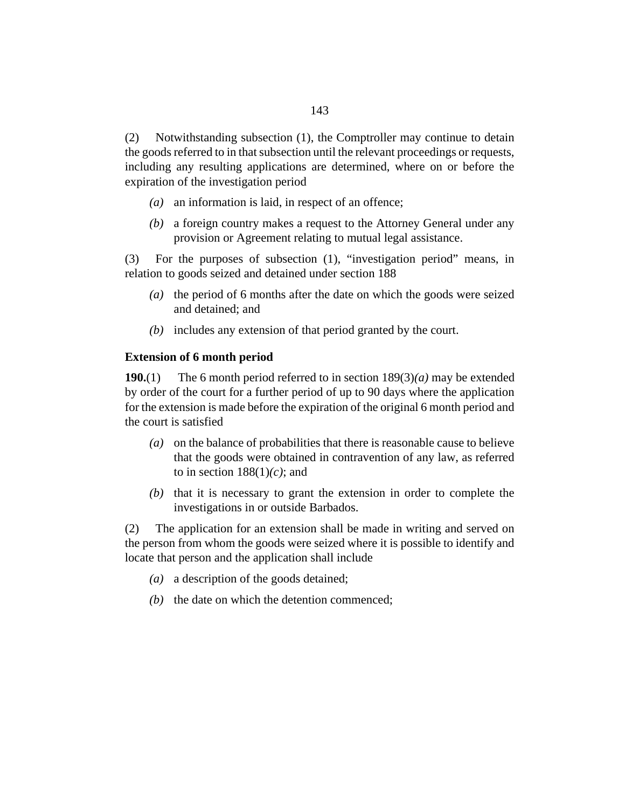Notwithstanding subsection (1), the Comptroller may continue to detain the goods referred to in that subsection until the relevant proceedings or requests, including any resulting applications are determined, where on or before the expiration of the investigation period (2)

- an information is laid, in respect of an offence; *(a)*
- a foreign country makes a request to the Attorney General under any *(b)* provision or Agreement relating to mutual legal assistance.

For the purposes of subsection (1), "investigation period" means, in relation to goods seized and detained under [section 188](#page-141-0) (3)

- (a) the period of 6 months after the date on which the goods were seized and detained; and
- includes any extension of that period granted by the court. *(b)*

#### **Extension of 6 month period**

The 6 month period referred to in [section 189](#page-141-0)(3)*(a)* may be extended by order of the court for a further period of up to 90 days where the application for the extension is made before the expiration of the original 6 month period and the court is satisfied **190.**(1)

- on the balance of probabilities that there is reasonable cause to believe *(a)* that the goods were obtained in contravention of any law, as referred to in section  $188(1)(c)$ ; and
- $(b)$  that it is necessary to grant the extension in order to complete the investigations in or outside Barbados.

The application for an extension shall be made in writing and served on the person from whom the goods were seized where it is possible to identify and locate that person and the application shall include (2)

- a description of the goods detained; *(a)*
- $(b)$  the date on which the detention commenced;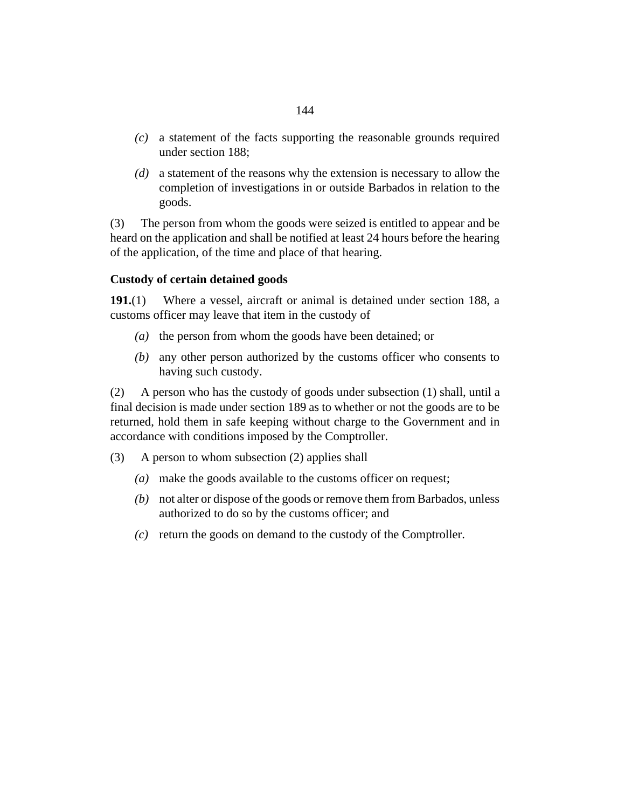- a statement of the facts supporting the reasonable grounds required *(c)* under [section 188](#page-141-0);
- a statement of the reasons why the extension is necessary to allow the *(d)* completion of investigations in or outside Barbados in relation to the goods.

The person from whom the goods were seized is entitled to appear and be heard on the application and shall be notified at least 24 hours before the hearing of the application, of the time and place of that hearing. (3)

# **Custody of certain detained goods**

Where a vessel, aircraft or animal is detained under [section 188](#page-141-0), a customs officer may leave that item in the custody of **191.**(1)

- ( $a)$ ) the person from whom the goods have been detained; or
- any other person authorized by the customs officer who consents to *(b)* having such custody.

A person who has the custody of goods under subsection (1) shall, until a final decision is made under [section 189](#page-141-0) as to whether or not the goods are to be returned, hold them in safe keeping without charge to the Government and in accordance with conditions imposed by the Comptroller. (2)

- A person to whom subsection (2) applies shall (3)
	- make the goods available to the customs officer on request; *(a)*
	- not alter or dispose of the goods or remove them from Barbados, unless *(b)* authorized to do so by the customs officer; and
	- return the goods on demand to the custody of the Comptroller. *(c)*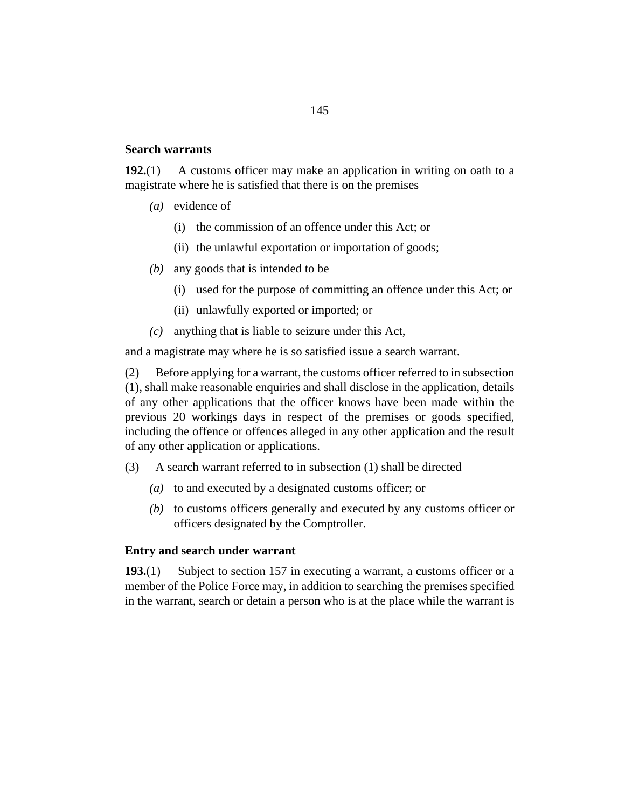#### <span id="page-144-0"></span>**Search warrants**

A customs officer may make an application in writing on oath to a magistrate where he is satisfied that there is on the premises **192.**(1)

- (*a*) evidence of
	- (i) the commission of an offence under this Act; or
	- (ii) the unlawful exportation or importation of goods;
- any goods that is intended to be *(b)*
	- (i) used for the purpose of committing an offence under this Act; or
	- (ii) unlawfully exported or imported; or
- anything that is liable to seizure under this Act, *(c)*

and a magistrate may where he is so satisfied issue a search warrant.

Before applying for a warrant, the customs officer referred to in subsection (1), shall make reasonable enquiries and shall disclose in the application, details of any other applications that the officer knows have been made within the previous 20 workings days in respect of the premises or goods specified, including the offence or offences alleged in any other application and the result of any other application or applications. (2)

- A search warrant referred to in subsection (1) shall be directed (3)
	- to and executed by a designated customs officer; or *(a)*
	- (b) to customs officers generally and executed by any customs officer or officers designated by the Comptroller.

# **Entry and search under warrant**

Subject to [section 157](#page-121-0) in executing a warrant, a customs officer or a member of the Police Force may, in addition to searching the premises specified in the warrant, search or detain a person who is at the place while the warrant is **193.**(1)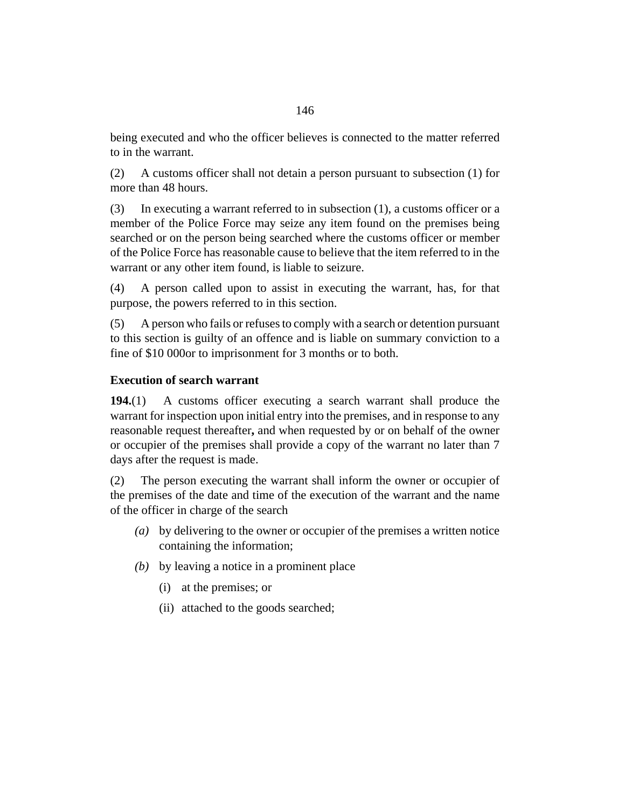being executed and who the officer believes is connected to the matter referred to in the warrant.

A customs officer shall not detain a person pursuant to subsection (1) for more than 48 hours. (2)

In executing a warrant referred to in subsection (1), a customs officer or a member of the Police Force may seize any item found on the premises being searched or on the person being searched where the customs officer or member of the Police Force has reasonable cause to believe that the item referred to in the warrant or any other item found, is liable to seizure. (3)

A person called upon to assist in executing the warrant, has, for that purpose, the powers referred to in this section. (4)

A person who fails or refuses to comply with a search or detention pursuant to this section is guilty of an offence and is liable on summary conviction to a fine of \$10 000or to imprisonment for 3 months or to both. (5)

# **Execution of search warrant**

A customs officer executing a search warrant shall produce the warrant for inspection upon initial entry into the premises, and in response to any reasonable request thereafter**,** and when requested by or on behalf of the owner or occupier of the premises shall provide a copy of the warrant no later than 7 days after the request is made. **194.**(1)

The person executing the warrant shall inform the owner or occupier of the premises of the date and time of the execution of the warrant and the name of the officer in charge of the search (2)

- by delivering to the owner or occupier of the premises a written notice *(a)* containing the information;
- by leaving a notice in a prominent place *(b)*
	- (i) at the premises; or
	- (ii) attached to the goods searched;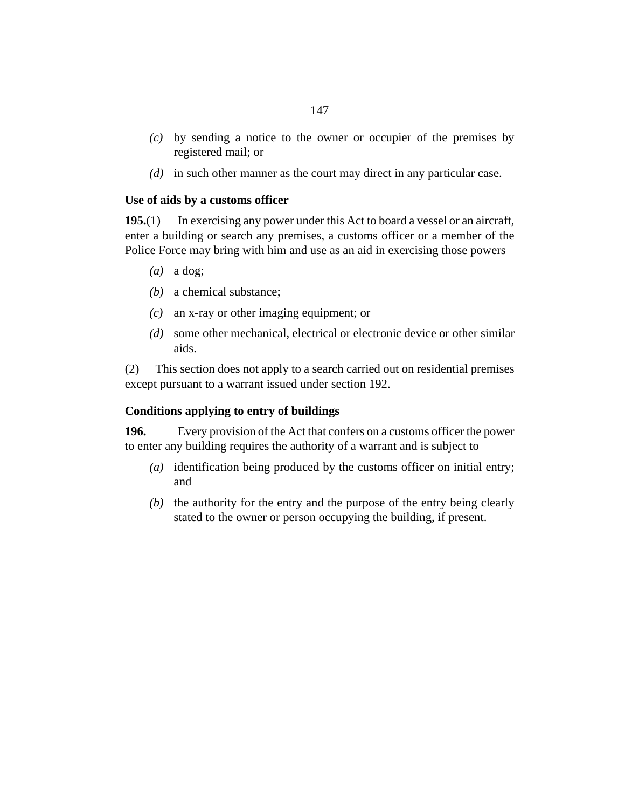- by sending a notice to the owner or occupier of the premises by *(c)* registered mail; or
- (d) in such other manner as the court may direct in any particular case.

## **Use of aids by a customs officer**

In exercising any power under this Act to board a vessel or an aircraft, enter a building or search any premises, a customs officer or a member of the Police Force may bring with him and use as an aid in exercising those powers **195.**(1)

- $(a)$  a dog;
- a chemical substance; *(b)*
- an x-ray or other imaging equipment; or *(c)*
- some other mechanical, electrical or electronic device or other similar *(d)* aids.

This section does not apply to a search carried out on residential premises except pursuant to a warrant issued under [section 192.](#page-144-0) (2)

## **Conditions applying to entry of buildings**

Every provision of the Act that confers on a customs officer the power to enter any building requires the authority of a warrant and is subject to **196.**

- identification being produced by the customs officer on initial entry; *(a)* and
- $(b)$  the authority for the entry and the purpose of the entry being clearly stated to the owner or person occupying the building, if present.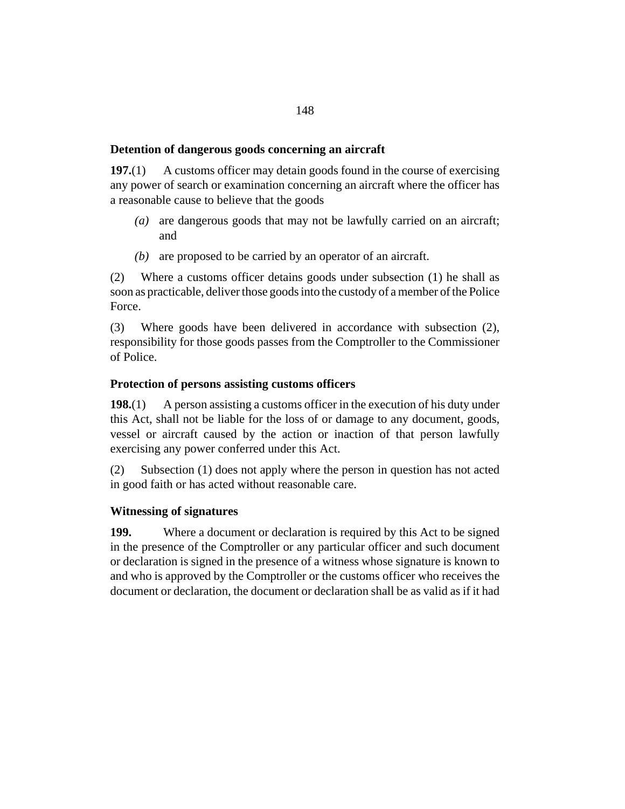# **Detention of dangerous goods concerning an aircraft**

A customs officer may detain goods found in the course of exercising any power of search or examination concerning an aircraft where the officer has a reasonable cause to believe that the goods **197.**(1)

- (a) are dangerous goods that may not be lawfully carried on an aircraft; and
- (b) are proposed to be carried by an operator of an aircraft.

Where a customs officer detains goods under subsection (1) he shall as soon as practicable, deliver those goods into the custody of a member of the Police Force. (2)

Where goods have been delivered in accordance with subsection (2), responsibility for those goods passes from the Comptroller to the Commissioner of Police. (3)

## **Protection of persons assisting customs officers**

A person assisting a customs officer in the execution of his duty under this Act, shall not be liable for the loss of or damage to any document, goods, vessel or aircraft caused by the action or inaction of that person lawfully exercising any power conferred under this Act. **198.**(1)

Subsection (1) does not apply where the person in question has not acted in good faith or has acted without reasonable care. (2)

# **Witnessing of signatures**

Where a document or declaration is required by this Act to be signed in the presence of the Comptroller or any particular officer and such document or declaration is signed in the presence of a witness whose signature is known to and who is approved by the Comptroller or the customs officer who receives the document or declaration, the document or declaration shall be as valid as if it had **199.**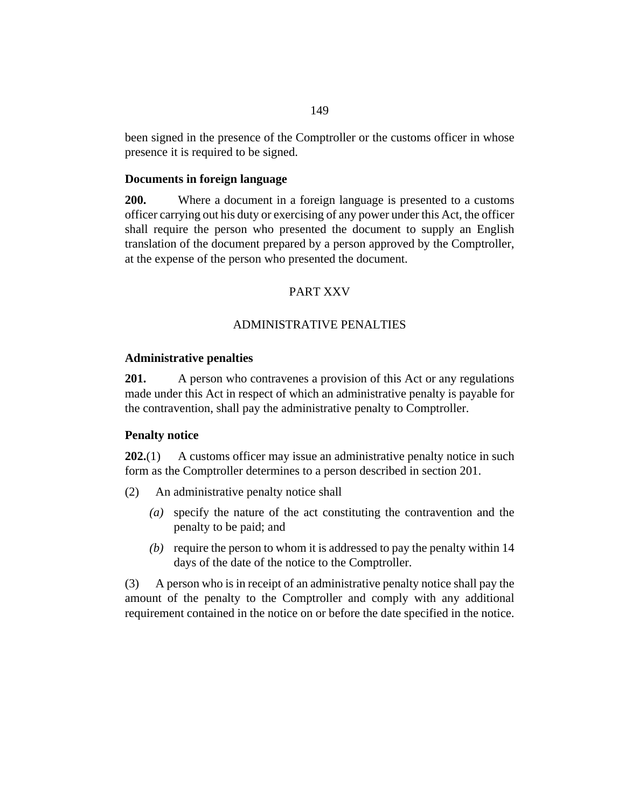<span id="page-148-0"></span>been signed in the presence of the Comptroller or the customs officer in whose presence it is required to be signed.

### **Documents in foreign language**

Where a document in a foreign language is presented to a customs officer carrying out his duty or exercising of any power under this Act, the officer shall require the person who presented the document to supply an English translation of the document prepared by a person approved by the Comptroller, at the expense of the person who presented the document. **200.**

### PART XXV

#### ADMINISTRATIVE PENALTIES

#### **Administrative penalties**

A person who contravenes a provision of this Act or any regulations made under this Act in respect of which an administrative penalty is payable for the contravention, shall pay the administrative penalty to Comptroller. **201.**

#### **Penalty notice**

A customs officer may issue an administrative penalty notice in such form as the Comptroller determines to a person described in section 201. **202.**(1)

- An administrative penalty notice shall (2)
	- specify the nature of the act constituting the contravention and the *(a)* penalty to be paid; and
	- (b) require the person to whom it is addressed to pay the penalty within 14 days of the date of the notice to the Comptroller.

A person who is in receipt of an administrative penalty notice shall pay the amount of the penalty to the Comptroller and comply with any additional requirement contained in the notice on or before the date specified in the notice. (3)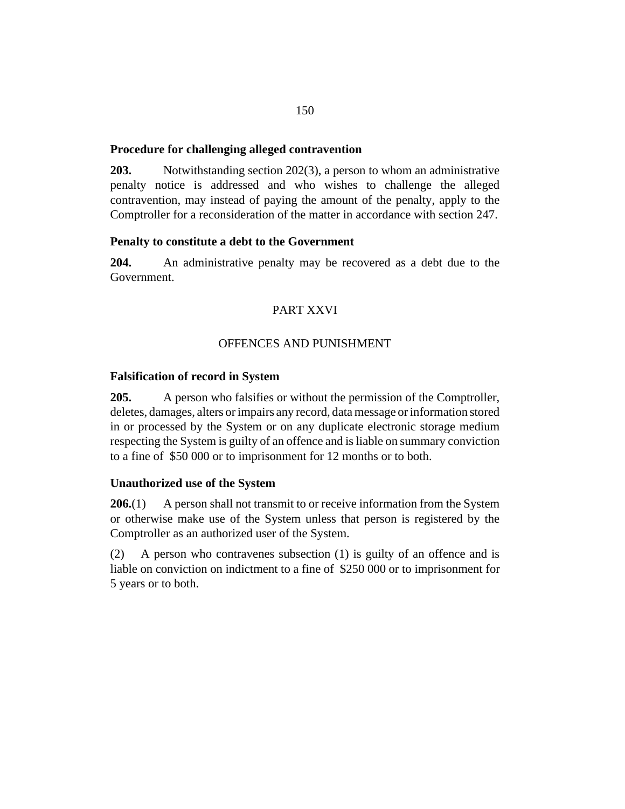### <span id="page-149-0"></span>**Procedure for challenging alleged contravention**

Notwithstanding [section 202\(](#page-148-0)3), a person to whom an administrative penalty notice is addressed and who wishes to challenge the alleged contravention, may instead of paying the amount of the penalty, apply to the Comptroller for a reconsideration of the matter in accordance with [section 247.](#page-173-0) **203.**

### **Penalty to constitute a debt to the Government**

An administrative penalty may be recovered as a debt due to the Government. **204.**

# PART XXVI

### OFFENCES AND PUNISHMENT

## **Falsification of record in System**

A person who falsifies or without the permission of the Comptroller, deletes, damages, alters or impairs any record, data message or information stored in or processed by the System or on any duplicate electronic storage medium respecting the System is guilty of an offence and is liable on summary conviction to a fine of \$50 000 or to imprisonment for 12 months or to both. **205.**

## **Unauthorized use of the System**

A person shall not transmit to or receive information from the System or otherwise make use of the System unless that person is registered by the Comptroller as an authorized user of the System. **206.**(1)

A person who contravenes subsection (1) is guilty of an offence and is liable on conviction on indictment to a fine of \$250 000 or to imprisonment for 5 years or to both. (2)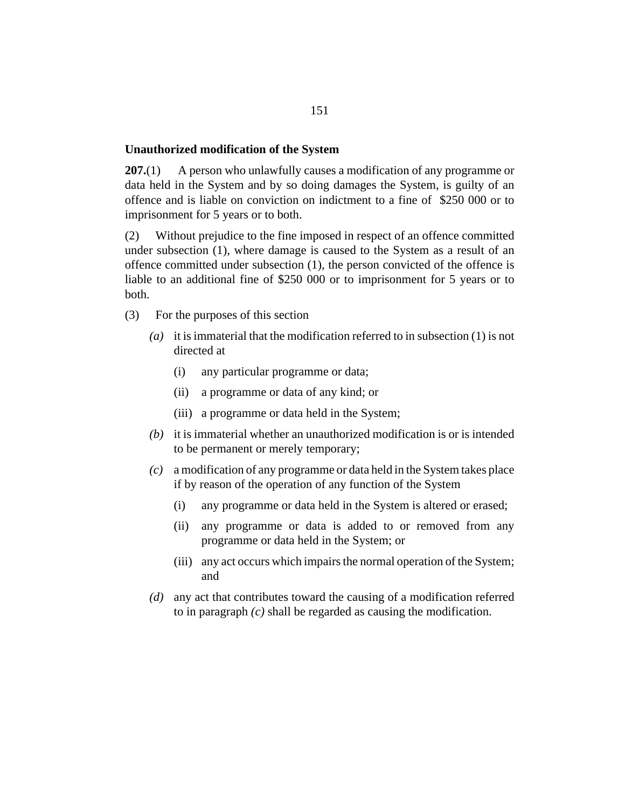#### **Unauthorized modification of the System**

A person who unlawfully causes a modification of any programme or data held in the System and by so doing damages the System, is guilty of an offence and is liable on conviction on indictment to a fine of \$250 000 or to imprisonment for 5 years or to both. **207.**(1)

Without prejudice to the fine imposed in respect of an offence committed under subsection (1), where damage is caused to the System as a result of an offence committed under subsection (1), the person convicted of the offence is liable to an additional fine of \$250 000 or to imprisonment for 5 years or to both. (2)

- For the purposes of this section (3)
	- (a) it is immaterial that the modification referred to in subsection  $(1)$  is not directed at
		- any particular programme or data; (i)
		- a programme or data of any kind; or (ii)
		- (iii) a programme or data held in the System;
	- $(b)$  it is immaterial whether an unauthorized modification is or is intended to be permanent or merely temporary;
	- a modification of any programme or data held in the System takes place *(c)* if by reason of the operation of any function of the System
		- any programme or data held in the System is altered or erased; (i)
		- any programme or data is added to or removed from any programme or data held in the System; or (ii)
		- (iii) any act occurs which impairs the normal operation of the System; and
	- any act that contributes toward the causing of a modification referred *(d)* to in paragraph *(c)* shall be regarded as causing the modification.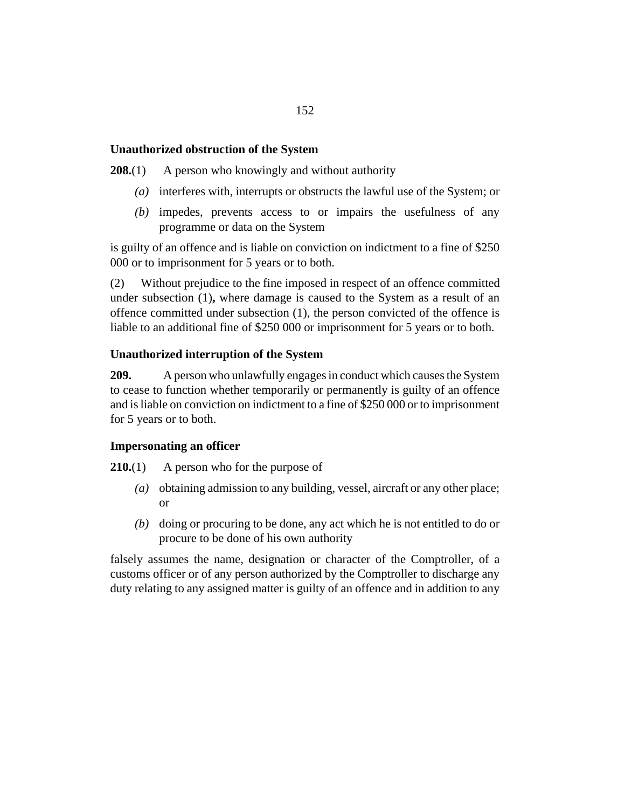# **Unauthorized obstruction of the System**

A person who knowingly and without authority **208.**(1)

- interferes with, interrupts or obstructs the lawful use of the System; or *(a)*
- impedes, prevents access to or impairs the usefulness of any *(b)* programme or data on the System

is guilty of an offence and is liable on conviction on indictment to a fine of \$250 000 or to imprisonment for 5 years or to both.

Without prejudice to the fine imposed in respect of an offence committed under subsection (1)**,** where damage is caused to the System as a result of an offence committed under subsection (1), the person convicted of the offence is liable to an additional fine of \$250 000 or imprisonment for 5 years or to both. (2)

# **Unauthorized interruption of the System**

A person who unlawfully engages in conduct which causes the System to cease to function whether temporarily or permanently is guilty of an offence and is liable on conviction on indictment to a fine of \$250 000 or to imprisonment for 5 years or to both. **209.**

## **Impersonating an officer**

A person who for the purpose of **210.**(1)

- obtaining admission to any building, vessel, aircraft or any other place; *(a)* or
- (b) doing or procuring to be done, any act which he is not entitled to do or procure to be done of his own authority

falsely assumes the name, designation or character of the Comptroller, of a customs officer or of any person authorized by the Comptroller to discharge any duty relating to any assigned matter is guilty of an offence and in addition to any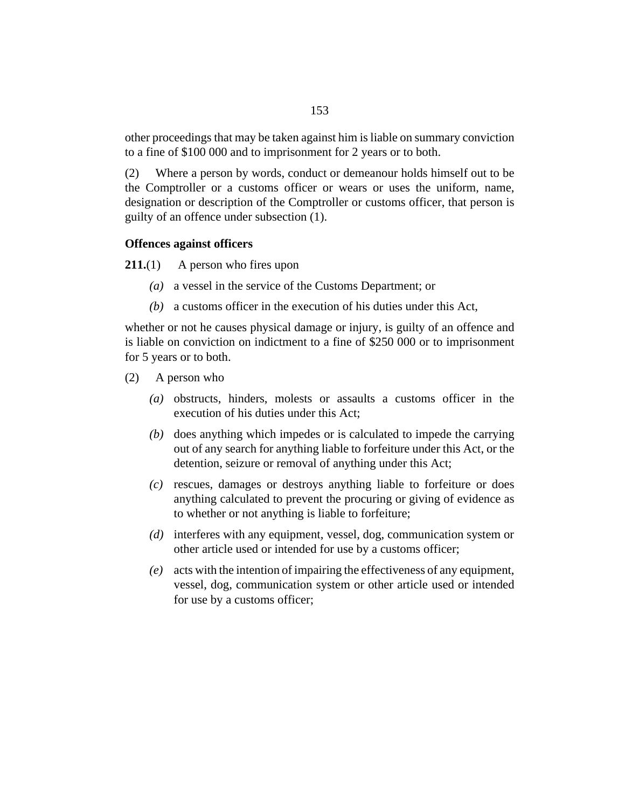other proceedings that may be taken against him is liable on summary conviction to a fine of \$100 000 and to imprisonment for 2 years or to both.

Where a person by words, conduct or demeanour holds himself out to be the Comptroller or a customs officer or wears or uses the uniform, name, designation or description of the Comptroller or customs officer, that person is guilty of an offence under subsection (1). (2)

### **Offences against officers**

A person who fires upon **211.**(1)

- a vessel in the service of the Customs Department; or *(a)*
- a customs officer in the execution of his duties under this Act, *(b)*

whether or not he causes physical damage or injury, is guilty of an offence and is liable on conviction on indictment to a fine of \$250 000 or to imprisonment for 5 years or to both.

- A person who (2)
	- obstructs, hinders, molests or assaults a customs officer in the *(a)* execution of his duties under this Act;
	- (b) does anything which impedes or is calculated to impede the carrying out of any search for anything liable to forfeiture under this Act, or the detention, seizure or removal of anything under this Act;
	- rescues, damages or destroys anything liable to forfeiture or does *(c)* anything calculated to prevent the procuring or giving of evidence as to whether or not anything is liable to forfeiture;
	- (d) interferes with any equipment, vessel, dog, communication system or other article used or intended for use by a customs officer;
	- acts with the intention of impairing the effectiveness of any equipment, *(e)* vessel, dog, communication system or other article used or intended for use by a customs officer;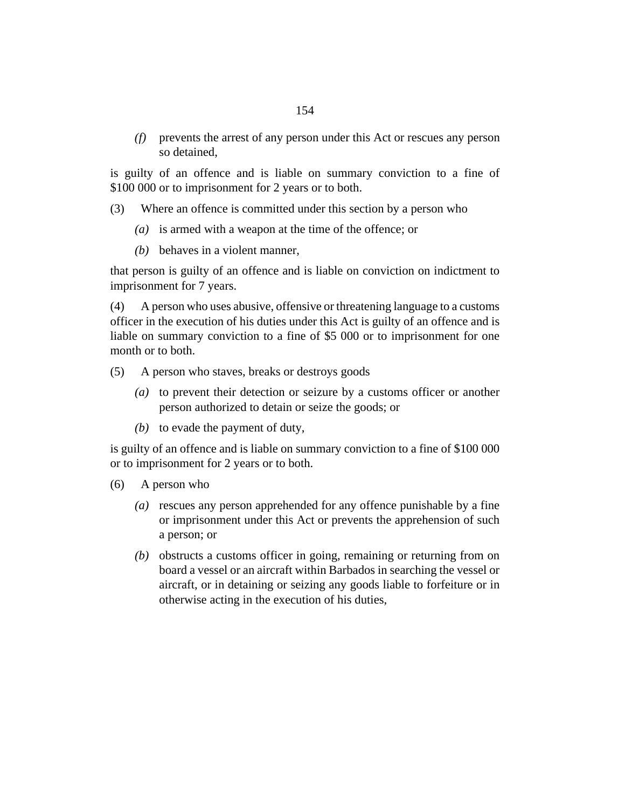prevents the arrest of any person under this Act or rescues any person *(f)* so detained,

is guilty of an offence and is liable on summary conviction to a fine of \$100 000 or to imprisonment for 2 years or to both.

- Where an offence is committed under this section by a person who (3)
	- (a) is armed with a weapon at the time of the offence; or
	- behaves in a violent manner, *(b)*

that person is guilty of an offence and is liable on conviction on indictment to imprisonment for 7 years.

A person who uses abusive, offensive or threatening language to a customs officer in the execution of his duties under this Act is guilty of an offence and is liable on summary conviction to a fine of \$5 000 or to imprisonment for one month or to both. (4)

- A person who staves, breaks or destroys goods (5)
	- (a) to prevent their detection or seizure by a customs officer or another person authorized to detain or seize the goods; or
	- $(b)$  to evade the payment of duty,

is guilty of an offence and is liable on summary conviction to a fine of \$100 000 or to imprisonment for 2 years or to both.

- A person who (6)
	- (a) rescues any person apprehended for any offence punishable by a fine or imprisonment under this Act or prevents the apprehension of such a person; or
	- (b) obstructs a customs officer in going, remaining or returning from on board a vessel or an aircraft within Barbados in searching the vessel or aircraft, or in detaining or seizing any goods liable to forfeiture or in otherwise acting in the execution of his duties,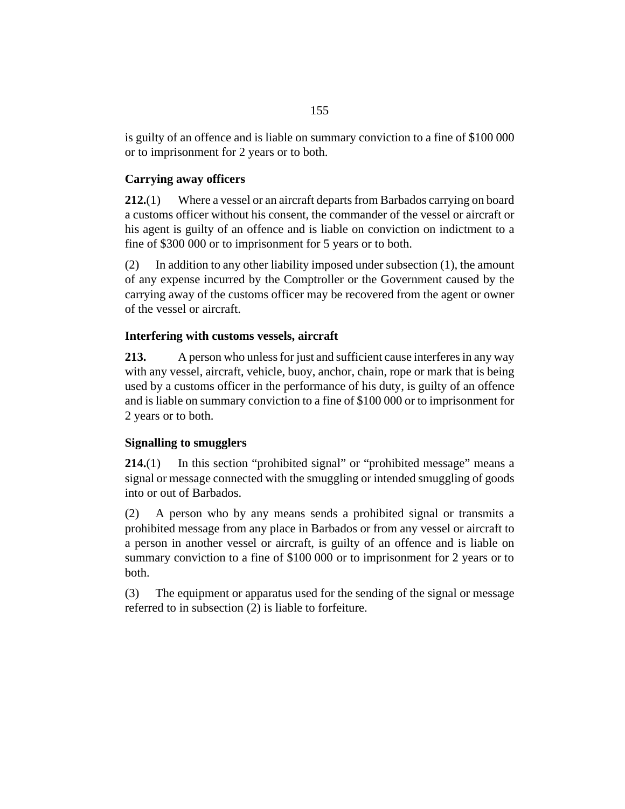is guilty of an offence and is liable on summary conviction to a fine of \$100 000 or to imprisonment for 2 years or to both.

# **Carrying away officers**

Where a vessel or an aircraft departs from Barbados carrying on board a customs officer without his consent, the commander of the vessel or aircraft or his agent is guilty of an offence and is liable on conviction on indictment to a fine of \$300 000 or to imprisonment for 5 years or to both. **212.**(1)

In addition to any other liability imposed under subsection (1), the amount of any expense incurred by the Comptroller or the Government caused by the carrying away of the customs officer may be recovered from the agent or owner of the vessel or aircraft. (2)

# **Interfering with customs vessels, aircraft**

A person who unless for just and sufficient cause interferes in any way with any vessel, aircraft, vehicle, buoy, anchor, chain, rope or mark that is being used by a customs officer in the performance of his duty, is guilty of an offence and is liable on summary conviction to a fine of \$100 000 or to imprisonment for 2 years or to both. **213.**

# **Signalling to smugglers**

In this section "prohibited signal" or "prohibited message" means a signal or message connected with the smuggling or intended smuggling of goods into or out of Barbados. **214.**(1)

A person who by any means sends a prohibited signal or transmits a prohibited message from any place in Barbados or from any vessel or aircraft to a person in another vessel or aircraft, is guilty of an offence and is liable on summary conviction to a fine of \$100 000 or to imprisonment for 2 years or to both. (2)

The equipment or apparatus used for the sending of the signal or message referred to in subsection (2) is liable to forfeiture. (3)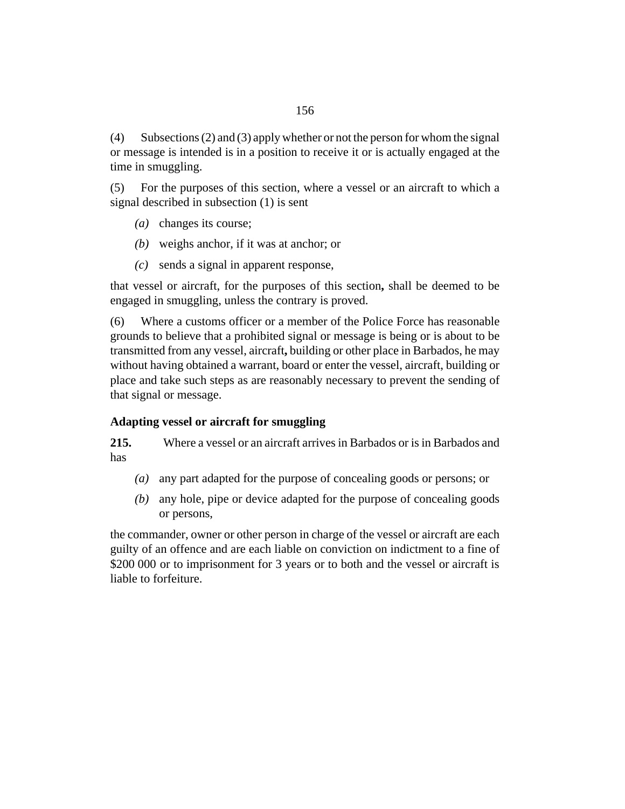Subsections (2) and (3) apply whether or not the person for whom the signal or message is intended is in a position to receive it or is actually engaged at the time in smuggling. (4)

For the purposes of this section, where a vessel or an aircraft to which a signal described in subsection (1) is sent (5)

- (a) changes its course;
- weighs anchor, if it was at anchor; or *(b)*
- sends a signal in apparent response, *(c)*

that vessel or aircraft, for the purposes of this section**,** shall be deemed to be engaged in smuggling, unless the contrary is proved.

Where a customs officer or a member of the Police Force has reasonable grounds to believe that a prohibited signal or message is being or is about to be transmitted from any vessel, aircraft**,** building or other place in Barbados, he may without having obtained a warrant, board or enter the vessel, aircraft, building or place and take such steps as are reasonably necessary to prevent the sending of that signal or message. (6)

# **Adapting vessel or aircraft for smuggling**

Where a vessel or an aircraft arrives in Barbados or is in Barbados and has **215.**

- any part adapted for the purpose of concealing goods or persons; or *(a)*
- any hole, pipe or device adapted for the purpose of concealing goods *(b)* or persons,

the commander, owner or other person in charge of the vessel or aircraft are each guilty of an offence and are each liable on conviction on indictment to a fine of \$200 000 or to imprisonment for 3 years or to both and the vessel or aircraft is liable to forfeiture.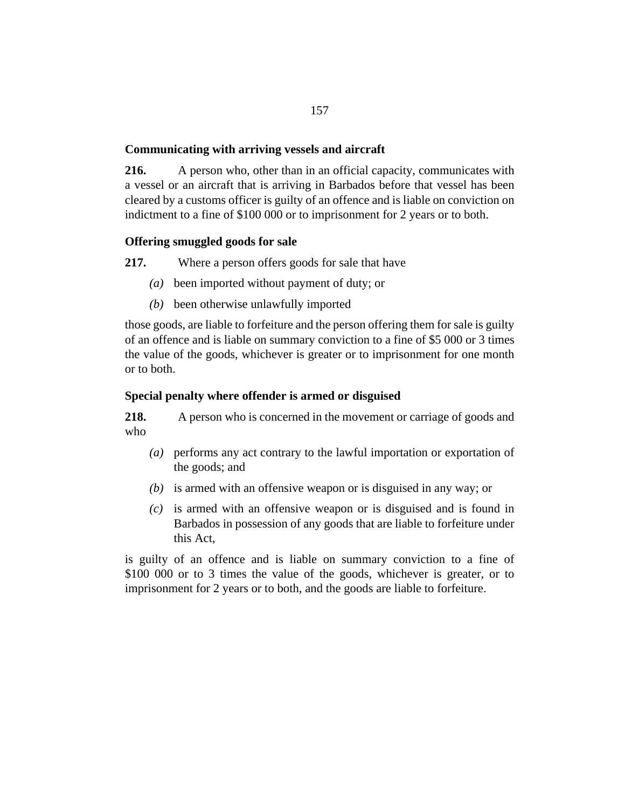# **Communicating with arriving vessels and aircraft**

A person who, other than in an official capacity, communicates with a vessel or an aircraft that is arriving in Barbados before that vessel has been cleared by a customs officer is guilty of an offence and is liable on conviction on indictment to a fine of \$100 000 or to imprisonment for 2 years or to both. **216.**

# **Offering smuggled goods for sale**

Where a person offers goods for sale that have **217.**

- been imported without payment of duty; or *(a)*
- (b) been otherwise unlawfully imported

those goods, are liable to forfeiture and the person offering them for sale is guilty of an offence and is liable on summary conviction to a fine of \$5 000 or 3 times the value of the goods, whichever is greater or to imprisonment for one month or to both.

# **Special penalty where offender is armed or disguised**

A person who is concerned in the movement or carriage of goods and who **218.**

- performs any act contrary to the lawful importation or exportation of *(a)* the goods; and
- $(b)$  is armed with an offensive weapon or is disguised in any way; or
- $(c)$  is armed with an offensive weapon or is disguised and is found in Barbados in possession of any goods that are liable to forfeiture under this Act,

is guilty of an offence and is liable on summary conviction to a fine of \$100,000 or to 3 times the value of the goods, whichever is greater, or to imprisonment for 2 years or to both, and the goods are liable to forfeiture.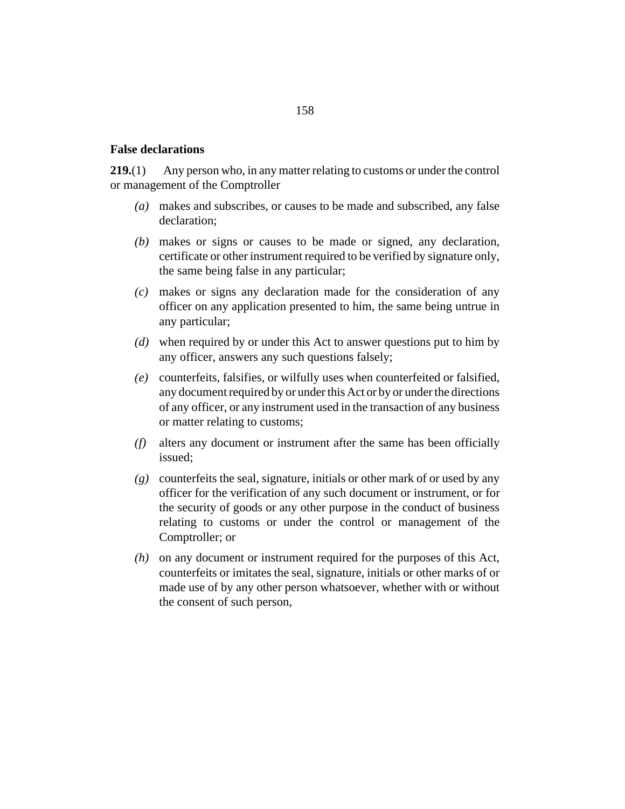### **False declarations**

Any person who, in any matter relating to customs or under the control or management of the Comptroller **219.**(1)

- makes and subscribes, or causes to be made and subscribed, any false *(a)* declaration;
- makes or signs or causes to be made or signed, any declaration, *(b)* certificate or other instrument required to be verified by signature only, the same being false in any particular;
- makes or signs any declaration made for the consideration of any *(c)* officer on any application presented to him, the same being untrue in any particular;
- when required by or under this Act to answer questions put to him by *(d)* any officer, answers any such questions falsely;
- counterfeits, falsifies, or wilfully uses when counterfeited or falsified, *(e)* any document required by or under this Act or by or under the directions of any officer, or any instrument used in the transaction of any business or matter relating to customs;
- alters any document or instrument after the same has been officially *(f)* issued;
- counterfeits the seal, signature, initials or other mark of or used by any *(g)* officer for the verification of any such document or instrument, or for the security of goods or any other purpose in the conduct of business relating to customs or under the control or management of the Comptroller; or
- (h) on any document or instrument required for the purposes of this Act, counterfeits or imitates the seal, signature, initials or other marks of or made use of by any other person whatsoever, whether with or without the consent of such person,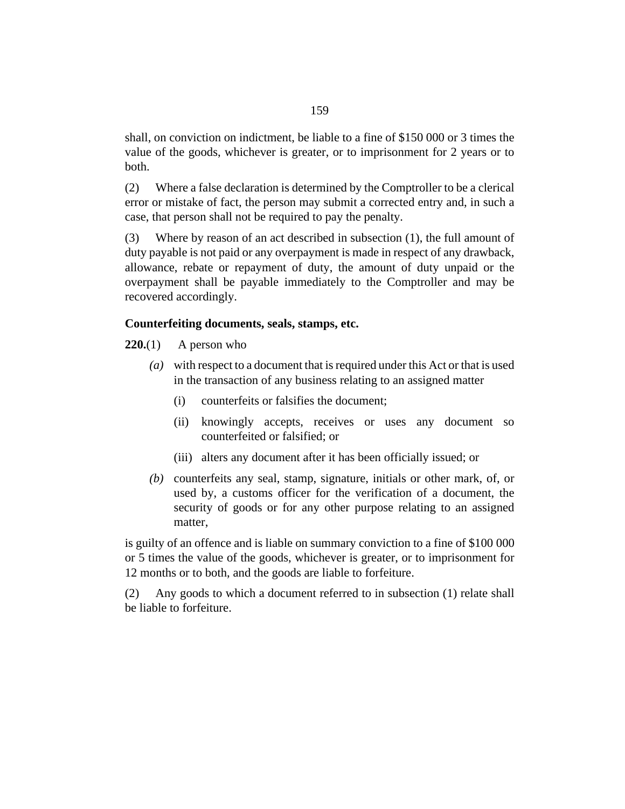shall, on conviction on indictment, be liable to a fine of \$150 000 or 3 times the value of the goods, whichever is greater, or to imprisonment for 2 years or to both.

Where a false declaration is determined by the Comptroller to be a clerical error or mistake of fact, the person may submit a corrected entry and, in such a case, that person shall not be required to pay the penalty. (2)

Where by reason of an act described in subsection  $(1)$ , the full amount of duty payable is not paid or any overpayment is made in respect of any drawback, allowance, rebate or repayment of duty, the amount of duty unpaid or the overpayment shall be payable immediately to the Comptroller and may be recovered accordingly. (3)

#### **Counterfeiting documents, seals, stamps, etc.**

A person who **220.**(1)

- with respect to a document that is required under this Act or that is used *(a)* in the transaction of any business relating to an assigned matter
	- counterfeits or falsifies the document; (i)
	- (ii) knowingly accepts, receives or uses any document so counterfeited or falsified; or
	- (iii) alters any document after it has been officially issued; or
- (b) counterfeits any seal, stamp, signature, initials or other mark, of, or used by, a customs officer for the verification of a document, the security of goods or for any other purpose relating to an assigned matter,

is guilty of an offence and is liable on summary conviction to a fine of \$100 000 or 5 times the value of the goods, whichever is greater, or to imprisonment for 12 months or to both, and the goods are liable to forfeiture.

Any goods to which a document referred to in subsection (1) relate shall be liable to forfeiture. (2)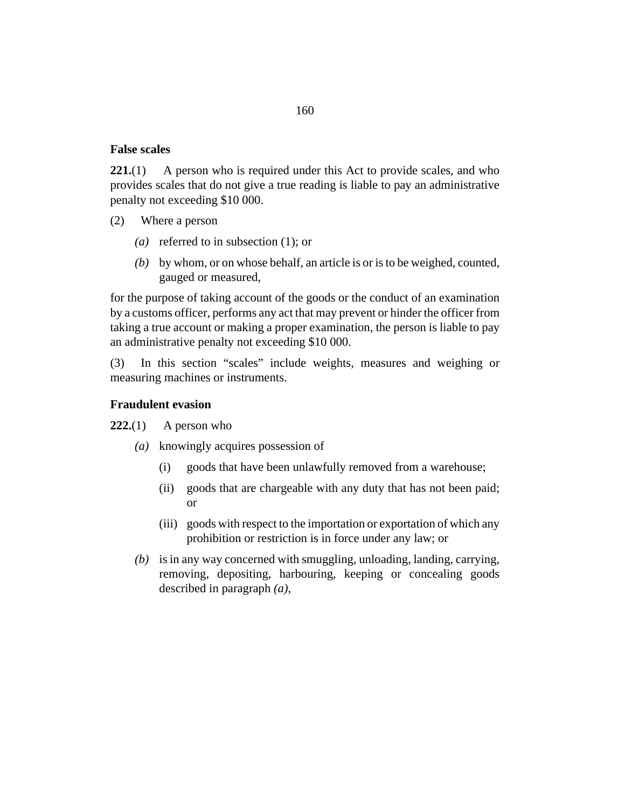### **False scales**

A person who is required under this Act to provide scales, and who provides scales that do not give a true reading is liable to pay an administrative penalty not exceeding \$10 000. **221.**(1)

- Where a person (2)
	- (*a*) referred to in subsection (1); or
	- by whom, or on whose behalf, an article is or is to be weighed, counted, *(b)* gauged or measured,

for the purpose of taking account of the goods or the conduct of an examination by a customs officer, performs any act that may prevent or hinder the officer from taking a true account or making a proper examination, the person is liable to pay an administrative penalty not exceeding \$10 000.

In this section "scales" include weights, measures and weighing or measuring machines or instruments. (3)

# **Fraudulent evasion**

- A person who **222.**(1)
	- knowingly acquires possession of *(a)*
		- goods that have been unlawfully removed from a warehouse; (i)
		- goods that are chargeable with any duty that has not been paid; or (ii)
		- (iii) goods with respect to the importation or exportation of which any prohibition or restriction is in force under any law; or
	- $(b)$  is in any way concerned with smuggling, unloading, landing, carrying, removing, depositing, harbouring, keeping or concealing goods described in paragraph *(a)*,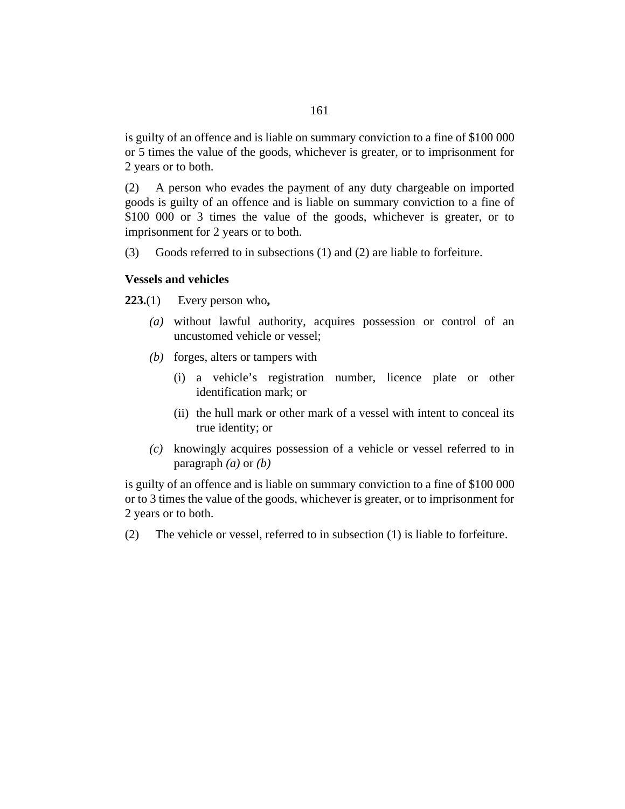is guilty of an offence and is liable on summary conviction to a fine of \$100 000 or 5 times the value of the goods, whichever is greater, or to imprisonment for 2 years or to both.

A person who evades the payment of any duty chargeable on imported goods is guilty of an offence and is liable on summary conviction to a fine of \$100 000 or 3 times the value of the goods, whichever is greater, or to imprisonment for 2 years or to both. (2)

Goods referred to in subsections (1) and (2) are liable to forfeiture. (3)

#### **Vessels and vehicles**

Every person who**, 223.**(1)

- without lawful authority, acquires possession or control of an *(a)* uncustomed vehicle or vessel;
- (b) forges, alters or tampers with
	- a vehicle's registration number, licence plate or other (i) identification mark; or
	- (ii) the hull mark or other mark of a vessel with intent to conceal its true identity; or
- knowingly acquires possession of a vehicle or vessel referred to in *(c)* paragraph *(a)* or *(b)*

is guilty of an offence and is liable on summary conviction to a fine of \$100 000 or to 3 times the value of the goods, whichever is greater, or to imprisonment for 2 years or to both.

The vehicle or vessel, referred to in subsection (1) is liable to forfeiture. (2)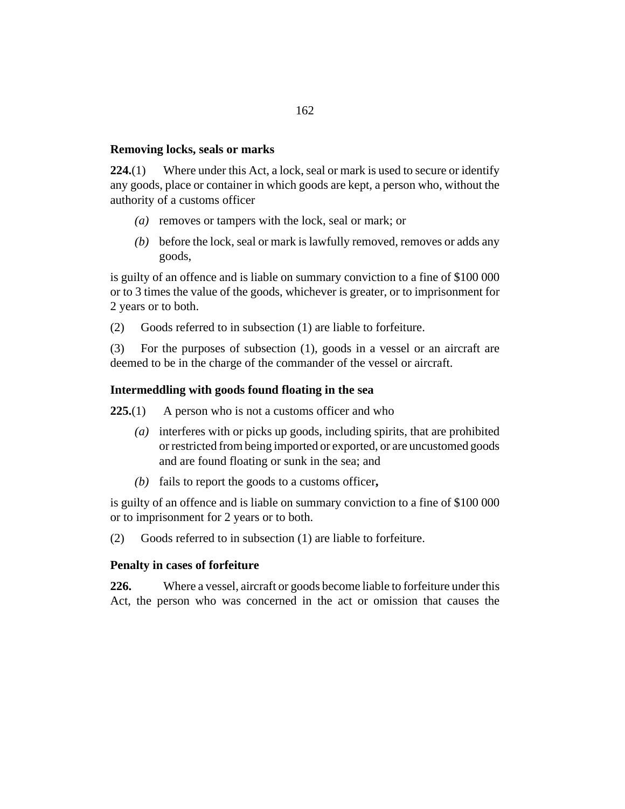## **Removing locks, seals or marks**

Where under this Act, a lock, seal or mark is used to secure or identify any goods, place or container in which goods are kept, a person who, without the authority of a customs officer **224.**(1)

- (a) removes or tampers with the lock, seal or mark; or
- before the lock, seal or mark is lawfully removed, removes or adds any *(b)* goods,

is guilty of an offence and is liable on summary conviction to a fine of \$100 000 or to 3 times the value of the goods, whichever is greater, or to imprisonment for 2 years or to both.

Goods referred to in subsection (1) are liable to forfeiture. (2)

For the purposes of subsection (1), goods in a vessel or an aircraft are deemed to be in the charge of the commander of the vessel or aircraft. (3)

## **Intermeddling with goods found floating in the sea**

A person who is not a customs officer and who **225.**(1)

- interferes with or picks up goods, including spirits, that are prohibited *(a)* or restricted from being imported or exported, or are uncustomed goods and are found floating or sunk in the sea; and
- fails to report the goods to a customs officer**,** *(b)*

is guilty of an offence and is liable on summary conviction to a fine of \$100 000 or to imprisonment for 2 years or to both.

Goods referred to in subsection (1) are liable to forfeiture. (2)

#### **Penalty in cases of forfeiture**

Where a vessel, aircraft or goods become liable to forfeiture under this Act, the person who was concerned in the act or omission that causes the **226.**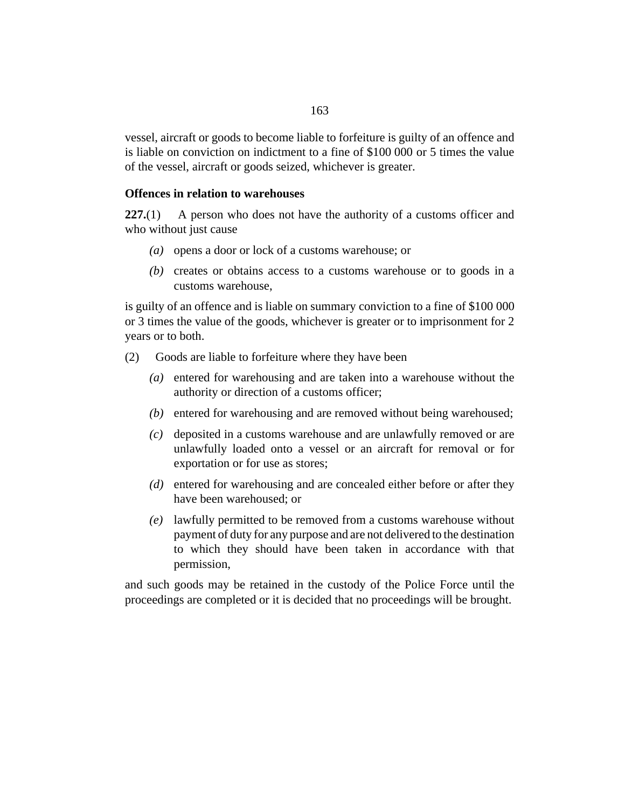vessel, aircraft or goods to become liable to forfeiture is guilty of an offence and is liable on conviction on indictment to a fine of \$100 000 or 5 times the value of the vessel, aircraft or goods seized, whichever is greater.

### **Offences in relation to warehouses**

A person who does not have the authority of a customs officer and who without just cause **227.**(1)

- (a) opens a door or lock of a customs warehouse; or
- creates or obtains access to a customs warehouse or to goods in a *(b)* customs warehouse,

is guilty of an offence and is liable on summary conviction to a fine of \$100 000 or 3 times the value of the goods, whichever is greater or to imprisonment for 2 years or to both.

Goods are liable to forfeiture where they have been (2)

- entered for warehousing and are taken into a warehouse without the *(a)* authority or direction of a customs officer;
- (b) entered for warehousing and are removed without being warehoused;
- deposited in a customs warehouse and are unlawfully removed or are *(c)* unlawfully loaded onto a vessel or an aircraft for removal or for exportation or for use as stores;
- (d) entered for warehousing and are concealed either before or after they have been warehoused; or
- lawfully permitted to be removed from a customs warehouse without *(e)* payment of duty for any purpose and are not delivered to the destination to which they should have been taken in accordance with that permission,

and such goods may be retained in the custody of the Police Force until the proceedings are completed or it is decided that no proceedings will be brought.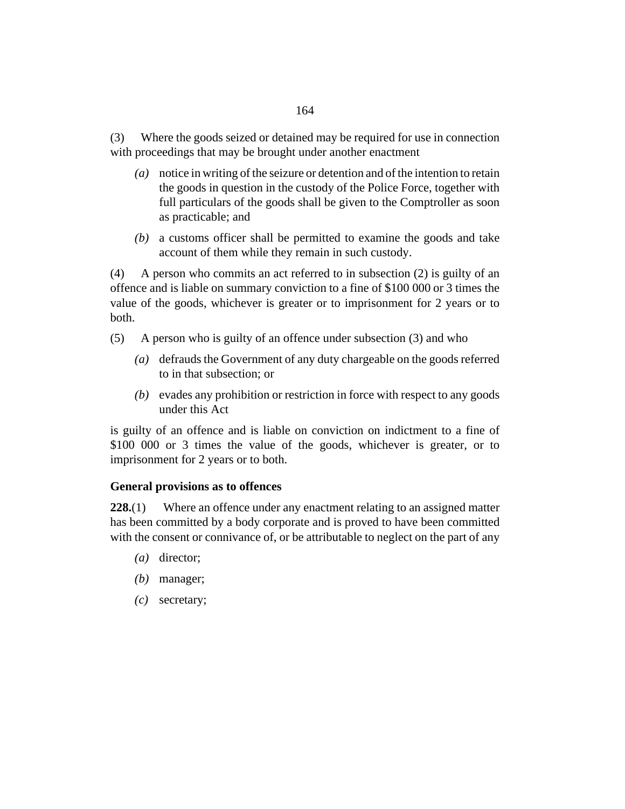Where the goods seized or detained may be required for use in connection with proceedings that may be brought under another enactment (3)

- notice in writing of the seizure or detention and of the intention to retain *(a)* the goods in question in the custody of the Police Force, together with full particulars of the goods shall be given to the Comptroller as soon as practicable; and
- a customs officer shall be permitted to examine the goods and take *(b)* account of them while they remain in such custody.

A person who commits an act referred to in subsection (2) is guilty of an offence and is liable on summary conviction to a fine of \$100 000 or 3 times the value of the goods, whichever is greater or to imprisonment for 2 years or to both. (4)

- A person who is guilty of an offence under subsection (3) and who (5)
	- defrauds the Government of any duty chargeable on the goods referred *(a)* to in that subsection; or
	- (b) evades any prohibition or restriction in force with respect to any goods under this Act

is guilty of an offence and is liable on conviction on indictment to a fine of \$100 000 or 3 times the value of the goods, whichever is greater, or to imprisonment for 2 years or to both.

## **General provisions as to offences**

Where an offence under any enactment relating to an assigned matter has been committed by a body corporate and is proved to have been committed with the consent or connivance of, or be attributable to neglect on the part of any **228.**(1)

- (a) director;
- (b) manager;
- secretary; *(c)*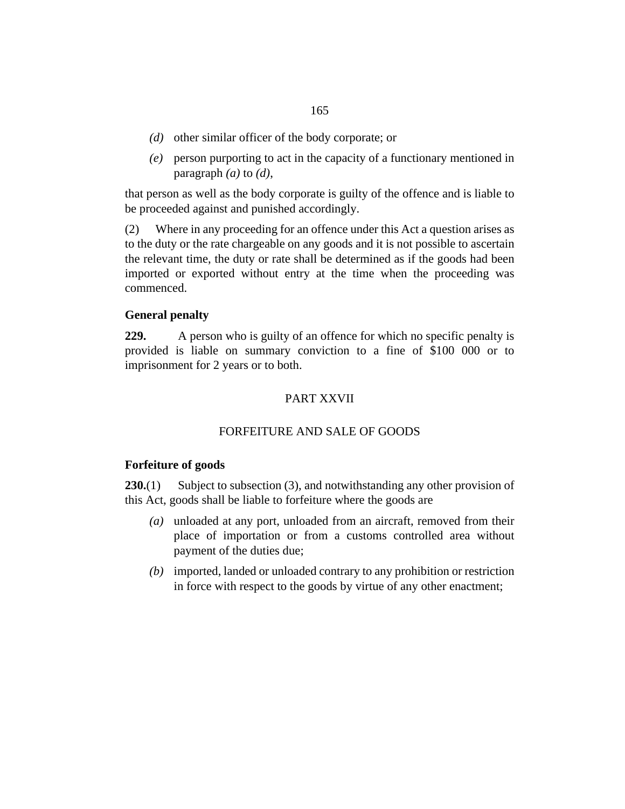- (d) other similar officer of the body corporate; or
- person purporting to act in the capacity of a functionary mentioned in *(e)* paragraph *(a)* to *(d)*,

that person as well as the body corporate is guilty of the offence and is liable to be proceeded against and punished accordingly.

Where in any proceeding for an offence under this Act a question arises as to the duty or the rate chargeable on any goods and it is not possible to ascertain the relevant time, the duty or rate shall be determined as if the goods had been imported or exported without entry at the time when the proceeding was commenced. (2)

# **General penalty**

A person who is guilty of an offence for which no specific penalty is provided is liable on summary conviction to a fine of \$100 000 or to imprisonment for 2 years or to both. **229.**

# PART XXVII

# FORFEITURE AND SALE OF GOODS

## **Forfeiture of goods**

Subject to subsection (3), and notwithstanding any other provision of this Act, goods shall be liable to forfeiture where the goods are **230.**(1)

- unloaded at any port, unloaded from an aircraft, removed from their *(a)* place of importation or from a customs controlled area without payment of the duties due;
- imported, landed or unloaded contrary to any prohibition or restriction *(b)* in force with respect to the goods by virtue of any other enactment;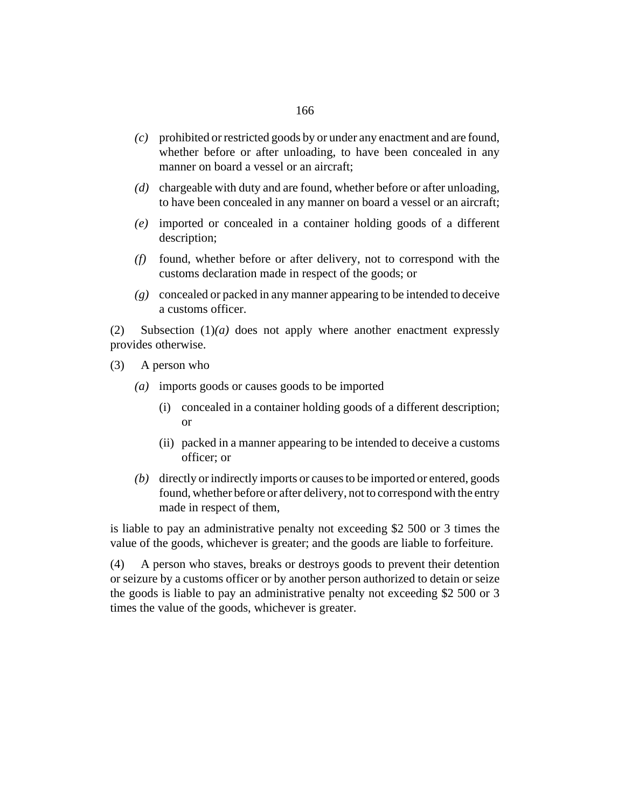- prohibited or restricted goods by or under any enactment and are found, *(c)* whether before or after unloading, to have been concealed in any manner on board a vessel or an aircraft;
- (d) chargeable with duty and are found, whether before or after unloading, to have been concealed in any manner on board a vessel or an aircraft;
- imported or concealed in a container holding goods of a different *(e)* description;
- found, whether before or after delivery, not to correspond with the *(f)* customs declaration made in respect of the goods; or
- concealed or packed in any manner appearing to be intended to deceive *(g)* a customs officer.

Subsection  $(1)(a)$  does not apply where another enactment expressly provides otherwise. (2)

- A person who (3)
	- imports goods or causes goods to be imported *(a)*
		- (i) concealed in a container holding goods of a different description; or
		- (ii) packed in a manner appearing to be intended to deceive a customs officer; or
	- (b) directly or indirectly imports or causes to be imported or entered, goods found, whether before or after delivery, not to correspond with the entry made in respect of them,

is liable to pay an administrative penalty not exceeding \$2 500 or 3 times the value of the goods, whichever is greater; and the goods are liable to forfeiture.

A person who staves, breaks or destroys goods to prevent their detention or seizure by a customs officer or by another person authorized to detain or seize the goods is liable to pay an administrative penalty not exceeding \$2 500 or 3 times the value of the goods, whichever is greater. (4)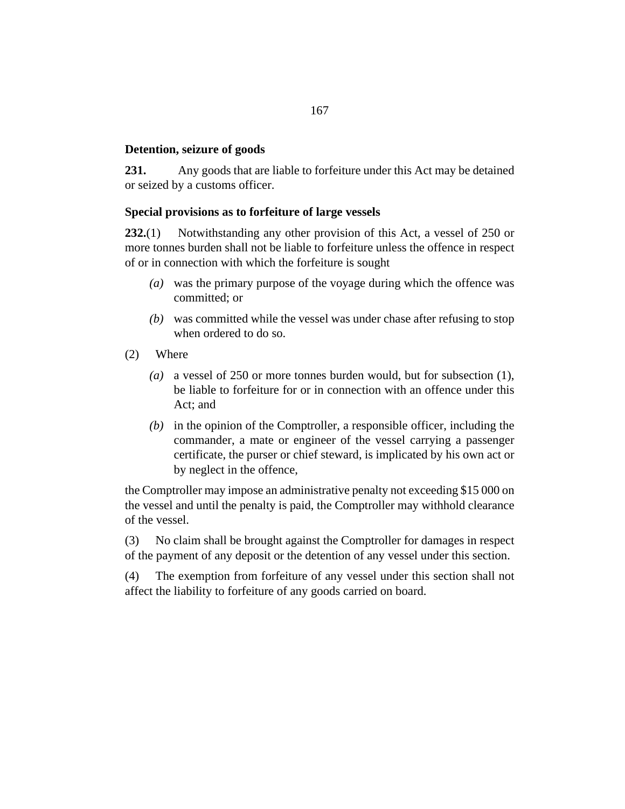# **Detention, seizure of goods**

Any goods that are liable to forfeiture under this Act may be detained or seized by a customs officer. **231.**

## **Special provisions as to forfeiture of large vessels**

Notwithstanding any other provision of this Act, a vessel of 250 or more tonnes burden shall not be liable to forfeiture unless the offence in respect of or in connection with which the forfeiture is sought **232.**(1)

- was the primary purpose of the voyage during which the offence was *(a)* committed; or
- was committed while the vessel was under chase after refusing to stop *(b)* when ordered to do so.
- Where (2)
	- a vessel of 250 or more tonnes burden would, but for subsection (1), *(a)* be liable to forfeiture for or in connection with an offence under this Act; and
	- $(b)$  in the opinion of the Comptroller, a responsible officer, including the commander, a mate or engineer of the vessel carrying a passenger certificate, the purser or chief steward, is implicated by his own act or by neglect in the offence,

the Comptroller may impose an administrative penalty not exceeding \$15 000 on the vessel and until the penalty is paid, the Comptroller may withhold clearance of the vessel.

No claim shall be brought against the Comptroller for damages in respect of the payment of any deposit or the detention of any vessel under this section. (3)

The exemption from forfeiture of any vessel under this section shall not affect the liability to forfeiture of any goods carried on board. (4)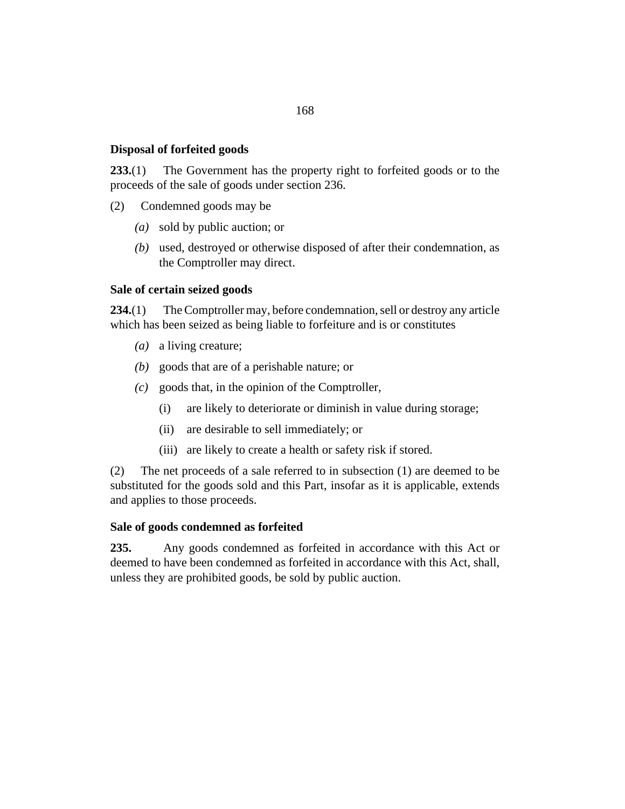# **Disposal of forfeited goods**

The Government has the property right to forfeited goods or to the proceeds of the sale of goods under [section 236.](#page-168-0) **233.**(1)

- Condemned goods may be (2)
	- sold by public auction; or *(a)*
	- used, destroyed or otherwise disposed of after their condemnation, as *(b)* the Comptroller may direct.

## **Sale of certain seized goods**

The Comptroller may, before condemnation, sell or destroy any article which has been seized as being liable to forfeiture and is or constitutes **234.**(1)

- (a) a living creature;
- goods that are of a perishable nature; or *(b)*
- goods that, in the opinion of the Comptroller, *(c)*
	- are likely to deteriorate or diminish in value during storage; (i)
	- are desirable to sell immediately; or (ii)
	- (iii) are likely to create a health or safety risk if stored.

The net proceeds of a sale referred to in subsection (1) are deemed to be substituted for the goods sold and this Part, insofar as it is applicable, extends and applies to those proceeds. (2)

## **Sale of goods condemned as forfeited**

Any goods condemned as forfeited in accordance with this Act or deemed to have been condemned as forfeited in accordance with this Act, shall, unless they are prohibited goods, be sold by public auction. **235.**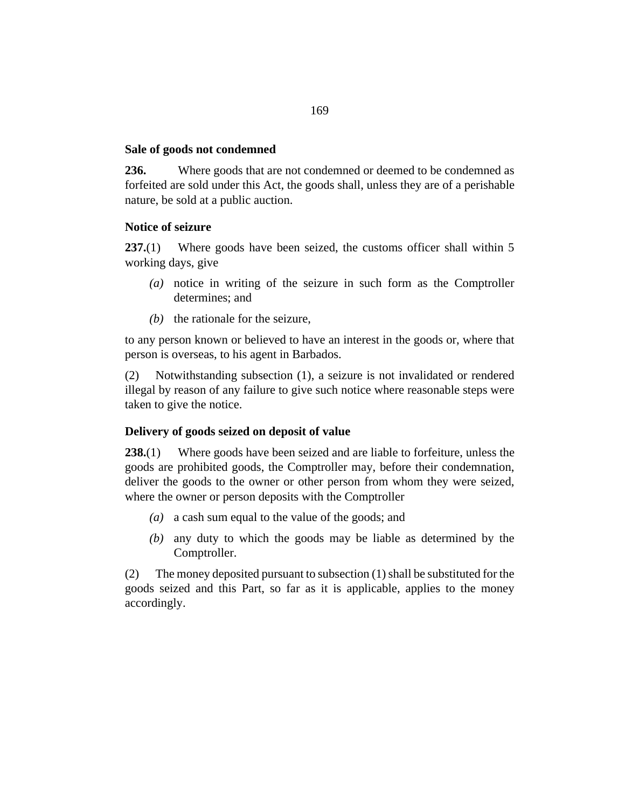## <span id="page-168-0"></span>**Sale of goods not condemned**

Where goods that are not condemned or deemed to be condemned as forfeited are sold under this Act, the goods shall, unless they are of a perishable nature, be sold at a public auction. **236.**

### **Notice of seizure**

Where goods have been seized, the customs officer shall within 5 working days, give **237.**(1)

- notice in writing of the seizure in such form as the Comptroller *(a)* determines; and
- $(b)$  the rationale for the seizure,

to any person known or believed to have an interest in the goods or, where that person is overseas, to his agent in Barbados.

Notwithstanding subsection (1), a seizure is not invalidated or rendered illegal by reason of any failure to give such notice where reasonable steps were taken to give the notice. (2)

# **Delivery of goods seized on deposit of value**

Where goods have been seized and are liable to forfeiture, unless the goods are prohibited goods, the Comptroller may, before their condemnation, deliver the goods to the owner or other person from whom they were seized, where the owner or person deposits with the Comptroller **238.**(1)

- a cash sum equal to the value of the goods; and *(a)*
- any duty to which the goods may be liable as determined by the *(b)* Comptroller.

The money deposited pursuant to subsection (1) shall be substituted for the goods seized and this Part, so far as it is applicable, applies to the money accordingly. (2)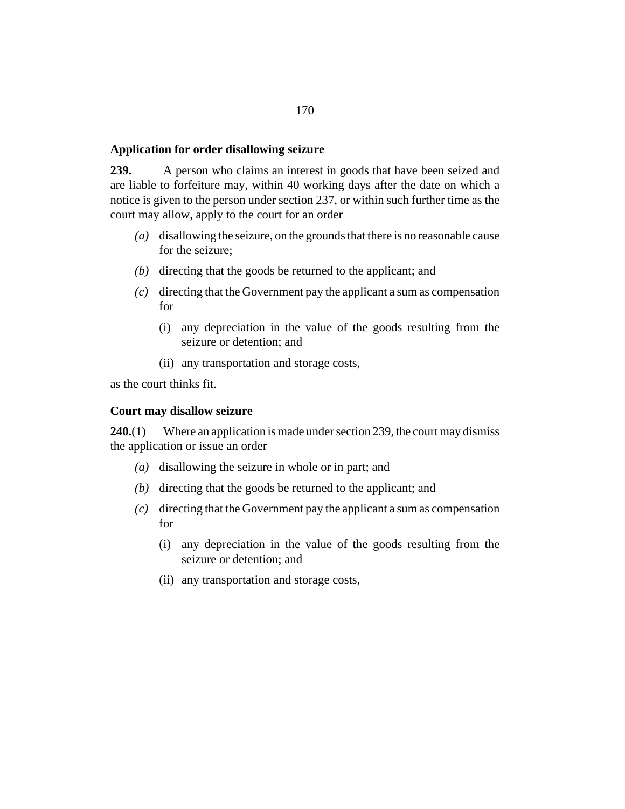#### <span id="page-169-0"></span>**Application for order disallowing seizure**

A person who claims an interest in goods that have been seized and are liable to forfeiture may, within 40 working days after the date on which a notice is given to the person under [section 237,](#page-168-0) or within such further time as the court may allow, apply to the court for an order **239.**

- (a) disallowing the seizure, on the grounds that there is no reasonable cause for the seizure;
- (b) directing that the goods be returned to the applicant; and
- directing that the Government pay the applicant a sum as compensation *(c)* for
	- (i) any depreciation in the value of the goods resulting from the seizure or detention; and
	- (ii) any transportation and storage costs,

as the court thinks fit.

#### **Court may disallow seizure**

Where an application is made under section 239, the court may dismiss the application or issue an order **240.**(1)

- $(a)$  disallowing the seizure in whole or in part; and
- (b) directing that the goods be returned to the applicant; and
- directing that the Government pay the applicant a sum as compensation *(c)* for
	- (i) any depreciation in the value of the goods resulting from the seizure or detention; and
	- (ii) any transportation and storage costs,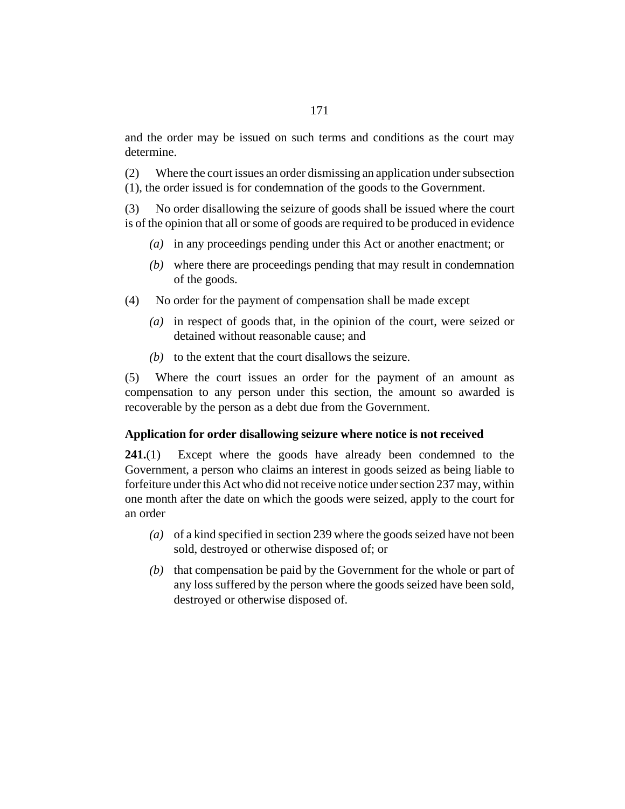<span id="page-170-0"></span>and the order may be issued on such terms and conditions as the court may determine.

Where the court issues an order dismissing an application under subsection (1), the order issued is for condemnation of the goods to the Government. (2)

No order disallowing the seizure of goods shall be issued where the court is of the opinion that all or some of goods are required to be produced in evidence (3)

- in any proceedings pending under this Act or another enactment; or *(a)*
- where there are proceedings pending that may result in condemnation *(b)* of the goods.
- No order for the payment of compensation shall be made except (4)
	- (a) in respect of goods that, in the opinion of the court, were seized or detained without reasonable cause; and
	- $(b)$  to the extent that the court disallows the seizure.

Where the court issues an order for the payment of an amount as compensation to any person under this section, the amount so awarded is recoverable by the person as a debt due from the Government. (5)

#### **Application for order disallowing seizure where notice is not received**

Except where the goods have already been condemned to the Government, a person who claims an interest in goods seized as being liable to forfeiture under this Act who did not receive notice under [section 237](#page-168-0) may, within one month after the date on which the goods were seized, apply to the court for an order **241.**(1)

- of a kind specified in [section 239](#page-169-0) where the goods seized have not been *(a)* sold, destroyed or otherwise disposed of; or
- $(b)$  that compensation be paid by the Government for the whole or part of any loss suffered by the person where the goods seized have been sold, destroyed or otherwise disposed of.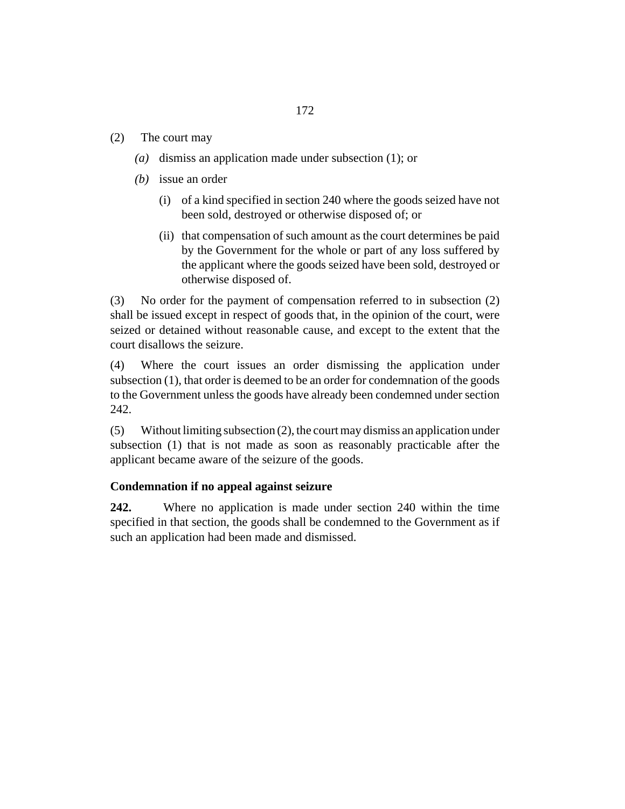- The court may (2)
	- (a) dismiss an application made under subsection  $(1)$ ; or
	- (*b*) issue an order
		- (i) of a kind specified in [section 240](#page-169-0) where the goods seized have not been sold, destroyed or otherwise disposed of; or
		- (ii) that compensation of such amount as the court determines be paid by the Government for the whole or part of any loss suffered by the applicant where the goods seized have been sold, destroyed or otherwise disposed of.

No order for the payment of compensation referred to in subsection (2) shall be issued except in respect of goods that, in the opinion of the court, were seized or detained without reasonable cause, and except to the extent that the court disallows the seizure. (3)

Where the court issues an order dismissing the application under subsection (1), that order is deemed to be an order for condemnation of the goods to the Government unless the goods have already been condemned under section 242. (4)

Without limiting subsection (2), the court may dismiss an application under subsection (1) that is not made as soon as reasonably practicable after the applicant became aware of the seizure of the goods. (5)

# **Condemnation if no appeal against seizure**

Where no application is made under [section 240](#page-169-0) within the time specified in that section, the goods shall be condemned to the Government as if such an application had been made and dismissed. **242.**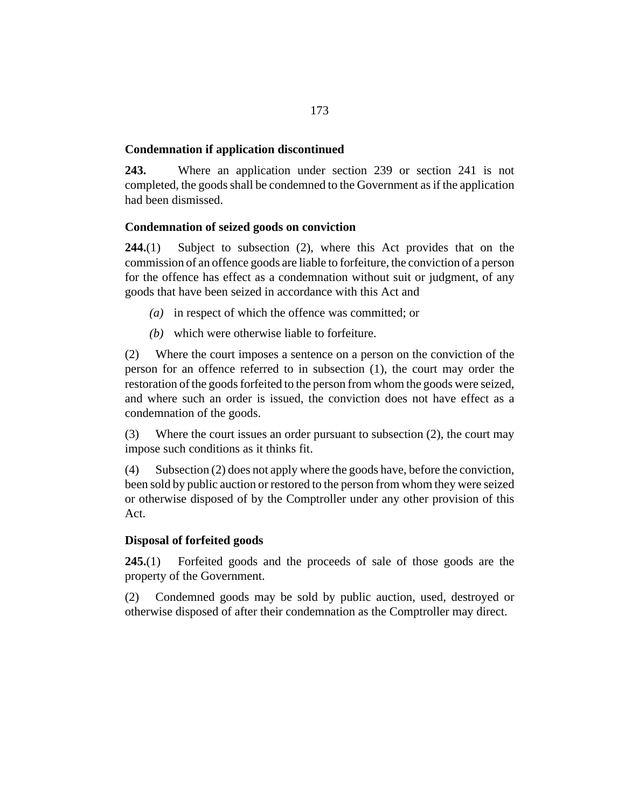# **Condemnation if application discontinued**

Where an application under [section 239](#page-169-0) or [section 241](#page-170-0) is not completed, the goods shall be condemned to the Government as if the application had been dismissed. **243.**

# **Condemnation of seized goods on conviction**

Subject to subsection (2), where this Act provides that on the commission of an offence goods are liable to forfeiture, the conviction of a person for the offence has effect as a condemnation without suit or judgment, of any goods that have been seized in accordance with this Act and **244.**(1)

- (a) in respect of which the offence was committed; or
- which were otherwise liable to forfeiture. *(b)*

Where the court imposes a sentence on a person on the conviction of the person for an offence referred to in subsection (1), the court may order the restoration of the goods forfeited to the person from whom the goods were seized, and where such an order is issued, the conviction does not have effect as a condemnation of the goods. (2)

Where the court issues an order pursuant to subsection (2), the court may impose such conditions as it thinks fit. (3)

Subsection (2) does not apply where the goods have, before the conviction, been sold by public auction or restored to the person from whom they were seized or otherwise disposed of by the Comptroller under any other provision of this Act. (4)

## **Disposal of forfeited goods**

Forfeited goods and the proceeds of sale of those goods are the property of the Government. **245.**(1)

Condemned goods may be sold by public auction, used, destroyed or otherwise disposed of after their condemnation as the Comptroller may direct. (2)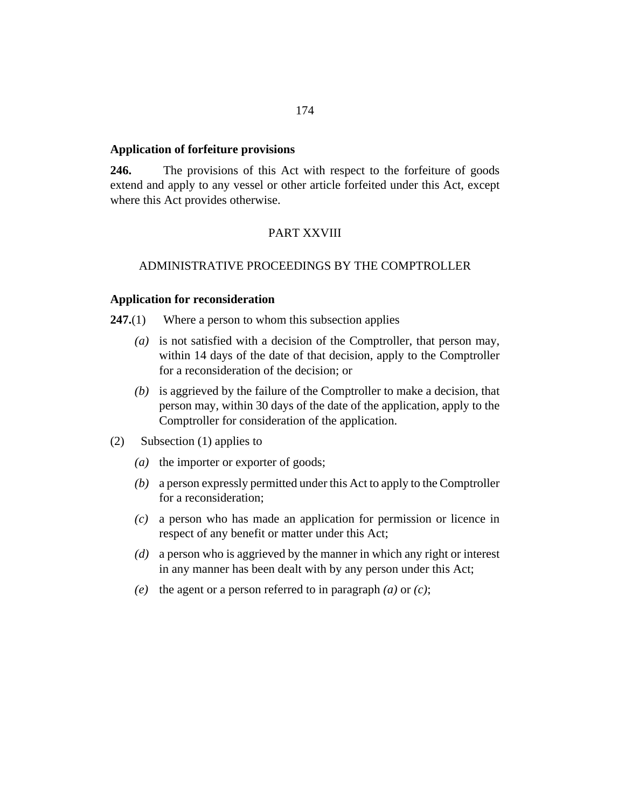#### <span id="page-173-0"></span>**Application of forfeiture provisions**

The provisions of this Act with respect to the forfeiture of goods extend and apply to any vessel or other article forfeited under this Act, except where this Act provides otherwise. **246.**

# PART XXVIII

# ADMINISTRATIVE PROCEEDINGS BY THE COMPTROLLER

### **Application for reconsideration**

- Where a person to whom this subsection applies **247.**(1)
	- (a) is not satisfied with a decision of the Comptroller, that person may, within 14 days of the date of that decision, apply to the Comptroller for a reconsideration of the decision; or
	- (b) is aggrieved by the failure of the Comptroller to make a decision, that person may, within 30 days of the date of the application, apply to the Comptroller for consideration of the application.
- Subsection (1) applies to (2)
	- (a) the importer or exporter of goods;
	- a person expressly permitted under this Act to apply to the Comptroller *(b)* for a reconsideration;
	- a person who has made an application for permission or licence in *(c)* respect of any benefit or matter under this Act;
	- a person who is aggrieved by the manner in which any right or interest *(d)* in any manner has been dealt with by any person under this Act;
	- *(e)* the agent or a person referred to in paragraph  $(a)$  or  $(c)$ ;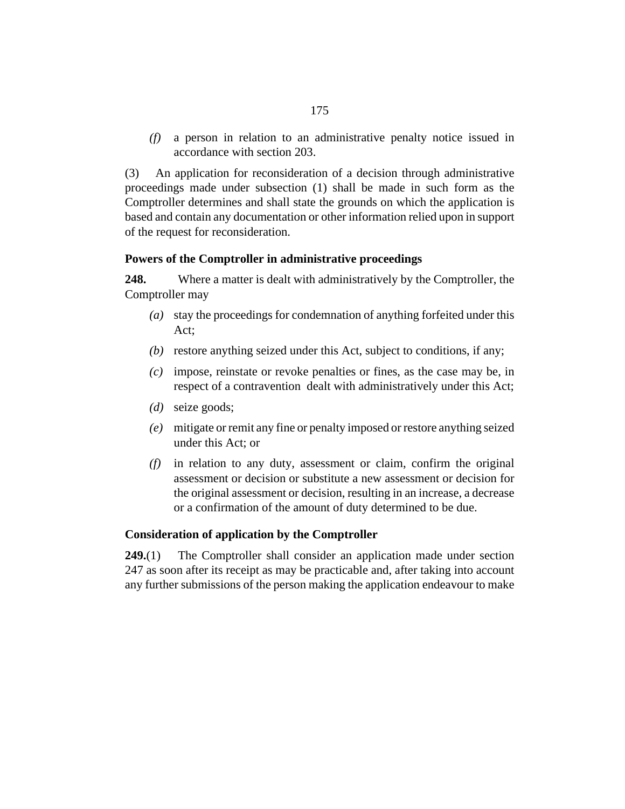<span id="page-174-0"></span>a person in relation to an administrative penalty notice issued in *(f)* accordance with [section 203.](#page-149-0)

An application for reconsideration of a decision through administrative proceedings made under subsection (1) shall be made in such form as the Comptroller determines and shall state the grounds on which the application is based and contain any documentation or other information relied upon in support of the request for reconsideration. (3)

## **Powers of the Comptroller in administrative proceedings**

Where a matter is dealt with administratively by the Comptroller, the Comptroller may **248.**

- stay the proceedings for condemnation of anything forfeited under this *(a)* Act;
- (b) restore anything seized under this Act, subject to conditions, if any;
- impose, reinstate or revoke penalties or fines, as the case may be, in *(c)* respect of a contravention dealt with administratively under this Act;
- seize goods; *(d)*
- mitigate or remit any fine or penalty imposed or restore anything seized *(e)* under this Act; or
- in relation to any duty, assessment or claim, confirm the original *(f)* assessment or decision or substitute a new assessment or decision for the original assessment or decision, resulting in an increase, a decrease or a confirmation of the amount of duty determined to be due.

#### **Consideration of application by the Comptroller**

The Comptroller shall consider an application made under [section](#page-173-0) [247](#page-173-0) as soon after its receipt as may be practicable and, after taking into account any further submissions of the person making the application endeavour to make **249.**(1)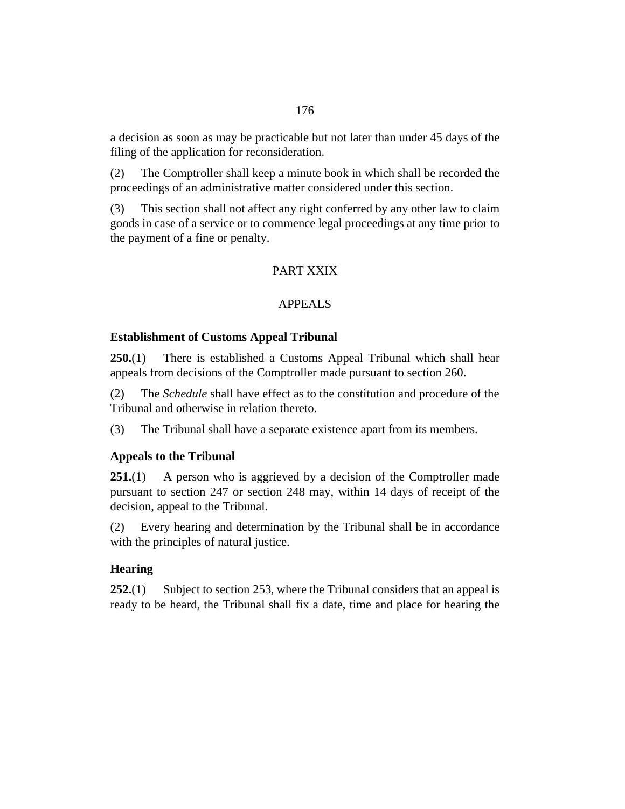<span id="page-175-0"></span>a decision as soon as may be practicable but not later than under 45 days of the filing of the application for reconsideration.

The Comptroller shall keep a minute book in which shall be recorded the proceedings of an administrative matter considered under this section. (2)

This section shall not affect any right conferred by any other law to claim goods in case of a service or to commence legal proceedings at any time prior to the payment of a fine or penalty. (3)

# PART XXIX

# APPEALS

## **Establishment of Customs Appeal Tribunal**

There is established a Customs Appeal Tribunal which shall hear appeals from decisions of the Comptroller made pursuant to section 260. **250.**(1)

The *Schedule* shall have effect as to the constitution and procedure of the Tribunal and otherwise in relation thereto. (2)

The Tribunal shall have a separate existence apart from its members. (3)

#### **Appeals to the Tribunal**

A person who is aggrieved by a decision of the Comptroller made pursuant to [section 247](#page-173-0) or [section 248](#page-174-0) may, within 14 days of receipt of the decision, appeal to the Tribunal. **251.**(1)

Every hearing and determination by the Tribunal shall be in accordance with the principles of natural justice. (2)

# **Hearing**

Subject to [section 253,](#page-176-0) where the Tribunal considers that an appeal is ready to be heard, the Tribunal shall fix a date, time and place for hearing the **252.**(1)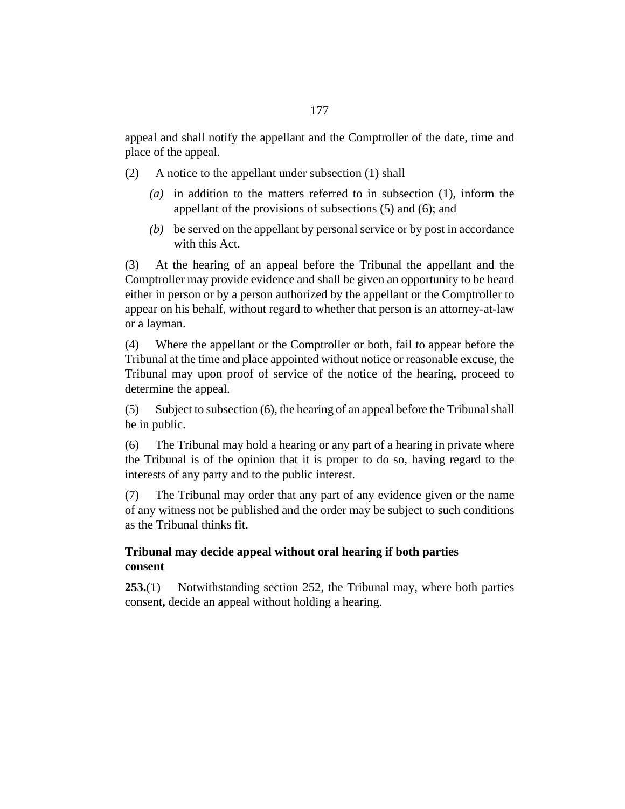<span id="page-176-0"></span>appeal and shall notify the appellant and the Comptroller of the date, time and place of the appeal.

A notice to the appellant under subsection (1) shall (2)

- (a) in addition to the matters referred to in subsection  $(1)$ , inform the appellant of the provisions of subsections (5) and (6); and
- be served on the appellant by personal service or by post in accordance *(b)* with this Act.

At the hearing of an appeal before the Tribunal the appellant and the Comptroller may provide evidence and shall be given an opportunity to be heard either in person or by a person authorized by the appellant or the Comptroller to appear on his behalf, without regard to whether that person is an attorney-at-law or a layman. (3)

Where the appellant or the Comptroller or both, fail to appear before the Tribunal at the time and place appointed without notice or reasonable excuse, the Tribunal may upon proof of service of the notice of the hearing, proceed to determine the appeal. (4)

Subject to subsection (6), the hearing of an appeal before the Tribunal shall be in public. (5)

The Tribunal may hold a hearing or any part of a hearing in private where the Tribunal is of the opinion that it is proper to do so, having regard to the interests of any party and to the public interest. (6)

The Tribunal may order that any part of any evidence given or the name of any witness not be published and the order may be subject to such conditions as the Tribunal thinks fit. (7)

# **Tribunal may decide appeal without oral hearing if both parties consent**

Notwithstanding [section 252](#page-175-0), the Tribunal may, where both parties consent**,** decide an appeal without holding a hearing. **253.**(1)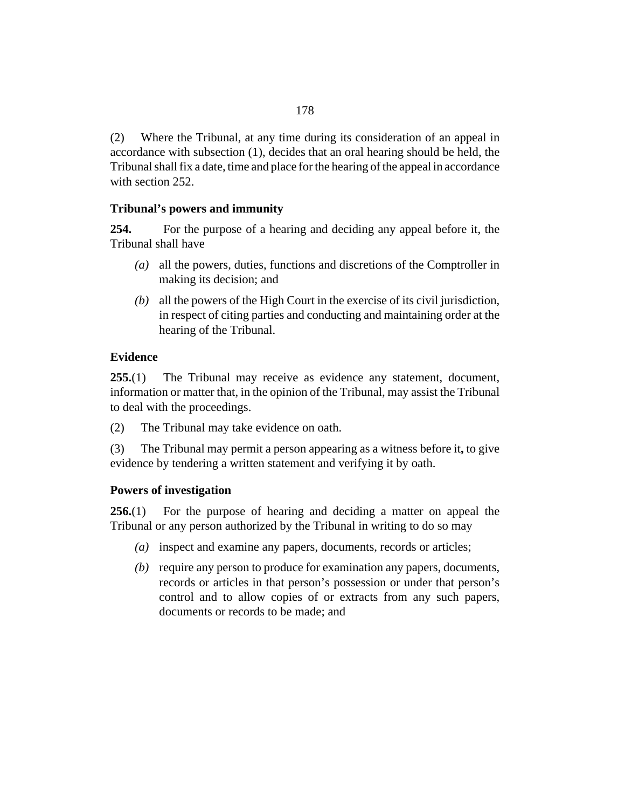Where the Tribunal, at any time during its consideration of an appeal in accordance with subsection (1), decides that an oral hearing should be held, the Tribunal shall fix a date, time and place for the hearing of the appeal in accordance with [section 252](#page-175-0). (2)

# **Tribunal's powers and immunity**

For the purpose of a hearing and deciding any appeal before it, the Tribunal shall have **254.**

- all the powers, duties, functions and discretions of the Comptroller in *(a)* making its decision; and
- all the powers of the High Court in the exercise of its civil jurisdiction, *(b)* in respect of citing parties and conducting and maintaining order at the hearing of the Tribunal.

# **Evidence**

The Tribunal may receive as evidence any statement, document, information or matter that, in the opinion of the Tribunal, may assist the Tribunal to deal with the proceedings. **255.**(1)

The Tribunal may take evidence on oath. (2)

The Tribunal may permit a person appearing as a witness before it**,** to give evidence by tendering a written statement and verifying it by oath. (3)

## **Powers of investigation**

For the purpose of hearing and deciding a matter on appeal the Tribunal or any person authorized by the Tribunal in writing to do so may **256.**(1)

- inspect and examine any papers, documents, records or articles; *(a)*
- (b) require any person to produce for examination any papers, documents, records or articles in that person's possession or under that person's control and to allow copies of or extracts from any such papers, documents or records to be made; and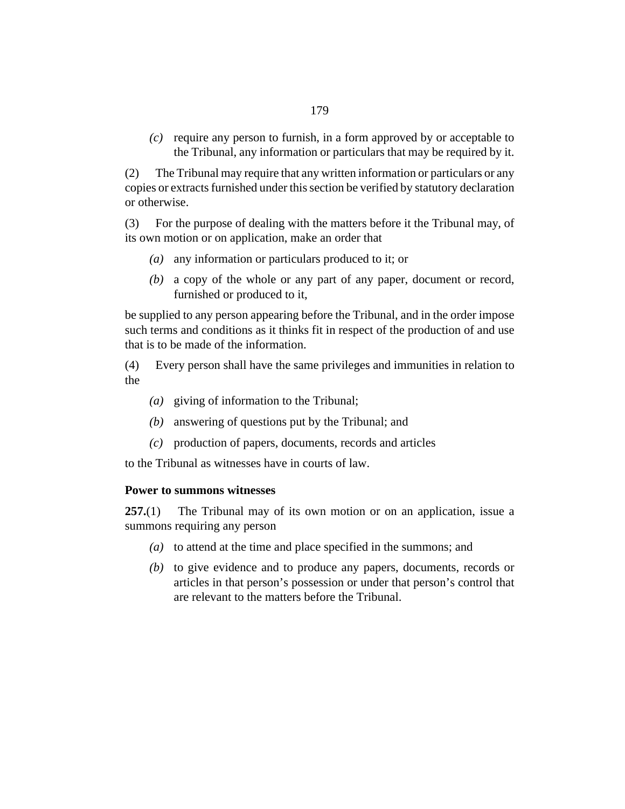(c) require any person to furnish, in a form approved by or acceptable to the Tribunal, any information or particulars that may be required by it.

The Tribunal may require that any written information or particulars or any copies or extracts furnished under this section be verified by statutory declaration or otherwise. (2)

For the purpose of dealing with the matters before it the Tribunal may, of its own motion or on application, make an order that (3)

- (a) any information or particulars produced to it; or
- a copy of the whole or any part of any paper, document or record, *(b)* furnished or produced to it,

be supplied to any person appearing before the Tribunal, and in the order impose such terms and conditions as it thinks fit in respect of the production of and use that is to be made of the information.

Every person shall have the same privileges and immunities in relation to the (4)

- giving of information to the Tribunal; *(a)*
- (b) answering of questions put by the Tribunal; and
- production of papers, documents, records and articles *(c)*

to the Tribunal as witnesses have in courts of law.

#### **Power to summons witnesses**

The Tribunal may of its own motion or on an application, issue a summons requiring any person **257.**(1)

- (a) to attend at the time and place specified in the summons; and
- (b) to give evidence and to produce any papers, documents, records or articles in that person's possession or under that person's control that are relevant to the matters before the Tribunal.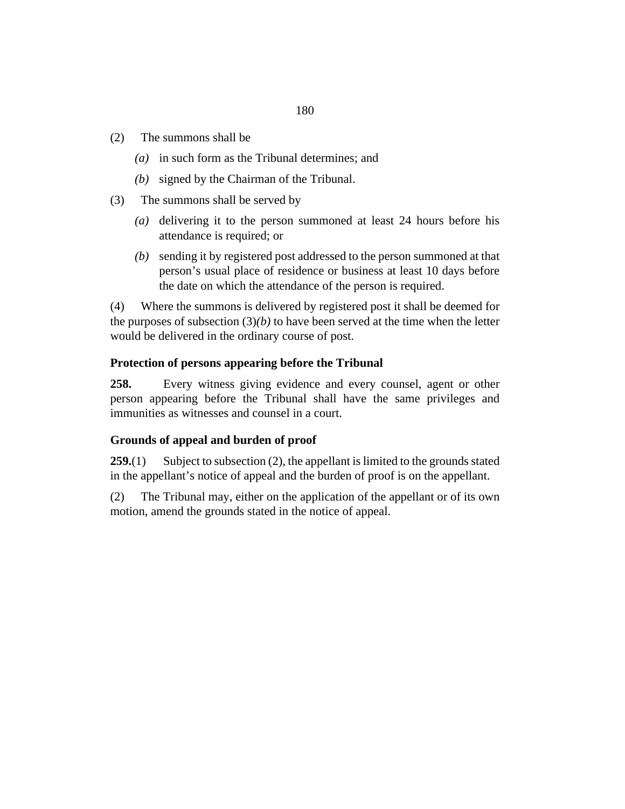- The summons shall be (2)
	- (a) in such form as the Tribunal determines; and
	- (b) signed by the Chairman of the Tribunal.
- The summons shall be served by (3)
	- (a) delivering it to the person summoned at least 24 hours before his attendance is required; or
	- sending it by registered post addressed to the person summoned at that *(b)* person's usual place of residence or business at least 10 days before the date on which the attendance of the person is required.

Where the summons is delivered by registered post it shall be deemed for the purposes of subsection  $(3)(b)$  to have been served at the time when the letter would be delivered in the ordinary course of post. (4)

#### **Protection of persons appearing before the Tribunal**

Every witness giving evidence and every counsel, agent or other person appearing before the Tribunal shall have the same privileges and immunities as witnesses and counsel in a court. **258.**

#### **Grounds of appeal and burden of proof**

Subject to subsection (2), the appellant is limited to the grounds stated in the appellant's notice of appeal and the burden of proof is on the appellant. **259.**(1)

The Tribunal may, either on the application of the appellant or of its own motion, amend the grounds stated in the notice of appeal. (2)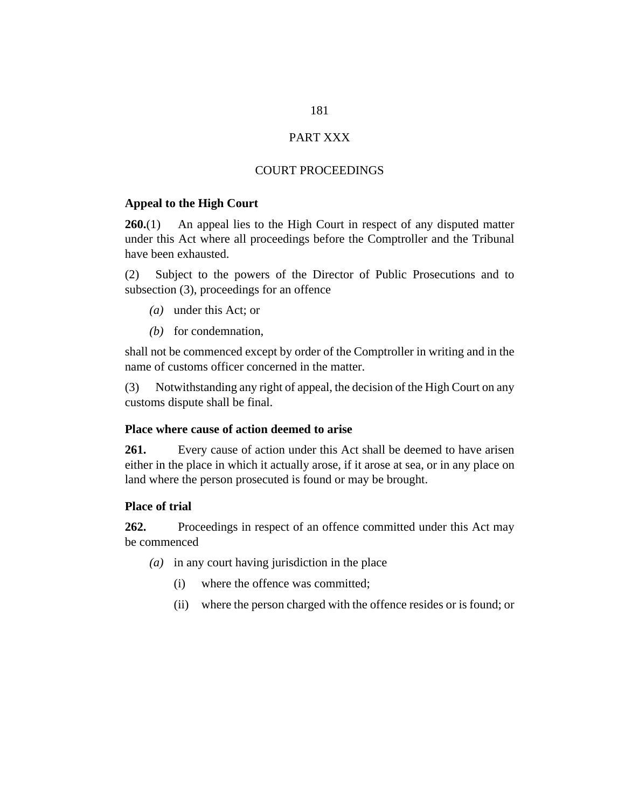## PART XXX

#### COURT PROCEEDINGS

#### **Appeal to the High Court**

An appeal lies to the High Court in respect of any disputed matter under this Act where all proceedings before the Comptroller and the Tribunal have been exhausted. **260.**(1)

Subject to the powers of the Director of Public Prosecutions and to subsection (3), proceedings for an offence (2)

- under this Act; or *(a)*
- (b) for condemnation,

shall not be commenced except by order of the Comptroller in writing and in the name of customs officer concerned in the matter.

Notwithstanding any right of appeal, the decision of the High Court on any customs dispute shall be final. (3)

#### **Place where cause of action deemed to arise**

Every cause of action under this Act shall be deemed to have arisen either in the place in which it actually arose, if it arose at sea, or in any place on land where the person prosecuted is found or may be brought. **261.**

#### **Place of trial**

Proceedings in respect of an offence committed under this Act may be commenced **262.**

- (a) in any court having jurisdiction in the place
	- where the offence was committed; (i)
	- where the person charged with the offence resides or is found; or (ii)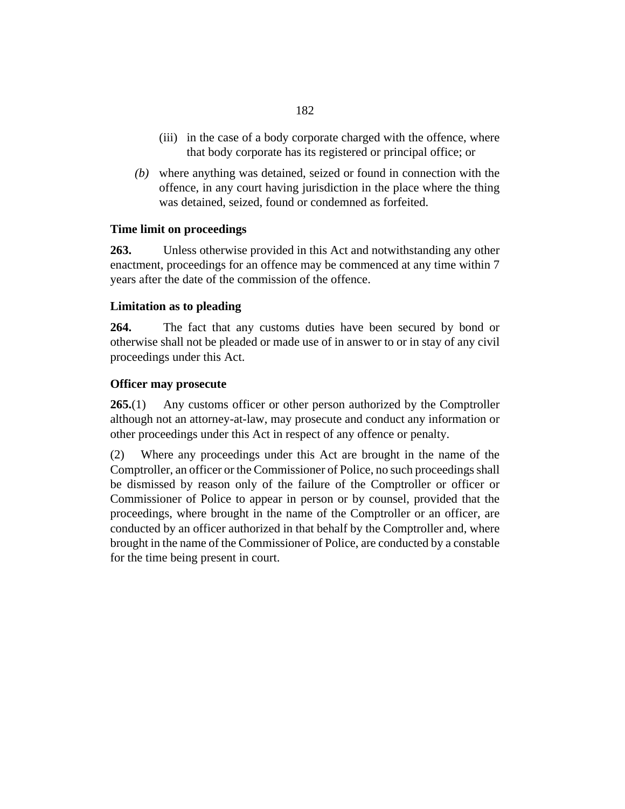- (iii) in the case of a body corporate charged with the offence, where that body corporate has its registered or principal office; or
- where anything was detained, seized or found in connection with the *(b)* offence, in any court having jurisdiction in the place where the thing was detained, seized, found or condemned as forfeited.

### **Time limit on proceedings**

Unless otherwise provided in this Act and notwithstanding any other enactment, proceedings for an offence may be commenced at any time within 7 years after the date of the commission of the offence. **263.**

#### **Limitation as to pleading**

The fact that any customs duties have been secured by bond or otherwise shall not be pleaded or made use of in answer to or in stay of any civil proceedings under this Act. **264.**

#### **Officer may prosecute**

Any customs officer or other person authorized by the Comptroller although not an attorney-at-law, may prosecute and conduct any information or other proceedings under this Act in respect of any offence or penalty. **265.**(1)

Where any proceedings under this Act are brought in the name of the Comptroller, an officer or the Commissioner of Police, no such proceedings shall be dismissed by reason only of the failure of the Comptroller or officer or Commissioner of Police to appear in person or by counsel, provided that the proceedings, where brought in the name of the Comptroller or an officer, are conducted by an officer authorized in that behalf by the Comptroller and, where brought in the name of the Commissioner of Police, are conducted by a constable for the time being present in court. (2)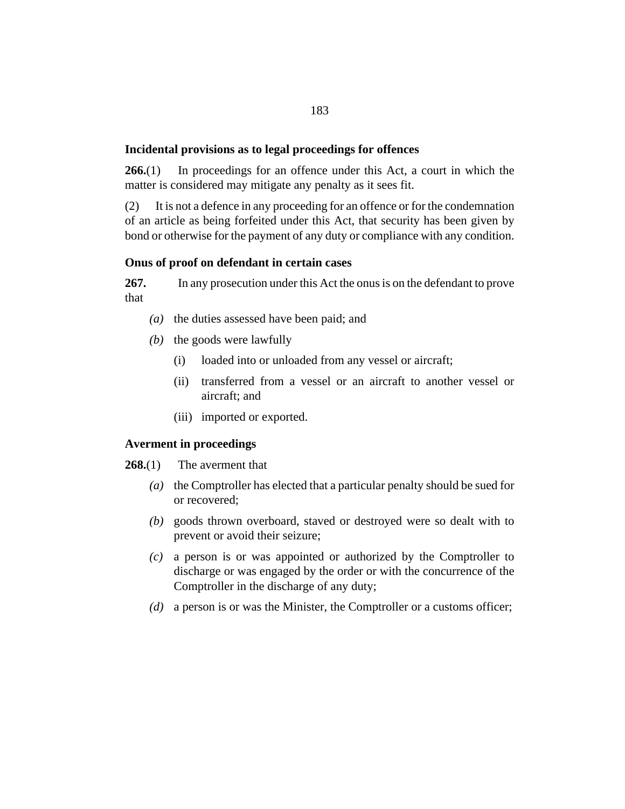#### **Incidental provisions as to legal proceedings for offences**

In proceedings for an offence under this Act, a court in which the matter is considered may mitigate any penalty as it sees fit. **266.**(1)

It is not a defence in any proceeding for an offence or for the condemnation of an article as being forfeited under this Act, that security has been given by bond or otherwise for the payment of any duty or compliance with any condition. (2)

#### **Onus of proof on defendant in certain cases**

In any prosecution under this Act the onus is on the defendant to prove that **267.**

- (a) the duties assessed have been paid; and
- (b) the goods were lawfully
	- loaded into or unloaded from any vessel or aircraft; (i)
	- (ii) transferred from a vessel or an aircraft to another vessel or aircraft; and
	- (iii) imported or exported.

#### **Averment in proceedings**

The averment that **268.**(1)

- (a) the Comptroller has elected that a particular penalty should be sued for or recovered;
- goods thrown overboard, staved or destroyed were so dealt with to *(b)* prevent or avoid their seizure;
- a person is or was appointed or authorized by the Comptroller to *(c)* discharge or was engaged by the order or with the concurrence of the Comptroller in the discharge of any duty;
- a person is or was the Minister, the Comptroller or a customs officer; *(d)*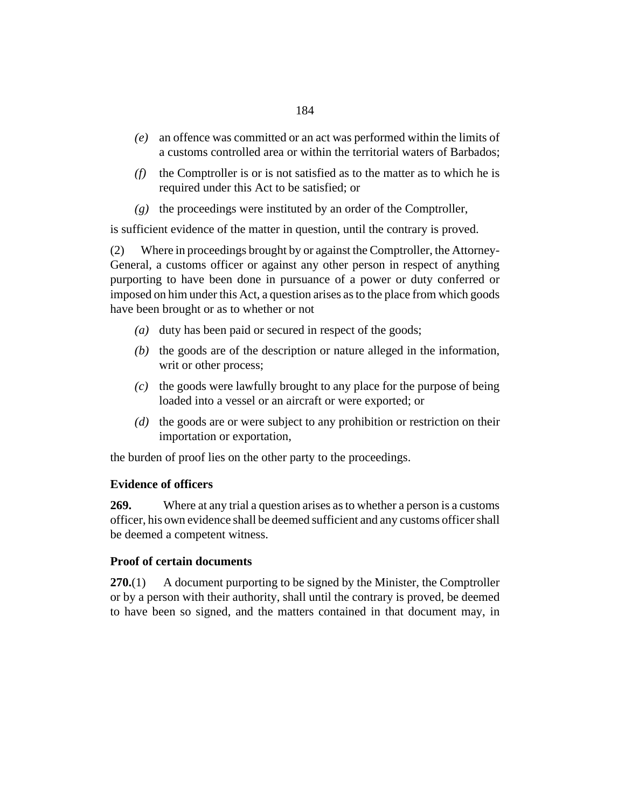- an offence was committed or an act was performed within the limits of *(e)* a customs controlled area or within the territorial waters of Barbados;
- $(f)$  the Comptroller is or is not satisfied as to the matter as to which he is required under this Act to be satisfied; or
- (g) the proceedings were instituted by an order of the Comptroller,

is sufficient evidence of the matter in question, until the contrary is proved.

Where in proceedings brought by or against the Comptroller, the Attorney-General, a customs officer or against any other person in respect of anything purporting to have been done in pursuance of a power or duty conferred or imposed on him under this Act, a question arises as to the place from which goods have been brought or as to whether or not (2)

- (a) duty has been paid or secured in respect of the goods;
- $(t)$  the goods are of the description or nature alleged in the information, writ or other process;
- (c) the goods were lawfully brought to any place for the purpose of being loaded into a vessel or an aircraft or were exported; or
- (d) the goods are or were subject to any prohibition or restriction on their importation or exportation,

the burden of proof lies on the other party to the proceedings.

# **Evidence of officers**

Where at any trial a question arises as to whether a person is a customs officer, his own evidence shall be deemed sufficient and any customs officer shall be deemed a competent witness. **269.**

# **Proof of certain documents**

A document purporting to be signed by the Minister, the Comptroller or by a person with their authority, shall until the contrary is proved, be deemed to have been so signed, and the matters contained in that document may, in **270.**(1)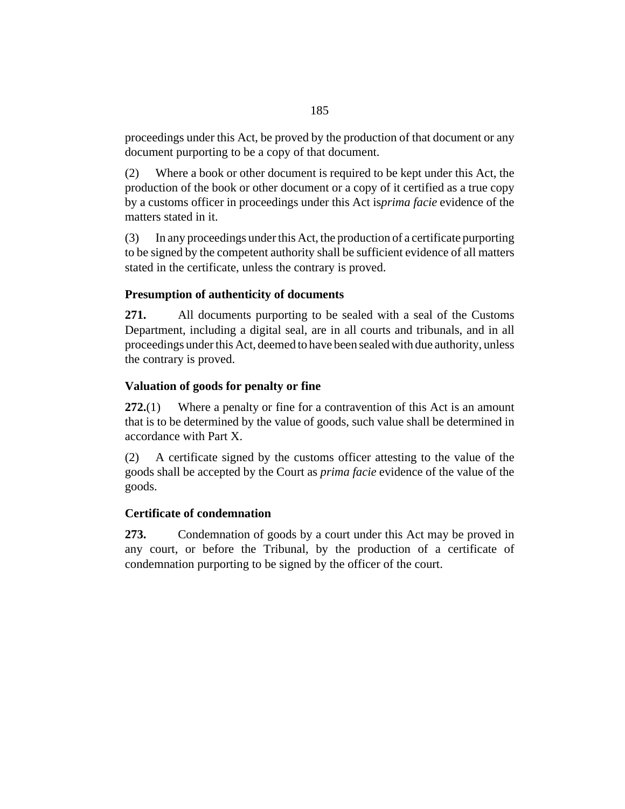proceedings under this Act, be proved by the production of that document or any document purporting to be a copy of that document.

Where a book or other document is required to be kept under this Act, the production of the book or other document or a copy of it certified as a true copy by a customs officer in proceedings under this Act is*prima facie* evidence of the matters stated in it. (2)

In any proceedings under this Act, the production of a certificate purporting to be signed by the competent authority shall be sufficient evidence of all matters stated in the certificate, unless the contrary is proved. (3)

# **Presumption of authenticity of documents**

All documents purporting to be sealed with a seal of the Customs Department, including a digital seal, are in all courts and tribunals, and in all proceedings under this Act, deemed to have been sealed with due authority, unless the contrary is proved. **271.**

# **Valuation of goods for penalty or fine**

Where a penalty or fine for a contravention of this Act is an amount that is to be determined by the value of goods, such value shall be determined in accordance with Part X. **272.**(1)

A certificate signed by the customs officer attesting to the value of the goods shall be accepted by the Court as *prima facie* evidence of the value of the goods. (2)

# **Certificate of condemnation**

Condemnation of goods by a court under this Act may be proved in any court, or before the Tribunal, by the production of a certificate of condemnation purporting to be signed by the officer of the court. **273.**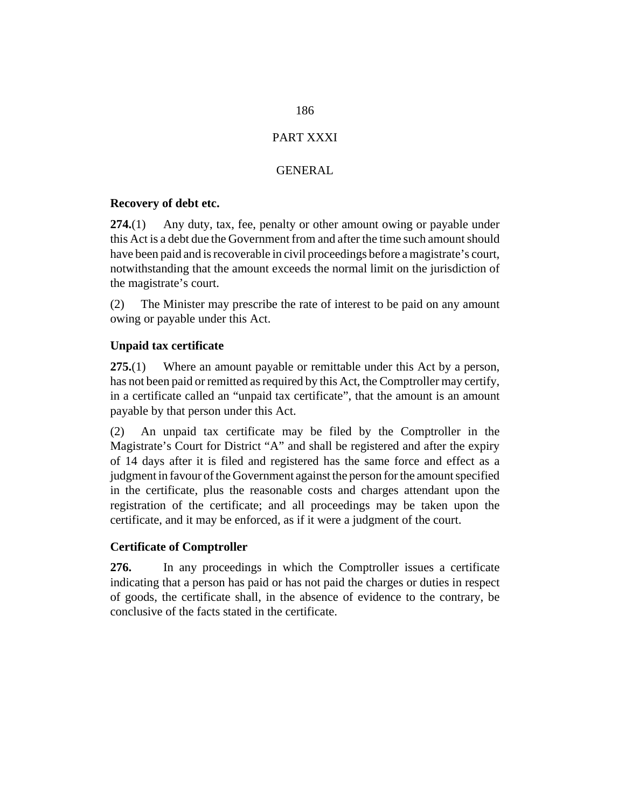# PART XXXI

# GENERAL

### <span id="page-185-0"></span>**Recovery of debt etc.**

Any duty, tax, fee, penalty or other amount owing or payable under this Act is a debt due the Government from and after the time such amount should have been paid and is recoverable in civil proceedings before a magistrate's court, notwithstanding that the amount exceeds the normal limit on the jurisdiction of the magistrate's court. **274.**(1)

The Minister may prescribe the rate of interest to be paid on any amount owing or payable under this Act. (2)

# **Unpaid tax certificate**

Where an amount payable or remittable under this Act by a person, has not been paid or remitted as required by this Act, the Comptroller may certify, in a certificate called an "unpaid tax certificate", that the amount is an amount payable by that person under this Act. **275.**(1)

An unpaid tax certificate may be filed by the Comptroller in the Magistrate's Court for District "A" and shall be registered and after the expiry of 14 days after it is filed and registered has the same force and effect as a judgment in favour of the Government against the person for the amount specified in the certificate, plus the reasonable costs and charges attendant upon the registration of the certificate; and all proceedings may be taken upon the certificate, and it may be enforced, as if it were a judgment of the court. (2)

# **Certificate of Comptroller**

In any proceedings in which the Comptroller issues a certificate indicating that a person has paid or has not paid the charges or duties in respect of goods, the certificate shall, in the absence of evidence to the contrary, be conclusive of the facts stated in the certificate. **276.**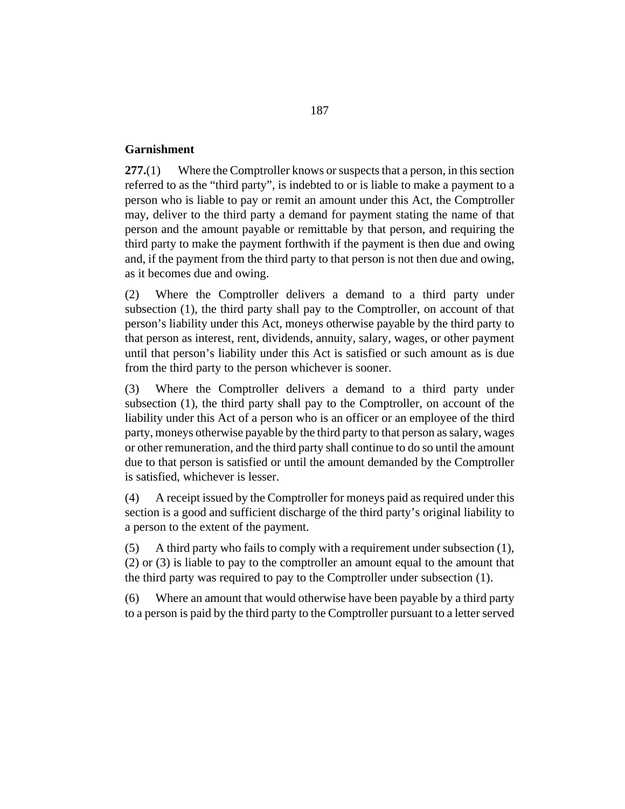#### **Garnishment**

Where the Comptroller knows or suspects that a person, in this section referred to as the "third party", is indebted to or is liable to make a payment to a person who is liable to pay or remit an amount under this Act, the Comptroller may, deliver to the third party a demand for payment stating the name of that person and the amount payable or remittable by that person, and requiring the third party to make the payment forthwith if the payment is then due and owing and, if the payment from the third party to that person is not then due and owing, as it becomes due and owing. **277.**(1)

Where the Comptroller delivers a demand to a third party under subsection (1), the third party shall pay to the Comptroller, on account of that person's liability under this Act, moneys otherwise payable by the third party to that person as interest, rent, dividends, annuity, salary, wages, or other payment until that person's liability under this Act is satisfied or such amount as is due from the third party to the person whichever is sooner. (2)

Where the Comptroller delivers a demand to a third party under subsection (1), the third party shall pay to the Comptroller, on account of the liability under this Act of a person who is an officer or an employee of the third party, moneys otherwise payable by the third party to that person as salary, wages or other remuneration, and the third party shall continue to do so until the amount due to that person is satisfied or until the amount demanded by the Comptroller is satisfied, whichever is lesser. (3)

A receipt issued by the Comptroller for moneys paid as required under this section is a good and sufficient discharge of the third party's original liability to a person to the extent of the payment. (4)

A third party who fails to comply with a requirement under subsection (1), (2) or (3) is liable to pay to the comptroller an amount equal to the amount that the third party was required to pay to the Comptroller under subsection (1). (5)

Where an amount that would otherwise have been payable by a third party to a person is paid by the third party to the Comptroller pursuant to a letter served (6)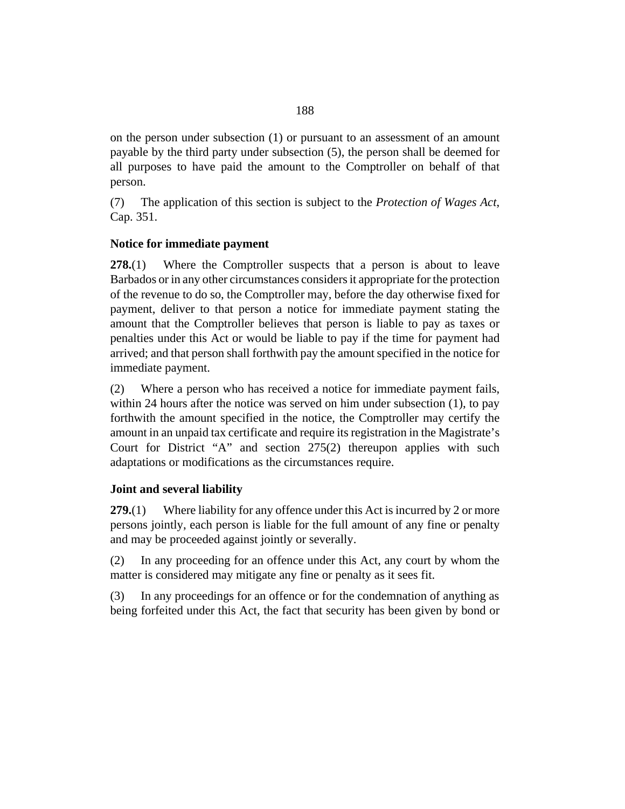on the person under subsection (1) or pursuant to an assessment of an amount payable by the third party under subsection (5), the person shall be deemed for all purposes to have paid the amount to the Comptroller on behalf of that person.

The application of this section is subject to the *[Protection of Wages Act](http://barbadosparliament-laws.com/en/showdoc/cs/351)*, [Cap. 351](http://barbadosparliament-laws.com/en/showdoc/cs/351). (7)

### **Notice for immediate payment**

Where the Comptroller suspects that a person is about to leave Barbados or in any other circumstances considers it appropriate for the protection of the revenue to do so, the Comptroller may, before the day otherwise fixed for payment, deliver to that person a notice for immediate payment stating the amount that the Comptroller believes that person is liable to pay as taxes or penalties under this Act or would be liable to pay if the time for payment had arrived; and that person shall forthwith pay the amount specified in the notice for immediate payment. **278.**(1)

Where a person who has received a notice for immediate payment fails, within 24 hours after the notice was served on him under subsection (1), to pay forthwith the amount specified in the notice, the Comptroller may certify the amount in an unpaid tax certificate and require its registration in the Magistrate's Court for District "A" and [section 275\(](#page-185-0)2) thereupon applies with such adaptations or modifications as the circumstances require. (2)

# **Joint and several liability**

Where liability for any offence under this Act is incurred by 2 or more persons jointly, each person is liable for the full amount of any fine or penalty and may be proceeded against jointly or severally. **279.**(1)

In any proceeding for an offence under this Act, any court by whom the matter is considered may mitigate any fine or penalty as it sees fit. (2)

In any proceedings for an offence or for the condemnation of anything as being forfeited under this Act, the fact that security has been given by bond or (3)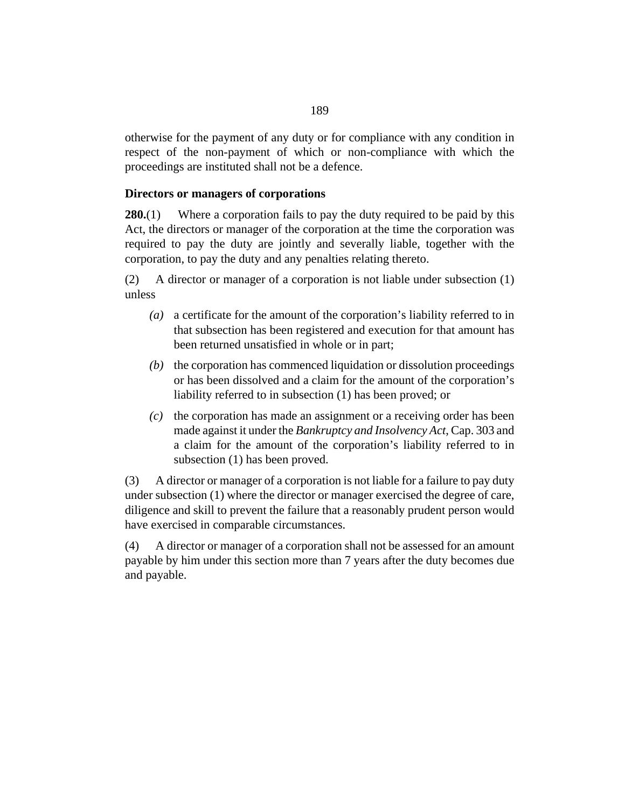otherwise for the payment of any duty or for compliance with any condition in respect of the non-payment of which or non-compliance with which the proceedings are instituted shall not be a defence.

### **Directors or managers of corporations**

Where a corporation fails to pay the duty required to be paid by this Act, the directors or manager of the corporation at the time the corporation was required to pay the duty are jointly and severally liable, together with the corporation, to pay the duty and any penalties relating thereto. **280.**(1)

A director or manager of a corporation is not liable under subsection (1) unless (2)

- a certificate for the amount of the corporation's liability referred to in *(a)* that subsection has been registered and execution for that amount has been returned unsatisfied in whole or in part;
- (b) the corporation has commenced liquidation or dissolution proceedings or has been dissolved and a claim for the amount of the corporation's liability referred to in subsection (1) has been proved; or
- $(c)$  the corporation has made an assignment or a receiving order has been made against it under the *[Bankruptcy and Insolvency Act](http://barbadosparliament-laws.com/en/showdoc/cs/303)*, Cap. 303 and a claim for the amount of the corporation's liability referred to in subsection (1) has been proved.

A director or manager of a corporation is not liable for a failure to pay duty under subsection (1) where the director or manager exercised the degree of care, diligence and skill to prevent the failure that a reasonably prudent person would have exercised in comparable circumstances. (3)

A director or manager of a corporation shall not be assessed for an amount payable by him under this section more than 7 years after the duty becomes due and payable. (4)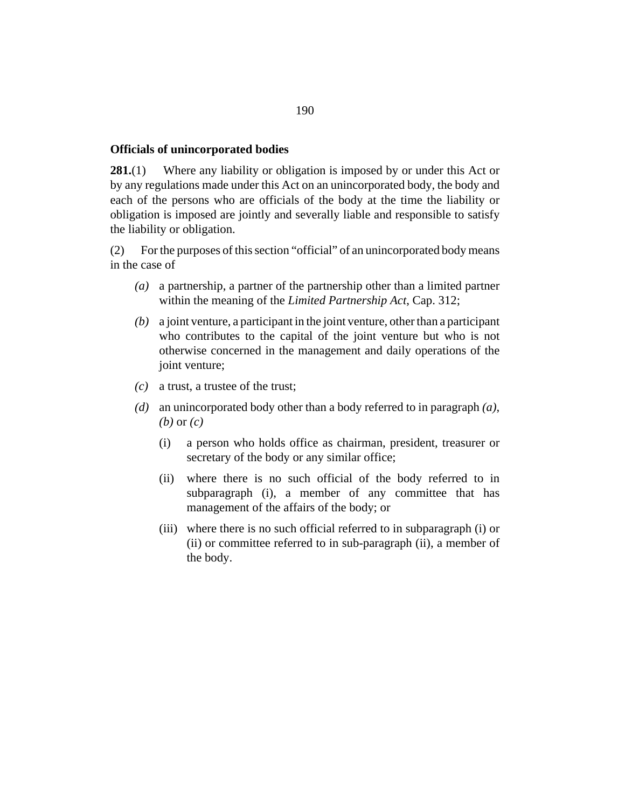#### **Officials of unincorporated bodies**

Where any liability or obligation is imposed by or under this Act or by any regulations made under this Act on an unincorporated body, the body and each of the persons who are officials of the body at the time the liability or obligation is imposed are jointly and severally liable and responsible to satisfy the liability or obligation. **281.**(1)

For the purposes of this section "official" of an unincorporated body means in the case of (2)

- a partnership, a partner of the partnership other than a limited partner *(a)* within the meaning of the *[Limited Partnership Act](http://barbadosparliament-laws.com/en/showdoc/cs/312)*, Cap. 312;
- a joint venture, a participant in the joint venture, other than a participant *(b)* who contributes to the capital of the joint venture but who is not otherwise concerned in the management and daily operations of the joint venture;
- a trust, a trustee of the trust; *(c)*
- an unincorporated body other than a body referred to in paragraph *(a)*, *(d) (b)* or *(c)*
	- a person who holds office as chairman, president, treasurer or secretary of the body or any similar office; (i)
	- where there is no such official of the body referred to in (ii) subparagraph (i), a member of any committee that has management of the affairs of the body; or
	- (iii) where there is no such official referred to in subparagraph (i) or (ii) or committee referred to in sub-paragraph (ii), a member of the body.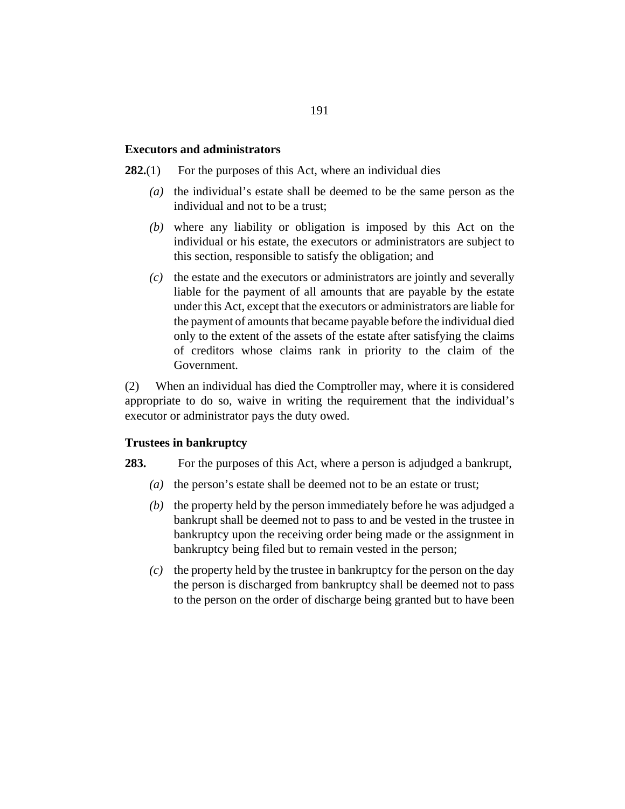#### **Executors and administrators**

- For the purposes of this Act, where an individual dies **282.**(1)
	- the individual's estate shall be deemed to be the same person as the individual and not to be a trust; *(a)*
	- where any liability or obligation is imposed by this Act on the *(b)* individual or his estate, the executors or administrators are subject to this section, responsible to satisfy the obligation; and
	- the estate and the executors or administrators are jointly and severally *(c)* liable for the payment of all amounts that are payable by the estate under this Act, except that the executors or administrators are liable for the payment of amounts that became payable before the individual died only to the extent of the assets of the estate after satisfying the claims of creditors whose claims rank in priority to the claim of the Government.

When an individual has died the Comptroller may, where it is considered appropriate to do so, waive in writing the requirement that the individual's executor or administrator pays the duty owed. (2)

#### **Trustees in bankruptcy**

#### For the purposes of this Act, where a person is adjudged a bankrupt, **283.**

- the person's estate shall be deemed not to be an estate or trust; *(a)*
- $(b)$  the property held by the person immediately before he was adjudged a bankrupt shall be deemed not to pass to and be vested in the trustee in bankruptcy upon the receiving order being made or the assignment in bankruptcy being filed but to remain vested in the person;
- $\alpha$  the property held by the trustee in bankruptcy for the person on the day the person is discharged from bankruptcy shall be deemed not to pass to the person on the order of discharge being granted but to have been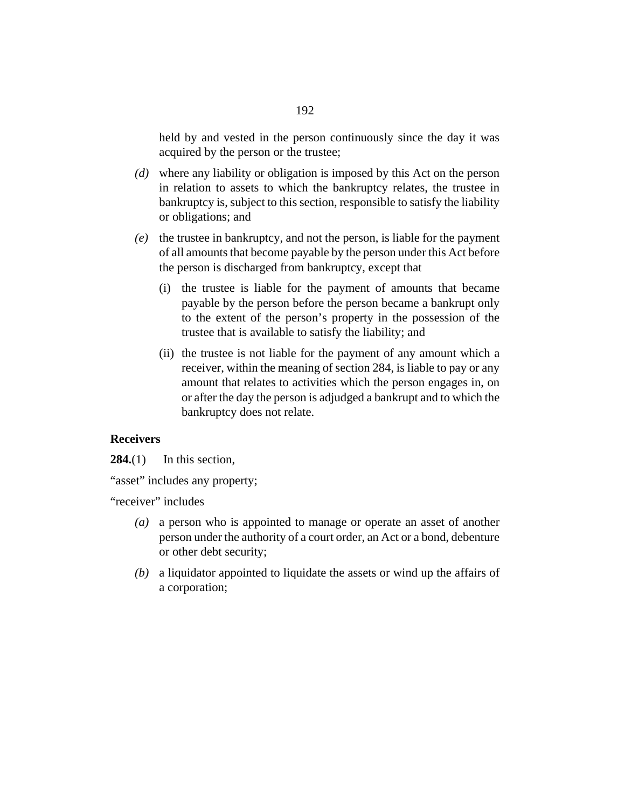held by and vested in the person continuously since the day it was acquired by the person or the trustee;

- where any liability or obligation is imposed by this Act on the person *(d)* in relation to assets to which the bankruptcy relates, the trustee in bankruptcy is, subject to this section, responsible to satisfy the liability or obligations; and
- (e) the trustee in bankruptcy, and not the person, is liable for the payment of all amounts that become payable by the person under this Act before the person is discharged from bankruptcy, except that
	- (i) the trustee is liable for the payment of amounts that became payable by the person before the person became a bankrupt only to the extent of the person's property in the possession of the trustee that is available to satisfy the liability; and
	- (ii) the trustee is not liable for the payment of any amount which a receiver, within the meaning of section 284, is liable to pay or any amount that relates to activities which the person engages in, on or after the day the person is adjudged a bankrupt and to which the bankruptcy does not relate.

#### **Receivers**

In this section, **284.**(1)

"asset" includes any property;

"receiver" includes

- a person who is appointed to manage or operate an asset of another *(a)* person under the authority of a court order, an Act or a bond, debenture or other debt security;
- a liquidator appointed to liquidate the assets or wind up the affairs of *(b)* a corporation;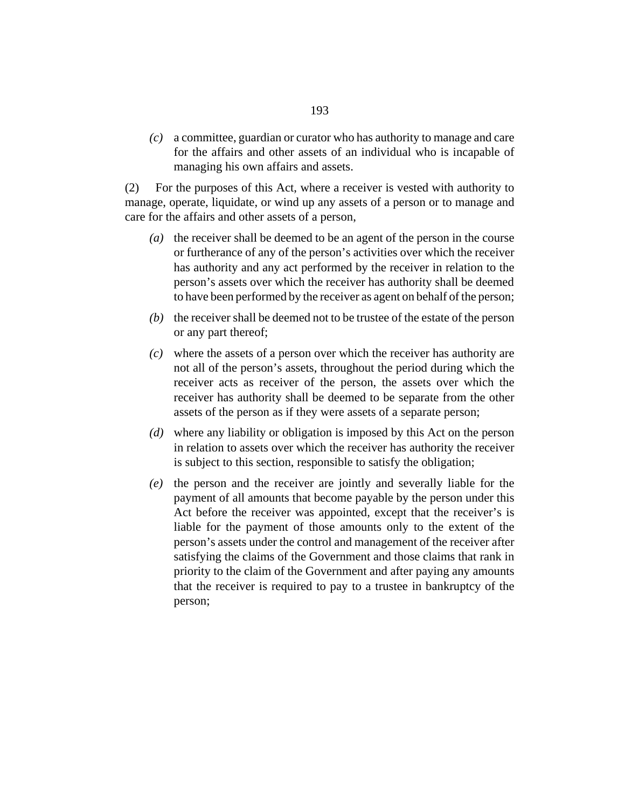a committee, guardian or curator who has authority to manage and care *(c)* for the affairs and other assets of an individual who is incapable of managing his own affairs and assets.

For the purposes of this Act, where a receiver is vested with authority to manage, operate, liquidate, or wind up any assets of a person or to manage and care for the affairs and other assets of a person, (2)

- ( $a)$ ) the receiver shall be deemed to be an agent of the person in the course or furtherance of any of the person's activities over which the receiver has authority and any act performed by the receiver in relation to the person's assets over which the receiver has authority shall be deemed to have been performed by the receiver as agent on behalf of the person;
- $(b)$  the receiver shall be deemed not to be trustee of the estate of the person or any part thereof;
- where the assets of a person over which the receiver has authority are *(c)* not all of the person's assets, throughout the period during which the receiver acts as receiver of the person, the assets over which the receiver has authority shall be deemed to be separate from the other assets of the person as if they were assets of a separate person;
- where any liability or obligation is imposed by this Act on the person *(d)* in relation to assets over which the receiver has authority the receiver is subject to this section, responsible to satisfy the obligation;
- (e) the person and the receiver are jointly and severally liable for the payment of all amounts that become payable by the person under this Act before the receiver was appointed, except that the receiver's is liable for the payment of those amounts only to the extent of the person's assets under the control and management of the receiver after satisfying the claims of the Government and those claims that rank in priority to the claim of the Government and after paying any amounts that the receiver is required to pay to a trustee in bankruptcy of the person;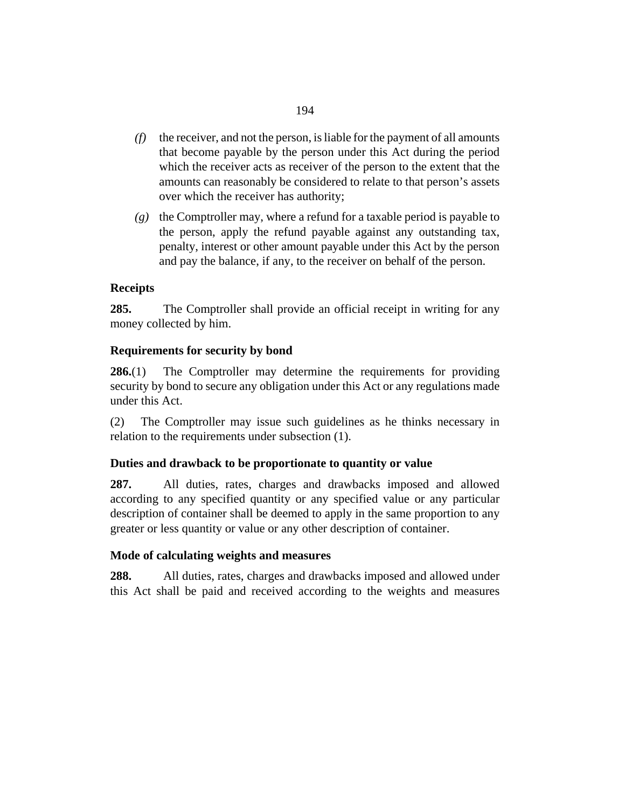- $(f)$  the receiver, and not the person, is liable for the payment of all amounts that become payable by the person under this Act during the period which the receiver acts as receiver of the person to the extent that the amounts can reasonably be considered to relate to that person's assets over which the receiver has authority;
- (g) the Comptroller may, where a refund for a taxable period is payable to the person, apply the refund payable against any outstanding tax, penalty, interest or other amount payable under this Act by the person and pay the balance, if any, to the receiver on behalf of the person.

# **Receipts**

The Comptroller shall provide an official receipt in writing for any money collected by him. **285.**

# **Requirements for security by bond**

The Comptroller may determine the requirements for providing security by bond to secure any obligation under this Act or any regulations made under this Act. **286.**(1)

The Comptroller may issue such guidelines as he thinks necessary in relation to the requirements under subsection (1). (2)

# **Duties and drawback to be proportionate to quantity or value**

All duties, rates, charges and drawbacks imposed and allowed according to any specified quantity or any specified value or any particular description of container shall be deemed to apply in the same proportion to any greater or less quantity or value or any other description of container. **287.**

# **Mode of calculating weights and measures**

All duties, rates, charges and drawbacks imposed and allowed under this Act shall be paid and received according to the weights and measures **288.**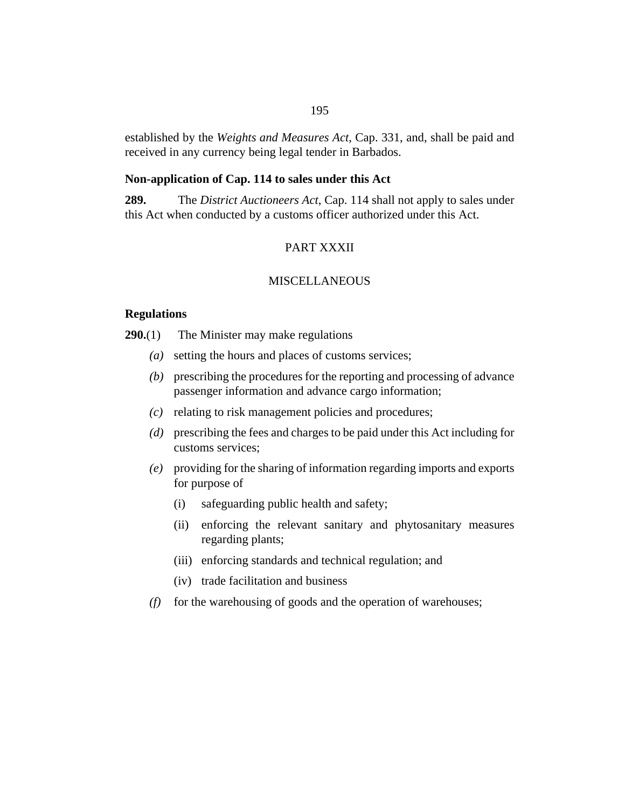established by the *[Weights and Measures Act](http://barbadosparliament-laws.com/en/showdoc/cs/331)*, Cap. 331, and, shall be paid and received in any currency being legal tender in Barbados.

#### **Non-application of Cap. 114 to sales under this Act**

The *[District Auctioneers Act](http://barbadosparliament-laws.com/en/showdoc/cs/114)*, Cap. 114 shall not apply to sales under this Act when conducted by a customs officer authorized under this Act. **289.**

# PART XXXII

## **MISCELLANEOUS**

#### **Regulations**

The Minister may make regulations **290.**(1)

- setting the hours and places of customs services; *(a)*
- prescribing the procedures for the reporting and processing of advance *(b)* passenger information and advance cargo information;
- relating to risk management policies and procedures; *(c)*
- prescribing the fees and charges to be paid under this Act including for *(d)* customs services;
- providing for the sharing of information regarding imports and exports *(e)* for purpose of
	- safeguarding public health and safety; (i)
	- (ii) enforcing the relevant sanitary and phytosanitary measures regarding plants;
	- (iii) enforcing standards and technical regulation; and
	- (iv) trade facilitation and business
- (f) for the warehousing of goods and the operation of warehouses;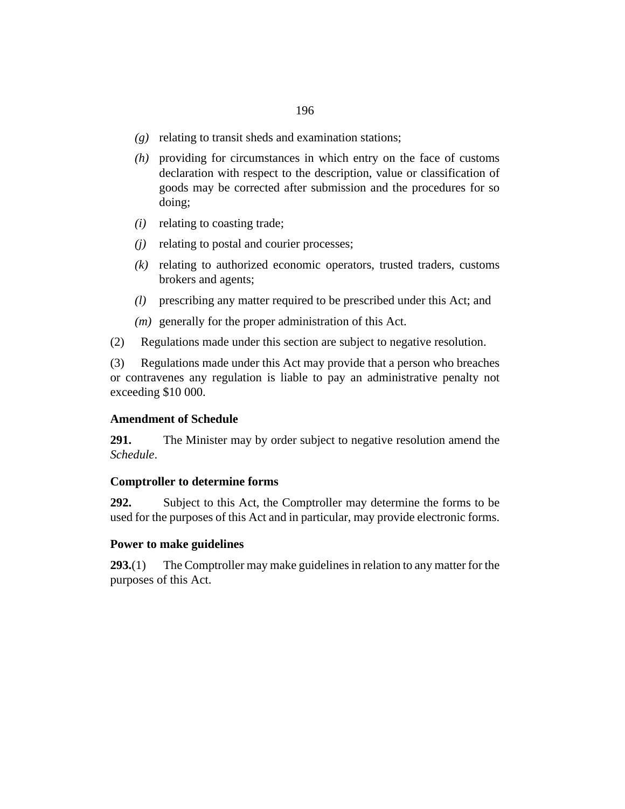- relating to transit sheds and examination stations; *(g)*
- providing for circumstances in which entry on the face of customs *(h)* declaration with respect to the description, value or classification of goods may be corrected after submission and the procedures for so doing;
- relating to coasting trade; *(i)*
- relating to postal and courier processes; *(j)*
- relating to authorized economic operators, trusted traders, customs *(k)* brokers and agents;
- prescribing any matter required to be prescribed under this Act; and *(l)*
- (*m*) generally for the proper administration of this Act.
- Regulations made under this section are subject to negative resolution. (2)

Regulations made under this Act may provide that a person who breaches or contravenes any regulation is liable to pay an administrative penalty not exceeding \$10 000. (3)

#### **Amendment of Schedule**

The Minister may by order subject to negative resolution amend the *Schedule*. **291.**

#### **Comptroller to determine forms**

Subject to this Act, the Comptroller may determine the forms to be used for the purposes of this Act and in particular, may provide electronic forms. **292.**

#### **Power to make guidelines**

The Comptroller may make guidelines in relation to any matter for the purposes of this Act. **293.**(1)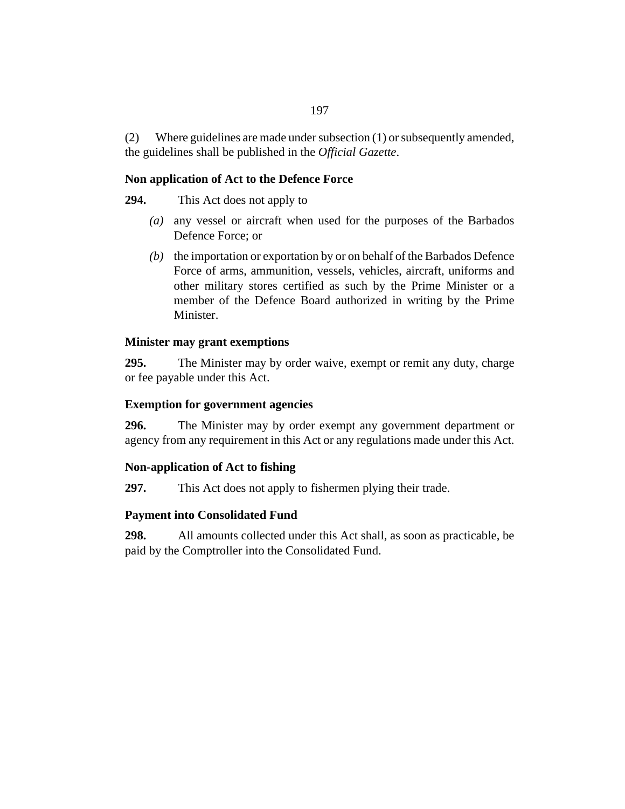Where guidelines are made under subsection (1) or subsequently amended, the guidelines shall be published in the *Official Gazette*. (2)

# **Non application of Act to the Defence Force**

This Act does not apply to **294.**

- any vessel or aircraft when used for the purposes of the Barbados *(a)* Defence Force; or
- $(b)$  the importation or exportation by or on behalf of the Barbados Defence Force of arms, ammunition, vessels, vehicles, aircraft, uniforms and other military stores certified as such by the Prime Minister or a member of the Defence Board authorized in writing by the Prime Minister.

# **Minister may grant exemptions**

The Minister may by order waive, exempt or remit any duty, charge or fee payable under this Act. **295.**

# **Exemption for government agencies**

The Minister may by order exempt any government department or agency from any requirement in this Act or any regulations made under this Act. **296.**

# **Non-application of Act to fishing**

This Act does not apply to fishermen plying their trade. **297.**

# **Payment into Consolidated Fund**

All amounts collected under this Act shall, as soon as practicable, be paid by the Comptroller into the Consolidated Fund. **298.**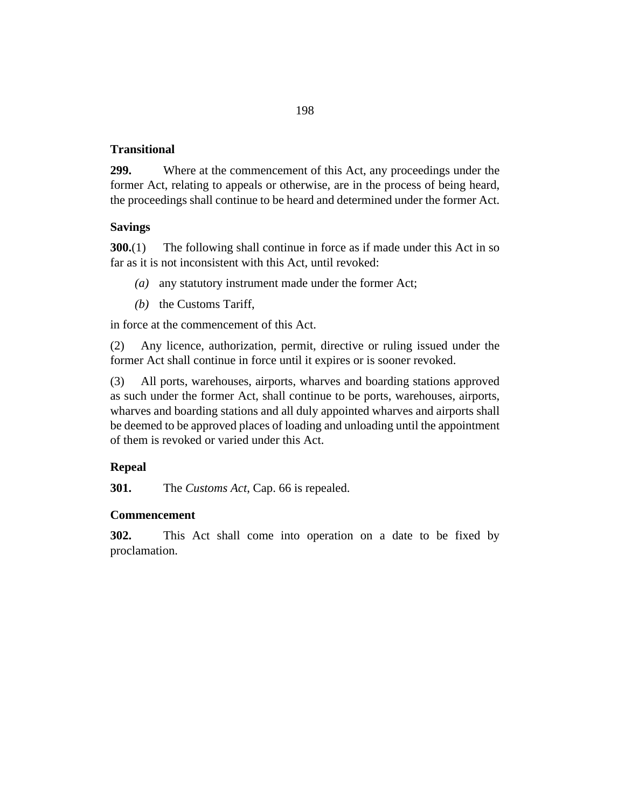## **Transitional**

Where at the commencement of this Act, any proceedings under the former Act, relating to appeals or otherwise, are in the process of being heard, the proceedings shall continue to be heard and determined under the former Act. **299.**

### **Savings**

The following shall continue in force as if made under this Act in so far as it is not inconsistent with this Act, until revoked: **300.**(1)

- (a) any statutory instrument made under the former Act;
- $(b)$  the Customs Tariff,

in force at the commencement of this Act.

Any licence, authorization, permit, directive or ruling issued under the former Act shall continue in force until it expires or is sooner revoked. (2)

All ports, warehouses, airports, wharves and boarding stations approved as such under the former Act, shall continue to be ports, warehouses, airports, wharves and boarding stations and all duly appointed wharves and airports shall be deemed to be approved places of loading and unloading until the appointment of them is revoked or varied under this Act. (3)

# **Repeal**

The *[Customs Act](http://barbadosparliament-laws.com/en/showdoc/cs/66)*, Cap. 66 is repealed. **301.**

#### **Commencement**

This Act shall come into operation on a date to be fixed by proclamation. **302.**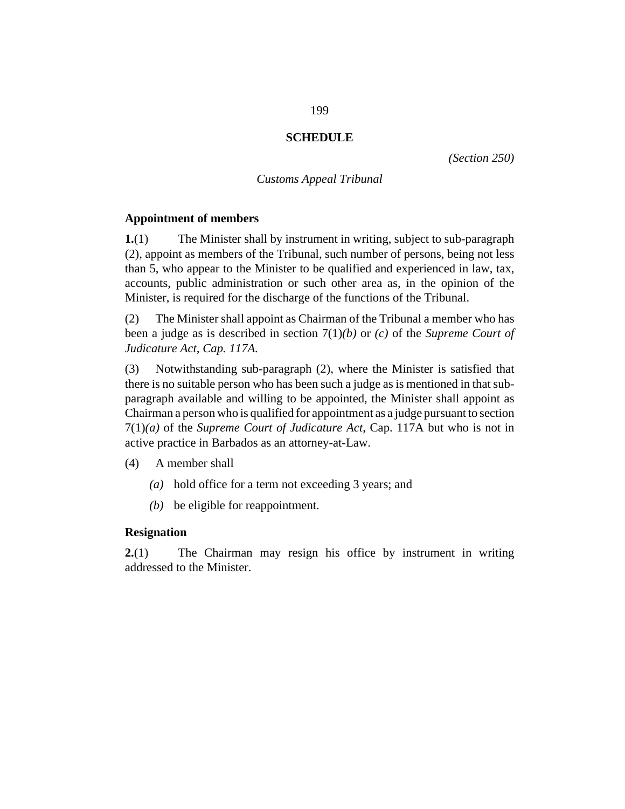### **SCHEDULE**

*([Section 250](#page-175-0))*

#### *Customs Appeal Tribunal*

#### **Appointment of members**

The Minister shall by instrument in writing, subject to sub-paragraph (2), appoint as members of the Tribunal, such number of persons, being not less than 5, who appear to the Minister to be qualified and experienced in law, tax, accounts, public administration or such other area as, in the opinion of the Minister, is required for the discharge of the functions of the Tribunal. **1.**(1)

The Minister shall appoint as Chairman of the Tribunal a member who has been a judge as is described in section 7(1)*(b)* or *(c)* of the *[Supreme Court of](http://barbadosparliament-laws.com/en/showdoc/cs/117A) [Judicature Act, Cap. 117A](http://barbadosparliament-laws.com/en/showdoc/cs/117A).* (2)

Notwithstanding sub-paragraph (2), where the Minister is satisfied that there is no suitable person who has been such a judge as is mentioned in that subparagraph available and willing to be appointed, the Minister shall appoint as Chairman a person who is qualified for appointment as a judge pursuant to section 7(1)*(a)* of the *[Supreme Court of Judicature Act](http://barbadosparliament-laws.com/en/showdoc/cs/117A)*, Cap. 117A but who is not in active practice in Barbados as an attorney-at-Law. (3)

- A member shall (4)
	- hold office for a term not exceeding 3 years; and *(a)*
	- $(b)$  be eligible for reappointment.

#### **Resignation**

The Chairman may resign his office by instrument in writing addressed to the Minister. **2.**(1)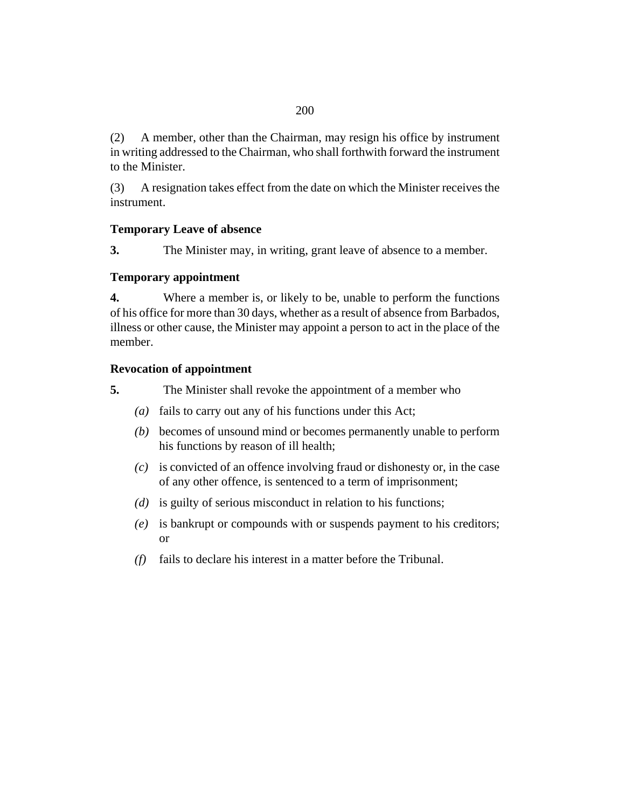A member, other than the Chairman, may resign his office by instrument in writing addressed to the Chairman, who shall forthwith forward the instrument to the Minister. (2)

A resignation takes effect from the date on which the Minister receives the instrument. (3)

# **Temporary Leave of absence**

The Minister may, in writing, grant leave of absence to a member. **3.**

# **Temporary appointment**

Where a member is, or likely to be, unable to perform the functions of his office for more than 30 days, whether as a result of absence from Barbados, illness or other cause, the Minister may appoint a person to act in the place of the member. **4.**

# **Revocation of appointment**

- The Minister shall revoke the appointment of a member who **5.**
	- (a) fails to carry out any of his functions under this Act;
	- becomes of unsound mind or becomes permanently unable to perform *(b)* his functions by reason of ill health;
	- is convicted of an offence involving fraud or dishonesty or, in the case *(c)* of any other offence, is sentenced to a term of imprisonment;
	- (d) is guilty of serious misconduct in relation to his functions;
	- is bankrupt or compounds with or suspends payment to his creditors; *(e)* or
	- fails to declare his interest in a matter before the Tribunal. *(f)*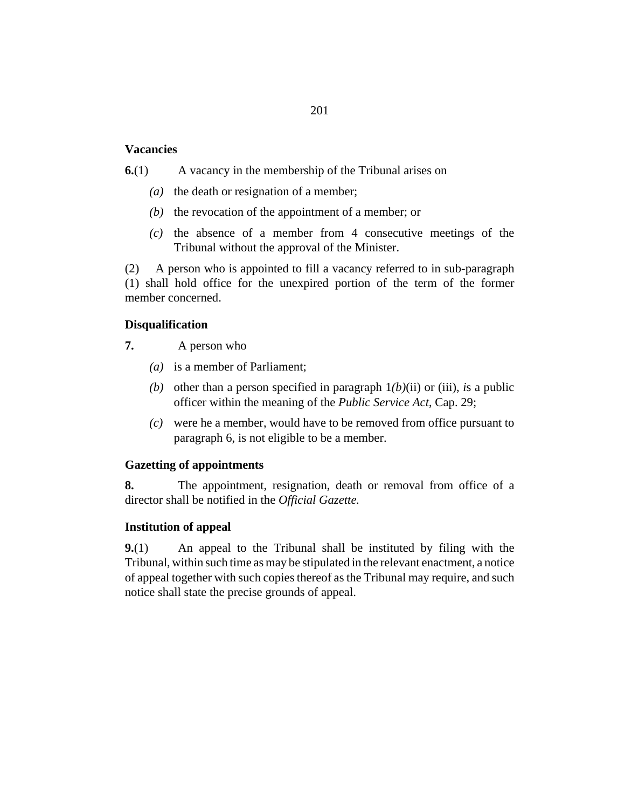#### **Vacancies**

A vacancy in the membership of the Tribunal arises on **6.**(1)

- ( $a$ ) the death or resignation of a member;
- $(b)$  the revocation of the appointment of a member; or
- $(c)$  the absence of a member from 4 consecutive meetings of the Tribunal without the approval of the Minister.

A person who is appointed to fill a vacancy referred to in sub-paragraph (1) shall hold office for the unexpired portion of the term of the former member concerned. (2)

### **Disqualification**

- A person who **7.**
	- is a member of Parliament; *(a)*
	- (b) other than a person specified in paragraph  $1(b)(ii)$  or (iii), *is* a public officer within the meaning of the *[Public Service Act](http://barbadosparliament-laws.com/en/showdoc/cs/29)*, Cap. 29;
	- were he a member, would have to be removed from office pursuant to *(c)* paragraph 6, is not eligible to be a member.

#### **Gazetting of appointments**

The appointment, resignation, death or removal from office of a director shall be notified in the *Official Gazette.* **8.**

#### **Institution of appeal**

An appeal to the Tribunal shall be instituted by filing with the Tribunal, within such time as may be stipulated in the relevant enactment, a notice of appeal together with such copies thereof as the Tribunal may require, and such notice shall state the precise grounds of appeal. **9.**(1)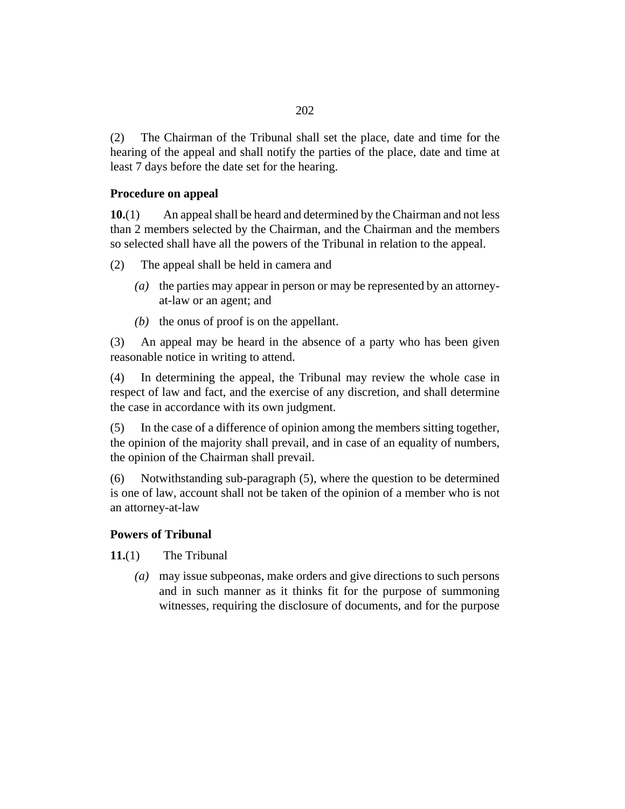The Chairman of the Tribunal shall set the place, date and time for the hearing of the appeal and shall notify the parties of the place, date and time at least 7 days before the date set for the hearing. (2)

### **Procedure on appeal**

An appeal shall be heard and determined by the Chairman and not less than 2 members selected by the Chairman, and the Chairman and the members so selected shall have all the powers of the Tribunal in relation to the appeal. **10.**(1)

The appeal shall be held in camera and (2)

- (a) the parties may appear in person or may be represented by an attorneyat-law or an agent; and
- $(b)$  the onus of proof is on the appellant.

An appeal may be heard in the absence of a party who has been given reasonable notice in writing to attend. (3)

In determining the appeal, the Tribunal may review the whole case in respect of law and fact, and the exercise of any discretion, and shall determine the case in accordance with its own judgment. (4)

In the case of a difference of opinion among the members sitting together, the opinion of the majority shall prevail, and in case of an equality of numbers, the opinion of the Chairman shall prevail. (5)

Notwithstanding sub-paragraph (5), where the question to be determined is one of law, account shall not be taken of the opinion of a member who is not an attorney-at-law (6)

#### **Powers of Tribunal**

The Tribunal **11.**(1)

> may issue subpeonas, make orders and give directions to such persons *(a)* and in such manner as it thinks fit for the purpose of summoning witnesses, requiring the disclosure of documents, and for the purpose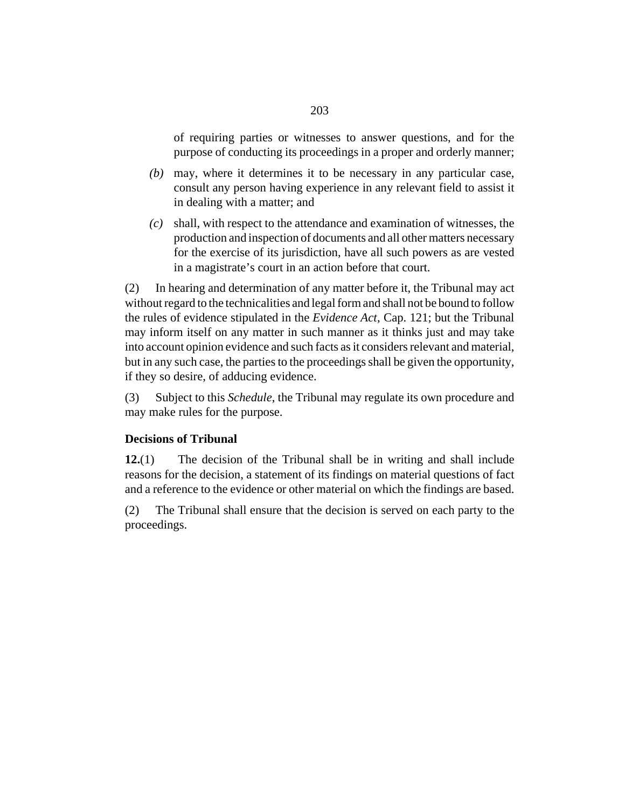of requiring parties or witnesses to answer questions, and for the purpose of conducting its proceedings in a proper and orderly manner;

- may, where it determines it to be necessary in any particular case, *(b)* consult any person having experience in any relevant field to assist it in dealing with a matter; and
- shall, with respect to the attendance and examination of witnesses, the *(c)* production and inspection of documents and all other matters necessary for the exercise of its jurisdiction, have all such powers as are vested in a magistrate's court in an action before that court.

In hearing and determination of any matter before it, the Tribunal may act without regard to the technicalities and legal form and shall not be bound to follow the rules of evidence stipulated in the *[Evidence Act](http://barbadosparliament-laws.com/en/showdoc/cs/121)*, Cap. 121; but the Tribunal may inform itself on any matter in such manner as it thinks just and may take into account opinion evidence and such facts as it considers relevant and material, but in any such case, the parties to the proceedings shall be given the opportunity, if they so desire, of adducing evidence. (2)

Subject to this *Schedule*, the Tribunal may regulate its own procedure and may make rules for the purpose. (3)

# **Decisions of Tribunal**

The decision of the Tribunal shall be in writing and shall include reasons for the decision, a statement of its findings on material questions of fact and a reference to the evidence or other material on which the findings are based. **12.**(1)

The Tribunal shall ensure that the decision is served on each party to the proceedings. (2)